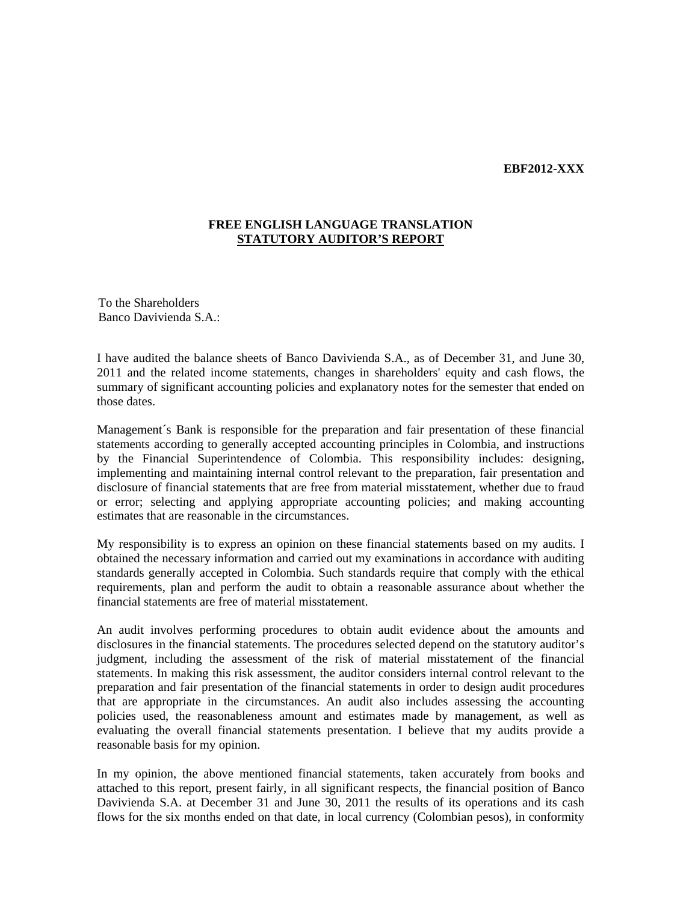## **EBF2012-XXX**

## **FREE ENGLISH LANGUAGE TRANSLATION STATUTORY AUDITOR'S REPORT**

To the Shareholders Banco Davivienda S.A.:

I have audited the balance sheets of Banco Davivienda S.A., as of December 31, and June 30, 2011 and the related income statements, changes in shareholders' equity and cash flows, the summary of significant accounting policies and explanatory notes for the semester that ended on those dates.

Management´s Bank is responsible for the preparation and fair presentation of these financial statements according to generally accepted accounting principles in Colombia, and instructions by the Financial Superintendence of Colombia. This responsibility includes: designing, implementing and maintaining internal control relevant to the preparation, fair presentation and disclosure of financial statements that are free from material misstatement, whether due to fraud or error; selecting and applying appropriate accounting policies; and making accounting estimates that are reasonable in the circumstances.

My responsibility is to express an opinion on these financial statements based on my audits. I obtained the necessary information and carried out my examinations in accordance with auditing standards generally accepted in Colombia. Such standards require that comply with the ethical requirements, plan and perform the audit to obtain a reasonable assurance about whether the financial statements are free of material misstatement.

An audit involves performing procedures to obtain audit evidence about the amounts and disclosures in the financial statements. The procedures selected depend on the statutory auditor's judgment, including the assessment of the risk of material misstatement of the financial statements. In making this risk assessment, the auditor considers internal control relevant to the preparation and fair presentation of the financial statements in order to design audit procedures that are appropriate in the circumstances. An audit also includes assessing the accounting policies used, the reasonableness amount and estimates made by management, as well as evaluating the overall financial statements presentation. I believe that my audits provide a reasonable basis for my opinion.

In my opinion, the above mentioned financial statements, taken accurately from books and attached to this report, present fairly, in all significant respects, the financial position of Banco Davivienda S.A. at December 31 and June 30, 2011 the results of its operations and its cash flows for the six months ended on that date, in local currency (Colombian pesos), in conformity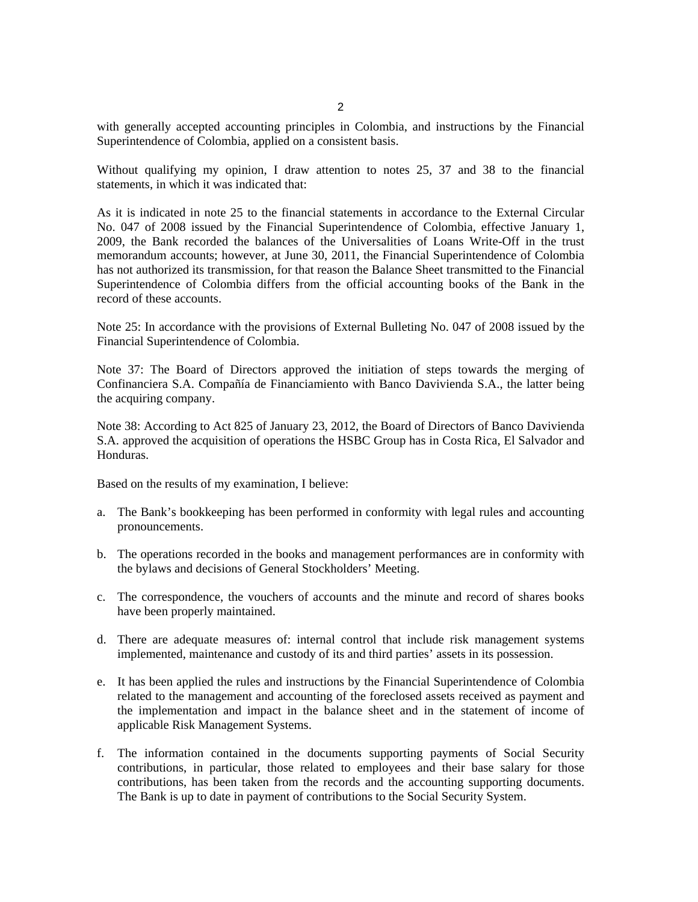2

with generally accepted accounting principles in Colombia, and instructions by the Financial Superintendence of Colombia, applied on a consistent basis.

Without qualifying my opinion, I draw attention to notes 25, 37 and 38 to the financial statements, in which it was indicated that:

As it is indicated in note 25 to the financial statements in accordance to the External Circular No. 047 of 2008 issued by the Financial Superintendence of Colombia, effective January 1, 2009, the Bank recorded the balances of the Universalities of Loans Write-Off in the trust memorandum accounts; however, at June 30, 2011, the Financial Superintendence of Colombia has not authorized its transmission, for that reason the Balance Sheet transmitted to the Financial Superintendence of Colombia differs from the official accounting books of the Bank in the record of these accounts.

Note 25: In accordance with the provisions of External Bulleting No. 047 of 2008 issued by the Financial Superintendence of Colombia.

Note 37: The Board of Directors approved the initiation of steps towards the merging of Confinanciera S.A. Compañía de Financiamiento with Banco Davivienda S.A., the latter being the acquiring company.

Note 38: According to Act 825 of January 23, 2012, the Board of Directors of Banco Davivienda S.A. approved the acquisition of operations the HSBC Group has in Costa Rica, El Salvador and Honduras.

Based on the results of my examination, I believe:

- a. The Bank's bookkeeping has been performed in conformity with legal rules and accounting pronouncements.
- b. The operations recorded in the books and management performances are in conformity with the bylaws and decisions of General Stockholders' Meeting.
- c. The correspondence, the vouchers of accounts and the minute and record of shares books have been properly maintained.
- d. There are adequate measures of: internal control that include risk management systems implemented, maintenance and custody of its and third parties' assets in its possession.
- e. It has been applied the rules and instructions by the Financial Superintendence of Colombia related to the management and accounting of the foreclosed assets received as payment and the implementation and impact in the balance sheet and in the statement of income of applicable Risk Management Systems.
- f. The information contained in the documents supporting payments of Social Security contributions, in particular, those related to employees and their base salary for those contributions, has been taken from the records and the accounting supporting documents. The Bank is up to date in payment of contributions to the Social Security System.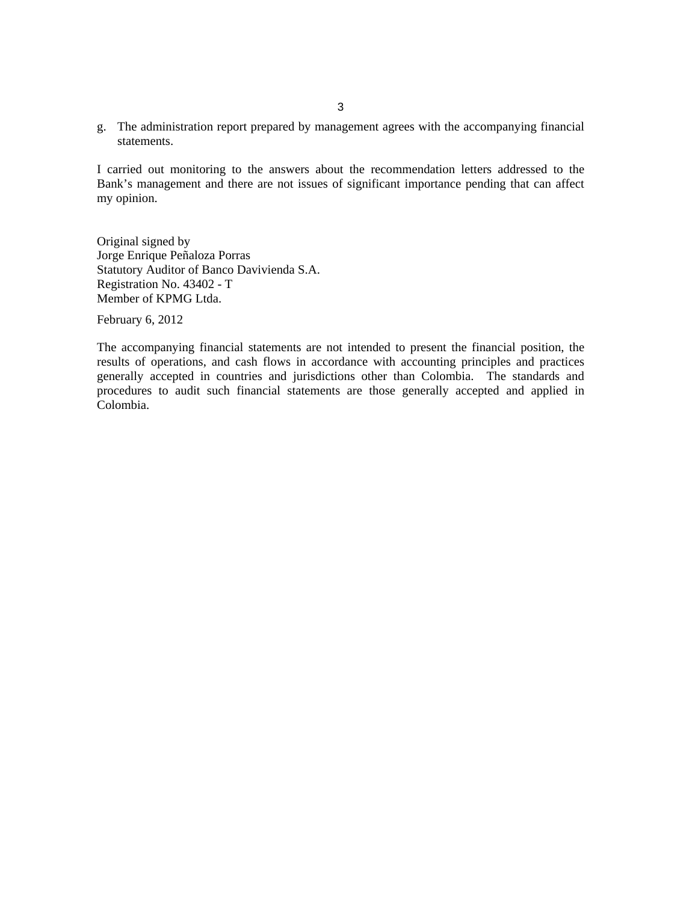g. The administration report prepared by management agrees with the accompanying financial statements.

I carried out monitoring to the answers about the recommendation letters addressed to the Bank's management and there are not issues of significant importance pending that can affect my opinion.

Original signed by Jorge Enrique Peñaloza Porras Statutory Auditor of Banco Davivienda S.A. Registration No. 43402 - T Member of KPMG Ltda.

February 6, 2012

The accompanying financial statements are not intended to present the financial position, the results of operations, and cash flows in accordance with accounting principles and practices generally accepted in countries and jurisdictions other than Colombia. The standards and procedures to audit such financial statements are those generally accepted and applied in Colombia.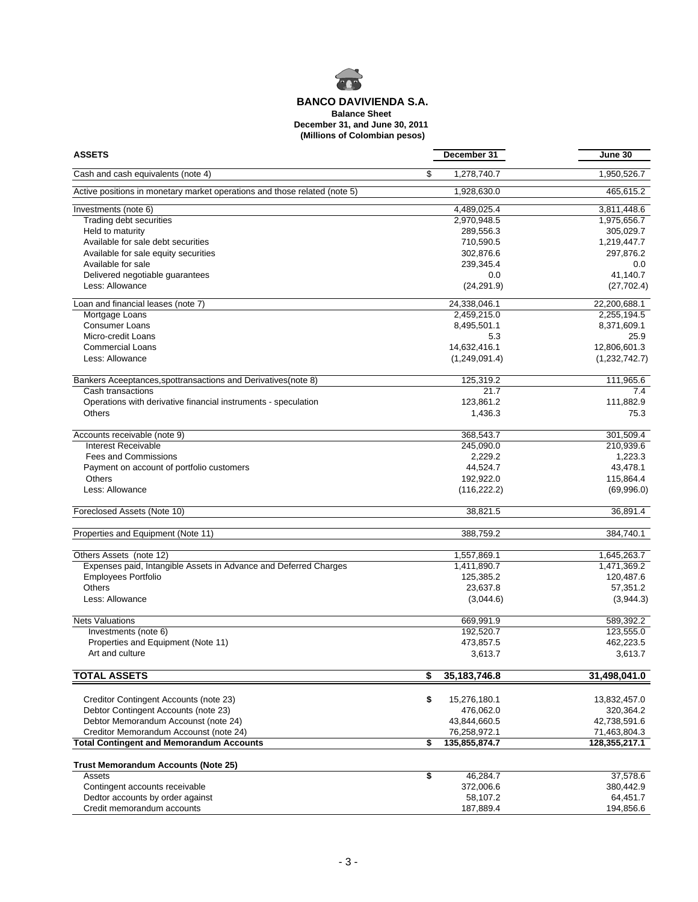

**Balance Sheet**

**December 31, and June 30, 2011**

 **(Millions of Colombian pesos)**

| <b>ASSETS</b>                                                             | December 31          | June 30       |
|---------------------------------------------------------------------------|----------------------|---------------|
| Cash and cash equivalents (note 4)                                        | \$<br>1,278,740.7    | 1,950,526.7   |
| Active positions in monetary market operations and those related (note 5) | 1,928,630.0          | 465,615.2     |
| Investments (note 6)                                                      | 4,489,025.4          | 3,811,448.6   |
| Trading debt securities                                                   | 2,970,948.5          | 1,975,656.7   |
| Held to maturity                                                          | 289,556.3            | 305,029.7     |
| Available for sale debt securities                                        | 710,590.5            | 1,219,447.7   |
| Available for sale equity securities                                      | 302,876.6            | 297,876.2     |
| Available for sale                                                        | 239,345.4            | $0.0\,$       |
| Delivered negotiable guarantees                                           | 0.0                  | 41,140.7      |
| Less: Allowance                                                           | (24, 291.9)          | (27, 702.4)   |
| Loan and financial leases (note 7)                                        | 24.338.046.1         | 22,200,688.1  |
| Mortgage Loans                                                            | 2,459,215.0          | 2,255,194.5   |
| <b>Consumer Loans</b>                                                     | 8,495,501.1          | 8,371,609.1   |
| Micro-credit Loans                                                        | 5.3                  | 25.9          |
|                                                                           |                      |               |
| <b>Commercial Loans</b>                                                   | 14,632,416.1         | 12,806,601.3  |
| Less: Allowance                                                           | (1,249,091.4)        | (1,232,742.7) |
| Bankers Aceeptances, spottransactions and Derivatives (note 8)            | 125,319.2            | 111,965.6     |
| Cash transactions                                                         | 21.7                 | 7.4           |
| Operations with derivative financial instruments - speculation            | 123,861.2            | 111,882.9     |
| Others                                                                    | 1,436.3              | 75.3          |
| Accounts receivable (note 9)                                              | 368,543.7            | 301,509.4     |
| Interest Receivable                                                       | 245,090.0            | 210,939.6     |
| <b>Fees and Commissions</b>                                               | 2,229.2              | 1,223.3       |
| Payment on account of portfolio customers                                 | 44,524.7             | 43,478.1      |
| <b>Others</b>                                                             | 192,922.0            | 115,864.4     |
| Less: Allowance                                                           | (116, 222.2)         | (69,996.0)    |
| Foreclosed Assets (Note 10)                                               | 38,821.5             | 36,891.4      |
|                                                                           |                      |               |
| Properties and Equipment (Note 11)                                        | 388,759.2            | 384,740.1     |
| Others Assets (note 12)                                                   | 1,557,869.1          | 1,645,263.7   |
| Expenses paid, Intangible Assets in Advance and Deferred Charges          | 1,411,890.7          | 1,471,369.2   |
| <b>Employees Portfolio</b>                                                | 125,385.2            | 120,487.6     |
| <b>Others</b>                                                             | 23,637.8             | 57,351.2      |
| Less: Allowance                                                           | (3,044.6)            | (3,944.3)     |
| <b>Nets Valuations</b>                                                    | 669,991.9            | 589,392.2     |
| Investments (note 6)                                                      | 192,520.7            | 123,555.0     |
| Properties and Equipment (Note 11)                                        | 473,857.5            | 462,223.5     |
| Art and culture                                                           | 3,613.7              | 3,613.7       |
| <b>TOTAL ASSETS</b>                                                       | \$<br>35, 183, 746.8 | 31,498,041.0  |
|                                                                           |                      |               |
| Creditor Contingent Accounts (note 23)                                    | \$<br>15,276,180.1   | 13,832,457.0  |
| Debtor Contingent Accounts (note 23)                                      | 476,062.0            | 320,364.2     |
| Debtor Memorandum Accounst (note 24)                                      | 43,844,660.5         | 42,738,591.6  |
| Creditor Memorandum Accounst (note 24)                                    | 76,258,972.1         | 71,463,804.3  |
| <b>Total Contingent and Memorandum Accounts</b>                           | \$<br>135,855,874.7  | 128,355,217.1 |
| <b>Trust Memorandum Accounts (Note 25)</b>                                |                      |               |
| Assets                                                                    | \$<br>46,284.7       | 37,578.6      |
| Contingent accounts receivable                                            | 372,006.6            | 380,442.9     |
| Dedtor accounts by order against                                          | 58,107.2             | 64,451.7      |
| Credit memorandum accounts                                                | 187,889.4            | 194,856.6     |
|                                                                           |                      |               |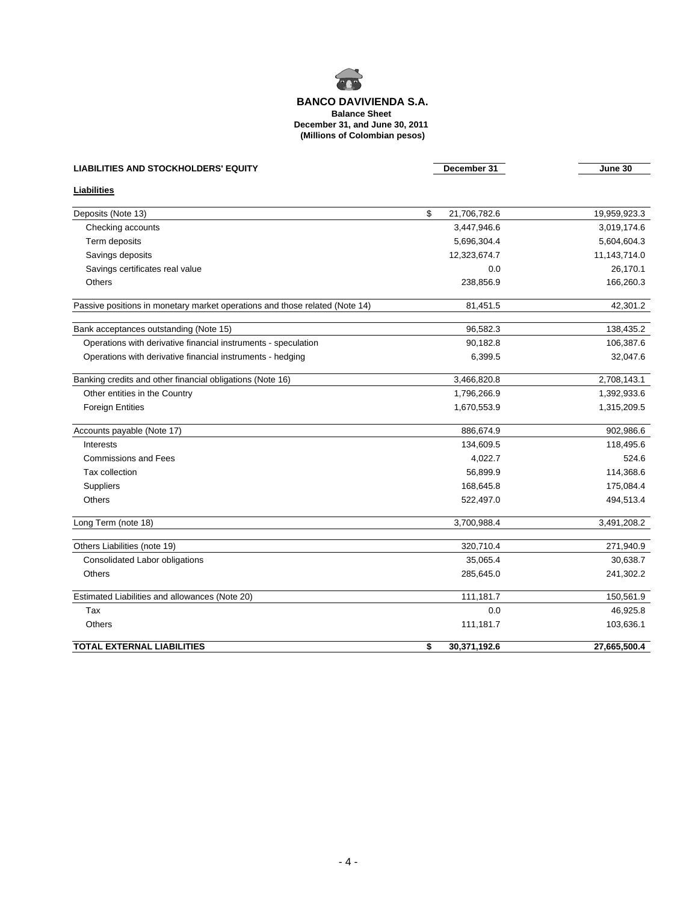

**Balance Sheet**

**December 31, and June 30, 2011**

 **(Millions of Colombian pesos)**

| <b>LIABILITIES AND STOCKHOLDERS' EQUITY</b>                                 | December 31        | June 30      |
|-----------------------------------------------------------------------------|--------------------|--------------|
| <b>Liabilities</b>                                                          |                    |              |
| Deposits (Note 13)                                                          | \$<br>21,706,782.6 | 19,959,923.3 |
| Checking accounts                                                           | 3,447,946.6        | 3,019,174.6  |
| Term deposits                                                               | 5,696,304.4        | 5,604,604.3  |
| Savings deposits                                                            | 12,323,674.7       | 11,143,714.0 |
| Savings certificates real value                                             | 0.0                | 26,170.1     |
| <b>Others</b>                                                               | 238,856.9          | 166,260.3    |
| Passive positions in monetary market operations and those related (Note 14) | 81,451.5           | 42,301.2     |
| Bank acceptances outstanding (Note 15)                                      | 96,582.3           | 138,435.2    |
| Operations with derivative financial instruments - speculation              | 90,182.8           | 106,387.6    |
| Operations with derivative financial instruments - hedging                  | 6,399.5            | 32,047.6     |
| Banking credits and other financial obligations (Note 16)                   | 3,466,820.8        | 2,708,143.1  |
| Other entities in the Country                                               | 1,796,266.9        | 1,392,933.6  |
| <b>Foreign Entities</b>                                                     | 1,670,553.9        | 1,315,209.5  |
| Accounts payable (Note 17)                                                  | 886,674.9          | 902,986.6    |
| Interests                                                                   | 134,609.5          | 118,495.6    |
| <b>Commissions and Fees</b>                                                 | 4,022.7            | 524.6        |
| Tax collection                                                              | 56,899.9           | 114,368.6    |
| Suppliers                                                                   | 168,645.8          | 175,084.4    |
| Others                                                                      | 522,497.0          | 494,513.4    |
| Long Term (note 18)                                                         | 3,700,988.4        | 3,491,208.2  |
| Others Liabilities (note 19)                                                | 320,710.4          | 271,940.9    |
| Consolidated Labor obligations                                              | 35,065.4           | 30,638.7     |
| <b>Others</b>                                                               | 285,645.0          | 241,302.2    |
| Estimated Liabilities and allowances (Note 20)                              | 111,181.7          | 150,561.9    |
| Tax                                                                         | 0.0                | 46,925.8     |
| Others                                                                      | 111,181.7          | 103,636.1    |

**TOTAL EXTERNAL LIABILITIES \$ 30,371,192.6 27,665,500.4**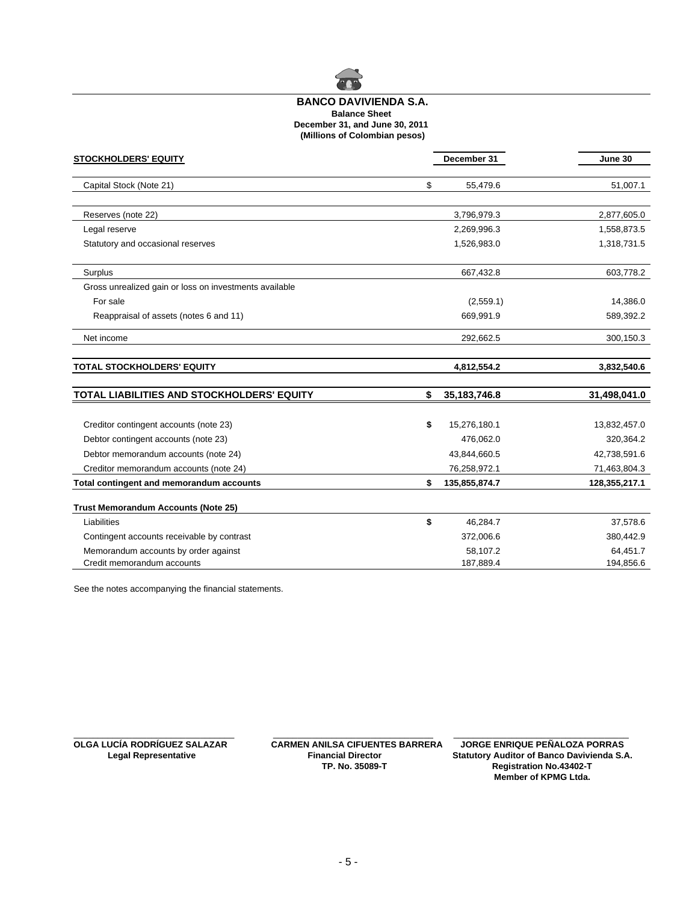

### **Balance Sheet December 31, and June 30, 2011 (Millions of Colombian pesos) BANCO DAVIVIENDA S.A.**

| <b>STOCKHOLDERS' EQUITY</b>                            | December 31          | June 30       |
|--------------------------------------------------------|----------------------|---------------|
| Capital Stock (Note 21)                                | \$<br>55,479.6       | 51,007.1      |
| Reserves (note 22)                                     | 3,796,979.3          | 2,877,605.0   |
| Legal reserve                                          | 2,269,996.3          | 1,558,873.5   |
| Statutory and occasional reserves                      | 1,526,983.0          | 1,318,731.5   |
| Surplus                                                | 667,432.8            | 603,778.2     |
| Gross unrealized gain or loss on investments available |                      |               |
| For sale                                               | (2,559.1)            | 14,386.0      |
| Reappraisal of assets (notes 6 and 11)                 | 669,991.9            | 589,392.2     |
| Net income                                             | 292,662.5            | 300,150.3     |
| <b>TOTAL STOCKHOLDERS' EQUITY</b>                      | 4,812,554.2          | 3,832,540.6   |
| TOTAL LIABILITIES AND STOCKHOLDERS' EQUITY             | \$<br>35, 183, 746.8 | 31,498,041.0  |
|                                                        |                      |               |
| Creditor contingent accounts (note 23)                 | \$<br>15,276,180.1   | 13,832,457.0  |
| Debtor contingent accounts (note 23)                   | 476,062.0            | 320,364.2     |
| Debtor memorandum accounts (note 24)                   | 43,844,660.5         | 42,738,591.6  |
| Creditor memorandum accounts (note 24)                 | 76,258,972.1         | 71,463,804.3  |
| Total contingent and memorandum accounts               | \$<br>135,855,874.7  | 128,355,217.1 |
| <b>Trust Memorandum Accounts (Note 25)</b>             |                      |               |
| Liabilities                                            | \$<br>46,284.7       | 37,578.6      |
| Contingent accounts receivable by contrast             | 372,006.6            | 380,442.9     |
| Memorandum accounts by order against                   | 58,107.2             | 64,451.7      |
| Credit memorandum accounts                             | 187,889.4            | 194,856.6     |

See the notes accompanying the financial statements.

 $\_$  , and the set of the set of the set of the set of the set of the set of the set of the set of the set of the set of the set of the set of the set of the set of the set of the set of the set of the set of the set of th **OLGA LUCÍA RODRÍGUEZ SALAZAR CARMEN ANILSA CIFUENTES BARRERA**<br>Legal Representative **Financial Director** 

**Statutory Auditor of Banco Davivienda S.A. TP. No. 35089-T Registration No.43402-T Member of KPMG Ltda.** JORGE ENRIQUE PEÑALOZA PORRAS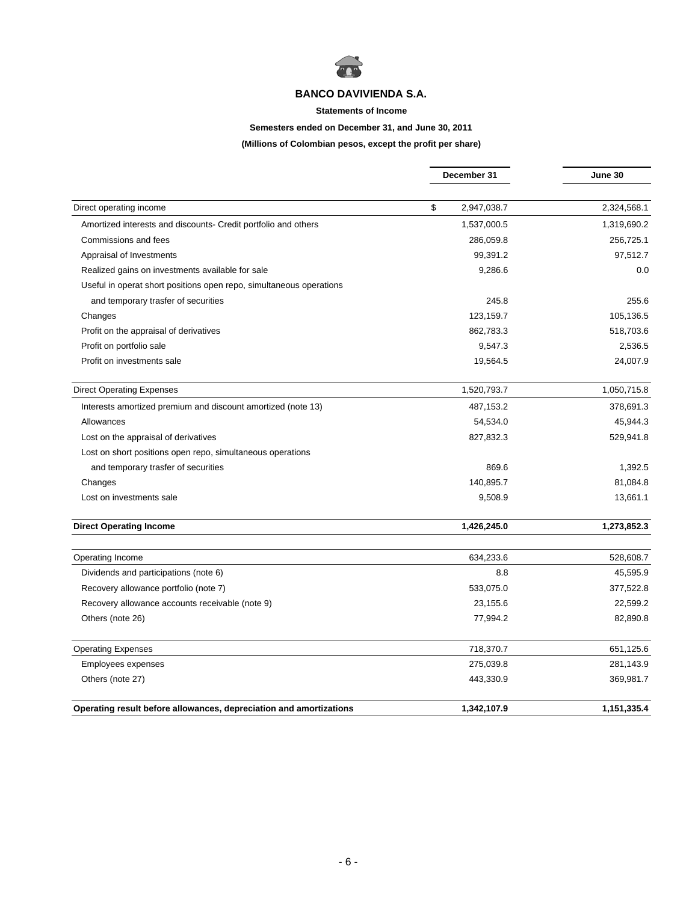

#### **Statements of Income**

## **Semesters ended on December 31, and June 30, 2011**

**(Millions of Colombian pesos, except the profit per share)**

|                                                                     | December 31       | June 30     |  |
|---------------------------------------------------------------------|-------------------|-------------|--|
|                                                                     |                   |             |  |
| Direct operating income                                             | \$<br>2,947,038.7 | 2,324,568.1 |  |
| Amortized interests and discounts- Credit portfolio and others      | 1,537,000.5       | 1,319,690.2 |  |
| Commissions and fees                                                | 286,059.8         | 256,725.1   |  |
| Appraisal of Investments                                            | 99,391.2          | 97,512.7    |  |
| Realized gains on investments available for sale                    | 9,286.6           | 0.0         |  |
| Useful in operat short positions open repo, simultaneous operations |                   |             |  |
| and temporary trasfer of securities                                 | 245.8             | 255.6       |  |
| Changes                                                             | 123,159.7         | 105,136.5   |  |
| Profit on the appraisal of derivatives                              | 862,783.3         | 518,703.6   |  |
| Profit on portfolio sale                                            | 9,547.3           | 2,536.5     |  |
| Profit on investments sale                                          | 19,564.5          | 24,007.9    |  |
| <b>Direct Operating Expenses</b>                                    | 1,520,793.7       | 1,050,715.8 |  |
| Interests amortized premium and discount amortized (note 13)        | 487,153.2         | 378,691.3   |  |
| Allowances                                                          | 54,534.0          | 45,944.3    |  |
| Lost on the appraisal of derivatives                                | 827,832.3         | 529,941.8   |  |
| Lost on short positions open repo, simultaneous operations          |                   |             |  |
| and temporary trasfer of securities                                 | 869.6             | 1,392.5     |  |
| Changes                                                             | 140,895.7         | 81,084.8    |  |
| Lost on investments sale                                            | 9,508.9           | 13,661.1    |  |
| <b>Direct Operating Income</b>                                      | 1,426,245.0       | 1,273,852.3 |  |
| Operating Income                                                    | 634,233.6         | 528,608.7   |  |
| Dividends and participations (note 6)                               | 8.8               | 45,595.9    |  |
| Recovery allowance portfolio (note 7)                               | 533,075.0         | 377,522.8   |  |
| Recovery allowance accounts receivable (note 9)                     | 23,155.6          | 22,599.2    |  |
| Others (note 26)                                                    | 77,994.2          | 82,890.8    |  |
| <b>Operating Expenses</b>                                           | 718,370.7         | 651,125.6   |  |
| Employees expenses                                                  | 275,039.8         | 281,143.9   |  |
| Others (note 27)                                                    | 443,330.9         | 369,981.7   |  |
| Operating result before allowances, depreciation and amortizations  | 1,342,107.9       | 1,151,335.4 |  |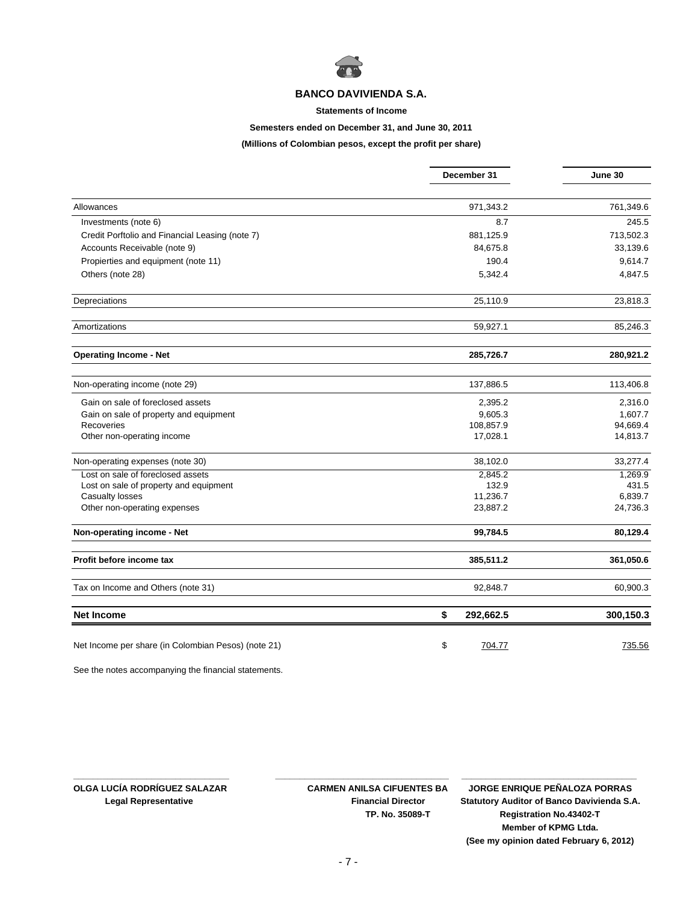

#### **Statements of Income**

## **Semesters ended on December 31, and June 30, 2011**

**(Millions of Colombian pesos, except the profit per share)**

|                                                     | December 31     | June 30   |
|-----------------------------------------------------|-----------------|-----------|
|                                                     |                 |           |
| Allowances                                          | 971,343.2       | 761,349.6 |
| Investments (note 6)                                | 8.7             | 245.5     |
| Credit Porftolio and Financial Leasing (note 7)     | 881,125.9       | 713,502.3 |
| Accounts Receivable (note 9)                        | 84,675.8        | 33,139.6  |
| Propierties and equipment (note 11)                 | 190.4           | 9,614.7   |
| Others (note 28)                                    | 5,342.4         | 4,847.5   |
| Depreciations                                       | 25,110.9        | 23,818.3  |
| Amortizations                                       | 59,927.1        | 85,246.3  |
| <b>Operating Income - Net</b>                       | 285,726.7       | 280,921.2 |
| Non-operating income (note 29)                      | 137,886.5       | 113,406.8 |
| Gain on sale of foreclosed assets                   | 2,395.2         | 2,316.0   |
| Gain on sale of property and equipment              | 9,605.3         | 1,607.7   |
| Recoveries                                          | 108,857.9       | 94,669.4  |
| Other non-operating income                          | 17,028.1        | 14,813.7  |
| Non-operating expenses (note 30)                    | 38,102.0        | 33,277.4  |
| Lost on sale of foreclosed assets                   | 2,845.2         | 1,269.9   |
| Lost on sale of property and equipment              | 132.9           | 431.5     |
| Casualty losses                                     | 11,236.7        | 6,839.7   |
| Other non-operating expenses                        | 23,887.2        | 24,736.3  |
| Non-operating income - Net                          | 99,784.5        | 80,129.4  |
| Profit before income tax                            | 385,511.2       | 361,050.6 |
| Tax on Income and Others (note 31)                  | 92,848.7        | 60,900.3  |
| <b>Net Income</b>                                   | \$<br>292,662.5 | 300,150.3 |
| Net Income per share (in Colombian Pesos) (note 21) | \$<br>704.77    | 735.56    |

See the notes accompanying the financial statements.

**OLGA LUCÍA RODRÍGUEZ SALAZAR CARMEN ANILSA CIFUENTES BA JORGE ENRIQUE PEÑALOZA PORRAS Legal Representative Financial Director Statutory Auditor of Banco Davivienda S.A. TP. No. 35089-T Registration No.43402-T Member of KPMG Ltda. (See my opinion dated February 6, 2012)**

**\_\_\_\_\_\_\_\_\_\_\_\_\_\_\_\_\_\_\_\_\_\_\_\_\_\_\_\_\_\_\_\_\_\_\_\_**

**\_\_\_\_\_\_\_\_\_\_\_\_\_\_\_\_\_\_\_\_\_\_\_\_\_\_\_\_\_\_\_\_ \_\_\_\_\_\_\_\_\_\_\_\_\_\_\_\_\_\_\_\_\_\_\_\_\_\_\_\_\_\_\_\_\_\_\_\_**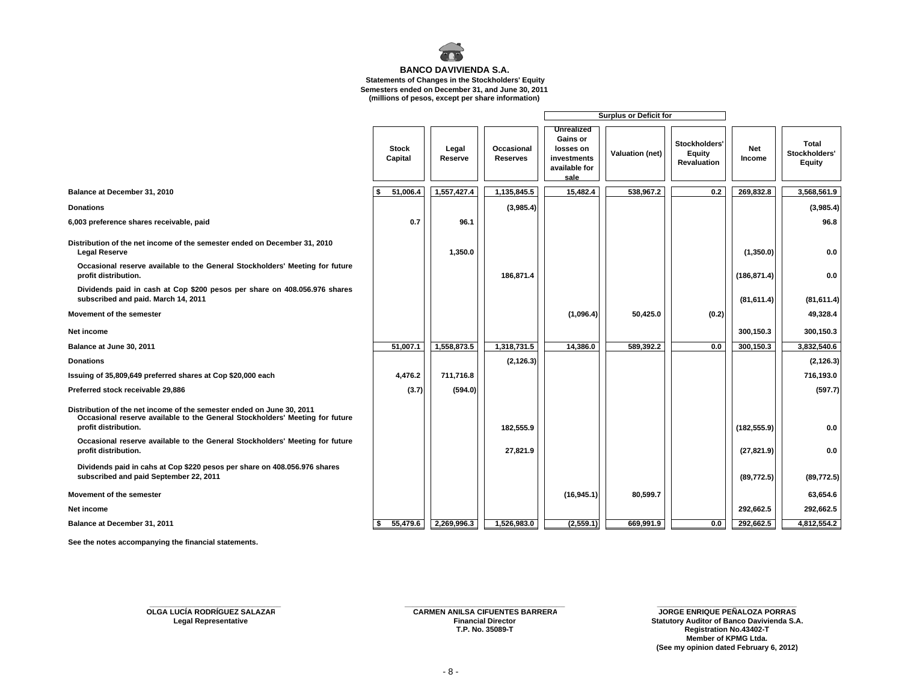

 **Statements of Changes in the Stockholders' Equity**

**Semesters ended on December 31, and June 30, 2011**

| (millions of pesos, except per share information) |  |  |  |  |  |  |  |
|---------------------------------------------------|--|--|--|--|--|--|--|
|---------------------------------------------------|--|--|--|--|--|--|--|

|                                                                                                                                                                               |                         |                  |                               | <b>Surplus or Deficit for</b>                                                      |                        |                                                      |               |                                         |
|-------------------------------------------------------------------------------------------------------------------------------------------------------------------------------|-------------------------|------------------|-------------------------------|------------------------------------------------------------------------------------|------------------------|------------------------------------------------------|---------------|-----------------------------------------|
|                                                                                                                                                                               | <b>Stock</b><br>Capital | Legal<br>Reserve | Occasional<br><b>Reserves</b> | <b>Unrealized</b><br>Gains or<br>losses on<br>investments<br>available for<br>sale | <b>Valuation (net)</b> | Stockholders'<br><b>Equity</b><br><b>Revaluation</b> | Net<br>Income | <b>Total</b><br>Stockholders'<br>Equity |
| Balance at December 31, 2010                                                                                                                                                  | 51,006.4                | 1,557,427.4      | 1,135,845.5                   | 15,482.4                                                                           | 538,967.2              | 0.2                                                  | 269,832.8     | 3,568,561.9                             |
| <b>Donations</b>                                                                                                                                                              |                         |                  | (3,985.4)                     |                                                                                    |                        |                                                      |               | (3,985.4)                               |
| 6,003 preference shares receivable, paid                                                                                                                                      | 0.7                     | 96.1             |                               |                                                                                    |                        |                                                      |               | 96.8                                    |
| Distribution of the net income of the semester ended on December 31, 2010<br><b>Legal Reserve</b>                                                                             |                         | 1,350.0          |                               |                                                                                    |                        |                                                      | (1,350.0)     | 0.0                                     |
| Occasional reserve available to the General Stockholders' Meeting for future<br>profit distribution.                                                                          |                         |                  | 186,871.4                     |                                                                                    |                        |                                                      | (186, 871.4)  | 0.0                                     |
| Dividends paid in cash at Cop \$200 pesos per share on 408.056.976 shares<br>subscribed and paid. March 14, 2011                                                              |                         |                  |                               |                                                                                    |                        |                                                      | (81, 611.4)   | (81, 611.4)                             |
| Movement of the semester                                                                                                                                                      |                         |                  |                               | (1,096.4)                                                                          | 50,425.0               | (0.2)                                                |               | 49,328.4                                |
| Net income                                                                                                                                                                    |                         |                  |                               |                                                                                    |                        |                                                      | 300,150.3     | 300,150.3                               |
| Balance at June 30, 2011                                                                                                                                                      | 51,007.1                | 1,558,873.5      | 1,318,731.5                   | 14,386.0                                                                           | 589,392.2              | 0.0                                                  | 300,150.3     | 3,832,540.6                             |
| <b>Donations</b>                                                                                                                                                              |                         |                  | (2, 126.3)                    |                                                                                    |                        |                                                      |               | (2, 126.3)                              |
| Issuing of 35,809,649 preferred shares at Cop \$20,000 each                                                                                                                   | 4,476.2                 | 711,716.8        |                               |                                                                                    |                        |                                                      |               | 716,193.0                               |
| Preferred stock receivable 29,886                                                                                                                                             | (3.7)                   | (594.0)          |                               |                                                                                    |                        |                                                      |               | (597.7)                                 |
| Distribution of the net income of the semester ended on June 30, 2011<br>Occasional reserve available to the General Stockholders' Meeting for future<br>profit distribution. |                         |                  | 182,555.9                     |                                                                                    |                        |                                                      | (182, 555.9)  | 0.0                                     |
| Occasional reserve available to the General Stockholders' Meeting for future<br>profit distribution.                                                                          |                         |                  | 27,821.9                      |                                                                                    |                        |                                                      | (27, 821.9)   | 0.0                                     |
| Dividends paid in cahs at Cop \$220 pesos per share on 408.056.976 shares<br>subscribed and paid September 22, 2011                                                           |                         |                  |                               |                                                                                    |                        |                                                      | (89, 772.5)   | (89, 772.5)                             |
| Movement of the semester                                                                                                                                                      |                         |                  |                               | (16, 945.1)                                                                        | 80,599.7               |                                                      |               | 63,654.6                                |
| Net income                                                                                                                                                                    |                         |                  |                               |                                                                                    |                        |                                                      | 292,662.5     | 292,662.5                               |
| Balance at December 31, 2011                                                                                                                                                  | 55,479.6                | 2,269,996.3      | 1,526,983.0                   | (2,559.1)                                                                          | 669,991.9              | 0.0                                                  | 292,662.5     | 4,812,554.2                             |

**See the notes accompanying the financial statements.** 

**OLGA LUCÍA RODRÍGUEZ SALAZAR**

**T.P. No. 35089-T**

**\_\_\_\_\_\_\_\_\_\_\_\_\_\_\_\_\_\_\_\_\_\_\_\_\_\_\_\_\_\_\_\_ \_\_\_\_\_\_\_\_\_\_\_\_\_\_\_\_\_\_\_\_\_\_\_\_\_\_\_\_\_\_\_\_\_\_\_\_\_\_\_ \_\_\_\_\_\_\_\_\_\_\_\_\_\_\_\_\_\_\_\_\_\_\_\_\_\_\_\_\_\_\_\_\_\_ CARMEN ANILSA CIFUENTES BARRERA JORGE ENRIQUE PEÑALOZA PORRAS Legal Representative Financial Director Statutory Auditor of Banco Davivienda S.A. Registration No.43402-T Member of KPMG Ltda. (See my opinion dated February 6, 2012)**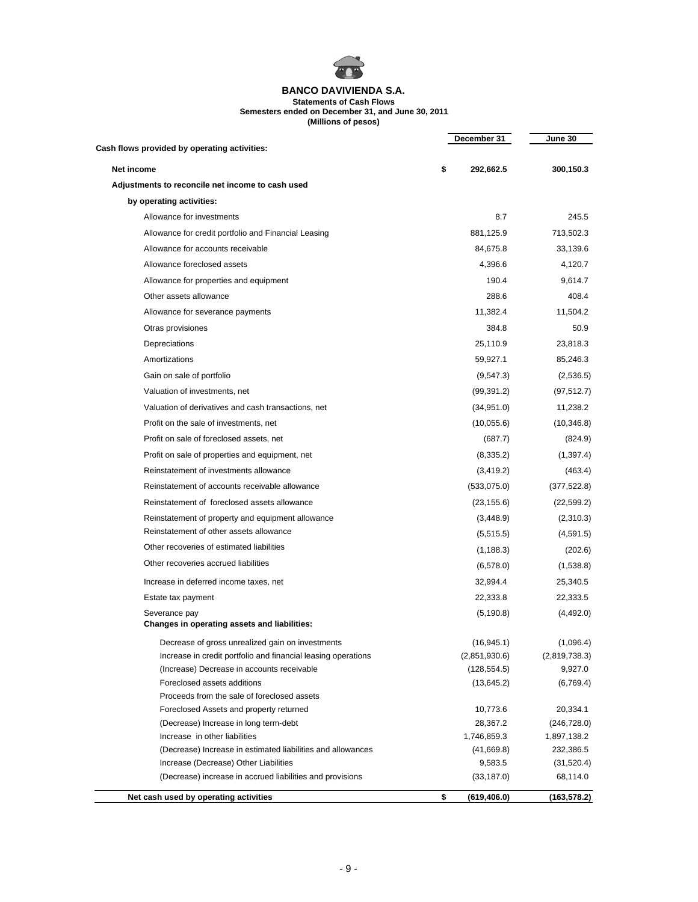

**Statements of Cash Flows Semesters ended on December 31, and June 30, 2011**

**(Millions of pesos)**

| Cash flows provided by operating activities:                           | December 31             | June 30                     |
|------------------------------------------------------------------------|-------------------------|-----------------------------|
|                                                                        |                         |                             |
| Net income                                                             | \$<br>292,662.5         | 300,150.3                   |
| Adjustments to reconcile net income to cash used                       |                         |                             |
| by operating activities:                                               |                         |                             |
| Allowance for investments                                              | 8.7                     | 245.5                       |
| Allowance for credit portfolio and Financial Leasing                   | 881,125.9               | 713,502.3                   |
| Allowance for accounts receivable                                      | 84,675.8                | 33,139.6                    |
| Allowance foreclosed assets                                            | 4,396.6                 | 4,120.7                     |
| Allowance for properties and equipment                                 | 190.4                   | 9,614.7                     |
| Other assets allowance                                                 | 288.6                   | 408.4                       |
| Allowance for severance payments                                       | 11,382.4                | 11,504.2                    |
| Otras provisiones                                                      | 384.8                   | 50.9                        |
| Depreciations                                                          | 25,110.9                | 23,818.3                    |
| Amortizations                                                          | 59,927.1                | 85,246.3                    |
| Gain on sale of portfolio                                              | (9,547.3)               | (2,536.5)                   |
| Valuation of investments, net                                          | (99, 391.2)             | (97, 512.7)                 |
| Valuation of derivatives and cash transactions, net                    | (34, 951.0)             | 11,238.2                    |
| Profit on the sale of investments, net                                 | (10,055.6)              | (10, 346.8)                 |
| Profit on sale of foreclosed assets, net                               | (687.7)                 | (824.9)                     |
| Profit on sale of properties and equipment, net                        | (8,335.2)               | (1, 397.4)                  |
| Reinstatement of investments allowance                                 | (3, 419.2)              | (463.4)                     |
| Reinstatement of accounts receivable allowance                         | (533,075.0)             | (377, 522.8)                |
| Reinstatement of foreclosed assets allowance                           | (23, 155.6)             | (22, 599.2)                 |
| Reinstatement of property and equipment allowance                      | (3,448.9)               | (2,310.3)                   |
| Reinstatement of other assets allowance                                | (5,515.5)               | (4,591.5)                   |
| Other recoveries of estimated liabilities                              | (1, 188.3)              | (202.6)                     |
| Other recoveries accrued liabilities                                   | (6,578.0)               | (1,538.8)                   |
| Increase in deferred income taxes, net                                 | 32,994.4                | 25,340.5                    |
| Estate tax payment                                                     | 22,333.8                | 22,333.5                    |
| Severance pay                                                          | (5, 190.8)              | (4,492.0)                   |
| Changes in operating assets and liabilities:                           |                         |                             |
| Decrease of gross unrealized gain on investments                       | (16, 945.1)             | (1,096.4)                   |
| Increase in credit portfolio and financial leasing operations          | (2,851,930.6)           | (2,819,738.3)               |
| (Increase) Decrease in accounts receivable                             | (128, 554.5)            | 9,927.0                     |
| Foreclosed assets additions                                            | (13, 645.2)             | (6,769.4)                   |
| Proceeds from the sale of foreclosed assets                            |                         |                             |
| Foreclosed Assets and property returned                                | 10,773.6                | 20,334.1                    |
| (Decrease) Increase in long term-debt<br>Increase in other liabilities | 28,367.2<br>1,746,859.3 | (246, 728.0)<br>1,897,138.2 |
| (Decrease) Increase in estimated liabilities and allowances            | (41,669.8)              | 232,386.5                   |
| Increase (Decrease) Other Liabilities                                  | 9,583.5                 | (31, 520.4)                 |
| (Decrease) increase in accrued liabilities and provisions              | (33, 187.0)             | 68,114.0                    |
| Net cash used by operating activities                                  | \$<br>(619, 406.0)      | (163, 578.2)                |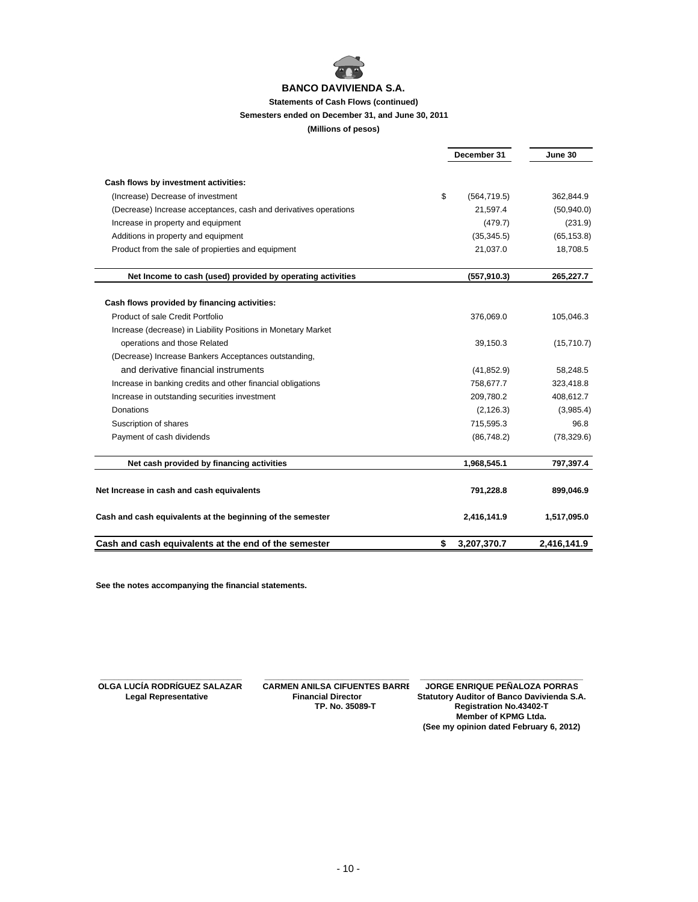

#### **Statements of Cash Flows (continued)**

## **Semesters ended on December 31, and June 30, 2011**

#### **(Millions of pesos)**

|                                                                  |    | December 31  |             |
|------------------------------------------------------------------|----|--------------|-------------|
| Cash flows by investment activities:                             |    |              |             |
| (Increase) Decrease of investment                                | \$ | (564, 719.5) | 362,844.9   |
| (Decrease) Increase acceptances, cash and derivatives operations |    | 21,597.4     | (50, 940.0) |
| Increase in property and equipment                               |    | (479.7)      | (231.9)     |
| Additions in property and equipment                              |    | (35, 345.5)  | (65, 153.8) |
| Product from the sale of propierties and equipment               |    | 21,037.0     | 18,708.5    |
| Net Income to cash (used) provided by operating activities       |    | (557, 910.3) | 265,227.7   |
| Cash flows provided by financing activities:                     |    |              |             |
| Product of sale Credit Portfolio                                 |    | 376,069.0    | 105,046.3   |
| Increase (decrease) in Liability Positions in Monetary Market    |    |              |             |
| operations and those Related                                     |    | 39,150.3     | (15,710.7)  |
| (Decrease) Increase Bankers Acceptances outstanding,             |    |              |             |
| and derivative financial instruments                             |    | (41, 852.9)  | 58,248.5    |
| Increase in banking credits and other financial obligations      |    | 758,677.7    | 323,418.8   |
| Increase in outstanding securities investment                    |    | 209,780.2    | 408,612.7   |
| Donations                                                        |    | (2, 126.3)   | (3,985.4)   |
| Suscription of shares                                            |    | 715,595.3    | 96.8        |
| Payment of cash dividends                                        |    | (86, 748.2)  | (78, 329.6) |
| Net cash provided by financing activities                        |    | 1,968,545.1  | 797,397.4   |
| Net Increase in cash and cash equivalents                        |    | 791,228.8    | 899,046.9   |
| Cash and cash equivalents at the beginning of the semester       |    | 2,416,141.9  | 1,517,095.0 |
| Cash and cash equivalents at the end of the semester             | \$ | 3,207,370.7  | 2.416.141.9 |

**See the notes accompanying the financial statements.**

L

 **TP. No. 35089-T Registration No.43402-T**

 **\_\_\_\_\_\_\_\_\_\_\_\_\_\_\_\_\_\_\_\_\_\_\_\_\_\_\_\_\_\_\_ \_\_\_\_\_\_\_\_\_\_\_\_\_\_\_\_\_\_\_\_\_\_\_\_\_\_\_\_\_\_\_\_ \_\_\_\_\_\_\_\_\_\_\_\_\_\_\_\_\_\_\_\_\_\_\_\_\_\_\_\_\_\_\_\_\_\_\_\_ OLGA LUCÍA RODRÍGUEZ SALAZAR CARMEN ANILSA CIFUENTES BARRE** JORGE ENRIQUE PEÑALOZA PORRAS<br>Legal Representative Financial Director Statutory Auditor of Banco Davivienda S.  **Legal Director** Statutory Auditor of Banco Davivienda S.A.<br>TP. No. 35089-T Registration No.43402-T **Member of KPMG Ltda. (See my opinion dated February 6, 2012)**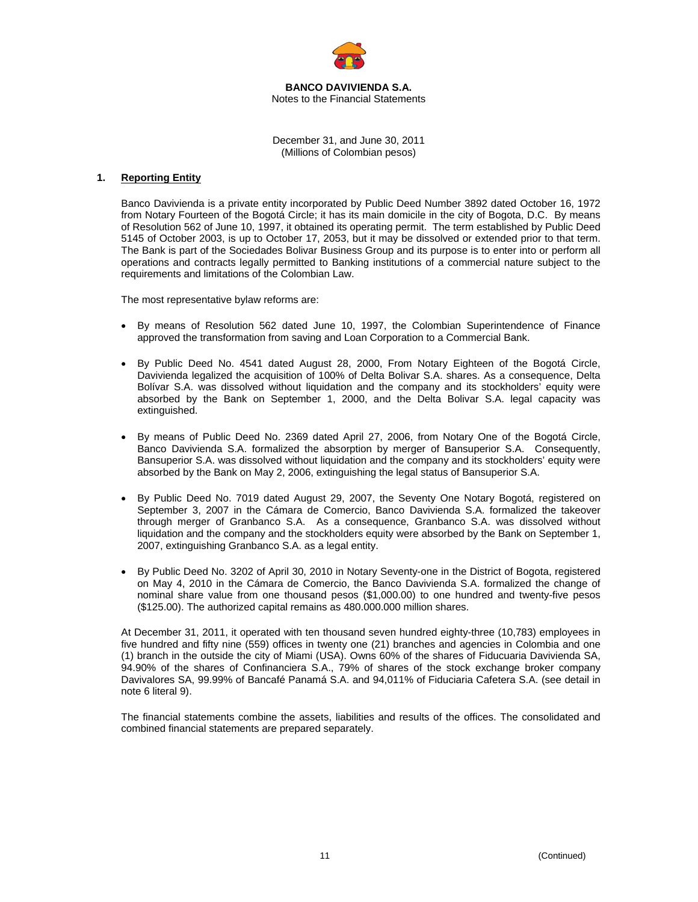

**BANCO DAVIVIENDA S.A.**  Notes to the Financial Statements

December 31, and June 30, 2011 (Millions of Colombian pesos)

## **1. Reporting Entity**

Banco Davivienda is a private entity incorporated by Public Deed Number 3892 dated October 16, 1972 from Notary Fourteen of the Bogotá Circle; it has its main domicile in the city of Bogota, D.C. By means of Resolution 562 of June 10, 1997, it obtained its operating permit. The term established by Public Deed 5145 of October 2003, is up to October 17, 2053, but it may be dissolved or extended prior to that term. The Bank is part of the Sociedades Bolivar Business Group and its purpose is to enter into or perform all operations and contracts legally permitted to Banking institutions of a commercial nature subject to the requirements and limitations of the Colombian Law.

The most representative bylaw reforms are:

- By means of Resolution 562 dated June 10, 1997, the Colombian Superintendence of Finance approved the transformation from saving and Loan Corporation to a Commercial Bank.
- By Public Deed No. 4541 dated August 28, 2000, From Notary Eighteen of the Bogotá Circle, Davivienda legalized the acquisition of 100% of Delta Bolivar S.A. shares. As a consequence, Delta Bolívar S.A. was dissolved without liquidation and the company and its stockholders' equity were absorbed by the Bank on September 1, 2000, and the Delta Bolivar S.A. legal capacity was extinguished.
- By means of Public Deed No. 2369 dated April 27, 2006, from Notary One of the Bogotá Circle, Banco Davivienda S.A. formalized the absorption by merger of Bansuperior S.A. Consequently, Bansuperior S.A. was dissolved without liquidation and the company and its stockholders' equity were absorbed by the Bank on May 2, 2006, extinguishing the legal status of Bansuperior S.A.
- By Public Deed No. 7019 dated August 29, 2007, the Seventy One Notary Bogotá, registered on September 3, 2007 in the Cámara de Comercio, Banco Davivienda S.A. formalized the takeover through merger of Granbanco S.A. As a consequence, Granbanco S.A. was dissolved without liquidation and the company and the stockholders equity were absorbed by the Bank on September 1, 2007, extinguishing Granbanco S.A. as a legal entity.
- By Public Deed No. 3202 of April 30, 2010 in Notary Seventy-one in the District of Bogota, registered on May 4, 2010 in the Cámara de Comercio, the Banco Davivienda S.A. formalized the change of nominal share value from one thousand pesos (\$1,000.00) to one hundred and twenty-five pesos (\$125.00). The authorized capital remains as 480.000.000 million shares.

At December 31, 2011, it operated with ten thousand seven hundred eighty-three (10,783) employees in five hundred and fifty nine (559) offices in twenty one (21) branches and agencies in Colombia and one (1) branch in the outside the city of Miami (USA). Owns 60% of the shares of Fiducuaria Davivienda SA, 94.90% of the shares of Confinanciera S.A., 79% of shares of the stock exchange broker company Davivalores SA, 99.99% of Bancafé Panamá S.A. and 94,011% of Fiduciaria Cafetera S.A. (see detail in note 6 literal 9).

The financial statements combine the assets, liabilities and results of the offices. The consolidated and combined financial statements are prepared separately.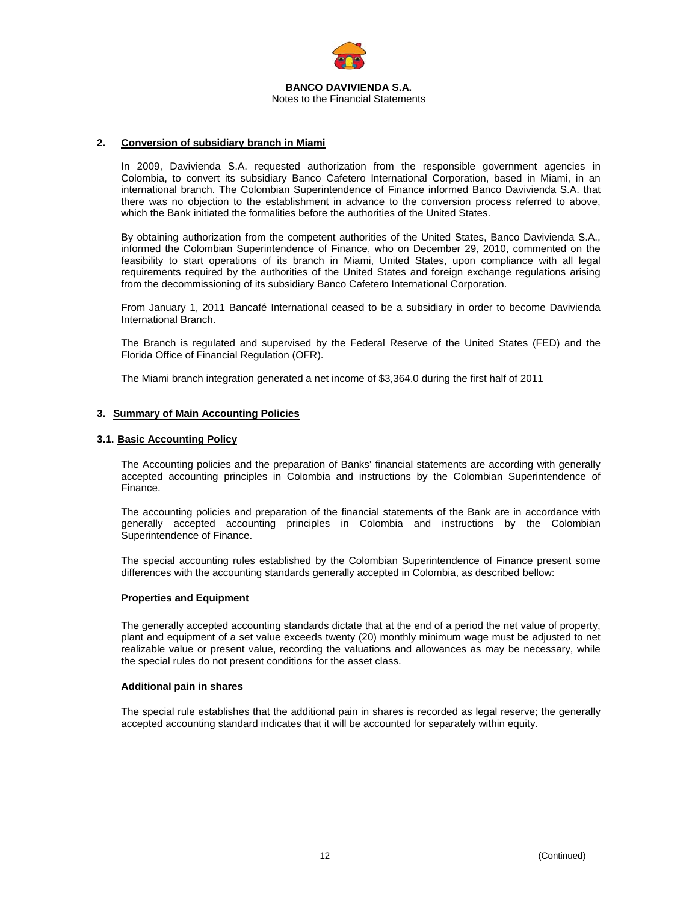

### **2. Conversion of subsidiary branch in Miami**

In 2009, Davivienda S.A. requested authorization from the responsible government agencies in Colombia, to convert its subsidiary Banco Cafetero International Corporation, based in Miami, in an international branch. The Colombian Superintendence of Finance informed Banco Davivienda S.A. that there was no objection to the establishment in advance to the conversion process referred to above, which the Bank initiated the formalities before the authorities of the United States.

By obtaining authorization from the competent authorities of the United States, Banco Davivienda S.A., informed the Colombian Superintendence of Finance, who on December 29, 2010, commented on the feasibility to start operations of its branch in Miami, United States, upon compliance with all legal requirements required by the authorities of the United States and foreign exchange regulations arising from the decommissioning of its subsidiary Banco Cafetero International Corporation.

From January 1, 2011 Bancafé International ceased to be a subsidiary in order to become Davivienda International Branch.

The Branch is regulated and supervised by the Federal Reserve of the United States (FED) and the Florida Office of Financial Regulation (OFR).

The Miami branch integration generated a net income of \$3,364.0 during the first half of 2011

## **3. Summary of Main Accounting Policies**

## **3.1. Basic Accounting Policy**

The Accounting policies and the preparation of Banks' financial statements are according with generally accepted accounting principles in Colombia and instructions by the Colombian Superintendence of Finance.

The accounting policies and preparation of the financial statements of the Bank are in accordance with generally accepted accounting principles in Colombia and instructions by the Colombian Superintendence of Finance.

The special accounting rules established by the Colombian Superintendence of Finance present some differences with the accounting standards generally accepted in Colombia, as described bellow:

#### **Properties and Equipment**

The generally accepted accounting standards dictate that at the end of a period the net value of property, plant and equipment of a set value exceeds twenty (20) monthly minimum wage must be adjusted to net realizable value or present value, recording the valuations and allowances as may be necessary, while the special rules do not present conditions for the asset class.

#### **Additional pain in shares**

The special rule establishes that the additional pain in shares is recorded as legal reserve; the generally accepted accounting standard indicates that it will be accounted for separately within equity.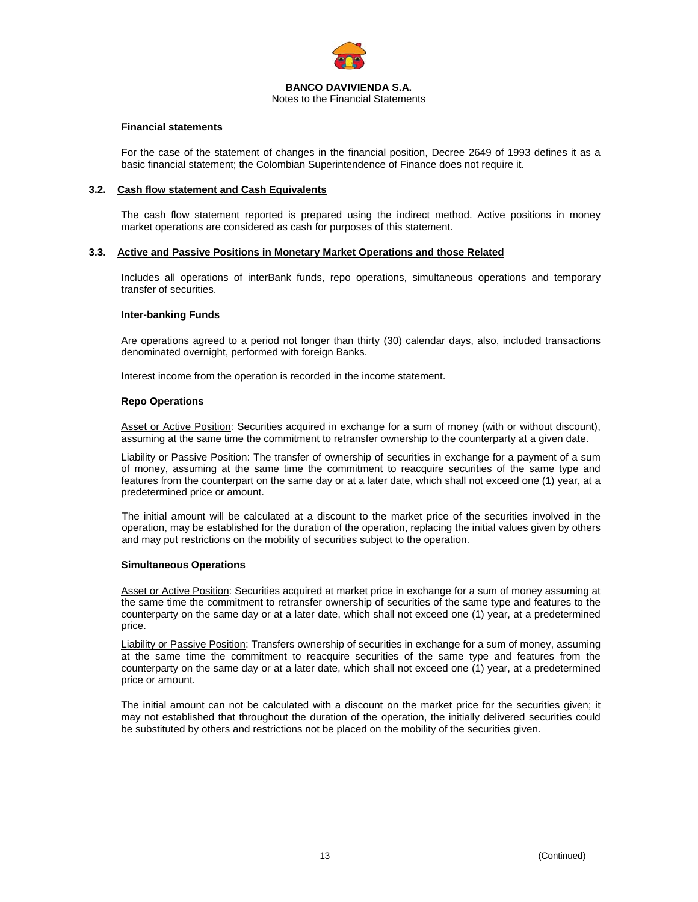

Notes to the Financial Statements

### **Financial statements**

For the case of the statement of changes in the financial position, Decree 2649 of 1993 defines it as a basic financial statement; the Colombian Superintendence of Finance does not require it.

#### **3.2. Cash flow statement and Cash Equivalents**

The cash flow statement reported is prepared using the indirect method. Active positions in money market operations are considered as cash for purposes of this statement.

#### **3.3. Active and Passive Positions in Monetary Market Operations and those Related**

Includes all operations of interBank funds, repo operations, simultaneous operations and temporary transfer of securities.

#### **Inter-banking Funds**

Are operations agreed to a period not longer than thirty (30) calendar days, also, included transactions denominated overnight, performed with foreign Banks.

Interest income from the operation is recorded in the income statement.

#### **Repo Operations**

Asset or Active Position: Securities acquired in exchange for a sum of money (with or without discount), assuming at the same time the commitment to retransfer ownership to the counterparty at a given date.

Liability or Passive Position: The transfer of ownership of securities in exchange for a payment of a sum of money, assuming at the same time the commitment to reacquire securities of the same type and features from the counterpart on the same day or at a later date, which shall not exceed one (1) year, at a predetermined price or amount.

The initial amount will be calculated at a discount to the market price of the securities involved in the operation, may be established for the duration of the operation, replacing the initial values given by others and may put restrictions on the mobility of securities subject to the operation.

#### **Simultaneous Operations**

Asset or Active Position: Securities acquired at market price in exchange for a sum of money assuming at the same time the commitment to retransfer ownership of securities of the same type and features to the counterparty on the same day or at a later date, which shall not exceed one (1) year, at a predetermined price.

**Liability or Passive Position:** Transfers ownership of securities in exchange for a sum of money, assuming at the same time the commitment to reacquire securities of the same type and features from the counterparty on the same day or at a later date, which shall not exceed one (1) year, at a predetermined price or amount.

The initial amount can not be calculated with a discount on the market price for the securities given; it may not established that throughout the duration of the operation, the initially delivered securities could be substituted by others and restrictions not be placed on the mobility of the securities given.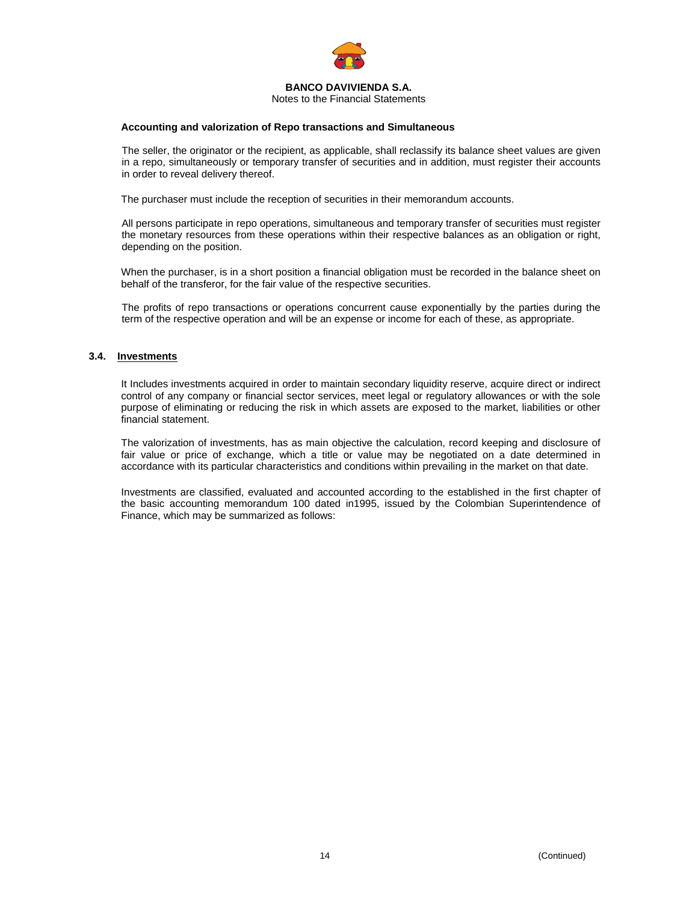

Notes to the Financial Statements

#### **Accounting and valorization of Repo transactions and Simultaneous**

The seller, the originator or the recipient, as applicable, shall reclassify its balance sheet values are given in a repo, simultaneously or temporary transfer of securities and in addition, must register their accounts in order to reveal delivery thereof.

The purchaser must include the reception of securities in their memorandum accounts.

All persons participate in repo operations, simultaneous and temporary transfer of securities must register the monetary resources from these operations within their respective balances as an obligation or right, depending on the position.

When the purchaser, is in a short position a financial obligation must be recorded in the balance sheet on behalf of the transferor, for the fair value of the respective securities.

The profits of repo transactions or operations concurrent cause exponentially by the parties during the term of the respective operation and will be an expense or income for each of these, as appropriate.

## **3.4. Investments**

It Includes investments acquired in order to maintain secondary liquidity reserve, acquire direct or indirect control of any company or financial sector services, meet legal or regulatory allowances or with the sole purpose of eliminating or reducing the risk in which assets are exposed to the market, liabilities or other financial statement.

The valorization of investments, has as main objective the calculation, record keeping and disclosure of fair value or price of exchange, which a title or value may be negotiated on a date determined in accordance with its particular characteristics and conditions within prevailing in the market on that date.

Investments are classified, evaluated and accounted according to the established in the first chapter of the basic accounting memorandum 100 dated in1995, issued by the Colombian Superintendence of Finance, which may be summarized as follows: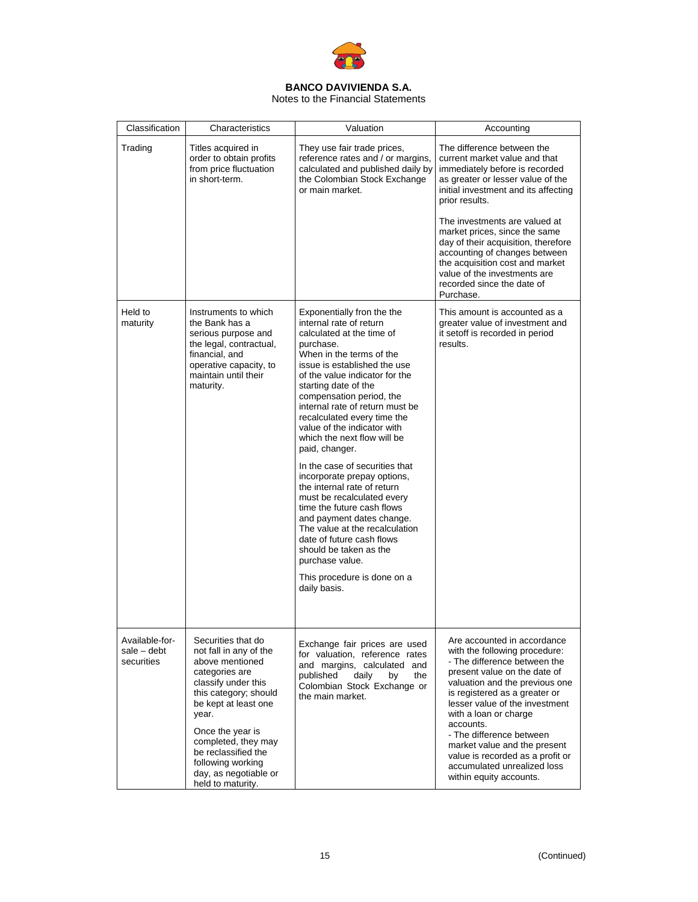

Notes to the Financial Statements

| Classification                                | Characteristics                                                                                                                                                                                                                                                                                         | Valuation                                                                                                                                                                                                                                                                                                                                                                                                                                                                                                                                                                                                                                                                                                                                               | Accounting                                                                                                                                                                                                                                                                                                                                                                                                                                           |
|-----------------------------------------------|---------------------------------------------------------------------------------------------------------------------------------------------------------------------------------------------------------------------------------------------------------------------------------------------------------|---------------------------------------------------------------------------------------------------------------------------------------------------------------------------------------------------------------------------------------------------------------------------------------------------------------------------------------------------------------------------------------------------------------------------------------------------------------------------------------------------------------------------------------------------------------------------------------------------------------------------------------------------------------------------------------------------------------------------------------------------------|------------------------------------------------------------------------------------------------------------------------------------------------------------------------------------------------------------------------------------------------------------------------------------------------------------------------------------------------------------------------------------------------------------------------------------------------------|
| Trading                                       | Titles acquired in<br>order to obtain profits<br>from price fluctuation<br>in short-term.                                                                                                                                                                                                               | They use fair trade prices,<br>reference rates and / or margins,<br>calculated and published daily by<br>the Colombian Stock Exchange<br>or main market.                                                                                                                                                                                                                                                                                                                                                                                                                                                                                                                                                                                                | The difference between the<br>current market value and that<br>immediately before is recorded<br>as greater or lesser value of the<br>initial investment and its affecting<br>prior results.<br>The investments are valued at<br>market prices, since the same<br>day of their acquisition, therefore<br>accounting of changes between<br>the acquisition cost and market<br>value of the investments are<br>recorded since the date of<br>Purchase. |
| Held to<br>maturity                           | Instruments to which<br>the Bank has a<br>serious purpose and<br>the legal, contractual,<br>financial, and<br>operative capacity, to<br>maintain until their<br>maturity.                                                                                                                               | Exponentially fron the the<br>internal rate of return<br>calculated at the time of<br>purchase.<br>When in the terms of the<br>issue is established the use<br>of the value indicator for the<br>starting date of the<br>compensation period, the<br>internal rate of return must be<br>recalculated every time the<br>value of the indicator with<br>which the next flow will be<br>paid, changer.<br>In the case of securities that<br>incorporate prepay options,<br>the internal rate of return<br>must be recalculated every<br>time the future cash flows<br>and payment dates change.<br>The value at the recalculation<br>date of future cash flows<br>should be taken as the<br>purchase value.<br>This procedure is done on a<br>daily basis. | This amount is accounted as a<br>greater value of investment and<br>it setoff is recorded in period<br>results.                                                                                                                                                                                                                                                                                                                                      |
| Available-for-<br>$sale - debt$<br>securities | Securities that do<br>not fall in any of the<br>above mentioned<br>categories are<br>classify under this<br>this category; should<br>be kept at least one<br>year.<br>Once the year is<br>completed, they may<br>be reclassified the<br>following working<br>day, as negotiable or<br>held to maturity. | Exchange fair prices are used<br>for valuation, reference rates<br>and margins, calculated and<br>published<br>daily<br>the<br>by<br>Colombian Stock Exchange or<br>the main market.                                                                                                                                                                                                                                                                                                                                                                                                                                                                                                                                                                    | Are accounted in accordance<br>with the following procedure:<br>- The difference between the<br>present value on the date of<br>valuation and the previous one<br>is registered as a greater or<br>lesser value of the investment<br>with a loan or charge<br>accounts.<br>- The difference between<br>market value and the present<br>value is recorded as a profit or<br>accumulated unrealized loss<br>within equity accounts.                    |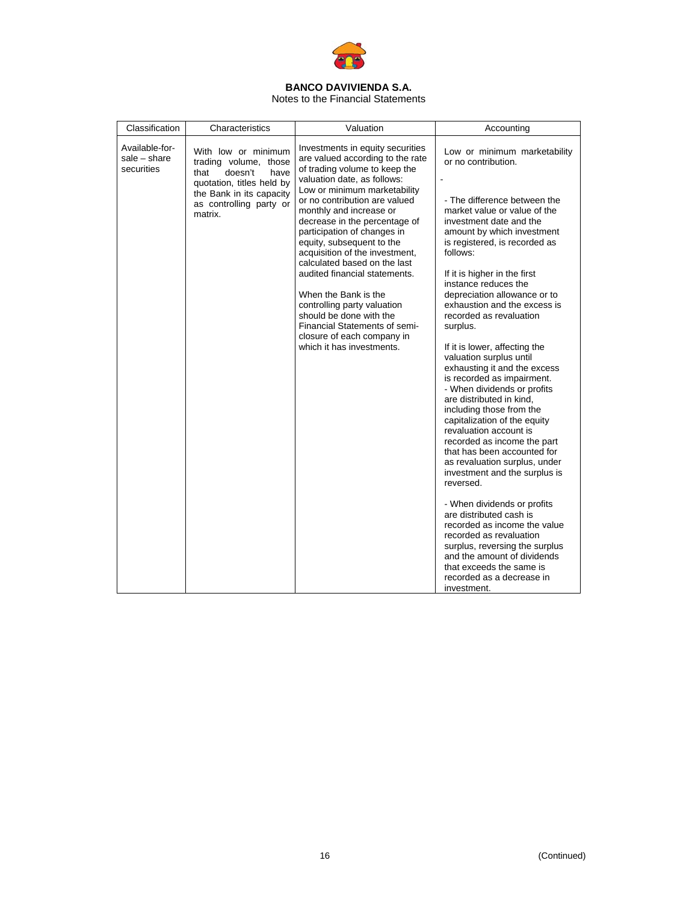

Notes to the Financial Statements

| Classification                               | Characteristics                                                                                                                                                        | Valuation                                                                                                                                                                                                                                                                                                                                                                                                                                                                                                                                                                                                      | Accounting                                                                                                                                                                                                                                                                                                                                                                                                                                                                                                                                                                                                                                                                                                                                                                                                                                                                                                                                                                                                                                                                     |
|----------------------------------------------|------------------------------------------------------------------------------------------------------------------------------------------------------------------------|----------------------------------------------------------------------------------------------------------------------------------------------------------------------------------------------------------------------------------------------------------------------------------------------------------------------------------------------------------------------------------------------------------------------------------------------------------------------------------------------------------------------------------------------------------------------------------------------------------------|--------------------------------------------------------------------------------------------------------------------------------------------------------------------------------------------------------------------------------------------------------------------------------------------------------------------------------------------------------------------------------------------------------------------------------------------------------------------------------------------------------------------------------------------------------------------------------------------------------------------------------------------------------------------------------------------------------------------------------------------------------------------------------------------------------------------------------------------------------------------------------------------------------------------------------------------------------------------------------------------------------------------------------------------------------------------------------|
| Available-for-<br>sale - share<br>securities | With low or minimum<br>trading volume, those<br>doesn't<br>have<br>that<br>quotation, titles held by<br>the Bank in its capacity<br>as controlling party or<br>matrix. | Investments in equity securities<br>are valued according to the rate<br>of trading volume to keep the<br>valuation date, as follows:<br>Low or minimum marketability<br>or no contribution are valued<br>monthly and increase or<br>decrease in the percentage of<br>participation of changes in<br>equity, subsequent to the<br>acquisition of the investment,<br>calculated based on the last<br>audited financial statements.<br>When the Bank is the<br>controlling party valuation<br>should be done with the<br>Financial Statements of semi-<br>closure of each company in<br>which it has investments. | Low or minimum marketability<br>or no contribution.<br>- The difference between the<br>market value or value of the<br>investment date and the<br>amount by which investment<br>is registered, is recorded as<br>follows:<br>If it is higher in the first<br>instance reduces the<br>depreciation allowance or to<br>exhaustion and the excess is<br>recorded as revaluation<br>surplus.<br>If it is lower, affecting the<br>valuation surplus until<br>exhausting it and the excess<br>is recorded as impairment.<br>- When dividends or profits<br>are distributed in kind,<br>including those from the<br>capitalization of the equity<br>revaluation account is<br>recorded as income the part<br>that has been accounted for<br>as revaluation surplus, under<br>investment and the surplus is<br>reversed.<br>- When dividends or profits<br>are distributed cash is<br>recorded as income the value<br>recorded as revaluation<br>surplus, reversing the surplus<br>and the amount of dividends<br>that exceeds the same is<br>recorded as a decrease in<br>investment. |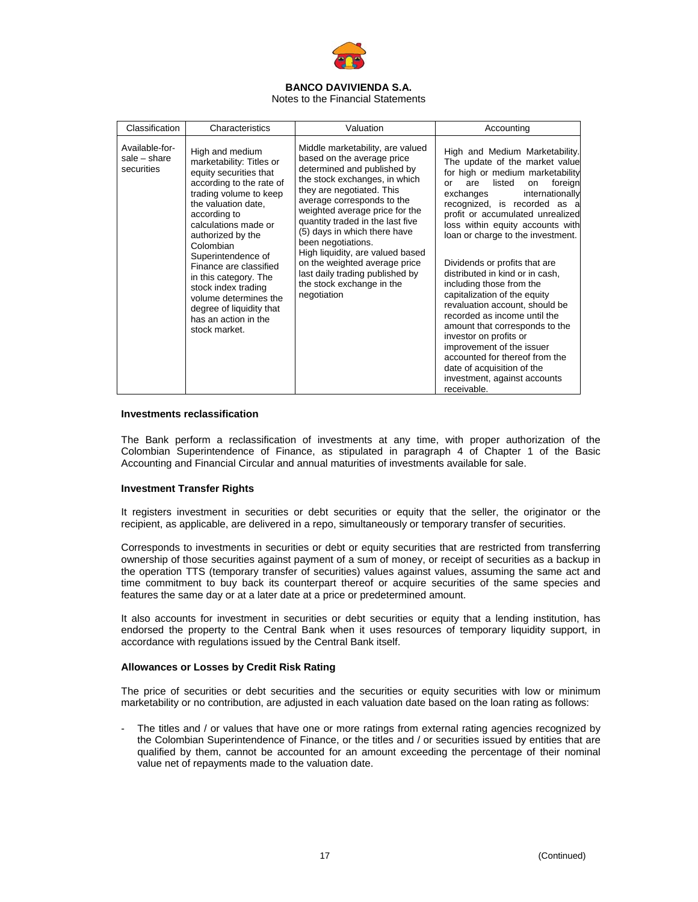

Notes to the Financial Statements

| Classification                               | Characteristics                                                                                                                                                                                                                                                                                                                                                                                                            | Valuation                                                                                                                                                                                                                                                                                                                                                                                                                                                                 | Accounting                                                                                                                                                                                                                                                                                                                                                                                                                                                                                                                                                                                                                                                                                                                          |
|----------------------------------------------|----------------------------------------------------------------------------------------------------------------------------------------------------------------------------------------------------------------------------------------------------------------------------------------------------------------------------------------------------------------------------------------------------------------------------|---------------------------------------------------------------------------------------------------------------------------------------------------------------------------------------------------------------------------------------------------------------------------------------------------------------------------------------------------------------------------------------------------------------------------------------------------------------------------|-------------------------------------------------------------------------------------------------------------------------------------------------------------------------------------------------------------------------------------------------------------------------------------------------------------------------------------------------------------------------------------------------------------------------------------------------------------------------------------------------------------------------------------------------------------------------------------------------------------------------------------------------------------------------------------------------------------------------------------|
| Available-for-<br>sale - share<br>securities | High and medium<br>marketability: Titles or<br>equity securities that<br>according to the rate of<br>trading volume to keep<br>the valuation date.<br>according to<br>calculations made or<br>authorized by the<br>Colombian<br>Superintendence of<br>Finance are classified<br>in this category. The<br>stock index trading<br>volume determines the<br>degree of liquidity that<br>has an action in the<br>stock market. | Middle marketability, are valued<br>based on the average price<br>determined and published by<br>the stock exchanges, in which<br>they are negotiated. This<br>average corresponds to the<br>weighted average price for the<br>quantity traded in the last five<br>(5) days in which there have<br>been negotiations.<br>High liquidity, are valued based<br>on the weighted average price<br>last daily trading published by<br>the stock exchange in the<br>negotiation | High and Medium Marketability.<br>The update of the market value<br>for high or medium marketability<br>listed<br>foreign<br>are<br>on<br>or<br>internationally<br>exchanges<br>recognized, is recorded as a<br>profit or accumulated unrealized<br>loss within equity accounts with<br>loan or charge to the investment.<br>Dividends or profits that are<br>distributed in kind or in cash,<br>including those from the<br>capitalization of the equity<br>revaluation account, should be<br>recorded as income until the<br>amount that corresponds to the<br>investor on profits or<br>improvement of the issuer<br>accounted for thereof from the<br>date of acquisition of the<br>investment, against accounts<br>receivable. |

## **Investments reclassification**

The Bank perform a reclassification of investments at any time, with proper authorization of the Colombian Superintendence of Finance, as stipulated in paragraph 4 of Chapter 1 of the Basic Accounting and Financial Circular and annual maturities of investments available for sale.

## **Investment Transfer Rights**

It registers investment in securities or debt securities or equity that the seller, the originator or the recipient, as applicable, are delivered in a repo, simultaneously or temporary transfer of securities.

Corresponds to investments in securities or debt or equity securities that are restricted from transferring ownership of those securities against payment of a sum of money, or receipt of securities as a backup in the operation TTS (temporary transfer of securities) values against values, assuming the same act and time commitment to buy back its counterpart thereof or acquire securities of the same species and features the same day or at a later date at a price or predetermined amount.

It also accounts for investment in securities or debt securities or equity that a lending institution, has endorsed the property to the Central Bank when it uses resources of temporary liquidity support, in accordance with regulations issued by the Central Bank itself.

## **Allowances or Losses by Credit Risk Rating**

The price of securities or debt securities and the securities or equity securities with low or minimum marketability or no contribution, are adjusted in each valuation date based on the loan rating as follows:

The titles and / or values that have one or more ratings from external rating agencies recognized by the Colombian Superintendence of Finance, or the titles and / or securities issued by entities that are qualified by them, cannot be accounted for an amount exceeding the percentage of their nominal value net of repayments made to the valuation date.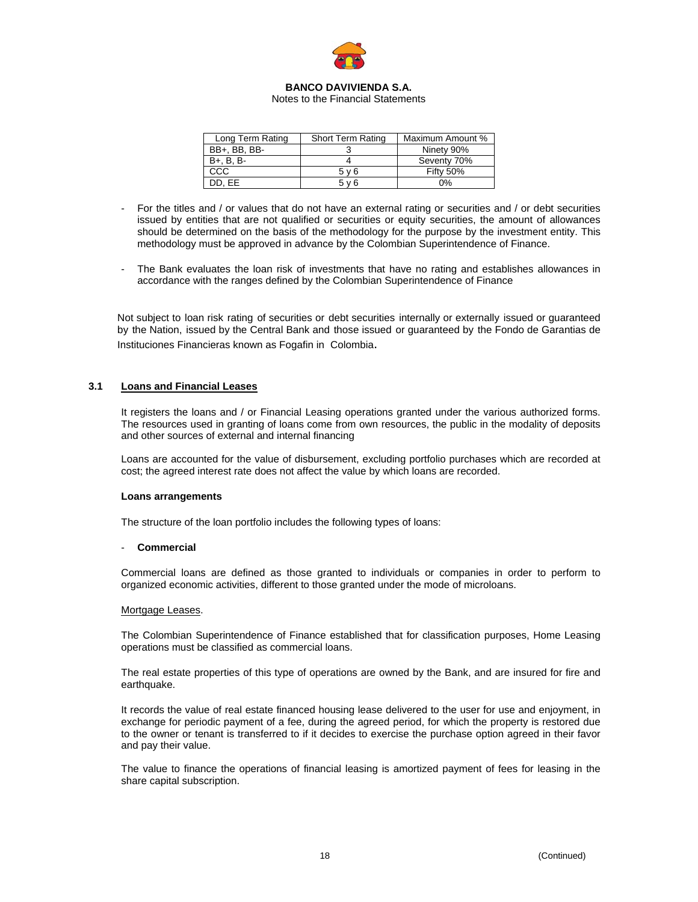

Notes to the Financial Statements

| Long Term Rating | <b>Short Term Rating</b> | Maximum Amount % |
|------------------|--------------------------|------------------|
| BB+, BB, BB-     |                          | Ninety 90%       |
| B+, B, B-        |                          | Seventy 70%      |
| CCC              | 5 v 6                    | <b>Fifty 50%</b> |
| DD. EE           | 5 v 6                    | 0%               |

- For the titles and / or values that do not have an external rating or securities and / or debt securities issued by entities that are not qualified or securities or equity securities, the amount of allowances should be determined on the basis of the methodology for the purpose by the investment entity. This methodology must be approved in advance by the Colombian Superintendence of Finance.
- The Bank evaluates the loan risk of investments that have no rating and establishes allowances in accordance with the ranges defined by the Colombian Superintendence of Finance

Not subject to loan risk rating of securities or debt securities internally or externally issued or guaranteed by the Nation, issued by the Central Bank and those issued or guaranteed by the Fondo de Garantias de Instituciones Financieras known as Fogafin in Colombia.

## **3.1 Loans and Financial Leases**

It registers the loans and / or Financial Leasing operations granted under the various authorized forms. The resources used in granting of loans come from own resources, the public in the modality of deposits and other sources of external and internal financing

Loans are accounted for the value of disbursement, excluding portfolio purchases which are recorded at cost; the agreed interest rate does not affect the value by which loans are recorded.

#### **Loans arrangements**

The structure of the loan portfolio includes the following types of loans:

## - **Commercial**

Commercial loans are defined as those granted to individuals or companies in order to perform to organized economic activities, different to those granted under the mode of microloans.

#### Mortgage Leases.

The Colombian Superintendence of Finance established that for classification purposes, Home Leasing operations must be classified as commercial loans.

The real estate properties of this type of operations are owned by the Bank, and are insured for fire and earthquake.

It records the value of real estate financed housing lease delivered to the user for use and enjoyment, in exchange for periodic payment of a fee, during the agreed period, for which the property is restored due to the owner or tenant is transferred to if it decides to exercise the purchase option agreed in their favor and pay their value.

The value to finance the operations of financial leasing is amortized payment of fees for leasing in the share capital subscription.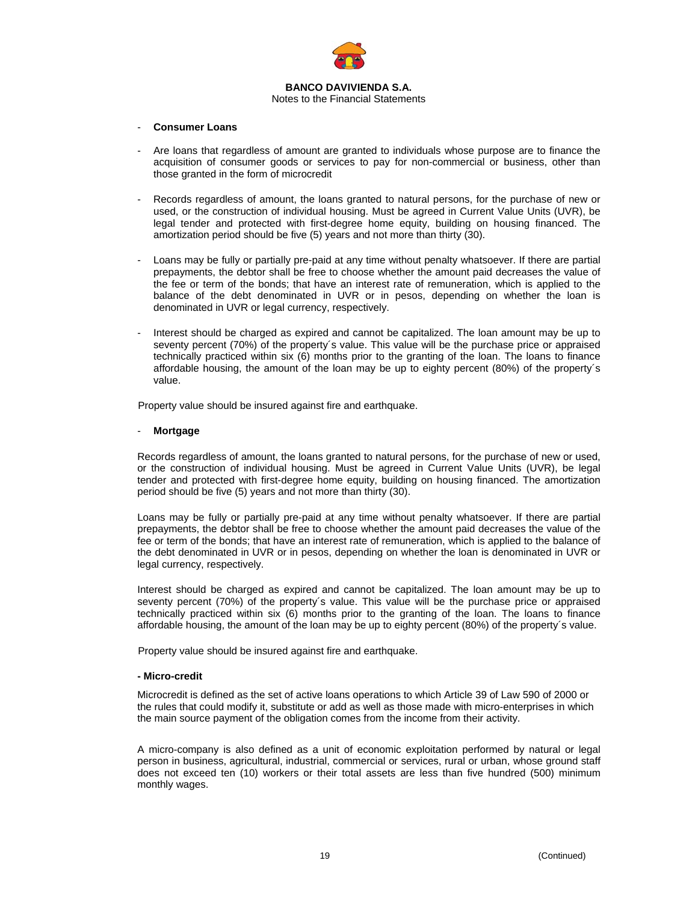

#### - **Consumer Loans**

- Are loans that regardless of amount are granted to individuals whose purpose are to finance the acquisition of consumer goods or services to pay for non-commercial or business, other than those granted in the form of microcredit
- Records regardless of amount, the loans granted to natural persons, for the purchase of new or used, or the construction of individual housing. Must be agreed in Current Value Units (UVR), be legal tender and protected with first-degree home equity, building on housing financed. The amortization period should be five (5) years and not more than thirty (30).
- Loans may be fully or partially pre-paid at any time without penalty whatsoever. If there are partial prepayments, the debtor shall be free to choose whether the amount paid decreases the value of the fee or term of the bonds; that have an interest rate of remuneration, which is applied to the balance of the debt denominated in UVR or in pesos, depending on whether the loan is denominated in UVR or legal currency, respectively.
- Interest should be charged as expired and cannot be capitalized. The loan amount may be up to seventy percent (70%) of the property´s value. This value will be the purchase price or appraised technically practiced within six (6) months prior to the granting of the loan. The loans to finance affordable housing, the amount of the loan may be up to eighty percent (80%) of the property´s value.

Property value should be insured against fire and earthquake.

## - **Mortgage**

Records regardless of amount, the loans granted to natural persons, for the purchase of new or used, or the construction of individual housing. Must be agreed in Current Value Units (UVR), be legal tender and protected with first-degree home equity, building on housing financed. The amortization period should be five (5) years and not more than thirty (30).

Loans may be fully or partially pre-paid at any time without penalty whatsoever. If there are partial prepayments, the debtor shall be free to choose whether the amount paid decreases the value of the fee or term of the bonds; that have an interest rate of remuneration, which is applied to the balance of the debt denominated in UVR or in pesos, depending on whether the loan is denominated in UVR or legal currency, respectively.

Interest should be charged as expired and cannot be capitalized. The loan amount may be up to seventy percent (70%) of the property´s value. This value will be the purchase price or appraised technically practiced within six (6) months prior to the granting of the loan. The loans to finance affordable housing, the amount of the loan may be up to eighty percent (80%) of the property´s value.

Property value should be insured against fire and earthquake.

#### **- Micro-credit**

Microcredit is defined as the set of active loans operations to which Article 39 of Law 590 of 2000 or the rules that could modify it, substitute or add as well as those made with micro-enterprises in which the main source payment of the obligation comes from the income from their activity.

A micro-company is also defined as a unit of economic exploitation performed by natural or legal person in business, agricultural, industrial, commercial or services, rural or urban, whose ground staff does not exceed ten (10) workers or their total assets are less than five hundred (500) minimum monthly wages.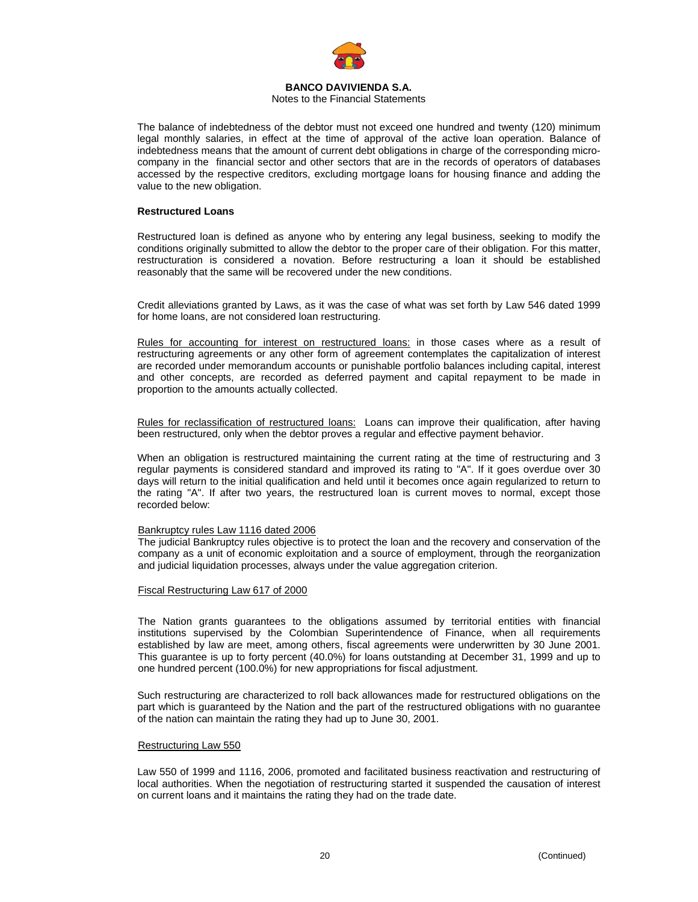

## Notes to the Financial Statements

The balance of indebtedness of the debtor must not exceed one hundred and twenty (120) minimum legal monthly salaries, in effect at the time of approval of the active loan operation. Balance of indebtedness means that the amount of current debt obligations in charge of the corresponding microcompany in the financial sector and other sectors that are in the records of operators of databases accessed by the respective creditors, excluding mortgage loans for housing finance and adding the value to the new obligation.

### **Restructured Loans**

Restructured loan is defined as anyone who by entering any legal business, seeking to modify the conditions originally submitted to allow the debtor to the proper care of their obligation. For this matter, restructuration is considered a novation. Before restructuring a loan it should be established reasonably that the same will be recovered under the new conditions.

Credit alleviations granted by Laws, as it was the case of what was set forth by Law 546 dated 1999 for home loans, are not considered loan restructuring.

Rules for accounting for interest on restructured loans: in those cases where as a result of restructuring agreements or any other form of agreement contemplates the capitalization of interest are recorded under memorandum accounts or punishable portfolio balances including capital, interest and other concepts, are recorded as deferred payment and capital repayment to be made in proportion to the amounts actually collected.

Rules for reclassification of restructured loans:Loans can improve their qualification, after having been restructured, only when the debtor proves a regular and effective payment behavior.

When an obligation is restructured maintaining the current rating at the time of restructuring and 3 regular payments is considered standard and improved its rating to "A". If it goes overdue over 30 days will return to the initial qualification and held until it becomes once again regularized to return to the rating "A". If after two years, the restructured loan is current moves to normal, except those recorded below:

#### Bankruptcy rules Law 1116 dated 2006

The judicial Bankruptcy rules objective is to protect the loan and the recovery and conservation of the company as a unit of economic exploitation and a source of employment, through the reorganization and judicial liquidation processes, always under the value aggregation criterion.

## Fiscal Restructuring Law 617 of 2000

The Nation grants guarantees to the obligations assumed by territorial entities with financial institutions supervised by the Colombian Superintendence of Finance, when all requirements established by law are meet, among others, fiscal agreements were underwritten by 30 June 2001. This guarantee is up to forty percent (40.0%) for loans outstanding at December 31, 1999 and up to one hundred percent (100.0%) for new appropriations for fiscal adjustment.

Such restructuring are characterized to roll back allowances made for restructured obligations on the part which is guaranteed by the Nation and the part of the restructured obligations with no guarantee of the nation can maintain the rating they had up to June 30, 2001.

#### Restructuring Law 550

Law 550 of 1999 and 1116, 2006, promoted and facilitated business reactivation and restructuring of local authorities. When the negotiation of restructuring started it suspended the causation of interest on current loans and it maintains the rating they had on the trade date.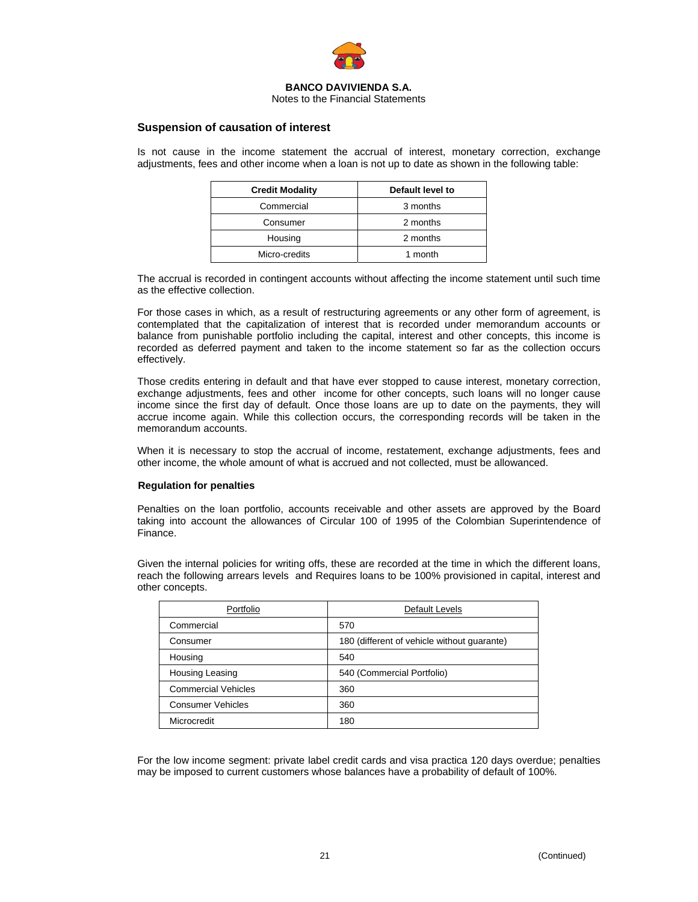

#### Notes to the Financial Statements

## **Suspension of causation of interest**

Is not cause in the income statement the accrual of interest, monetary correction, exchange adjustments, fees and other income when a loan is not up to date as shown in the following table:

| <b>Credit Modality</b> | Default level to |  |  |
|------------------------|------------------|--|--|
| Commercial             | 3 months         |  |  |
| Consumer               | 2 months         |  |  |
| Housing                | 2 months         |  |  |
| Micro-credits          | 1 month          |  |  |

The accrual is recorded in contingent accounts without affecting the income statement until such time as the effective collection.

For those cases in which, as a result of restructuring agreements or any other form of agreement, is contemplated that the capitalization of interest that is recorded under memorandum accounts or balance from punishable portfolio including the capital, interest and other concepts, this income is recorded as deferred payment and taken to the income statement so far as the collection occurs effectively.

Those credits entering in default and that have ever stopped to cause interest, monetary correction, exchange adjustments, fees and other income for other concepts, such loans will no longer cause income since the first day of default. Once those loans are up to date on the payments, they will accrue income again. While this collection occurs, the corresponding records will be taken in the memorandum accounts.

When it is necessary to stop the accrual of income, restatement, exchange adjustments, fees and other income, the whole amount of what is accrued and not collected, must be allowanced.

#### **Regulation for penalties**

Penalties on the loan portfolio, accounts receivable and other assets are approved by the Board taking into account the allowances of Circular 100 of 1995 of the Colombian Superintendence of Finance.

Given the internal policies for writing offs, these are recorded at the time in which the different loans, reach the following arrears levels and Requires loans to be 100% provisioned in capital, interest and other concepts.

| Portfolio                  | Default Levels                              |  |
|----------------------------|---------------------------------------------|--|
| Commercial                 | 570                                         |  |
| Consumer                   | 180 (different of vehicle without quarante) |  |
| Housing                    | 540                                         |  |
| Housing Leasing            | 540 (Commercial Portfolio)                  |  |
| <b>Commercial Vehicles</b> | 360                                         |  |
| <b>Consumer Vehicles</b>   | 360                                         |  |
| Microcredit                | 180                                         |  |

For the low income segment: private label credit cards and visa practica 120 days overdue; penalties may be imposed to current customers whose balances have a probability of default of 100%.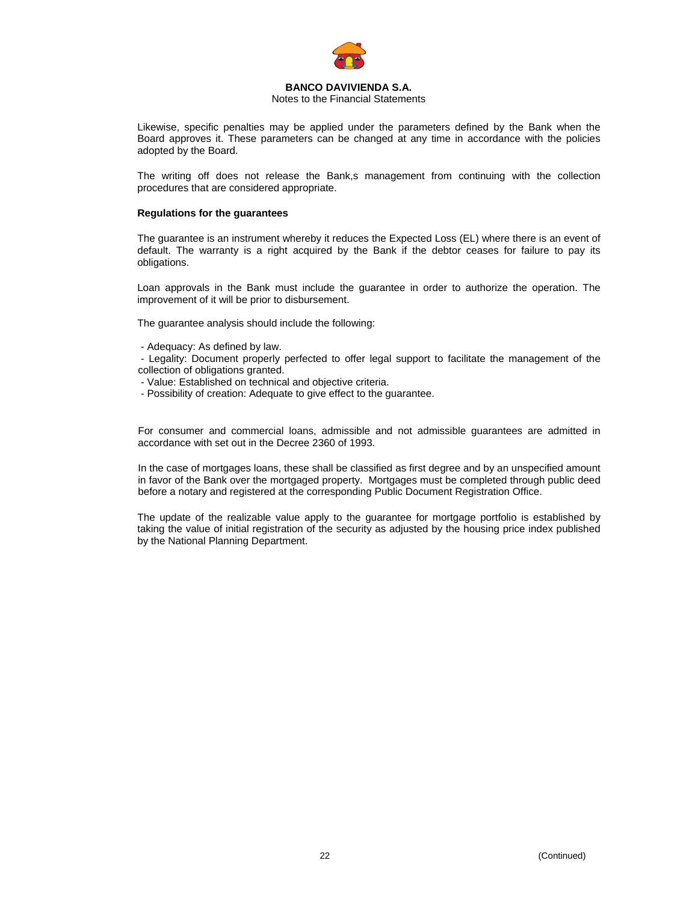

## Notes to the Financial Statements

Likewise, specific penalties may be applied under the parameters defined by the Bank when the Board approves it. These parameters can be changed at any time in accordance with the policies adopted by the Board.

The writing off does not release the Bank,s management from continuing with the collection procedures that are considered appropriate.

## **Regulations for the guarantees**

The guarantee is an instrument whereby it reduces the Expected Loss (EL) where there is an event of default. The warranty is a right acquired by the Bank if the debtor ceases for failure to pay its obligations.

Loan approvals in the Bank must include the guarantee in order to authorize the operation. The improvement of it will be prior to disbursement.

The guarantee analysis should include the following:

- Adequacy: As defined by law.

 - Legality: Document properly perfected to offer legal support to facilitate the management of the collection of obligations granted.

- Value: Established on technical and objective criteria.
- Possibility of creation: Adequate to give effect to the guarantee.

For consumer and commercial loans, admissible and not admissible guarantees are admitted in accordance with set out in the Decree 2360 of 1993.

In the case of mortgages loans, these shall be classified as first degree and by an unspecified amount in favor of the Bank over the mortgaged property. Mortgages must be completed through public deed before a notary and registered at the corresponding Public Document Registration Office.

The update of the realizable value apply to the guarantee for mortgage portfolio is established by taking the value of initial registration of the security as adjusted by the housing price index published by the National Planning Department.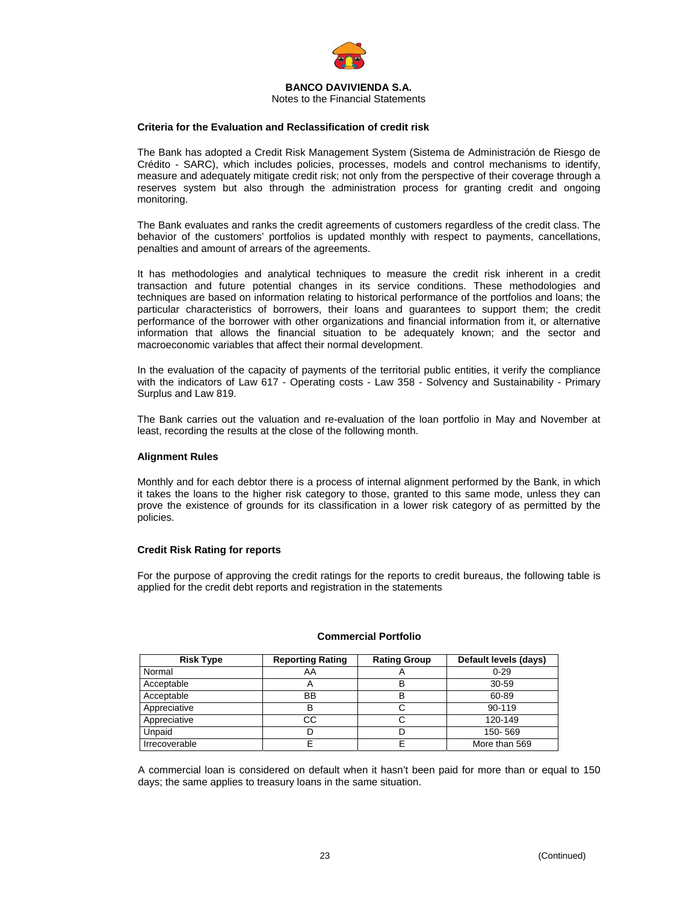

Notes to the Financial Statements

## **Criteria for the Evaluation and Reclassification of credit risk**

The Bank has adopted a Credit Risk Management System (Sistema de Administración de Riesgo de Crédito - SARC), which includes policies, processes, models and control mechanisms to identify, measure and adequately mitigate credit risk; not only from the perspective of their coverage through a reserves system but also through the administration process for granting credit and ongoing monitoring.

The Bank evaluates and ranks the credit agreements of customers regardless of the credit class. The behavior of the customers' portfolios is updated monthly with respect to payments, cancellations, penalties and amount of arrears of the agreements.

It has methodologies and analytical techniques to measure the credit risk inherent in a credit transaction and future potential changes in its service conditions. These methodologies and techniques are based on information relating to historical performance of the portfolios and loans; the particular characteristics of borrowers, their loans and guarantees to support them; the credit performance of the borrower with other organizations and financial information from it, or alternative information that allows the financial situation to be adequately known; and the sector and macroeconomic variables that affect their normal development.

In the evaluation of the capacity of payments of the territorial public entities, it verify the compliance with the indicators of Law 617 - Operating costs - Law 358 - Solvency and Sustainability - Primary Surplus and Law 819.

The Bank carries out the valuation and re-evaluation of the loan portfolio in May and November at least, recording the results at the close of the following month.

#### **Alignment Rules**

Monthly and for each debtor there is a process of internal alignment performed by the Bank, in which it takes the loans to the higher risk category to those, granted to this same mode, unless they can prove the existence of grounds for its classification in a lower risk category of as permitted by the policies.

#### **Credit Risk Rating for reports**

For the purpose of approving the credit ratings for the reports to credit bureaus, the following table is applied for the credit debt reports and registration in the statements

| <b>Risk Type</b> | <b>Reporting Rating</b>   | <b>Rating Group</b> | Default levels (days) |
|------------------|---------------------------|---------------------|-----------------------|
| Normal           | AA                        |                     | $0 - 29$              |
| Acceptable       | $\boldsymbol{\mathsf{A}}$ |                     | 30-59                 |
| Acceptable       | BB                        | в                   | 60-89                 |
| Appreciative     | B                         |                     | 90-119                |
| Appreciative     | CС                        |                     | 120-149               |
| Unpaid           |                           |                     | 150-569               |
| Irrecoverable    |                           |                     | More than 569         |

#### **Commercial Portfolio**

A commercial loan is considered on default when it hasn't been paid for more than or equal to 150 days; the same applies to treasury loans in the same situation.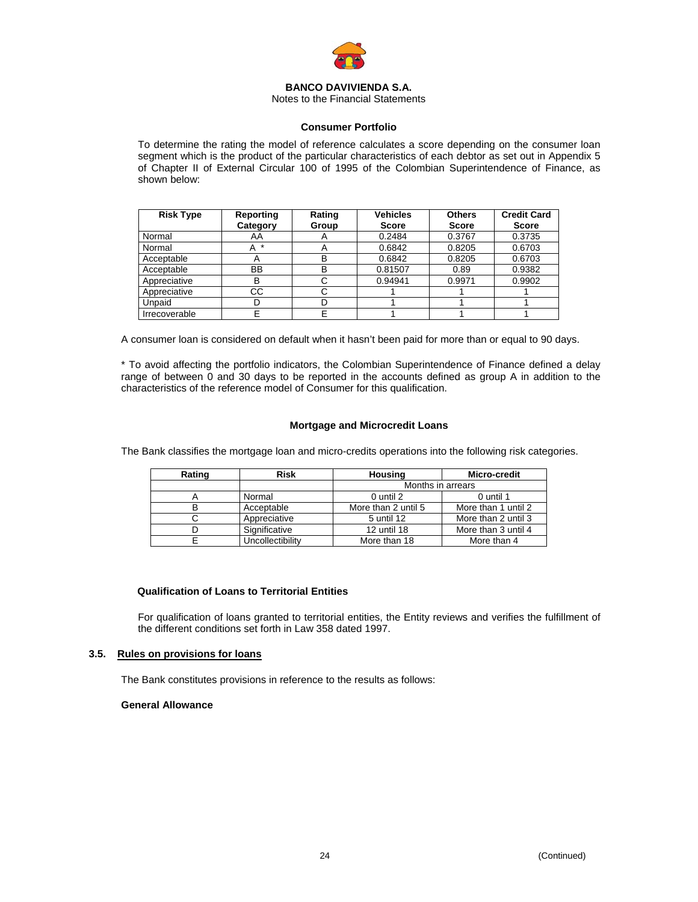

Notes to the Financial Statements

## **Consumer Portfolio**

To determine the rating the model of reference calculates a score depending on the consumer loan segment which is the product of the particular characteristics of each debtor as set out in Appendix 5 of Chapter II of External Circular 100 of 1995 of the Colombian Superintendence of Finance, as shown below:

| <b>Risk Type</b> | Reporting | Rating                | <b>Vehicles</b> | <b>Others</b> | <b>Credit Card</b> |
|------------------|-----------|-----------------------|-----------------|---------------|--------------------|
|                  | Category  | Group                 | <b>Score</b>    | <b>Score</b>  | <b>Score</b>       |
| Normal           | AA        | $\mathbf{\mathsf{m}}$ | 0.2484          | 0.3767        | 0.3735             |
| Normal           | *         |                       | 0.6842          | 0.8205        | 0.6703             |
| Acceptable       |           | в                     | 0.6842          | 0.8205        | 0.6703             |
| Acceptable       | BB        | в                     | 0.81507         | 0.89          | 0.9382             |
| Appreciative     | В         |                       | 0.94941         | 0.9971        | 0.9902             |
| Appreciative     | СC        |                       |                 |               |                    |
| Unpaid           |           |                       |                 |               |                    |
| Irrecoverable    |           |                       |                 |               |                    |

A consumer loan is considered on default when it hasn't been paid for more than or equal to 90 days.

\* To avoid affecting the portfolio indicators, the Colombian Superintendence of Finance defined a delay range of between 0 and 30 days to be reported in the accounts defined as group A in addition to the characteristics of the reference model of Consumer for this qualification.

## **Mortgage and Microcredit Loans**

The Bank classifies the mortgage loan and micro-credits operations into the following risk categories.

| Rating | <b>Risk</b>      | Housing             | Micro-credit        |
|--------|------------------|---------------------|---------------------|
|        |                  | Months in arrears   |                     |
|        | Normal           | 0 until 2           | 0 until 1           |
|        | Acceptable       | More than 2 until 5 | More than 1 until 2 |
|        | Appreciative     | 5 until 12          | More than 2 until 3 |
|        | Significative    | 12 until 18         | More than 3 until 4 |
|        | Uncollectibility | More than 18        | More than 4         |

## **Qualification of Loans to Territorial Entities**

For qualification of loans granted to territorial entities, the Entity reviews and verifies the fulfillment of the different conditions set forth in Law 358 dated 1997.

## **3.5. Rules on provisions for loans**

The Bank constitutes provisions in reference to the results as follows:

## **General Allowance**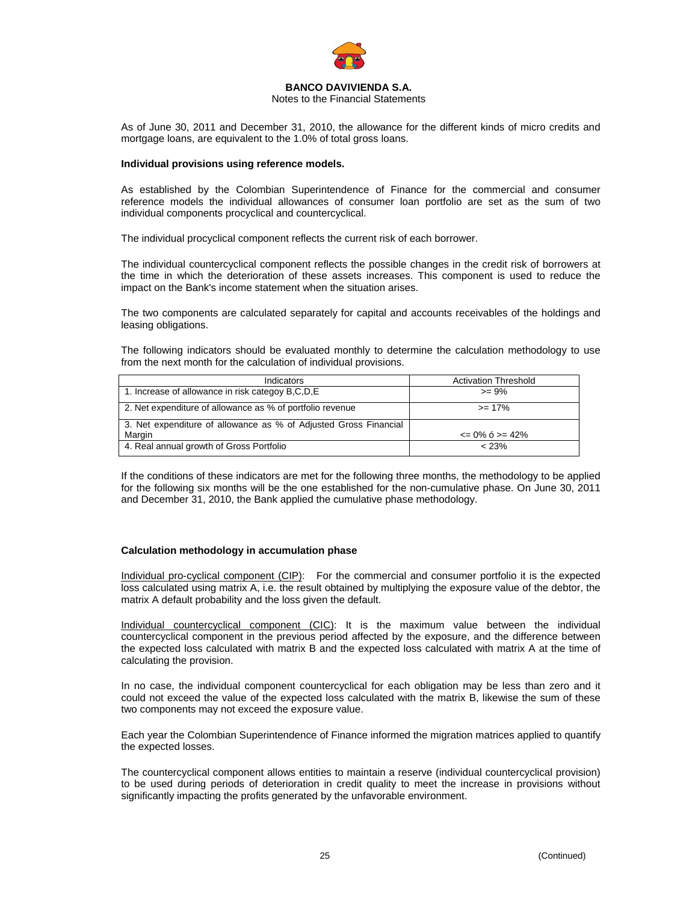

Notes to the Financial Statements

As of June 30, 2011 and December 31, 2010, the allowance for the different kinds of micro credits and mortgage loans, are equivalent to the 1.0% of total gross loans.

## **Individual provisions using reference models.**

As established by the Colombian Superintendence of Finance for the commercial and consumer reference models the individual allowances of consumer loan portfolio are set as the sum of two individual components procyclical and countercyclical.

The individual procyclical component reflects the current risk of each borrower.

The individual countercyclical component reflects the possible changes in the credit risk of borrowers at the time in which the deterioration of these assets increases. This component is used to reduce the impact on the Bank's income statement when the situation arises.

The two components are calculated separately for capital and accounts receivables of the holdings and leasing obligations.

The following indicators should be evaluated monthly to determine the calculation methodology to use from the next month for the calculation of individual provisions.

| Indicators                                                       | <b>Activation Threshold</b> |
|------------------------------------------------------------------|-----------------------------|
| 1. Increase of allowance in risk categoy B,C,D,E                 | $>= 9\%$                    |
| 2. Net expenditure of allowance as % of portfolio revenue        | $>= 17%$                    |
| 3. Net expenditure of allowance as % of Adjusted Gross Financial |                             |
| Margin                                                           | $\leq$ 0% 6 > = 42%         |
| 4. Real annual growth of Gross Portfolio                         | < 23%                       |

If the conditions of these indicators are met for the following three months, the methodology to be applied for the following six months will be the one established for the non-cumulative phase. On June 30, 2011 and December 31, 2010, the Bank applied the cumulative phase methodology.

## **Calculation methodology in accumulation phase**

Individual pro-cyclical component (CIP): For the commercial and consumer portfolio it is the expected loss calculated using matrix A, i.e. the result obtained by multiplying the exposure value of the debtor, the matrix A default probability and the loss given the default.

Individual countercyclical component (CIC): It is the maximum value between the individual countercyclical component in the previous period affected by the exposure, and the difference between the expected loss calculated with matrix B and the expected loss calculated with matrix A at the time of calculating the provision.

In no case, the individual component countercyclical for each obligation may be less than zero and it could not exceed the value of the expected loss calculated with the matrix B, likewise the sum of these two components may not exceed the exposure value.

Each year the Colombian Superintendence of Finance informed the migration matrices applied to quantify the expected losses.

The countercyclical component allows entities to maintain a reserve (individual countercyclical provision) to be used during periods of deterioration in credit quality to meet the increase in provisions without significantly impacting the profits generated by the unfavorable environment.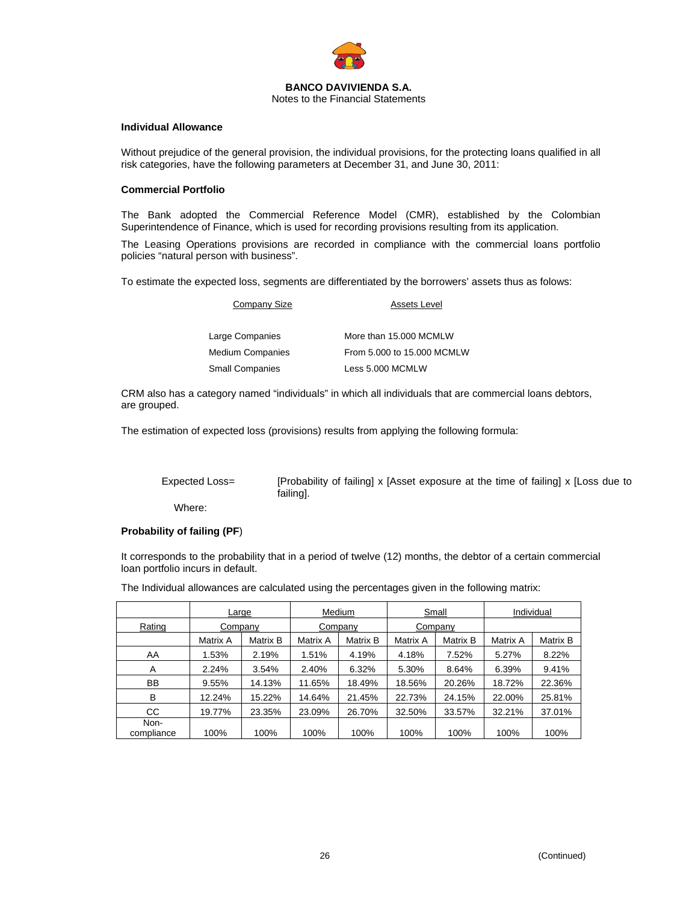

## **Individual Allowance**

Without prejudice of the general provision, the individual provisions, for the protecting loans qualified in all risk categories, have the following parameters at December 31, and June 30, 2011:

#### **Commercial Portfolio**

The Bank adopted the Commercial Reference Model (CMR), established by the Colombian Superintendence of Finance, which is used for recording provisions resulting from its application.

The Leasing Operations provisions are recorded in compliance with the commercial loans portfolio policies "natural person with business".

To estimate the expected loss, segments are differentiated by the borrowers' assets thus as folows:

| Company Size           | <b>Assets Level</b>        |  |  |  |
|------------------------|----------------------------|--|--|--|
| Large Companies        | More than 15,000 MCMLW     |  |  |  |
| Medium Companies       | From 5.000 to 15.000 MCMLW |  |  |  |
| <b>Small Companies</b> | Less 5.000 MCMLW           |  |  |  |

CRM also has a category named "individuals" in which all individuals that are commercial loans debtors, are grouped.

The estimation of expected loss (provisions) results from applying the following formula:

Expected Loss= [Probability of failing] x [Asset exposure at the time of failing] x [Loss due to failing].

Where:

#### **Probability of failing (PF**)

It corresponds to the probability that in a period of twelve (12) months, the debtor of a certain commercial loan portfolio incurs in default.

The Individual allowances are calculated using the percentages given in the following matrix:

|                    | Large    |          | Medium   |          | Small    |          | Individual |          |
|--------------------|----------|----------|----------|----------|----------|----------|------------|----------|
| Rating             | Company  |          |          | Company  |          | Company  |            |          |
|                    | Matrix A | Matrix B | Matrix A | Matrix B | Matrix A | Matrix B | Matrix A   | Matrix B |
| AA                 | 1.53%    | 2.19%    | 1.51%    | 4.19%    | 4.18%    | 7.52%    | 5.27%      | 8.22%    |
| A                  | 2.24%    | 3.54%    | 2.40%    | 6.32%    | 5.30%    | 8.64%    | 6.39%      | 9.41%    |
| BB                 | 9.55%    | 14.13%   | 11.65%   | 18.49%   | 18.56%   | 20.26%   | 18.72%     | 22.36%   |
| B                  | 12.24%   | 15.22%   | 14.64%   | 21.45%   | 22.73%   | 24.15%   | 22.00%     | 25.81%   |
| <b>CC</b>          | 19.77%   | 23.35%   | 23.09%   | 26.70%   | 32.50%   | 33.57%   | 32.21%     | 37.01%   |
| Non-<br>compliance | 100%     | 100%     | 100%     | 100%     | 100%     | 100%     | 100%       | 100%     |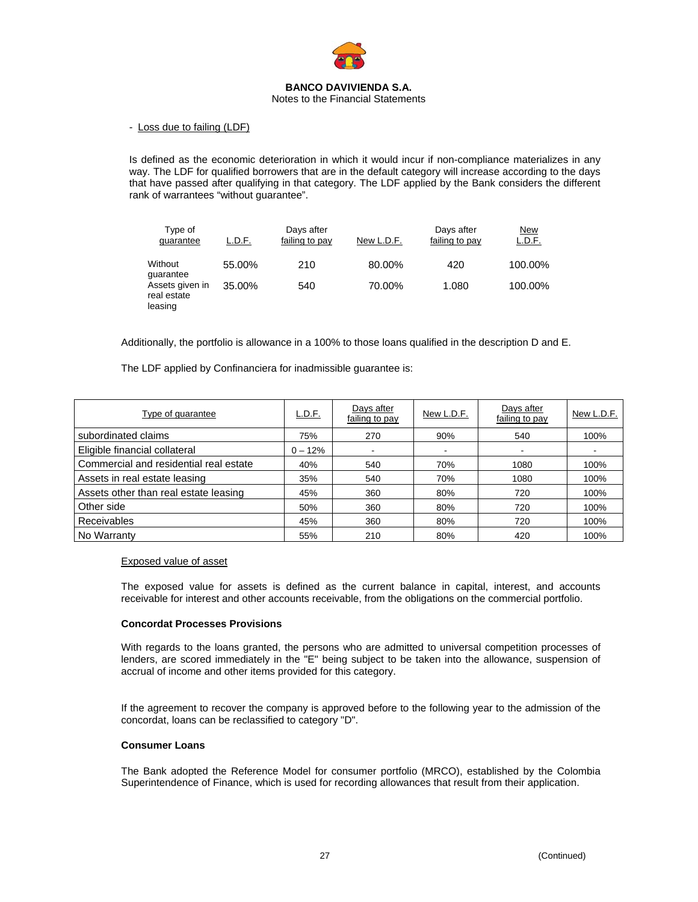

## Notes to the Financial Statements

- Loss due to failing (LDF)

Is defined as the economic deterioration in which it would incur if non-compliance materializes in any way. The LDF for qualified borrowers that are in the default category will increase according to the days that have passed after qualifying in that category. The LDF applied by the Bank considers the different rank of warrantees "without guarantee".

| Type of<br>guarantee                      | L.D.F. | Days after<br>failing to pay | New L.D.F. | Days after<br>failing to pay | <u>New</u><br>L.D.F. |
|-------------------------------------------|--------|------------------------------|------------|------------------------------|----------------------|
| Without<br>guarantee                      | 55.00% | 210                          | 80.00%     | 420                          | 100.00%              |
| Assets given in<br>real estate<br>leasing | 35.00% | 540                          | 70.00%     | 1.080                        | 100.00%              |

Additionally, the portfolio is allowance in a 100% to those loans qualified in the description D and E.

The LDF applied by Confinanciera for inadmissible guarantee is:

| Type of quarantee                      | L.D.F.    | Days after<br>failing to pay | New L.D.F.               | Days after<br>failing to pay | New L.D.F. |
|----------------------------------------|-----------|------------------------------|--------------------------|------------------------------|------------|
| subordinated claims                    | 75%       | 270                          | 90%                      | 540                          | 100%       |
| Eligible financial collateral          | $0 - 12%$ |                              | $\overline{\phantom{a}}$ |                              |            |
| Commercial and residential real estate | 40%       | 540                          | 70%                      | 1080                         | 100%       |
| Assets in real estate leasing          | 35%       | 540                          | 70%                      | 1080                         | 100%       |
| Assets other than real estate leasing  | 45%       | 360                          | 80%                      | 720                          | 100%       |
| Other side                             | 50%       | 360                          | 80%                      | 720                          | 100%       |
| Receivables                            | 45%       | 360                          | 80%                      | 720                          | 100%       |
| No Warranty                            | 55%       | 210                          | 80%                      | 420                          | 100%       |

## Exposed value of asset

The exposed value for assets is defined as the current balance in capital, interest, and accounts receivable for interest and other accounts receivable, from the obligations on the commercial portfolio.

## **Concordat Processes Provisions**

With regards to the loans granted, the persons who are admitted to universal competition processes of lenders, are scored immediately in the "E" being subject to be taken into the allowance, suspension of accrual of income and other items provided for this category.

If the agreement to recover the company is approved before to the following year to the admission of the concordat, loans can be reclassified to category "D".

## **Consumer Loans**

The Bank adopted the Reference Model for consumer portfolio (MRCO), established by the Colombia Superintendence of Finance, which is used for recording allowances that result from their application.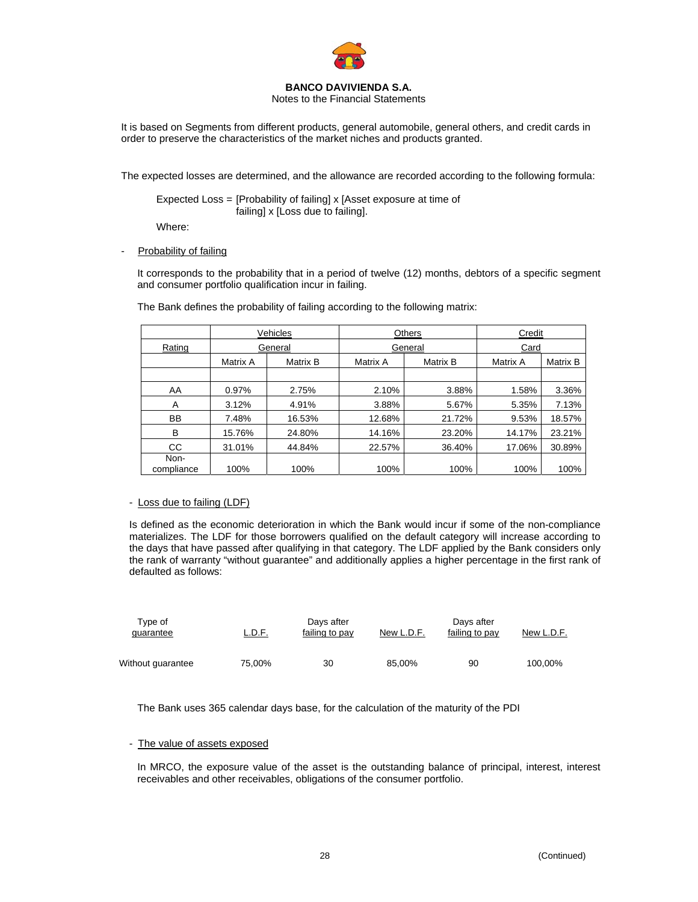

Notes to the Financial Statements

It is based on Segments from different products, general automobile, general others, and credit cards in order to preserve the characteristics of the market niches and products granted.

The expected losses are determined, and the allowance are recorded according to the following formula:

 Expected Loss = [Probability of failing] x [Asset exposure at time of failing] x [Loss due to failing].

Where:

Probability of failing

It corresponds to the probability that in a period of twelve (12) months, debtors of a specific segment and consumer portfolio qualification incur in failing.

|                    | Vehicles |          |          | Others   | Credit   |          |  |
|--------------------|----------|----------|----------|----------|----------|----------|--|
| Rating             |          | General  |          | General  |          | Card     |  |
|                    | Matrix A | Matrix B | Matrix A | Matrix B | Matrix A | Matrix B |  |
|                    |          |          |          |          |          |          |  |
| AA                 | 0.97%    | 2.75%    | 2.10%    | 3.88%    | 1.58%    | 3.36%    |  |
| A                  | 3.12%    | 4.91%    | 3.88%    | 5.67%    | 5.35%    | 7.13%    |  |
| <b>BB</b>          | 7.48%    | 16.53%   | 12.68%   | 21.72%   | 9.53%    | 18.57%   |  |
| B                  | 15.76%   | 24.80%   | 14.16%   | 23.20%   | 14.17%   | 23.21%   |  |
| CC                 | 31.01%   | 44.84%   | 22.57%   | 36.40%   | 17.06%   | 30.89%   |  |
| Non-<br>compliance | 100%     | 100%     | 100%     | 100%     | 100%     | 100%     |  |

The Bank defines the probability of failing according to the following matrix:

## - Loss due to failing (LDF)

Is defined as the economic deterioration in which the Bank would incur if some of the non-compliance materializes. The LDF for those borrowers qualified on the default category will increase according to the days that have passed after qualifying in that category. The LDF applied by the Bank considers only the rank of warranty "without guarantee" and additionally applies a higher percentage in the first rank of defaulted as follows:

| Tvpe of<br>guarantee | <u>L.D.F.</u> | Days after<br>failing to pay | New L.D.F. | Days after<br>failing to pay | New L.D.F. |
|----------------------|---------------|------------------------------|------------|------------------------------|------------|
| Without guarantee    | 75.00%        | 30                           | 85.00%     | 90                           | 100.00%    |

The Bank uses 365 calendar days base, for the calculation of the maturity of the PDI

## - The value of assets exposed

In MRCO, the exposure value of the asset is the outstanding balance of principal, interest, interest receivables and other receivables, obligations of the consumer portfolio.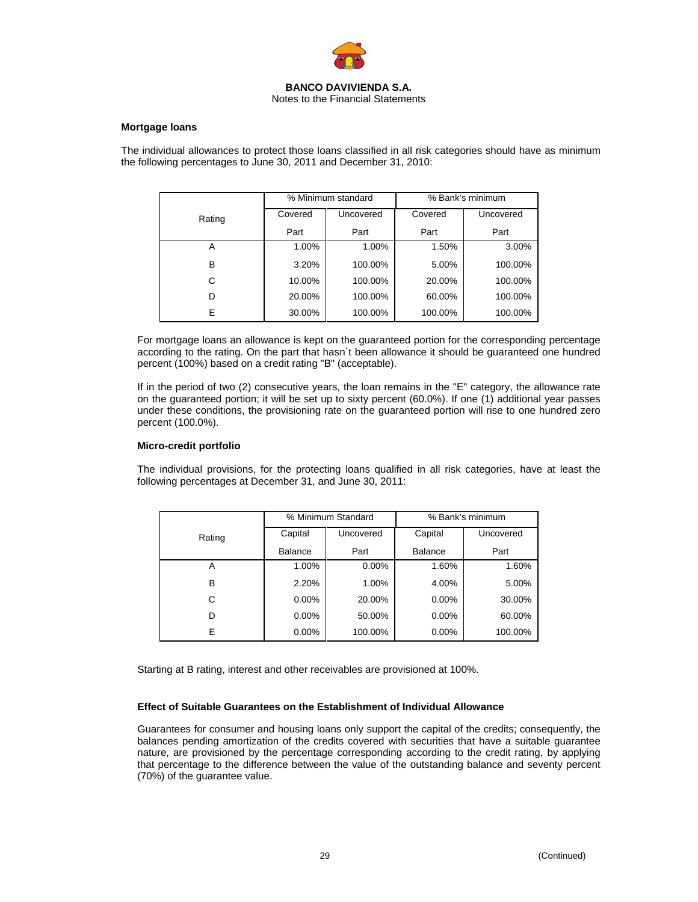

### **Mortgage loans**

The individual allowances to protect those loans classified in all risk categories should have as minimum the following percentages to June 30, 2011 and December 31, 2010:

|        |         | % Minimum standard | % Bank's minimum |           |  |
|--------|---------|--------------------|------------------|-----------|--|
| Rating | Covered | Uncovered          | Covered          | Uncovered |  |
|        | Part    | Part               | Part             | Part      |  |
| Α      | 1.00%   | 1.00%              | 1.50%            | 3.00%     |  |
| B      | 3.20%   | 100.00%            | 5.00%            | 100.00%   |  |
| C      | 10.00%  | 100.00%            | 20.00%           | 100.00%   |  |
| D      | 20.00%  | 100.00%            | 60.00%           | 100.00%   |  |
| E      | 30.00%  | 100.00%            | 100.00%          | 100.00%   |  |

For mortgage loans an allowance is kept on the guaranteed portion for the corresponding percentage according to the rating. On the part that hasn´t been allowance it should be guaranteed one hundred percent (100%) based on a credit rating "B" (acceptable).

If in the period of two (2) consecutive years, the loan remains in the "E" category, the allowance rate on the guaranteed portion; it will be set up to sixty percent (60.0%). If one (1) additional year passes under these conditions, the provisioning rate on the guaranteed portion will rise to one hundred zero percent (100.0%).

## **Micro-credit portfolio**

The individual provisions, for the protecting loans qualified in all risk categories, have at least the following percentages at December 31, and June 30, 2011:

|        |                | % Minimum Standard | % Bank's minimum |           |  |
|--------|----------------|--------------------|------------------|-----------|--|
| Rating | Capital        | Uncovered          | Capital          | Uncovered |  |
|        | <b>Balance</b> | Part               | <b>Balance</b>   | Part      |  |
| Α      | 1.00%          | $0.00\%$           | 1.60%            | 1.60%     |  |
| B      | 2.20%          | 1.00%              | 4.00%            | 5.00%     |  |
| C      | $0.00\%$       | 20.00%             | $0.00\%$         | 30.00%    |  |
| D      | $0.00\%$       | 50.00%             | $0.00\%$         | 60.00%    |  |
| E      | $0.00\%$       | 100.00%            | $0.00\%$         | 100.00%   |  |

Starting at B rating, interest and other receivables are provisioned at 100%.

## **Effect of Suitable Guarantees on the Establishment of Individual Allowance**

Guarantees for consumer and housing loans only support the capital of the credits; consequently, the balances pending amortization of the credits covered with securities that have a suitable guarantee nature, are provisioned by the percentage corresponding according to the credit rating, by applying that percentage to the difference between the value of the outstanding balance and seventy percent (70%) of the guarantee value.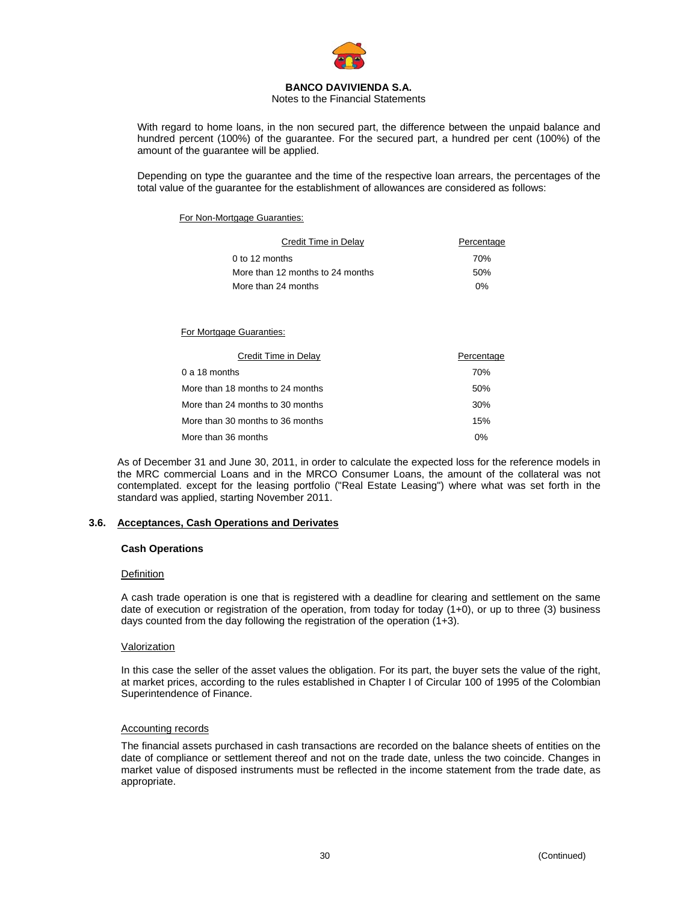

### Notes to the Financial Statements

With regard to home loans, in the non secured part, the difference between the unpaid balance and hundred percent (100%) of the guarantee. For the secured part, a hundred per cent (100%) of the amount of the guarantee will be applied.

Depending on type the guarantee and the time of the respective loan arrears, the percentages of the total value of the guarantee for the establishment of allowances are considered as follows:

## For Non-Mortgage Guaranties:

| Credit Time in Delay             | Percentage |
|----------------------------------|------------|
| $0$ to 12 months                 | 70%        |
| More than 12 months to 24 months | .50%       |
| More than 24 months              | 0%         |

## For Mortgage Guaranties:

| Credit Time in Delay             | Percentage |
|----------------------------------|------------|
| $0a18$ months                    | 70%        |
| More than 18 months to 24 months | 50%        |
| More than 24 months to 30 months | 30%        |
| More than 30 months to 36 months | 15%        |
| More than 36 months              | $0\%$      |

As of December 31 and June 30, 2011, in order to calculate the expected loss for the reference models in the MRC commercial Loans and in the MRCO Consumer Loans, the amount of the collateral was not contemplated. except for the leasing portfolio ("Real Estate Leasing") where what was set forth in the standard was applied, starting November 2011.

## **3.6. Acceptances, Cash Operations and Derivates**

## **Cash Operations**

## **Definition**

A cash trade operation is one that is registered with a deadline for clearing and settlement on the same date of execution or registration of the operation, from today for today (1+0), or up to three (3) business days counted from the day following the registration of the operation (1+3).

#### Valorization

In this case the seller of the asset values the obligation. For its part, the buyer sets the value of the right, at market prices, according to the rules established in Chapter I of Circular 100 of 1995 of the Colombian Superintendence of Finance.

## Accounting records

The financial assets purchased in cash transactions are recorded on the balance sheets of entities on the date of compliance or settlement thereof and not on the trade date, unless the two coincide. Changes in market value of disposed instruments must be reflected in the income statement from the trade date, as appropriate.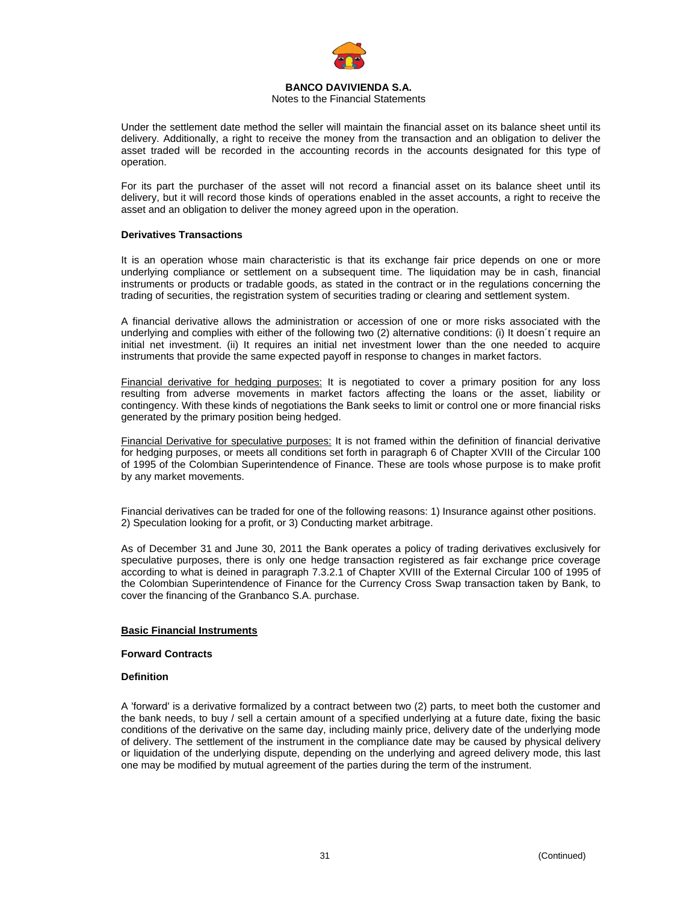

## Notes to the Financial Statements

Under the settlement date method the seller will maintain the financial asset on its balance sheet until its delivery. Additionally, a right to receive the money from the transaction and an obligation to deliver the asset traded will be recorded in the accounting records in the accounts designated for this type of operation.

For its part the purchaser of the asset will not record a financial asset on its balance sheet until its delivery, but it will record those kinds of operations enabled in the asset accounts, a right to receive the asset and an obligation to deliver the money agreed upon in the operation.

## **Derivatives Transactions**

It is an operation whose main characteristic is that its exchange fair price depends on one or more underlying compliance or settlement on a subsequent time. The liquidation may be in cash, financial instruments or products or tradable goods, as stated in the contract or in the regulations concerning the trading of securities, the registration system of securities trading or clearing and settlement system.

A financial derivative allows the administration or accession of one or more risks associated with the underlying and complies with either of the following two (2) alternative conditions: (i) It doesn´t require an initial net investment. (ii) It requires an initial net investment lower than the one needed to acquire instruments that provide the same expected payoff in response to changes in market factors.

Financial derivative for hedging purposes: It is negotiated to cover a primary position for any loss resulting from adverse movements in market factors affecting the loans or the asset, liability or contingency. With these kinds of negotiations the Bank seeks to limit or control one or more financial risks generated by the primary position being hedged.

Financial Derivative for speculative purposes: It is not framed within the definition of financial derivative for hedging purposes, or meets all conditions set forth in paragraph 6 of Chapter XVIII of the Circular 100 of 1995 of the Colombian Superintendence of Finance. These are tools whose purpose is to make profit by any market movements.

Financial derivatives can be traded for one of the following reasons: 1) Insurance against other positions. 2) Speculation looking for a profit, or 3) Conducting market arbitrage.

As of December 31 and June 30, 2011 the Bank operates a policy of trading derivatives exclusively for speculative purposes, there is only one hedge transaction registered as fair exchange price coverage according to what is deined in paragraph 7.3.2.1 of Chapter XVIII of the External Circular 100 of 1995 of the Colombian Superintendence of Finance for the Currency Cross Swap transaction taken by Bank, to cover the financing of the Granbanco S.A. purchase.

## **Basic Financial Instruments**

#### **Forward Contracts**

### **Definition**

A 'forward' is a derivative formalized by a contract between two (2) parts, to meet both the customer and the bank needs, to buy / sell a certain amount of a specified underlying at a future date, fixing the basic conditions of the derivative on the same day, including mainly price, delivery date of the underlying mode of delivery. The settlement of the instrument in the compliance date may be caused by physical delivery or liquidation of the underlying dispute, depending on the underlying and agreed delivery mode, this last one may be modified by mutual agreement of the parties during the term of the instrument.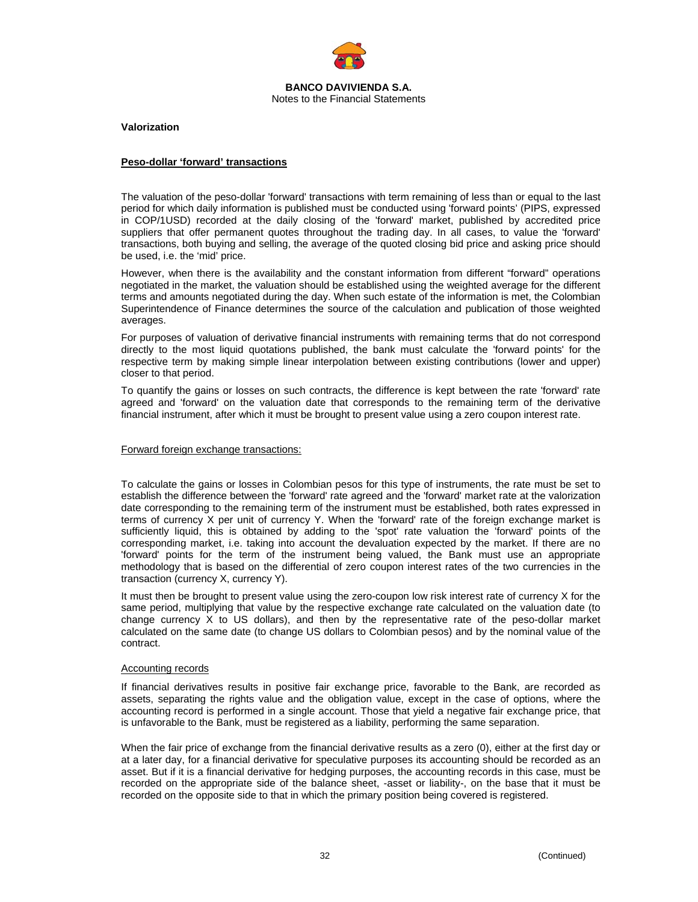

**Valorization** 

### **Peso-dollar 'forward' transactions**

The valuation of the peso-dollar 'forward' transactions with term remaining of less than or equal to the last period for which daily information is published must be conducted using 'forward points' (PIPS, expressed in COP/1USD) recorded at the daily closing of the 'forward' market, published by accredited price suppliers that offer permanent quotes throughout the trading day. In all cases, to value the 'forward' transactions, both buying and selling, the average of the quoted closing bid price and asking price should be used, i.e. the 'mid' price.

However, when there is the availability and the constant information from different "forward" operations negotiated in the market, the valuation should be established using the weighted average for the different terms and amounts negotiated during the day. When such estate of the information is met, the Colombian Superintendence of Finance determines the source of the calculation and publication of those weighted averages.

For purposes of valuation of derivative financial instruments with remaining terms that do not correspond directly to the most liquid quotations published, the bank must calculate the 'forward points' for the respective term by making simple linear interpolation between existing contributions (lower and upper) closer to that period.

To quantify the gains or losses on such contracts, the difference is kept between the rate 'forward' rate agreed and 'forward' on the valuation date that corresponds to the remaining term of the derivative financial instrument, after which it must be brought to present value using a zero coupon interest rate.

### Forward foreign exchange transactions:

To calculate the gains or losses in Colombian pesos for this type of instruments, the rate must be set to establish the difference between the 'forward' rate agreed and the 'forward' market rate at the valorization date corresponding to the remaining term of the instrument must be established, both rates expressed in terms of currency X per unit of currency Y. When the 'forward' rate of the foreign exchange market is sufficiently liquid, this is obtained by adding to the 'spot' rate valuation the 'forward' points of the corresponding market, i.e. taking into account the devaluation expected by the market. If there are no 'forward' points for the term of the instrument being valued, the Bank must use an appropriate methodology that is based on the differential of zero coupon interest rates of the two currencies in the transaction (currency X, currency Y).

It must then be brought to present value using the zero-coupon low risk interest rate of currency X for the same period, multiplying that value by the respective exchange rate calculated on the valuation date (to change currency X to US dollars), and then by the representative rate of the peso-dollar market calculated on the same date (to change US dollars to Colombian pesos) and by the nominal value of the contract.

#### Accounting records

If financial derivatives results in positive fair exchange price, favorable to the Bank, are recorded as assets, separating the rights value and the obligation value, except in the case of options, where the accounting record is performed in a single account. Those that yield a negative fair exchange price, that is unfavorable to the Bank, must be registered as a liability, performing the same separation.

When the fair price of exchange from the financial derivative results as a zero (0), either at the first day or at a later day, for a financial derivative for speculative purposes its accounting should be recorded as an asset. But if it is a financial derivative for hedging purposes, the accounting records in this case, must be recorded on the appropriate side of the balance sheet, -asset or liability-, on the base that it must be recorded on the opposite side to that in which the primary position being covered is registered.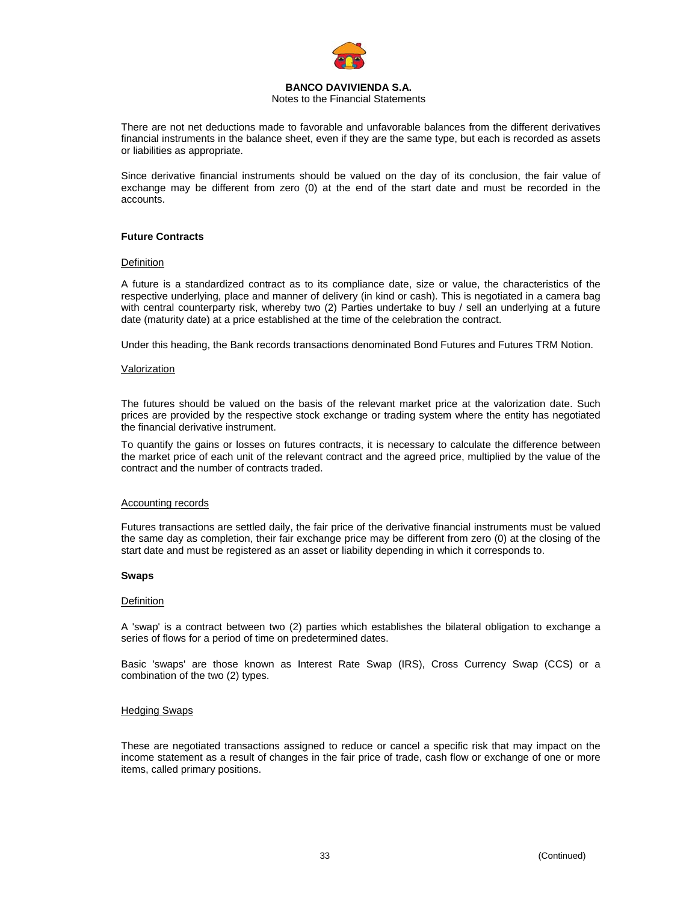

### Notes to the Financial Statements

There are not net deductions made to favorable and unfavorable balances from the different derivatives financial instruments in the balance sheet, even if they are the same type, but each is recorded as assets or liabilities as appropriate.

Since derivative financial instruments should be valued on the day of its conclusion, the fair value of exchange may be different from zero (0) at the end of the start date and must be recorded in the accounts.

## **Future Contracts**

#### **Definition**

A future is a standardized contract as to its compliance date, size or value, the characteristics of the respective underlying, place and manner of delivery (in kind or cash). This is negotiated in a camera bag with central counterparty risk, whereby two (2) Parties undertake to buy / sell an underlying at a future date (maturity date) at a price established at the time of the celebration the contract.

Under this heading, the Bank records transactions denominated Bond Futures and Futures TRM Notion.

## Valorization

The futures should be valued on the basis of the relevant market price at the valorization date. Such prices are provided by the respective stock exchange or trading system where the entity has negotiated the financial derivative instrument.

To quantify the gains or losses on futures contracts, it is necessary to calculate the difference between the market price of each unit of the relevant contract and the agreed price, multiplied by the value of the contract and the number of contracts traded.

#### Accounting records

Futures transactions are settled daily, the fair price of the derivative financial instruments must be valued the same day as completion, their fair exchange price may be different from zero (0) at the closing of the start date and must be registered as an asset or liability depending in which it corresponds to.

#### **Swaps**

#### Definition

A 'swap' is a contract between two (2) parties which establishes the bilateral obligation to exchange a series of flows for a period of time on predetermined dates.

Basic 'swaps' are those known as Interest Rate Swap (IRS), Cross Currency Swap (CCS) or a combination of the two (2) types.

#### Hedging Swaps

These are negotiated transactions assigned to reduce or cancel a specific risk that may impact on the income statement as a result of changes in the fair price of trade, cash flow or exchange of one or more items, called primary positions.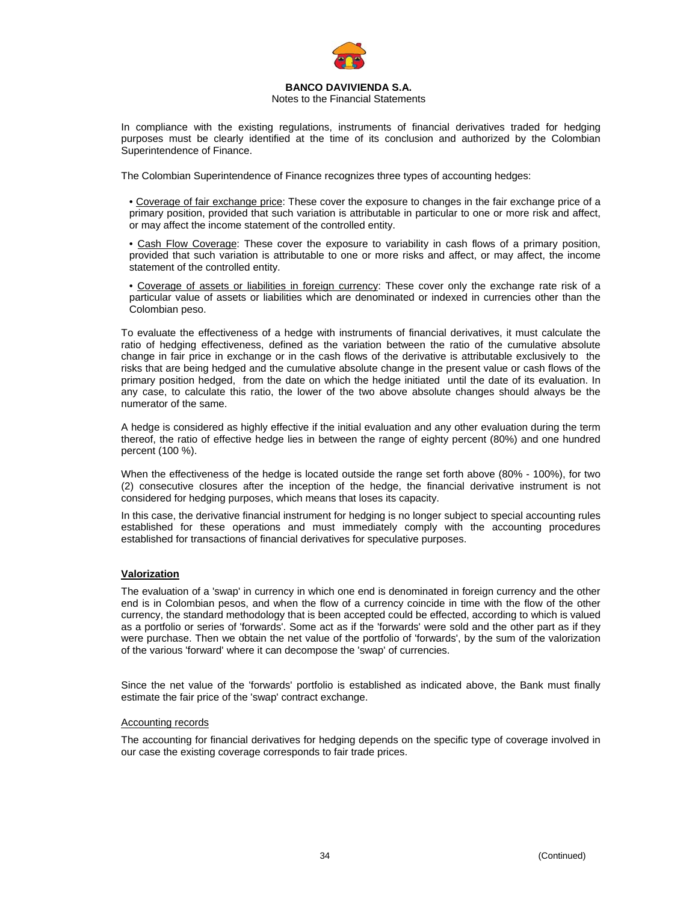

## Notes to the Financial Statements

In compliance with the existing regulations, instruments of financial derivatives traded for hedging purposes must be clearly identified at the time of its conclusion and authorized by the Colombian Superintendence of Finance.

The Colombian Superintendence of Finance recognizes three types of accounting hedges:

• Coverage of fair exchange price: These cover the exposure to changes in the fair exchange price of a primary position, provided that such variation is attributable in particular to one or more risk and affect, or may affect the income statement of the controlled entity.

• Cash Flow Coverage: These cover the exposure to variability in cash flows of a primary position, provided that such variation is attributable to one or more risks and affect, or may affect, the income statement of the controlled entity.

• Coverage of assets or liabilities in foreign currency: These cover only the exchange rate risk of a particular value of assets or liabilities which are denominated or indexed in currencies other than the Colombian peso.

To evaluate the effectiveness of a hedge with instruments of financial derivatives, it must calculate the ratio of hedging effectiveness, defined as the variation between the ratio of the cumulative absolute change in fair price in exchange or in the cash flows of the derivative is attributable exclusively to the risks that are being hedged and the cumulative absolute change in the present value or cash flows of the primary position hedged, from the date on which the hedge initiated until the date of its evaluation. In any case, to calculate this ratio, the lower of the two above absolute changes should always be the numerator of the same.

A hedge is considered as highly effective if the initial evaluation and any other evaluation during the term thereof, the ratio of effective hedge lies in between the range of eighty percent (80%) and one hundred percent (100 %).

When the effectiveness of the hedge is located outside the range set forth above (80% - 100%), for two (2) consecutive closures after the inception of the hedge, the financial derivative instrument is not considered for hedging purposes, which means that loses its capacity.

In this case, the derivative financial instrument for hedging is no longer subject to special accounting rules established for these operations and must immediately comply with the accounting procedures established for transactions of financial derivatives for speculative purposes.

## **Valorization**

The evaluation of a 'swap' in currency in which one end is denominated in foreign currency and the other end is in Colombian pesos, and when the flow of a currency coincide in time with the flow of the other currency, the standard methodology that is been accepted could be effected, according to which is valued as a portfolio or series of 'forwards'. Some act as if the 'forwards' were sold and the other part as if they were purchase. Then we obtain the net value of the portfolio of 'forwards', by the sum of the valorization of the various 'forward' where it can decompose the 'swap' of currencies.

Since the net value of the 'forwards' portfolio is established as indicated above, the Bank must finally estimate the fair price of the 'swap' contract exchange.

#### Accounting records

The accounting for financial derivatives for hedging depends on the specific type of coverage involved in our case the existing coverage corresponds to fair trade prices.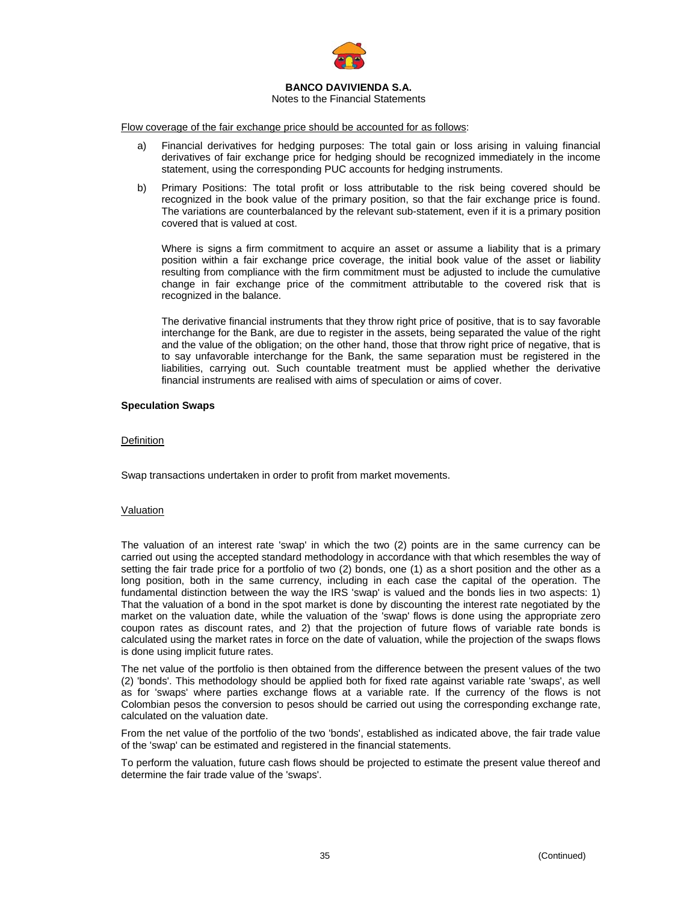

## Notes to the Financial Statements

Flow coverage of the fair exchange price should be accounted for as follows:

- a) Financial derivatives for hedging purposes: The total gain or loss arising in valuing financial derivatives of fair exchange price for hedging should be recognized immediately in the income statement, using the corresponding PUC accounts for hedging instruments.
- b) Primary Positions: The total profit or loss attributable to the risk being covered should be recognized in the book value of the primary position, so that the fair exchange price is found. The variations are counterbalanced by the relevant sub-statement, even if it is a primary position covered that is valued at cost.

Where is signs a firm commitment to acquire an asset or assume a liability that is a primary position within a fair exchange price coverage, the initial book value of the asset or liability resulting from compliance with the firm commitment must be adjusted to include the cumulative change in fair exchange price of the commitment attributable to the covered risk that is recognized in the balance.

The derivative financial instruments that they throw right price of positive, that is to say favorable interchange for the Bank, are due to register in the assets, being separated the value of the right and the value of the obligation; on the other hand, those that throw right price of negative, that is to say unfavorable interchange for the Bank, the same separation must be registered in the liabilities, carrying out. Such countable treatment must be applied whether the derivative financial instruments are realised with aims of speculation or aims of cover.

## **Speculation Swaps**

## **Definition**

Swap transactions undertaken in order to profit from market movements.

## Valuation

The valuation of an interest rate 'swap' in which the two (2) points are in the same currency can be carried out using the accepted standard methodology in accordance with that which resembles the way of setting the fair trade price for a portfolio of two (2) bonds, one (1) as a short position and the other as a long position, both in the same currency, including in each case the capital of the operation. The fundamental distinction between the way the IRS 'swap' is valued and the bonds lies in two aspects: 1) That the valuation of a bond in the spot market is done by discounting the interest rate negotiated by the market on the valuation date, while the valuation of the 'swap' flows is done using the appropriate zero coupon rates as discount rates, and 2) that the projection of future flows of variable rate bonds is calculated using the market rates in force on the date of valuation, while the projection of the swaps flows is done using implicit future rates.

The net value of the portfolio is then obtained from the difference between the present values of the two (2) 'bonds'. This methodology should be applied both for fixed rate against variable rate 'swaps', as well as for 'swaps' where parties exchange flows at a variable rate. If the currency of the flows is not Colombian pesos the conversion to pesos should be carried out using the corresponding exchange rate, calculated on the valuation date.

From the net value of the portfolio of the two 'bonds', established as indicated above, the fair trade value of the 'swap' can be estimated and registered in the financial statements.

To perform the valuation, future cash flows should be projected to estimate the present value thereof and determine the fair trade value of the 'swaps'.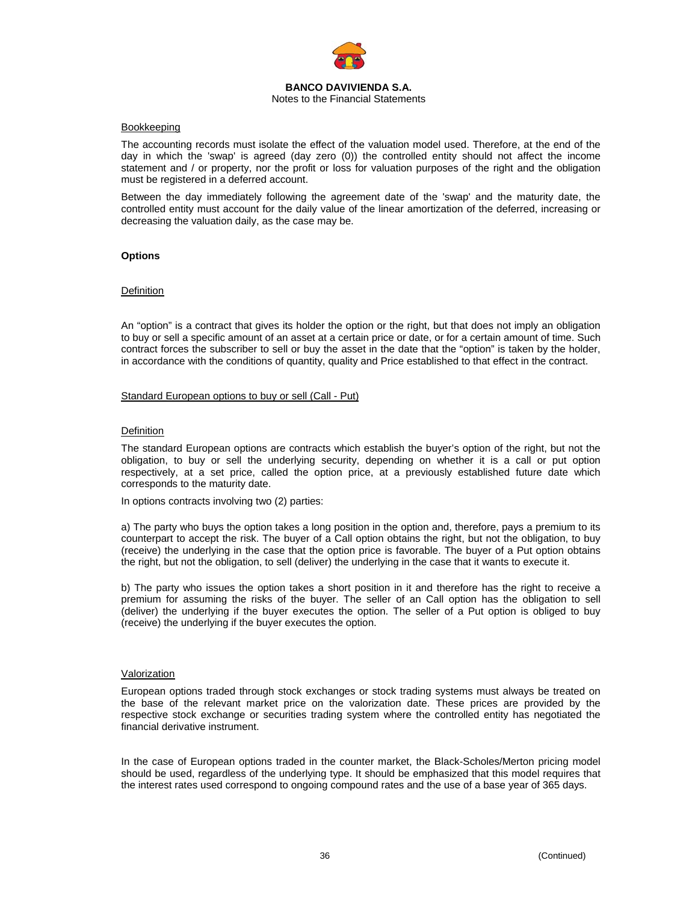

### Notes to the Financial Statements

### Bookkeeping

The accounting records must isolate the effect of the valuation model used. Therefore, at the end of the day in which the 'swap' is agreed (day zero (0)) the controlled entity should not affect the income statement and / or property, nor the profit or loss for valuation purposes of the right and the obligation must be registered in a deferred account.

Between the day immediately following the agreement date of the 'swap' and the maturity date, the controlled entity must account for the daily value of the linear amortization of the deferred, increasing or decreasing the valuation daily, as the case may be.

## **Options**

## **Definition**

An "option" is a contract that gives its holder the option or the right, but that does not imply an obligation to buy or sell a specific amount of an asset at a certain price or date, or for a certain amount of time. Such contract forces the subscriber to sell or buy the asset in the date that the "option" is taken by the holder, in accordance with the conditions of quantity, quality and Price established to that effect in the contract.

### Standard European options to buy or sell (Call - Put)

### Definition

The standard European options are contracts which establish the buyer's option of the right, but not the obligation, to buy or sell the underlying security, depending on whether it is a call or put option respectively, at a set price, called the option price, at a previously established future date which corresponds to the maturity date.

In options contracts involving two (2) parties:

a) The party who buys the option takes a long position in the option and, therefore, pays a premium to its counterpart to accept the risk. The buyer of a Call option obtains the right, but not the obligation, to buy (receive) the underlying in the case that the option price is favorable. The buyer of a Put option obtains the right, but not the obligation, to sell (deliver) the underlying in the case that it wants to execute it.

b) The party who issues the option takes a short position in it and therefore has the right to receive a premium for assuming the risks of the buyer. The seller of an Call option has the obligation to sell (deliver) the underlying if the buyer executes the option. The seller of a Put option is obliged to buy (receive) the underlying if the buyer executes the option.

### Valorization

European options traded through stock exchanges or stock trading systems must always be treated on the base of the relevant market price on the valorization date. These prices are provided by the respective stock exchange or securities trading system where the controlled entity has negotiated the financial derivative instrument.

In the case of European options traded in the counter market, the Black-Scholes/Merton pricing model should be used, regardless of the underlying type. It should be emphasized that this model requires that the interest rates used correspond to ongoing compound rates and the use of a base year of 365 days.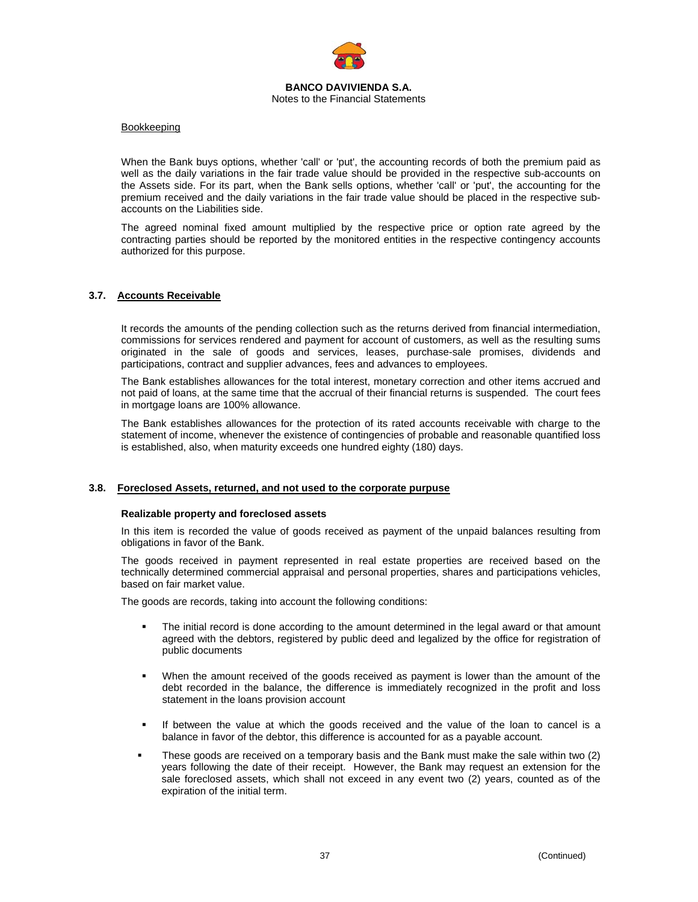

### Bookkeeping

When the Bank buys options, whether 'call' or 'put', the accounting records of both the premium paid as well as the daily variations in the fair trade value should be provided in the respective sub-accounts on the Assets side. For its part, when the Bank sells options, whether 'call' or 'put', the accounting for the premium received and the daily variations in the fair trade value should be placed in the respective subaccounts on the Liabilities side.

The agreed nominal fixed amount multiplied by the respective price or option rate agreed by the contracting parties should be reported by the monitored entities in the respective contingency accounts authorized for this purpose.

### **3.7. Accounts Receivable**

It records the amounts of the pending collection such as the returns derived from financial intermediation, commissions for services rendered and payment for account of customers, as well as the resulting sums originated in the sale of goods and services, leases, purchase-sale promises, dividends and participations, contract and supplier advances, fees and advances to employees.

The Bank establishes allowances for the total interest, monetary correction and other items accrued and not paid of loans, at the same time that the accrual of their financial returns is suspended. The court fees in mortgage loans are 100% allowance.

The Bank establishes allowances for the protection of its rated accounts receivable with charge to the statement of income, whenever the existence of contingencies of probable and reasonable quantified loss is established, also, when maturity exceeds one hundred eighty (180) days.

### **3.8. Foreclosed Assets, returned, and not used to the corporate purpuse**

#### **Realizable property and foreclosed assets**

In this item is recorded the value of goods received as payment of the unpaid balances resulting from obligations in favor of the Bank.

The goods received in payment represented in real estate properties are received based on the technically determined commercial appraisal and personal properties, shares and participations vehicles, based on fair market value.

The goods are records, taking into account the following conditions:

- The initial record is done according to the amount determined in the legal award or that amount agreed with the debtors, registered by public deed and legalized by the office for registration of public documents
- When the amount received of the goods received as payment is lower than the amount of the debt recorded in the balance, the difference is immediately recognized in the profit and loss statement in the loans provision account
- If between the value at which the goods received and the value of the loan to cancel is a balance in favor of the debtor, this difference is accounted for as a payable account.
- These goods are received on a temporary basis and the Bank must make the sale within two (2) years following the date of their receipt. However, the Bank may request an extension for the sale foreclosed assets, which shall not exceed in any event two (2) years, counted as of the expiration of the initial term.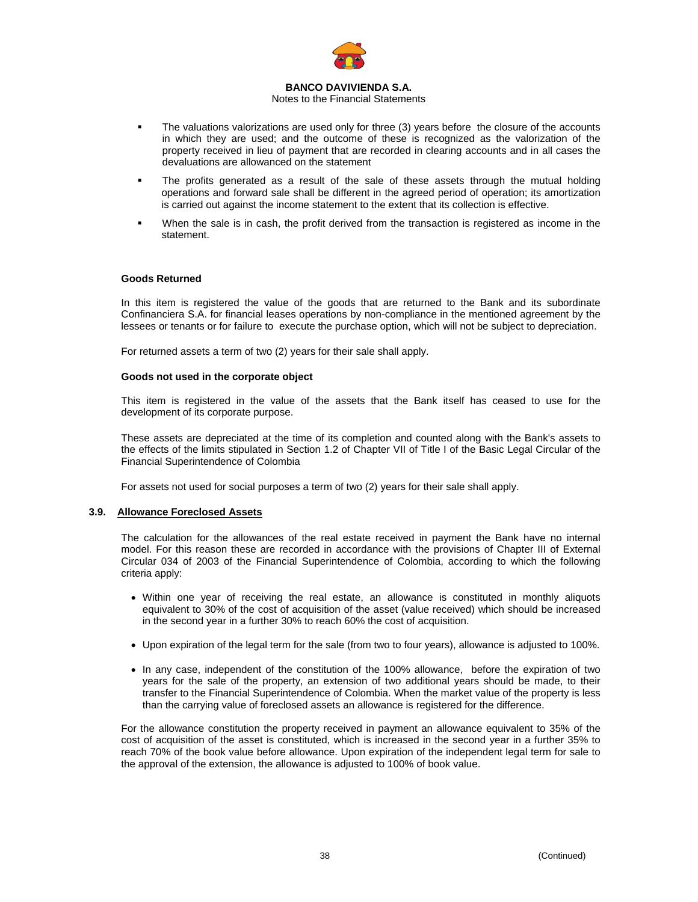

### Notes to the Financial Statements

- The valuations valorizations are used only for three (3) years before the closure of the accounts in which they are used; and the outcome of these is recognized as the valorization of the property received in lieu of payment that are recorded in clearing accounts and in all cases the devaluations are allowanced on the statement
- The profits generated as a result of the sale of these assets through the mutual holding operations and forward sale shall be different in the agreed period of operation; its amortization is carried out against the income statement to the extent that its collection is effective.
- When the sale is in cash, the profit derived from the transaction is registered as income in the statement.

### **Goods Returned**

In this item is registered the value of the goods that are returned to the Bank and its subordinate Confinanciera S.A. for financial leases operations by non-compliance in the mentioned agreement by the lessees or tenants or for failure to execute the purchase option, which will not be subject to depreciation.

For returned assets a term of two (2) years for their sale shall apply.

### **Goods not used in the corporate object**

This item is registered in the value of the assets that the Bank itself has ceased to use for the development of its corporate purpose.

These assets are depreciated at the time of its completion and counted along with the Bank's assets to the effects of the limits stipulated in Section 1.2 of Chapter VII of Title I of the Basic Legal Circular of the Financial Superintendence of Colombia

For assets not used for social purposes a term of two (2) years for their sale shall apply.

### **3.9. Allowance Foreclosed Assets**

The calculation for the allowances of the real estate received in payment the Bank have no internal model. For this reason these are recorded in accordance with the provisions of Chapter III of External Circular 034 of 2003 of the Financial Superintendence of Colombia, according to which the following criteria apply:

- Within one year of receiving the real estate, an allowance is constituted in monthly aliquots equivalent to 30% of the cost of acquisition of the asset (value received) which should be increased in the second year in a further 30% to reach 60% the cost of acquisition.
- Upon expiration of the legal term for the sale (from two to four years), allowance is adjusted to 100%.
- In any case, independent of the constitution of the 100% allowance, before the expiration of two years for the sale of the property, an extension of two additional years should be made, to their transfer to the Financial Superintendence of Colombia. When the market value of the property is less than the carrying value of foreclosed assets an allowance is registered for the difference.

For the allowance constitution the property received in payment an allowance equivalent to 35% of the cost of acquisition of the asset is constituted, which is increased in the second year in a further 35% to reach 70% of the book value before allowance. Upon expiration of the independent legal term for sale to the approval of the extension, the allowance is adjusted to 100% of book value.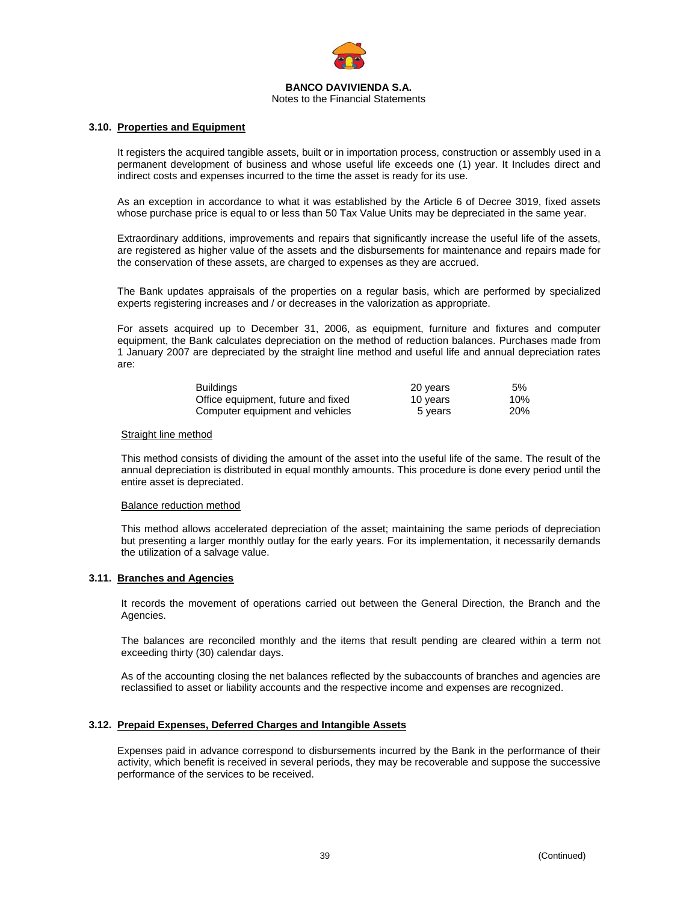

### **3.10. Properties and Equipment**

It registers the acquired tangible assets, built or in importation process, construction or assembly used in a permanent development of business and whose useful life exceeds one (1) year. It Includes direct and indirect costs and expenses incurred to the time the asset is ready for its use.

As an exception in accordance to what it was established by the Article 6 of Decree 3019, fixed assets whose purchase price is equal to or less than 50 Tax Value Units may be depreciated in the same year.

Extraordinary additions, improvements and repairs that significantly increase the useful life of the assets, are registered as higher value of the assets and the disbursements for maintenance and repairs made for the conservation of these assets, are charged to expenses as they are accrued.

The Bank updates appraisals of the properties on a regular basis, which are performed by specialized experts registering increases and / or decreases in the valorization as appropriate.

For assets acquired up to December 31, 2006, as equipment, furniture and fixtures and computer equipment, the Bank calculates depreciation on the method of reduction balances. Purchases made from 1 January 2007 are depreciated by the straight line method and useful life and annual depreciation rates are:

| <b>Buildings</b>                   | 20 years | 5%         |
|------------------------------------|----------|------------|
| Office equipment, future and fixed | 10 vears | 10%        |
| Computer equipment and vehicles    | 5 years  | <b>20%</b> |

### Straight line method

This method consists of dividing the amount of the asset into the useful life of the same. The result of the annual depreciation is distributed in equal monthly amounts. This procedure is done every period until the entire asset is depreciated.

### Balance reduction method

This method allows accelerated depreciation of the asset; maintaining the same periods of depreciation but presenting a larger monthly outlay for the early years. For its implementation, it necessarily demands the utilization of a salvage value.

## **3.11. Branches and Agencies**

It records the movement of operations carried out between the General Direction, the Branch and the Agencies.

The balances are reconciled monthly and the items that result pending are cleared within a term not exceeding thirty (30) calendar days.

As of the accounting closing the net balances reflected by the subaccounts of branches and agencies are reclassified to asset or liability accounts and the respective income and expenses are recognized.

### **3.12. Prepaid Expenses, Deferred Charges and Intangible Assets**

Expenses paid in advance correspond to disbursements incurred by the Bank in the performance of their activity, which benefit is received in several periods, they may be recoverable and suppose the successive performance of the services to be received.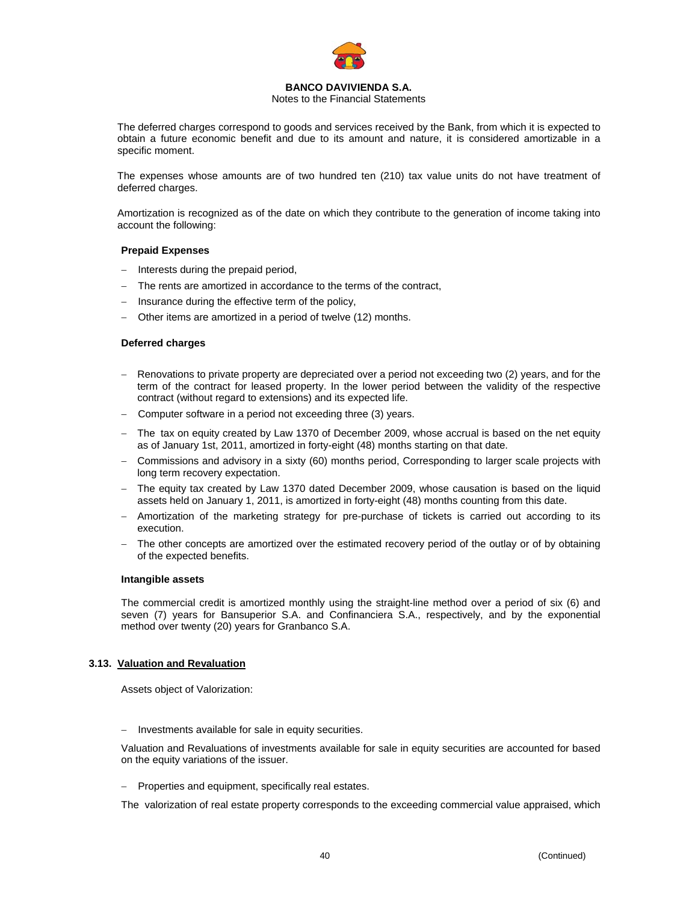

Notes to the Financial Statements

The deferred charges correspond to goods and services received by the Bank, from which it is expected to obtain a future economic benefit and due to its amount and nature, it is considered amortizable in a specific moment.

The expenses whose amounts are of two hundred ten (210) tax value units do not have treatment of deferred charges.

Amortization is recognized as of the date on which they contribute to the generation of income taking into account the following:

## **Prepaid Expenses**

- Interests during the prepaid period,
- The rents are amortized in accordance to the terms of the contract,
- Insurance during the effective term of the policy,
- Other items are amortized in a period of twelve (12) months.

## **Deferred charges**

- − Renovations to private property are depreciated over a period not exceeding two (2) years, and for the term of the contract for leased property. In the lower period between the validity of the respective contract (without regard to extensions) and its expected life.
- − Computer software in a period not exceeding three (3) years.
- − The tax on equity created by Law 1370 of December 2009, whose accrual is based on the net equity as of January 1st, 2011, amortized in forty-eight (48) months starting on that date.
- − Commissions and advisory in a sixty (60) months period, Corresponding to larger scale projects with long term recovery expectation.
- − The equity tax created by Law 1370 dated December 2009, whose causation is based on the liquid assets held on January 1, 2011, is amortized in forty-eight (48) months counting from this date.
- Amortization of the marketing strategy for pre-purchase of tickets is carried out according to its execution.
- The other concepts are amortized over the estimated recovery period of the outlay or of by obtaining of the expected benefits.

### **Intangible assets**

The commercial credit is amortized monthly using the straight-line method over a period of six (6) and seven (7) years for Bansuperior S.A. and Confinanciera S.A., respectively, and by the exponential method over twenty (20) years for Granbanco S.A.

## **3.13. Valuation and Revaluation**

Assets object of Valorization:

Investments available for sale in equity securities.

Valuation and Revaluations of investments available for sale in equity securities are accounted for based on the equity variations of the issuer.

− Properties and equipment, specifically real estates.

The valorization of real estate property corresponds to the exceeding commercial value appraised, which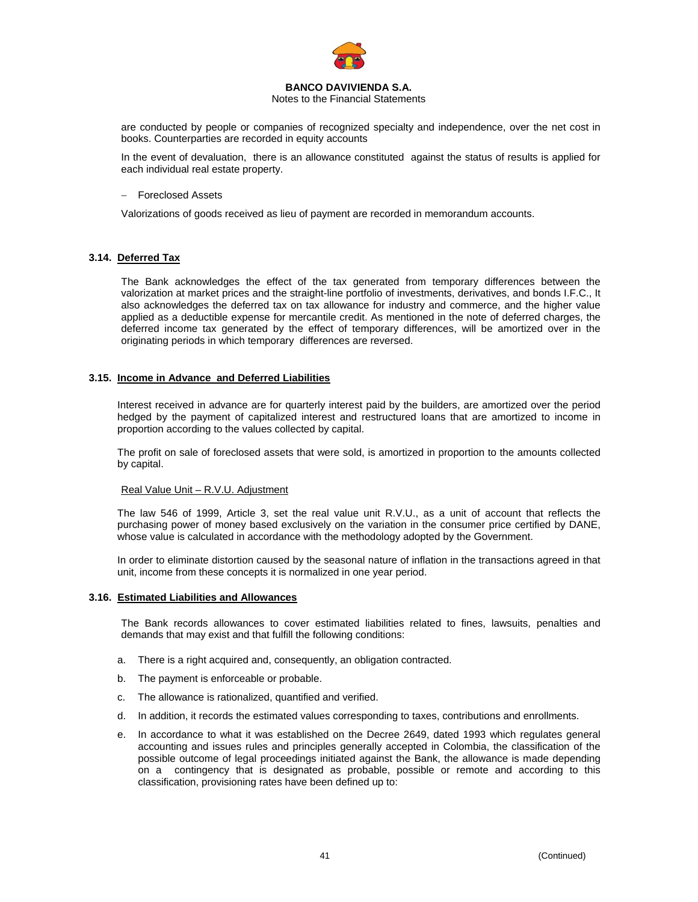

Notes to the Financial Statements

are conducted by people or companies of recognized specialty and independence, over the net cost in books. Counterparties are recorded in equity accounts

In the event of devaluation, there is an allowance constituted against the status of results is applied for each individual real estate property.

### − Foreclosed Assets

Valorizations of goods received as lieu of payment are recorded in memorandum accounts.

## **3.14. Deferred Tax**

The Bank acknowledges the effect of the tax generated from temporary differences between the valorization at market prices and the straight-line portfolio of investments, derivatives, and bonds I.F.C., It also acknowledges the deferred tax on tax allowance for industry and commerce, and the higher value applied as a deductible expense for mercantile credit. As mentioned in the note of deferred charges, the deferred income tax generated by the effect of temporary differences, will be amortized over in the originating periods in which temporary differences are reversed.

### **3.15. Income in Advance and Deferred Liabilities**

Interest received in advance are for quarterly interest paid by the builders, are amortized over the period hedged by the payment of capitalized interest and restructured loans that are amortized to income in proportion according to the values collected by capital.

The profit on sale of foreclosed assets that were sold, is amortized in proportion to the amounts collected by capital.

### Real Value Unit – R.V.U. Adjustment

The law 546 of 1999, Article 3, set the real value unit R.V.U., as a unit of account that reflects the purchasing power of money based exclusively on the variation in the consumer price certified by DANE, whose value is calculated in accordance with the methodology adopted by the Government.

In order to eliminate distortion caused by the seasonal nature of inflation in the transactions agreed in that unit, income from these concepts it is normalized in one year period.

### **3.16. Estimated Liabilities and Allowances**

The Bank records allowances to cover estimated liabilities related to fines, lawsuits, penalties and demands that may exist and that fulfill the following conditions:

- a. There is a right acquired and, consequently, an obligation contracted.
- b. The payment is enforceable or probable.
- c. The allowance is rationalized, quantified and verified.
- d. In addition, it records the estimated values corresponding to taxes, contributions and enrollments.
- e. In accordance to what it was established on the Decree 2649, dated 1993 which regulates general accounting and issues rules and principles generally accepted in Colombia, the classification of the possible outcome of legal proceedings initiated against the Bank, the allowance is made depending on a contingency that is designated as probable, possible or remote and according to this classification, provisioning rates have been defined up to: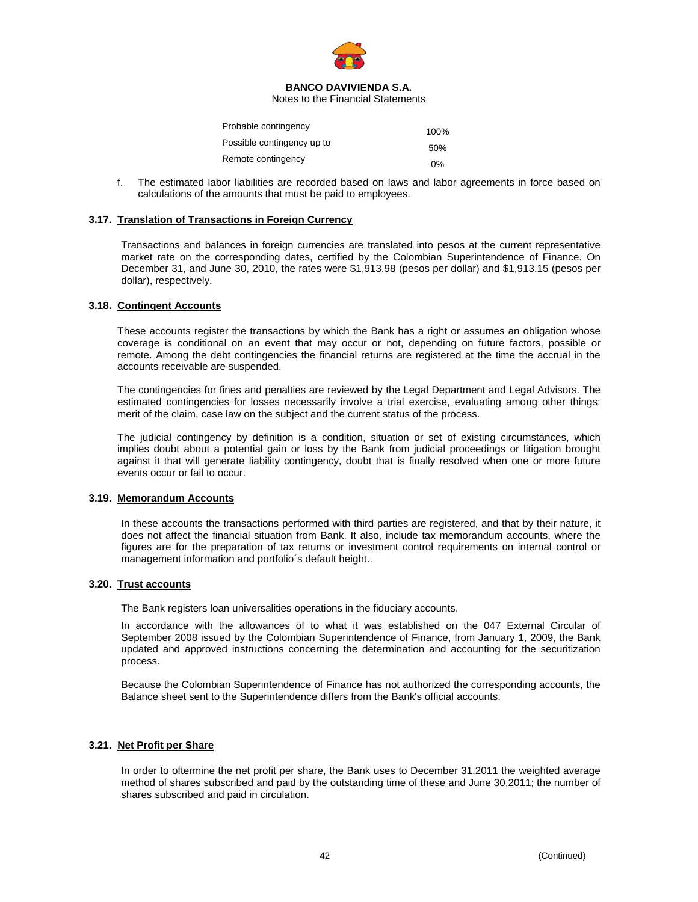

Notes to the Financial Statements

| Probable contingency       | 100%  |
|----------------------------|-------|
| Possible contingency up to | 50%   |
| Remote contingency         | $0\%$ |

f. The estimated labor liabilities are recorded based on laws and labor agreements in force based on calculations of the amounts that must be paid to employees.

### **3.17. Translation of Transactions in Foreign Currency**

Transactions and balances in foreign currencies are translated into pesos at the current representative market rate on the corresponding dates, certified by the Colombian Superintendence of Finance. On December 31, and June 30, 2010, the rates were \$1,913.98 (pesos per dollar) and \$1,913.15 (pesos per dollar), respectively.

### **3.18. Contingent Accounts**

These accounts register the transactions by which the Bank has a right or assumes an obligation whose coverage is conditional on an event that may occur or not, depending on future factors, possible or remote. Among the debt contingencies the financial returns are registered at the time the accrual in the accounts receivable are suspended.

The contingencies for fines and penalties are reviewed by the Legal Department and Legal Advisors. The estimated contingencies for losses necessarily involve a trial exercise, evaluating among other things: merit of the claim, case law on the subject and the current status of the process.

The judicial contingency by definition is a condition, situation or set of existing circumstances, which implies doubt about a potential gain or loss by the Bank from judicial proceedings or litigation brought against it that will generate liability contingency, doubt that is finally resolved when one or more future events occur or fail to occur.

### **3.19. Memorandum Accounts**

In these accounts the transactions performed with third parties are registered, and that by their nature, it does not affect the financial situation from Bank. It also, include tax memorandum accounts, where the figures are for the preparation of tax returns or investment control requirements on internal control or management information and portfolio´s default height..

### **3.20. Trust accounts**

The Bank registers loan universalities operations in the fiduciary accounts.

In accordance with the allowances of to what it was established on the 047 External Circular of September 2008 issued by the Colombian Superintendence of Finance, from January 1, 2009, the Bank updated and approved instructions concerning the determination and accounting for the securitization process.

Because the Colombian Superintendence of Finance has not authorized the corresponding accounts, the Balance sheet sent to the Superintendence differs from the Bank's official accounts.

## **3.21. Net Profit per Share**

In order to oftermine the net profit per share, the Bank uses to December 31,2011 the weighted average method of shares subscribed and paid by the outstanding time of these and June 30,2011; the number of shares subscribed and paid in circulation.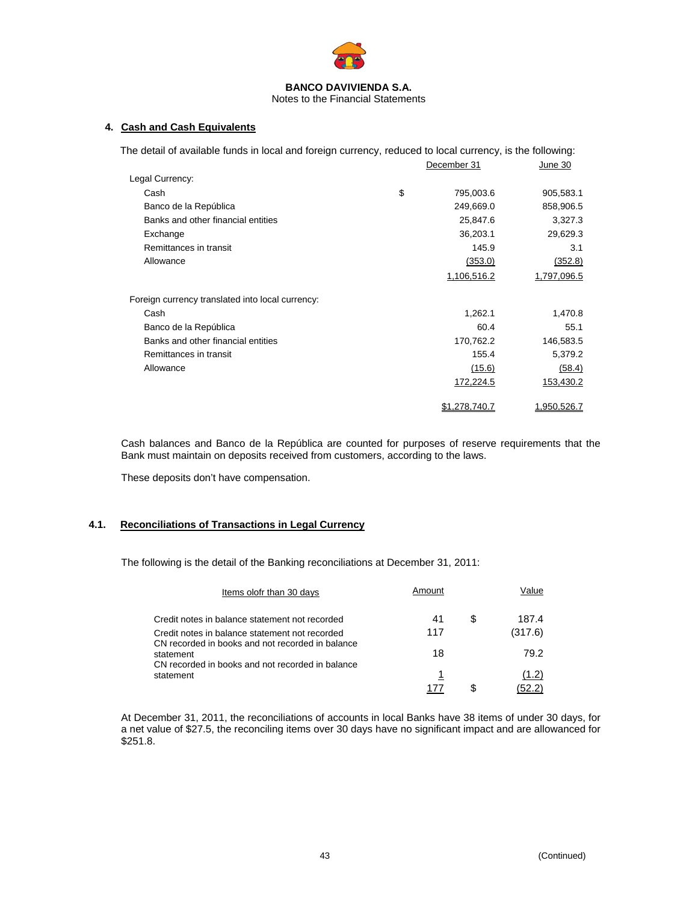

## Notes to the Financial Statements

## **4. Cash and Cash Equivalents**

| The detail of available funds in local and foreign currency, reduced to local currency, is the following: |                 |             |
|-----------------------------------------------------------------------------------------------------------|-----------------|-------------|
|                                                                                                           | December 31     | June 30     |
| Legal Currency:                                                                                           |                 |             |
| Cash                                                                                                      | \$<br>795,003.6 | 905,583.1   |
| Banco de la República                                                                                     | 249,669.0       | 858,906.5   |
| Banks and other financial entities                                                                        | 25,847.6        | 3,327.3     |
| Exchange                                                                                                  | 36,203.1        | 29,629.3    |
| Remittances in transit                                                                                    | 145.9           | 3.1         |
| Allowance                                                                                                 | (353.0)         | (352.8)     |
|                                                                                                           | 1,106,516.2     | 1,797,096.5 |
| Foreign currency translated into local currency:                                                          |                 |             |
| Cash                                                                                                      | 1,262.1         | 1,470.8     |
| Banco de la República                                                                                     | 60.4            | 55.1        |
| Banks and other financial entities                                                                        | 170,762.2       | 146,583.5   |
| Remittances in transit                                                                                    | 155.4           | 5,379.2     |
| Allowance                                                                                                 | (15.6)          | (58.4)      |
|                                                                                                           | 172,224.5       | 153,430.2   |
|                                                                                                           | \$1,278,740.7   | 1,950,526.7 |

Cash balances and Banco de la República are counted for purposes of reserve requirements that the Bank must maintain on deposits received from customers, according to the laws.

These deposits don't have compensation.

# **4.1. Reconciliations of Transactions in Legal Currency**

The following is the detail of the Banking reconciliations at December 31, 2011:

| Items olofr than 30 days                                                                                          | Amount |    | Value   |
|-------------------------------------------------------------------------------------------------------------------|--------|----|---------|
| Credit notes in balance statement not recorded                                                                    | 41     | S  | 187.4   |
| Credit notes in balance statement not recorded                                                                    | 117    |    | (317.6) |
| CN recorded in books and not recorded in balance<br>statement<br>CN recorded in books and not recorded in balance | 18     |    | 79.2    |
| statement                                                                                                         | 1      |    | (1.2)   |
|                                                                                                                   | 177    | S. | (52.2)  |

At December 31, 2011, the reconciliations of accounts in local Banks have 38 items of under 30 days, for a net value of \$27.5, the reconciling items over 30 days have no significant impact and are allowanced for \$251.8.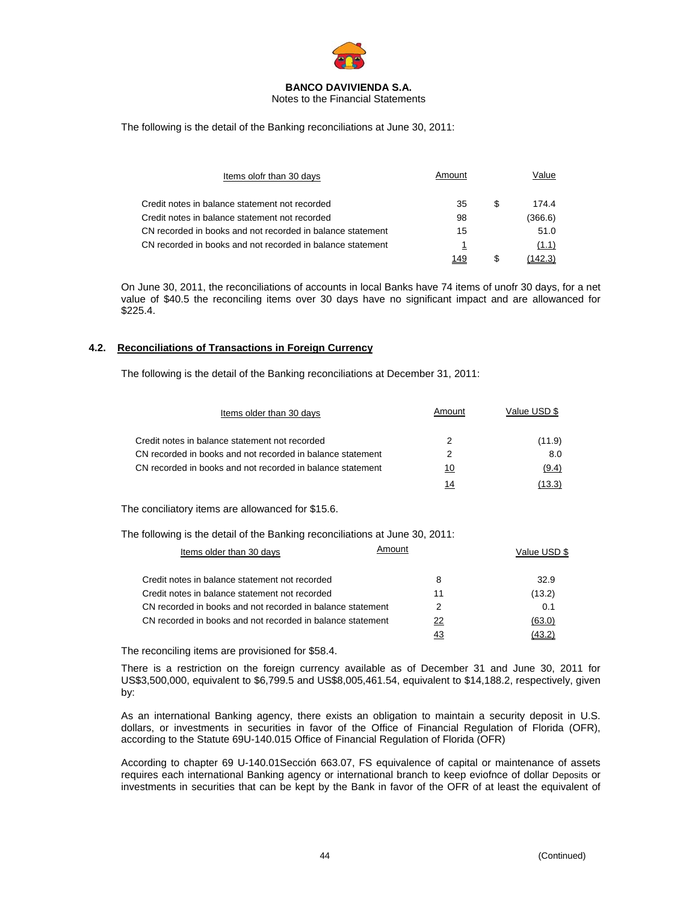

Notes to the Financial Statements

The following is the detail of the Banking reconciliations at June 30, 2011:

| Items olofr than 30 days                                   | Amount |   | Value   |
|------------------------------------------------------------|--------|---|---------|
| Credit notes in balance statement not recorded             | 35     | S | 174.4   |
| Credit notes in balance statement not recorded             | 98     |   | (366.6) |
| CN recorded in books and not recorded in balance statement | 15     |   | 51.0    |
| CN recorded in books and not recorded in balance statement | 1      |   | (1.1)   |
|                                                            | 149    |   | (142.3) |

On June 30, 2011, the reconciliations of accounts in local Banks have 74 items of unofr 30 days, for a net value of \$40.5 the reconciling items over 30 days have no significant impact and are allowanced for \$225.4.

## **4.2. Reconciliations of Transactions in Foreign Currency**

The following is the detail of the Banking reconciliations at December 31, 2011:

| Items older than 30 days                                   | Amount | Value USD \$ |
|------------------------------------------------------------|--------|--------------|
| Credit notes in balance statement not recorded             |        | (11.9)       |
| CN recorded in books and not recorded in balance statement | 2      | 8.0          |
| CN recorded in books and not recorded in balance statement | 10     | (9.4)        |
|                                                            | 14     | (13.3)       |

The conciliatory items are allowanced for \$15.6.

The following is the detail of the Banking reconciliations at June 30, 2011:

| Items older than 30 days                                   | Amount | Value USD \$ |
|------------------------------------------------------------|--------|--------------|
| Credit notes in balance statement not recorded             | 8      | 32.9         |
| Credit notes in balance statement not recorded             | 11     | (13.2)       |
| CN recorded in books and not recorded in balance statement | 2      | 0.1          |
| CN recorded in books and not recorded in balance statement | 22     | (63.0)       |
|                                                            | 43     | (43.2)       |

The reconciling items are provisioned for \$58.4.

There is a restriction on the foreign currency available as of December 31 and June 30, 2011 for US\$3,500,000, equivalent to \$6,799.5 and US\$8,005,461.54, equivalent to \$14,188.2, respectively, given by:

As an international Banking agency, there exists an obligation to maintain a security deposit in U.S. dollars, or investments in securities in favor of the Office of Financial Regulation of Florida (OFR), according to the Statute 69U-140.015 Office of Financial Regulation of Florida (OFR)

According to chapter 69 U-140.01Sección 663.07, FS equivalence of capital or maintenance of assets requires each international Banking agency or international branch to keep eviofnce of dollar Deposits or investments in securities that can be kept by the Bank in favor of the OFR of at least the equivalent of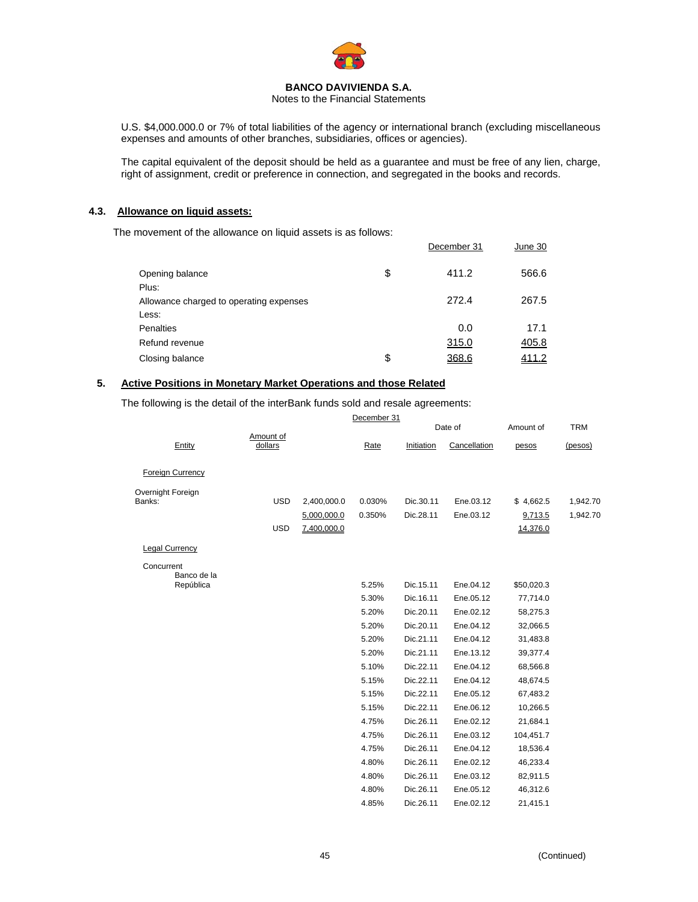

Notes to the Financial Statements

U.S. \$4,000.000.0 or 7% of total liabilities of the agency or international branch (excluding miscellaneous expenses and amounts of other branches, subsidiaries, offices or agencies).

The capital equivalent of the deposit should be held as a guarantee and must be free of any lien, charge, right of assignment, credit or preference in connection, and segregated in the books and records.

### **4.3. Allowance on liquid assets:**

The movement of the allowance on liquid assets is as follows:

|                                         | December 31 | June 30 |
|-----------------------------------------|-------------|---------|
| Opening balance                         | \$<br>411.2 | 566.6   |
| Plus:                                   |             |         |
| Allowance charged to operating expenses | 272.4       | 267.5   |
| Less:                                   |             |         |
| <b>Penalties</b>                        | 0.0         | 17.1    |
| Refund revenue                          | 315.0       | 405.8   |
| Closing balance                         | \$<br>368.6 | 411.2   |

# **5. Active Positions in Monetary Market Operations and those Related**

The following is the detail of the interBank funds sold and resale agreements:

|                           |                      |             | December 31 |            |              |            |            |
|---------------------------|----------------------|-------------|-------------|------------|--------------|------------|------------|
|                           |                      |             |             |            | Date of      | Amount of  | <b>TRM</b> |
| Entity                    | Amount of<br>dollars |             | Rate        | Initiation | Cancellation | pesos      | (pesos)    |
| <b>Foreign Currency</b>   |                      |             |             |            |              |            |            |
| Overnight Foreign         |                      |             |             |            |              |            |            |
| Banks:                    | <b>USD</b>           | 2,400,000.0 | 0.030%      | Dic.30.11  | Ene.03.12    | \$4,662.5  | 1,942.70   |
|                           |                      | 5,000,000.0 | 0.350%      | Dic.28.11  | Ene.03.12    | 9,713.5    | 1,942.70   |
|                           | <b>USD</b>           | 7,400,000.0 |             |            |              | 14,376.0   |            |
| <b>Legal Currency</b>     |                      |             |             |            |              |            |            |
| Concurrent<br>Banco de la |                      |             |             |            |              |            |            |
| República                 |                      |             | 5.25%       | Dic.15.11  | Ene.04.12    | \$50,020.3 |            |
|                           |                      |             | 5.30%       | Dic.16.11  | Ene.05.12    | 77,714.0   |            |
|                           |                      |             | 5.20%       | Dic.20.11  | Ene.02.12    | 58,275.3   |            |
|                           |                      |             | 5.20%       | Dic.20.11  | Ene.04.12    | 32,066.5   |            |
|                           |                      |             | 5.20%       | Dic.21.11  | Ene.04.12    | 31,483.8   |            |
|                           |                      |             | 5.20%       | Dic.21.11  | Ene.13.12    | 39,377.4   |            |
|                           |                      |             | 5.10%       | Dic.22.11  | Ene.04.12    | 68,566.8   |            |
|                           |                      |             | 5.15%       | Dic.22.11  | Ene.04.12    | 48,674.5   |            |
|                           |                      |             | 5.15%       | Dic.22.11  | Ene.05.12    | 67,483.2   |            |
|                           |                      |             | 5.15%       | Dic.22.11  | Ene.06.12    | 10,266.5   |            |
|                           |                      |             | 4.75%       | Dic.26.11  | Ene.02.12    | 21,684.1   |            |
|                           |                      |             | 4.75%       | Dic.26.11  | Ene.03.12    | 104,451.7  |            |
|                           |                      |             | 4.75%       | Dic.26.11  | Ene.04.12    | 18,536.4   |            |
|                           |                      |             | 4.80%       | Dic.26.11  | Ene.02.12    | 46,233.4   |            |
|                           |                      |             | 4.80%       | Dic.26.11  | Ene.03.12    | 82,911.5   |            |
|                           |                      |             | 4.80%       | Dic.26.11  | Ene.05.12    | 46,312.6   |            |
|                           |                      |             | 4.85%       | Dic.26.11  | Ene.02.12    | 21,415.1   |            |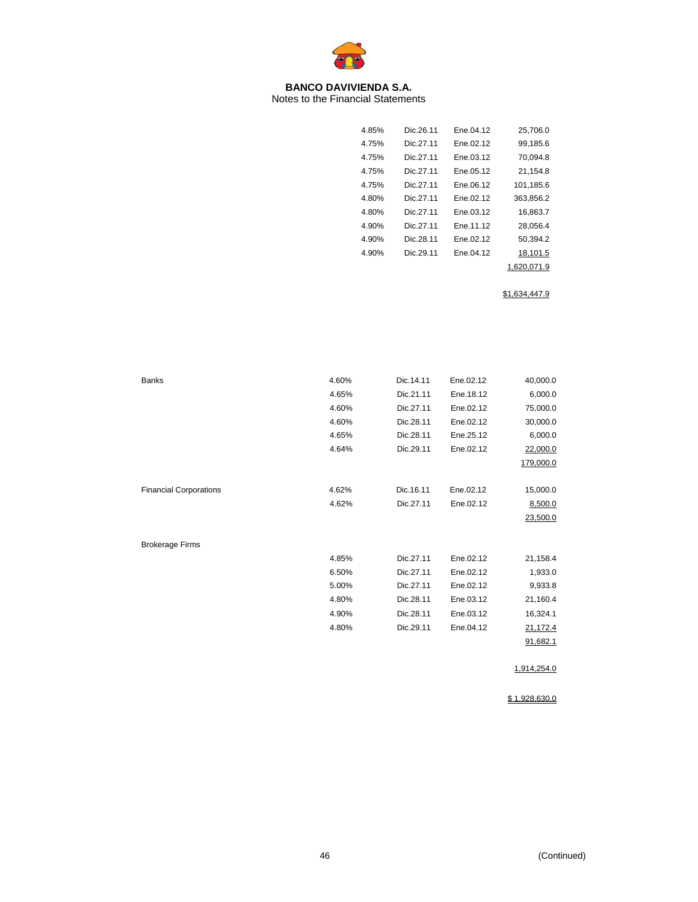

Notes to the Financial Statements

| 4.85% | Dic 26 11 | Fne 04 12 | 25,706.0    |
|-------|-----------|-----------|-------------|
| 4.75% | Dic 27 11 | Ene.02.12 | 99.185.6    |
| 4.75% | Dic 27 11 | Ene.03.12 | 70,094.8    |
| 4.75% | Dic.27.11 | Ene.05.12 | 21,154.8    |
| 4.75% | Dic 27 11 | Fne 06 12 | 101,185.6   |
| 4.80% | Dic 27 11 | Fne 02 12 | 363.856.2   |
| 4.80% | Dic 27 11 | Ene.03.12 | 16,863.7    |
| 4.90% | Dic 27 11 | Fne 11 12 | 28.056.4    |
| 4.90% | Dic 28 11 | Fne 02 12 | 50.394.2    |
| 4.90% | Dic 29 11 | Ene.04.12 | 18,101.5    |
|       |           |           | 1.620.071.9 |

\$1,634,447.9

| <b>Banks</b>                  | 4.60% | Dic.14.11 | Ene.02.12 | 40,000.0    |
|-------------------------------|-------|-----------|-----------|-------------|
|                               | 4.65% | Dic.21.11 | Ene.18.12 | 6,000.0     |
|                               | 4.60% | Dic.27.11 | Ene.02.12 | 75,000.0    |
|                               | 4.60% | Dic.28.11 | Ene.02.12 | 30,000.0    |
|                               | 4.65% | Dic.28.11 | Ene.25.12 | 6,000.0     |
|                               | 4.64% | Dic.29.11 | Ene.02.12 | 22,000.0    |
|                               |       |           |           | 179,000.0   |
|                               |       |           |           |             |
| <b>Financial Corporations</b> | 4.62% | Dic.16.11 | Ene.02.12 | 15,000.0    |
|                               | 4.62% | Dic.27.11 | Ene.02.12 | 8,500.0     |
|                               |       |           |           | 23,500.0    |
|                               |       |           |           |             |
| <b>Brokerage Firms</b>        |       |           |           |             |
|                               | 4.85% | Dic.27.11 | Ene.02.12 | 21,158.4    |
|                               | 6.50% | Dic.27.11 | Ene.02.12 | 1,933.0     |
|                               | 5.00% | Dic.27.11 | Ene.02.12 | 9,933.8     |
|                               | 4.80% | Dic.28.11 | Ene.03.12 | 21,160.4    |
|                               | 4.90% | Dic.28.11 | Ene.03.12 | 16,324.1    |
|                               | 4.80% | Dic.29.11 | Ene.04.12 | 21,172.4    |
|                               |       |           |           | 91,682.1    |
|                               |       |           |           |             |
|                               |       |           |           | 1,914,254.0 |

\$ 1,928,630.0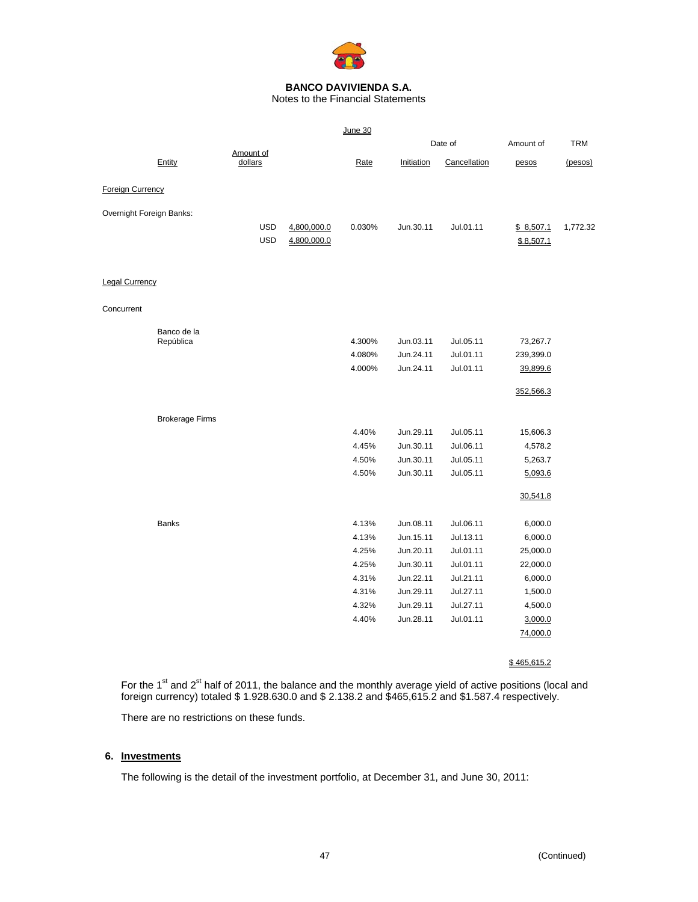

Notes to the Financial Statements

|                          |                          |                      |             | June 30 |            |              |           |            |
|--------------------------|--------------------------|----------------------|-------------|---------|------------|--------------|-----------|------------|
|                          |                          |                      |             |         |            | Date of      | Amount of | <b>TRM</b> |
|                          | Entity                   | Amount of<br>dollars |             | Rate    | Initiation | Cancellation | pesos     | (pesos)    |
| <b>Foreign Currency</b>  |                          |                      |             |         |            |              |           |            |
| Overnight Foreign Banks: |                          |                      |             |         |            |              |           |            |
|                          |                          | <b>USD</b>           | 4,800,000.0 | 0.030%  | Jun.30.11  | Jul.01.11    | \$8,507.1 | 1,772.32   |
|                          |                          | <b>USD</b>           | 4,800,000.0 |         |            |              | \$8,507.1 |            |
|                          |                          |                      |             |         |            |              |           |            |
| <b>Legal Currency</b>    |                          |                      |             |         |            |              |           |            |
| Concurrent               |                          |                      |             |         |            |              |           |            |
|                          | Banco de la<br>República |                      |             | 4.300%  | Jun.03.11  | Jul.05.11    | 73,267.7  |            |
|                          |                          |                      |             | 4.080%  | Jun.24.11  | Jul.01.11    | 239,399.0 |            |
|                          |                          |                      |             | 4.000%  | Jun.24.11  | Jul.01.11    | 39,899.6  |            |
|                          |                          |                      |             |         |            |              | 352,566.3 |            |
|                          | <b>Brokerage Firms</b>   |                      |             |         |            |              |           |            |
|                          |                          |                      |             | 4.40%   | Jun.29.11  | Jul.05.11    | 15,606.3  |            |
|                          |                          |                      |             | 4.45%   | Jun.30.11  | Jul.06.11    | 4,578.2   |            |
|                          |                          |                      |             | 4.50%   | Jun.30.11  | Jul.05.11    | 5,263.7   |            |
|                          |                          |                      |             | 4.50%   | Jun.30.11  | Jul.05.11    | 5,093.6   |            |
|                          |                          |                      |             |         |            |              | 30,541.8  |            |
|                          | <b>Banks</b>             |                      |             | 4.13%   | Jun.08.11  | Jul.06.11    | 6,000.0   |            |
|                          |                          |                      |             | 4.13%   | Jun.15.11  | Jul.13.11    | 6,000.0   |            |
|                          |                          |                      |             | 4.25%   | Jun.20.11  | Jul.01.11    | 25,000.0  |            |
|                          |                          |                      |             | 4.25%   | Jun.30.11  | Jul.01.11    | 22,000.0  |            |
|                          |                          |                      |             | 4.31%   | Jun.22.11  | Jul.21.11    | 6,000.0   |            |
|                          |                          |                      |             | 4.31%   | Jun.29.11  | Jul.27.11    | 1,500.0   |            |
|                          |                          |                      |             | 4.32%   | Jun.29.11  | Jul.27.11    | 4,500.0   |            |
|                          |                          |                      |             | 4.40%   | Jun.28.11  | Jul.01.11    | 3,000.0   |            |
|                          |                          |                      |             |         |            |              | 74,000.0  |            |

### \$ 465,615.2

For the 1<sup>st</sup> and 2<sup>st</sup> half of 2011, the balance and the monthly average yield of active positions (local and foreign currency) totaled \$ 1.928.630.0 and \$ 2.138.2 and \$465,615.2 and \$1.587.4 respectively.

There are no restrictions on these funds.

# **6. Investments**

The following is the detail of the investment portfolio, at December 31, and June 30, 2011: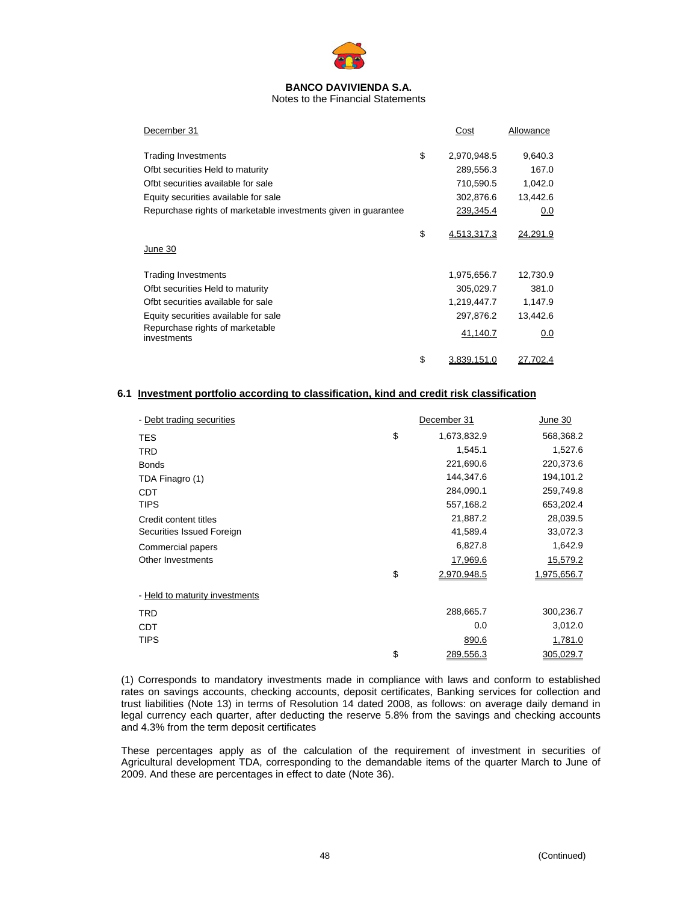

Notes to the Financial Statements

| December 31                                                    | Cost                     | Allowance |
|----------------------------------------------------------------|--------------------------|-----------|
| <b>Trading Investments</b>                                     | \$<br>2,970,948.5        | 9,640.3   |
| Ofbt securities Held to maturity                               | 289,556.3                | 167.0     |
| Ofbt securities available for sale                             | 710,590.5                | 1,042.0   |
| Equity securities available for sale                           | 302,876.6                | 13,442.6  |
| Repurchase rights of marketable investments given in guarantee | 239,345.4                | 0.0       |
|                                                                | \$<br>4,513,317.3        | 24,291.9  |
| June 30                                                        |                          |           |
| <b>Trading Investments</b>                                     | 1,975,656.7              | 12,730.9  |
| Ofbt securities Held to maturity                               | 305,029.7                | 381.0     |
| Ofbt securities available for sale                             | 1,219,447.7              | 1,147.9   |
| Equity securities available for sale                           | 297,876.2                | 13,442.6  |
| Repurchase rights of marketable<br>investments                 | 41,140.7                 | 0.0       |
|                                                                | \$<br><u>3.839.151.0</u> | 27.702.4  |

## **6.1 Investment portfolio according to classification, kind and credit risk classification**

| - Debt trading securities      | December 31       | June 30     |
|--------------------------------|-------------------|-------------|
| <b>TES</b>                     | \$<br>1,673,832.9 | 568,368.2   |
| <b>TRD</b>                     | 1,545.1           | 1,527.6     |
| <b>Bonds</b>                   | 221,690.6         | 220,373.6   |
| TDA Finagro (1)                | 144,347.6         | 194,101.2   |
| <b>CDT</b>                     | 284,090.1         | 259,749.8   |
| <b>TIPS</b>                    | 557,168.2         | 653,202.4   |
| Credit content titles          | 21,887.2          | 28,039.5    |
| Securities Issued Foreign      | 41,589.4          | 33,072.3    |
| Commercial papers              | 6,827.8           | 1,642.9     |
| Other Investments              | 17,969.6          | 15,579.2    |
|                                | \$<br>2.970.948.5 | 1.975.656.7 |
| - Held to maturity investments |                   |             |
| <b>TRD</b>                     | 288,665.7         | 300,236.7   |
| <b>CDT</b>                     | 0.0               | 3,012.0     |
| <b>TIPS</b>                    | 890.6             | 1,781.0     |
|                                | \$<br>289,556.3   | 305,029.7   |

(1) Corresponds to mandatory investments made in compliance with laws and conform to established rates on savings accounts, checking accounts, deposit certificates, Banking services for collection and trust liabilities (Note 13) in terms of Resolution 14 dated 2008, as follows: on average daily demand in legal currency each quarter, after deducting the reserve 5.8% from the savings and checking accounts and 4.3% from the term deposit certificates

These percentages apply as of the calculation of the requirement of investment in securities of Agricultural development TDA, corresponding to the demandable items of the quarter March to June of 2009. And these are percentages in effect to date (Note 36).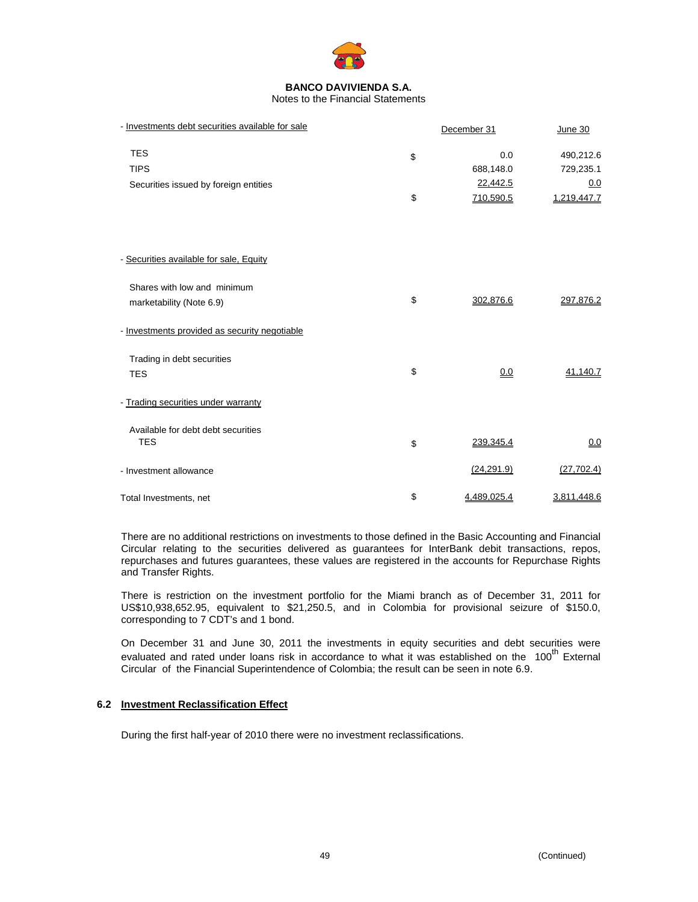

Notes to the Financial Statements

| - Investments debt securities available for sale | December 31            |                        |  |
|--------------------------------------------------|------------------------|------------------------|--|
| <b>TES</b><br><b>TIPS</b>                        | \$<br>0.0<br>688,148.0 | 490,212.6<br>729,235.1 |  |
| Securities issued by foreign entities            | 22,442.5               | 0.0                    |  |
|                                                  | \$<br>710,590.5        | 1,219,447.7            |  |
|                                                  |                        |                        |  |
| - Securities available for sale, Equity          |                        |                        |  |
| Shares with low and minimum                      |                        |                        |  |
| marketability (Note 6.9)                         | \$<br>302,876.6        | 297,876.2              |  |
| - Investments provided as security negotiable    |                        |                        |  |
| Trading in debt securities                       |                        |                        |  |
| <b>TES</b>                                       | \$<br>0.0              | 41,140.7               |  |
| - Trading securities under warranty              |                        |                        |  |
| Available for debt debt securities               |                        |                        |  |
| <b>TES</b>                                       | \$<br>239,345.4        | 0.0                    |  |
| - Investment allowance                           | (24, 291.9)            | (27, 702.4)            |  |
| Total Investments, net                           | \$<br>4,489,025.4      | 3,811,448.6            |  |

There are no additional restrictions on investments to those defined in the Basic Accounting and Financial Circular relating to the securities delivered as guarantees for InterBank debit transactions, repos, repurchases and futures guarantees, these values are registered in the accounts for Repurchase Rights and Transfer Rights.

There is restriction on the investment portfolio for the Miami branch as of December 31, 2011 for US\$10,938,652.95, equivalent to \$21,250.5, and in Colombia for provisional seizure of \$150.0, corresponding to 7 CDT's and 1 bond.

On December 31 and June 30, 2011 the investments in equity securities and debt securities were evaluated and rated under loans risk in accordance to what it was established on the 100<sup>th</sup> External Circular of the Financial Superintendence of Colombia; the result can be seen in note 6.9.

# **6.2 Investment Reclassification Effect**

During the first half-year of 2010 there were no investment reclassifications.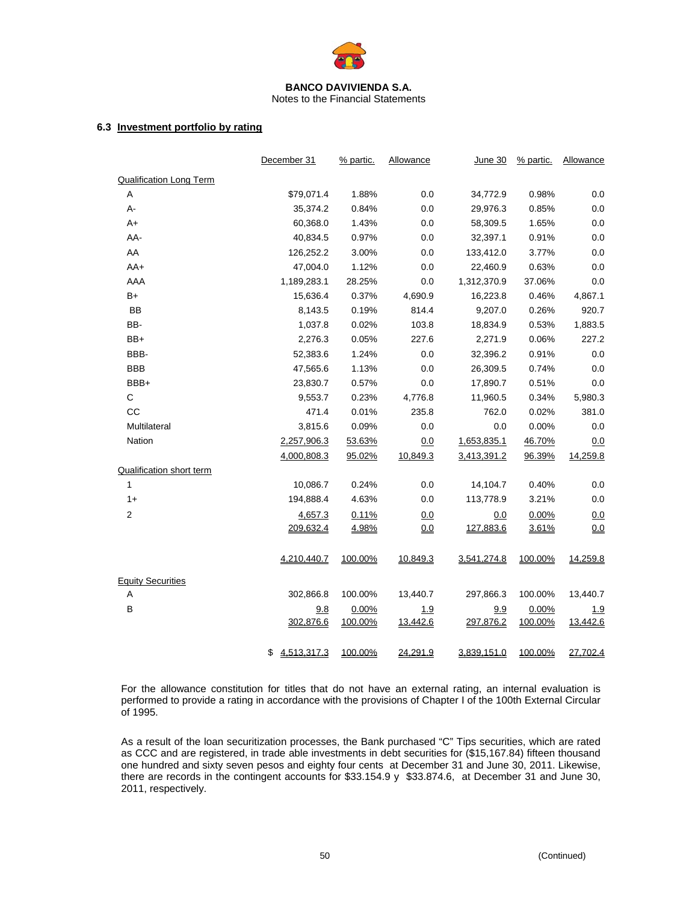

Notes to the Financial Statements

# **6.3 Investment portfolio by rating**

|                                 | December 31       | % partic.        | Allowance       | June 30          | % partic.        | Allowance              |
|---------------------------------|-------------------|------------------|-----------------|------------------|------------------|------------------------|
| <b>Qualification Long Term</b>  |                   |                  |                 |                  |                  |                        |
| Α                               | \$79,071.4        | 1.88%            | 0.0             | 34,772.9         | 0.98%            | 0.0                    |
| А-                              | 35,374.2          | 0.84%            | 0.0             | 29,976.3         | 0.85%            | 0.0                    |
| $A+$                            | 60,368.0          | 1.43%            | 0.0             | 58,309.5         | 1.65%            | 0.0                    |
| AA-                             | 40,834.5          | 0.97%            | 0.0             | 32,397.1         | 0.91%            | 0.0                    |
| AA                              | 126,252.2         | 3.00%            | 0.0             | 133,412.0        | 3.77%            | 0.0                    |
| $AA+$                           | 47,004.0          | 1.12%            | 0.0             | 22,460.9         | 0.63%            | 0.0                    |
| AAA                             | 1,189,283.1       | 28.25%           | 0.0             | 1,312,370.9      | 37.06%           | 0.0                    |
| $B+$                            | 15,636.4          | 0.37%            | 4,690.9         | 16,223.8         | 0.46%            | 4,867.1                |
| <b>BB</b>                       | 8,143.5           | 0.19%            | 814.4           | 9,207.0          | 0.26%            | 920.7                  |
| BB-                             | 1,037.8           | 0.02%            | 103.8           | 18,834.9         | 0.53%            | 1,883.5                |
| BB+                             | 2,276.3           | 0.05%            | 227.6           | 2,271.9          | 0.06%            | 227.2                  |
| BBB-                            | 52,383.6          | 1.24%            | 0.0             | 32,396.2         | 0.91%            | 0.0                    |
| <b>BBB</b>                      | 47,565.6          | 1.13%            | 0.0             | 26,309.5         | 0.74%            | 0.0                    |
| BBB+                            | 23,830.7          | 0.57%            | 0.0             | 17,890.7         | 0.51%            | 0.0                    |
| C                               | 9,553.7           | 0.23%            | 4,776.8         | 11,960.5         | 0.34%            | 5,980.3                |
| CC                              | 471.4             | 0.01%            | 235.8           | 762.0            | 0.02%            | 381.0                  |
| Multilateral                    | 3,815.6           | 0.09%            | 0.0             | 0.0              | 0.00%            | 0.0                    |
| Nation                          | 2,257,906.3       | 53.63%           | 0.0             | 1,653,835.1      | 46.70%           | 0.0                    |
|                                 | 4,000,808.3       | 95.02%           | 10,849.3        | 3,413,391.2      | 96.39%           | 14,259.8               |
| <b>Qualification short term</b> |                   |                  |                 |                  |                  |                        |
| $\mathbf{1}$                    | 10,086.7          | 0.24%            | 0.0             | 14,104.7         | 0.40%            | 0.0                    |
| $1+$                            | 194,888.4         | 4.63%            | 0.0             | 113,778.9        | 3.21%            | 0.0                    |
| 2                               | 4,657.3           | 0.11%            | 0.0             | 0.0              | 0.00%            | 0.0                    |
|                                 | 209,632.4         | 4.98%            | 0.0             | 127,883.6        | 3.61%            | 0.0                    |
|                                 | 4,210,440.7       | 100.00%          | 10,849.3        | 3,541,274.8      | 100.00%          | 14,259.8               |
| <b>Equity Securities</b>        |                   |                  |                 |                  |                  |                        |
| A                               | 302,866.8         | 100.00%          | 13,440.7        | 297,866.3        | 100.00%          | 13,440.7               |
| В                               | 9.8<br>302,876.6  | 0.00%<br>100.00% | 1.9<br>13,442.6 | 9.9<br>297,876.2 | 0.00%<br>100.00% | <u>1.9</u><br>13,442.6 |
|                                 | 4,513,317.3<br>\$ | 100.00%          | 24,291.9        | 3,839,151.0      | 100.00%          | 27,702.4               |
|                                 |                   |                  |                 |                  |                  |                        |

For the allowance constitution for titles that do not have an external rating, an internal evaluation is performed to provide a rating in accordance with the provisions of Chapter I of the 100th External Circular of 1995.

As a result of the loan securitization processes, the Bank purchased "C" Tips securities, which are rated as CCC and are registered, in trade able investments in debt securities for (\$15,167.84) fifteen thousand one hundred and sixty seven pesos and eighty four cents at December 31 and June 30, 2011. Likewise, there are records in the contingent accounts for \$33.154.9 y \$33.874.6, at December 31 and June 30, 2011, respectively.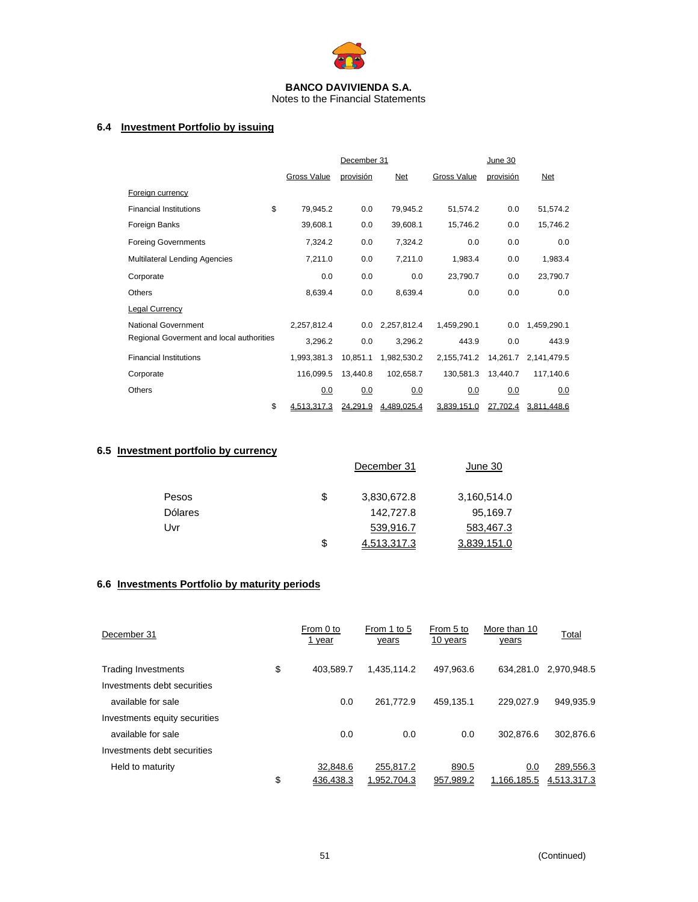

Notes to the Financial Statements

# **6.4 Investment Portfolio by issuing**

|                                          | December 31        |           |             | June 30            |           |             |
|------------------------------------------|--------------------|-----------|-------------|--------------------|-----------|-------------|
|                                          | <b>Gross Value</b> | provisión | Net         | <b>Gross Value</b> | provisión | Net         |
| <b>Foreign currency</b>                  |                    |           |             |                    |           |             |
| <b>Financial Institutions</b>            | \$<br>79,945.2     | 0.0       | 79,945.2    | 51,574.2           | 0.0       | 51,574.2    |
| Foreign Banks                            | 39,608.1           | 0.0       | 39,608.1    | 15,746.2           | 0.0       | 15,746.2    |
| <b>Foreing Governments</b>               | 7,324.2            | 0.0       | 7,324.2     | 0.0                | 0.0       | 0.0         |
| <b>Multilateral Lending Agencies</b>     | 7,211.0            | 0.0       | 7,211.0     | 1,983.4            | 0.0       | 1,983.4     |
| Corporate                                | 0.0                | 0.0       | 0.0         | 23,790.7           | 0.0       | 23,790.7    |
| <b>Others</b>                            | 8,639.4            | 0.0       | 8,639.4     | 0.0                | 0.0       | 0.0         |
| <b>Legal Currency</b>                    |                    |           |             |                    |           |             |
| <b>National Government</b>               | 2,257,812.4        | 0.0       | 2,257,812.4 | 1,459,290.1        | 0.0       | 1,459,290.1 |
| Regional Goverment and local authorities | 3,296.2            | 0.0       | 3,296.2     | 443.9              | 0.0       | 443.9       |
| <b>Financial Institutions</b>            | 1,993,381.3        | 10,851.1  | 1,982,530.2 | 2,155,741.2        | 14,261.7  | 2,141,479.5 |
| Corporate                                | 116,099.5          | 13,440.8  | 102,658.7   | 130,581.3          | 13,440.7  | 117,140.6   |
| <b>Others</b>                            | 0.0                | 0.0       | 0.0         | 0.0                | 0.0       | 0.0         |
|                                          | \$<br>4.513.317.3  | 24,291.9  | 4,489,025.4 | 3,839,151.0        | 27,702.4  | 3,811,448.6 |

# **6.5 Investment portfolio by currency**

|                | December 31       | June 30     |
|----------------|-------------------|-------------|
| Pesos          | \$<br>3,830,672.8 | 3,160,514.0 |
| <b>Dólares</b> | 142,727.8         | 95,169.7    |
| Uvr            | 539,916.7         | 583,467.3   |
|                | \$<br>4,513,317.3 | 3,839,151.0 |

# **6.6 Investments Portfolio by maturity periods**

| December 31                   | From 0 to<br>1 year | From 1 to 5<br>years | From 5 to<br>10 years | More than 10<br>years | Total       |
|-------------------------------|---------------------|----------------------|-----------------------|-----------------------|-------------|
| <b>Trading Investments</b>    | \$<br>403.589.7     | 1.435.114.2          | 497.963.6             | 634.281.0             | 2.970.948.5 |
| Investments debt securities   |                     |                      |                       |                       |             |
| available for sale            | 0.0                 | 261.772.9            | 459.135.1             | 229,027.9             | 949.935.9   |
| Investments equity securities |                     |                      |                       |                       |             |
| available for sale            | 0.0                 | 0.0                  | 0.0                   | 302.876.6             | 302.876.6   |
| Investments debt securities   |                     |                      |                       |                       |             |
| Held to maturity              | 32.848.6            | 255,817.2            | 890.5                 | 0.0                   | 289,556.3   |
|                               | \$<br>436.438.3     | 1,952,704.3          | 957,989.2             | 1,166,185.5           | 4,513,317.3 |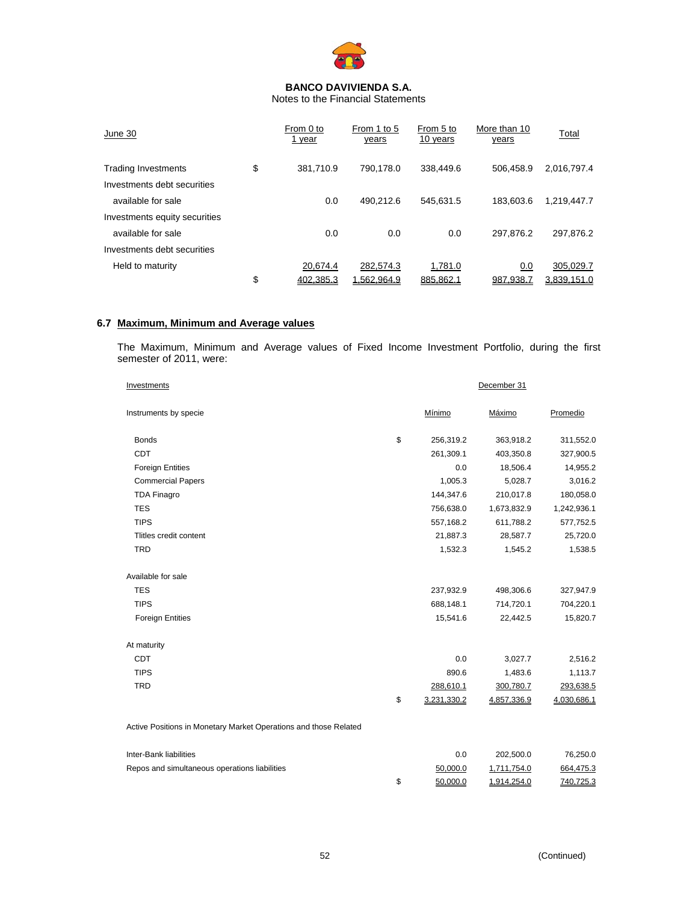

Notes to the Financial Statements

| June 30                       | From 0 to<br>1 year | From 1 to 5<br>years | From 5 to<br>10 years | More than 10<br>years | Total       |
|-------------------------------|---------------------|----------------------|-----------------------|-----------------------|-------------|
| <b>Trading Investments</b>    | \$<br>381.710.9     | 790.178.0            | 338,449.6             | 506.458.9             | 2,016,797.4 |
| Investments debt securities   |                     |                      |                       |                       |             |
| available for sale            | 0.0                 | 490.212.6            | 545.631.5             | 183.603.6             | 1.219.447.7 |
| Investments equity securities |                     |                      |                       |                       |             |
| available for sale            | 0.0                 | 0.0                  | 0.0                   | 297.876.2             | 297.876.2   |
| Investments debt securities   |                     |                      |                       |                       |             |
| Held to maturity              | 20.674.4            | 282,574.3            | 1,781.0               | 0.0                   | 305,029.7   |
|                               | \$<br>402.385.3     | 1,562,964.9          | 885.862.1             | 987.938.7             | 3.839.151.0 |

# **6.7 Maximum, Minimum and Average values**

The Maximum, Minimum and Average values of Fixed Income Investment Portfolio, during the first semester of 2011, were:

| Investments                                                      | December 31 |             |             |             |
|------------------------------------------------------------------|-------------|-------------|-------------|-------------|
| Instruments by specie                                            |             | Mínimo      | Máximo      | Promedio    |
| <b>Bonds</b>                                                     | \$          | 256,319.2   | 363,918.2   | 311,552.0   |
| CDT                                                              |             | 261,309.1   | 403,350.8   | 327,900.5   |
| <b>Foreign Entities</b>                                          |             | 0.0         | 18,506.4    | 14,955.2    |
| <b>Commercial Papers</b>                                         |             | 1,005.3     | 5,028.7     | 3,016.2     |
| <b>TDA Finagro</b>                                               |             | 144,347.6   | 210,017.8   | 180,058.0   |
| <b>TES</b>                                                       |             | 756,638.0   | 1,673,832.9 | 1,242,936.1 |
| <b>TIPS</b>                                                      |             | 557,168.2   | 611,788.2   | 577,752.5   |
| Tlitles credit content                                           |             | 21,887.3    | 28,587.7    | 25,720.0    |
| <b>TRD</b>                                                       |             | 1,532.3     | 1,545.2     | 1,538.5     |
| Available for sale                                               |             |             |             |             |
| <b>TES</b>                                                       |             | 237,932.9   | 498,306.6   | 327,947.9   |
| <b>TIPS</b>                                                      |             | 688,148.1   | 714,720.1   | 704,220.1   |
| <b>Foreign Entities</b>                                          |             | 15,541.6    | 22,442.5    | 15,820.7    |
| At maturity                                                      |             |             |             |             |
| <b>CDT</b>                                                       |             | 0.0         | 3,027.7     | 2,516.2     |
| <b>TIPS</b>                                                      |             | 890.6       | 1,483.6     | 1,113.7     |
| <b>TRD</b>                                                       |             | 288,610.1   | 300,780.7   | 293,638.5   |
|                                                                  | \$          | 3,231,330.2 | 4,857,336.9 | 4,030,686.1 |
| Active Positions in Monetary Market Operations and those Related |             |             |             |             |
| Inter-Bank liabilities                                           |             | 0.0         | 202,500.0   | 76,250.0    |
| Repos and simultaneous operations liabilities                    |             | 50,000.0    | 1,711,754.0 | 664,475.3   |

\$ 50,000.0 1,914,254.0 740,725.3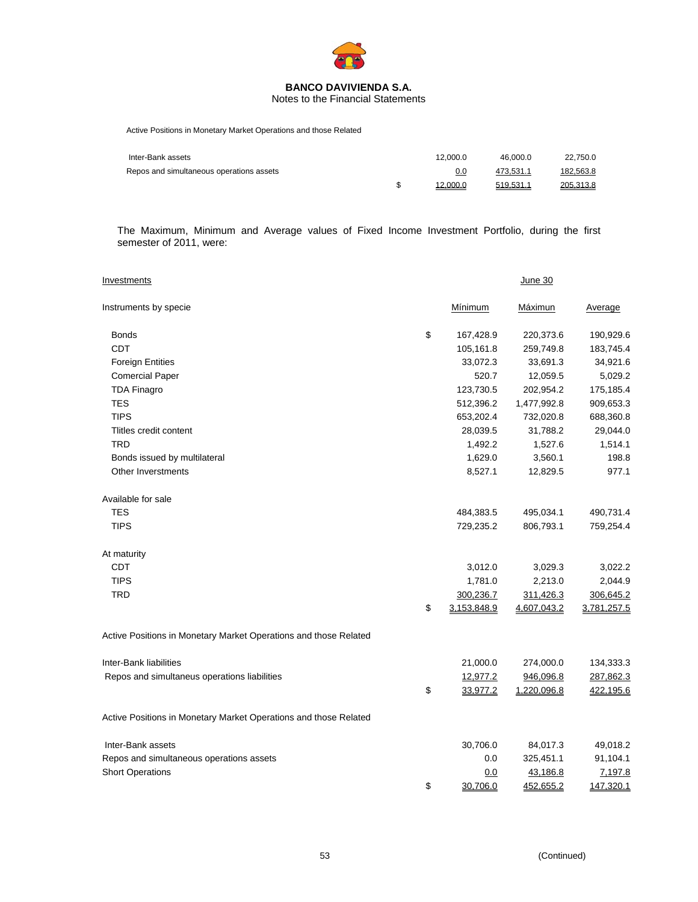

Notes to the Financial Statements

Active Positions in Monetary Market Operations and those Related

| Inter-Bank assets                        | 12.000.0 | 46.000.0  | 22.750.0  |
|------------------------------------------|----------|-----------|-----------|
| Repos and simultaneous operations assets | 0.0      | 473,531.1 | 182,563.8 |
|                                          | 12,000.0 | 519,531.1 | 205.313.8 |

The Maximum, Minimum and Average values of Fixed Income Investment Portfolio, during the first semester of 2011, were:

| <b>Investments</b>                                               |                   | June 30     |             |
|------------------------------------------------------------------|-------------------|-------------|-------------|
| Instruments by specie                                            | Mínimum           | Máximun     | Average     |
| <b>Bonds</b>                                                     | \$<br>167,428.9   | 220,373.6   | 190,929.6   |
| <b>CDT</b>                                                       | 105,161.8         | 259,749.8   | 183,745.4   |
| <b>Foreign Entities</b>                                          | 33,072.3          | 33,691.3    | 34,921.6    |
| <b>Comercial Paper</b>                                           | 520.7             | 12,059.5    | 5,029.2     |
| <b>TDA Finagro</b>                                               | 123,730.5         | 202,954.2   | 175,185.4   |
| <b>TES</b>                                                       | 512,396.2         | 1,477,992.8 | 909,653.3   |
| <b>TIPS</b>                                                      | 653,202.4         | 732,020.8   | 688,360.8   |
| Tlitles credit content                                           | 28,039.5          | 31,788.2    | 29,044.0    |
| <b>TRD</b>                                                       | 1,492.2           | 1,527.6     | 1,514.1     |
| Bonds issued by multilateral                                     | 1,629.0           | 3,560.1     | 198.8       |
| Other Inverstments                                               | 8,527.1           | 12,829.5    | 977.1       |
| Available for sale                                               |                   |             |             |
| <b>TES</b>                                                       | 484,383.5         | 495,034.1   | 490,731.4   |
| <b>TIPS</b>                                                      | 729,235.2         | 806,793.1   | 759,254.4   |
| At maturity                                                      |                   |             |             |
| <b>CDT</b>                                                       | 3,012.0           | 3,029.3     | 3,022.2     |
| <b>TIPS</b>                                                      | 1,781.0           | 2,213.0     | 2,044.9     |
| <b>TRD</b>                                                       | 300,236.7         | 311,426.3   | 306,645.2   |
|                                                                  | \$<br>3,153,848.9 | 4,607,043.2 | 3,781,257.5 |
| Active Positions in Monetary Market Operations and those Related |                   |             |             |
| Inter-Bank liabilities                                           | 21,000.0          | 274,000.0   | 134,333.3   |
| Repos and simultaneus operations liabilities                     | 12,977.2          | 946,096.8   | 287,862.3   |
|                                                                  | \$<br>33,977.2    | 1,220,096.8 | 422,195.6   |
| Active Positions in Monetary Market Operations and those Related |                   |             |             |
| Inter-Bank assets                                                | 30,706.0          | 84,017.3    | 49,018.2    |
| Repos and simultaneous operations assets                         | 0.0               | 325,451.1   | 91,104.1    |
| <b>Short Operations</b>                                          | 0.0               | 43,186.8    | 7,197.8     |
|                                                                  | \$<br>30.706.0    | 452,655.2   | 147,320.1   |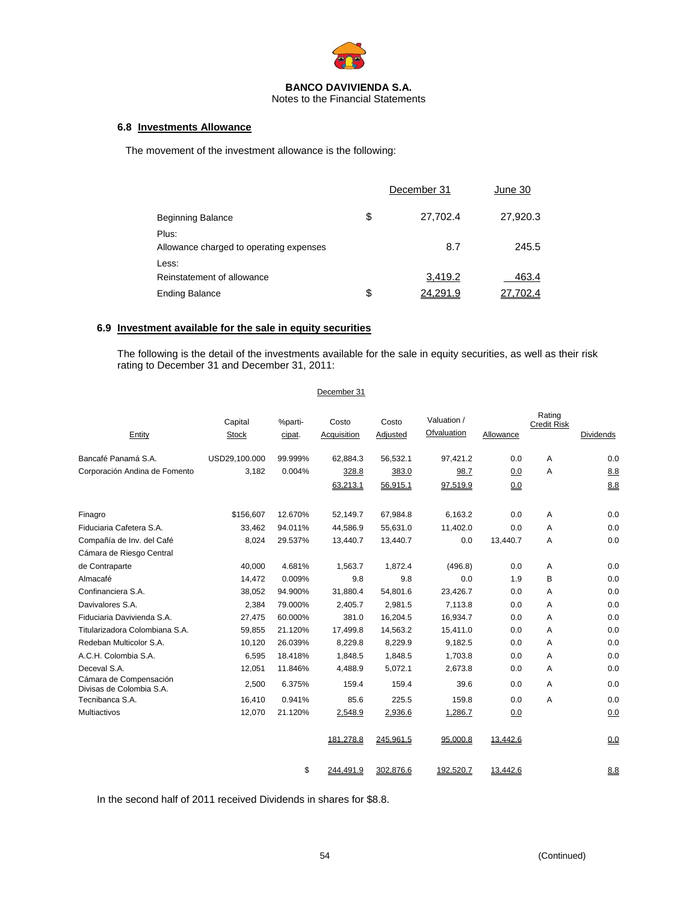

Notes to the Financial Statements

## **6.8 Investments Allowance**

The movement of the investment allowance is the following:

|                                                  | December 31              | June 30  |
|--------------------------------------------------|--------------------------|----------|
| <b>Beginning Balance</b>                         | \$<br>27,702.4           | 27,920.3 |
| Plus:<br>Allowance charged to operating expenses | 8.7                      | 245.5    |
| Less:<br>Reinstatement of allowance              | 3,419.2                  | 463.4    |
| <b>Ending Balance</b>                            | \$<br>24.29 <sup>.</sup> | 702.4    |

## **6.9 Investment available for the sale in equity securities**

The following is the detail of the investments available for the sale in equity securities, as well as their risk rating to December 31 and December 31, 2011:

| December 31 |
|-------------|
|             |

|                                                    | Capital       | %parti- | Costo       | Costo     | Valuation / |           | Rating<br><b>Credit Risk</b> |                  |
|----------------------------------------------------|---------------|---------|-------------|-----------|-------------|-----------|------------------------------|------------------|
| Entity                                             | <b>Stock</b>  | cipat.  | Acquisition | Adjusted  | Ofvaluation | Allowance |                              | <b>Dividends</b> |
| Bancafé Panamá S.A.                                | USD29,100.000 | 99.999% | 62,884.3    | 56,532.1  | 97,421.2    | 0.0       | A                            | 0.0              |
| Corporación Andina de Fomento                      | 3,182         | 0.004%  | 328.8       | 383.0     | 98.7        | 0.0       | A                            | 8.8              |
|                                                    |               |         | 63,213.1    | 56,915.1  | 97,519.9    | 0.0       |                              | 8.8              |
| Finagro                                            | \$156,607     | 12.670% | 52,149.7    | 67,984.8  | 6,163.2     | 0.0       | A                            | 0.0              |
| Fiduciaria Cafetera S.A.                           | 33,462        | 94.011% | 44,586.9    | 55,631.0  | 11,402.0    | 0.0       | A                            | 0.0              |
| Compañía de Inv. del Café                          | 8,024         | 29.537% | 13,440.7    | 13,440.7  | 0.0         | 13,440.7  | A                            | 0.0              |
| Cámara de Riesgo Central                           |               |         |             |           |             |           |                              |                  |
| de Contraparte                                     | 40.000        | 4.681%  | 1,563.7     | 1,872.4   | (496.8)     | 0.0       | A                            | 0.0              |
| Almacafé                                           | 14,472        | 0.009%  | 9.8         | 9.8       | 0.0         | 1.9       | B                            | 0.0              |
| Confinanciera S.A.                                 | 38.052        | 94.900% | 31.880.4    | 54.801.6  | 23.426.7    | 0.0       | A                            | 0.0              |
| Davivalores S.A.                                   | 2.384         | 79.000% | 2,405.7     | 2.981.5   | 7.113.8     | 0.0       | A                            | 0.0              |
| Fiduciaria Davivienda S.A.                         | 27,475        | 60.000% | 381.0       | 16,204.5  | 16,934.7    | 0.0       | A                            | 0.0              |
| Titularizadora Colombiana S.A.                     | 59,855        | 21.120% | 17,499.8    | 14,563.2  | 15,411.0    | 0.0       | A                            | 0.0              |
| Redeban Multicolor S.A.                            | 10,120        | 26.039% | 8,229.8     | 8,229.9   | 9,182.5     | 0.0       | A                            | 0.0              |
| A.C.H. Colombia S.A.                               | 6.595         | 18.418% | 1,848.5     | 1,848.5   | 1,703.8     | 0.0       | A                            | 0.0              |
| Deceval S.A.                                       | 12,051        | 11.846% | 4,488.9     | 5,072.1   | 2,673.8     | 0.0       | A                            | 0.0              |
| Cámara de Compensación<br>Divisas de Colombia S.A. | 2,500         | 6.375%  | 159.4       | 159.4     | 39.6        | 0.0       | A                            | 0.0              |
| Tecnibanca S.A.                                    | 16.410        | 0.941%  | 85.6        | 225.5     | 159.8       | 0.0       | A                            | 0.0              |
| Multiactivos                                       | 12,070        | 21.120% | 2,548.9     | 2,936.6   | 1,286.7     | 0.0       |                              | 0.0              |
|                                                    |               |         | 181,278.8   | 245,961.5 | 95,000.8    | 13,442.6  |                              | 0.0              |
|                                                    |               | \$      | 244.491.9   | 302.876.6 | 192.520.7   | 13,442.6  |                              | 8.8              |

In the second half of 2011 received Dividends in shares for \$8.8.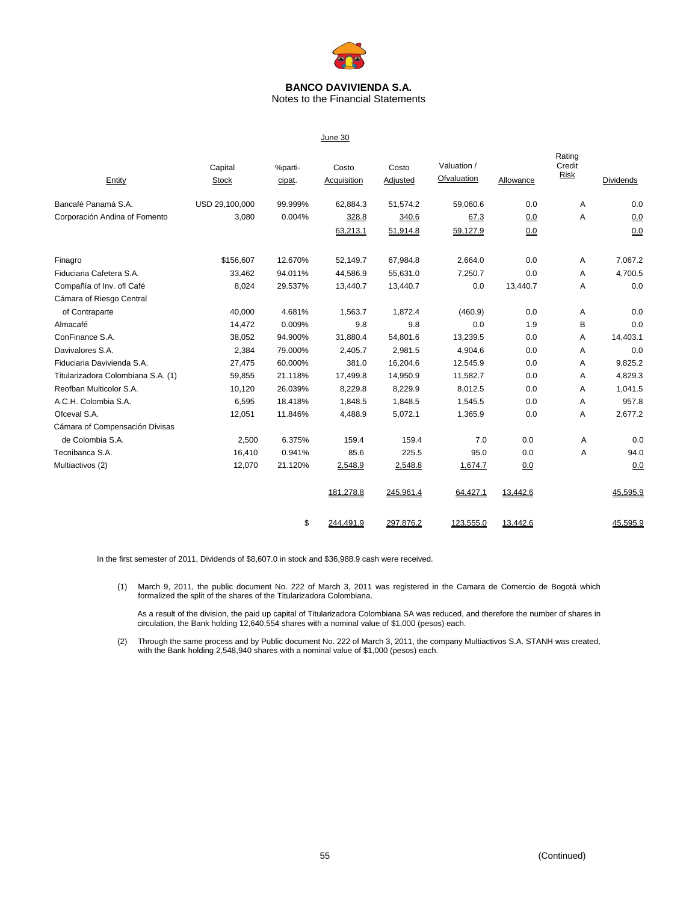

Notes to the Financial Statements

| Entity                             | Capital<br><b>Stock</b> | %parti-<br>cipat. | Costo<br><b>Acquisition</b> | Costo<br>Adjusted | Valuation /<br>Ofvaluation | Allowance | Rating<br>Credit<br>Risk | Dividends |
|------------------------------------|-------------------------|-------------------|-----------------------------|-------------------|----------------------------|-----------|--------------------------|-----------|
| Bancafé Panamá S.A.                | USD 29,100,000          | 99.999%           | 62,884.3                    | 51,574.2          | 59,060.6                   | 0.0       | A                        | 0.0       |
| Corporación Andina of Fomento      | 3,080                   | 0.004%            | 328.8                       | 340.6             | 67.3                       | 0.0       | A                        | 0.0       |
|                                    |                         |                   | 63,213.1                    | 51,914.8          | 59,127.9                   | 0.0       |                          | 0.0       |
| Finagro                            | \$156,607               | 12.670%           | 52,149.7                    | 67,984.8          | 2,664.0                    | 0.0       | A                        | 7,067.2   |
| Fiduciaria Cafetera S.A.           | 33,462                  | 94.011%           | 44,586.9                    | 55,631.0          | 7,250.7                    | 0.0       | A                        | 4,700.5   |
| Compañía of Inv. ofl Café          | 8,024                   | 29.537%           | 13,440.7                    | 13,440.7          | 0.0                        | 13,440.7  | Α                        | 0.0       |
| Cámara of Riesgo Central           |                         |                   |                             |                   |                            |           |                          |           |
| of Contraparte                     | 40,000                  | 4.681%            | 1,563.7                     | 1.872.4           | (460.9)                    | 0.0       | A                        | 0.0       |
| Almacafé                           | 14,472                  | 0.009%            | 9.8                         | 9.8               | 0.0                        | 1.9       | B                        | 0.0       |
| ConFinance S.A.                    | 38,052                  | 94.900%           | 31,880.4                    | 54,801.6          | 13,239.5                   | 0.0       | A                        | 14,403.1  |
| Davivalores S.A.                   | 2,384                   | 79.000%           | 2,405.7                     | 2,981.5           | 4,904.6                    | 0.0       | A                        | 0.0       |
| Fiduciaria Davivienda S.A.         | 27,475                  | 60.000%           | 381.0                       | 16,204.6          | 12,545.9                   | 0.0       | Α                        | 9,825.2   |
| Titularizadora Colombiana S.A. (1) | 59,855                  | 21.118%           | 17,499.8                    | 14,950.9          | 11,582.7                   | 0.0       | Α                        | 4,829.3   |
| Reofban Multicolor S.A.            | 10,120                  | 26.039%           | 8,229.8                     | 8,229.9           | 8,012.5                    | 0.0       | Α                        | 1,041.5   |
| A.C.H. Colombia S.A.               | 6,595                   | 18.418%           | 1,848.5                     | 1,848.5           | 1,545.5                    | 0.0       | Α                        | 957.8     |
| Ofceval S.A.                       | 12,051                  | 11.846%           | 4,488.9                     | 5,072.1           | 1,365.9                    | 0.0       | Α                        | 2,677.2   |
| Cámara of Compensación Divisas     |                         |                   |                             |                   |                            |           |                          |           |
| de Colombia S.A.                   | 2,500                   | 6.375%            | 159.4                       | 159.4             | 7.0                        | 0.0       | A                        | 0.0       |
| Tecnibanca S.A.                    | 16,410                  | 0.941%            | 85.6                        | 225.5             | 95.0                       | 0.0       | A                        | 94.0      |
| Multiactivos (2)                   | 12,070                  | 21.120%           | 2,548.9                     | 2,548.8           | 1,674.7                    | 0.0       |                          | 0.0       |
|                                    |                         |                   | 181,278.8                   | 245,961.4         | 64,427.1                   | 13,442.6  |                          | 45,595.9  |
|                                    |                         | \$                | 244,491.9                   | 297,876.2         | 123,555.0                  | 13,442.6  |                          | 45,595.9  |

In the first semester of 2011, Dividends of \$8,607.0 in stock and \$36,988.9 cash were received.

(1) March 9, 2011, the public document No. 222 of March 3, 2011 was registered in the Camara de Comercio de Bogotá which formalized the split of the shares of the Titularizadora Colombiana.

As a result of the division, the paid up capital of Titularizadora Colombiana SA was reduced, and therefore the number of shares in circulation, the Bank holding 12,640,554 shares with a nominal value of \$1,000 (pesos) each.

(2) Through the same process and by Public document No. 222 of March 3, 2011, the company Multiactivos S.A. STANH was created, with the Bank holding 2,548,940 shares with a nominal value of \$1,000 (pesos) each.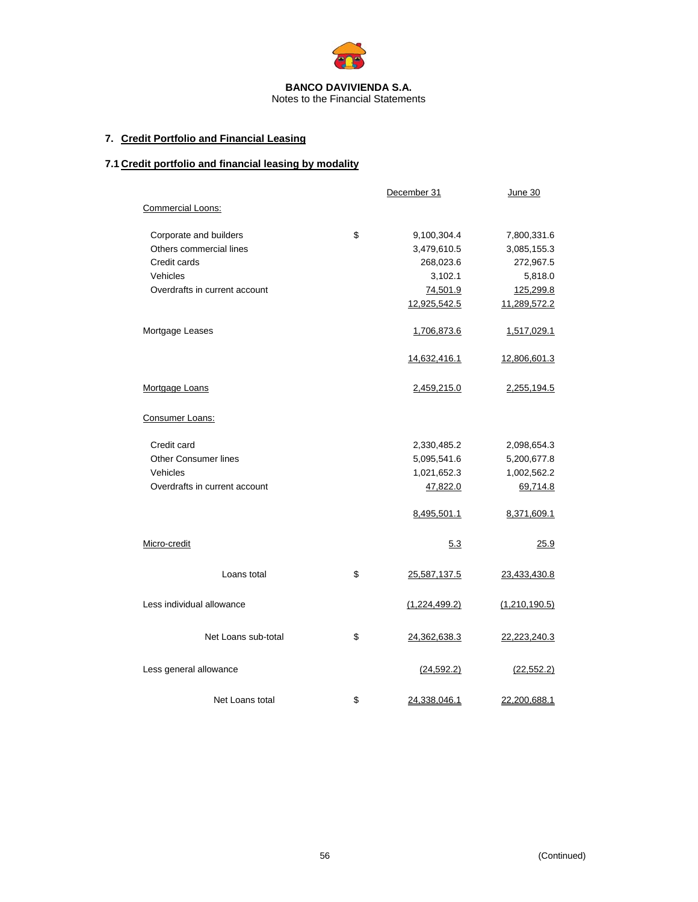

# **7. Credit Portfolio and Financial Leasing**

# **7.1 Credit portfolio and financial leasing by modality**

|                               | December 31        | June 30       |  |
|-------------------------------|--------------------|---------------|--|
| Commercial Loons:             |                    |               |  |
| Corporate and builders        | \$<br>9,100,304.4  | 7,800,331.6   |  |
| Others commercial lines       | 3,479,610.5        | 3,085,155.3   |  |
| Credit cards                  | 268,023.6          | 272,967.5     |  |
| Vehicles                      | 3,102.1            | 5,818.0       |  |
| Overdrafts in current account | 74,501.9           | 125,299.8     |  |
|                               | 12,925,542.5       | 11,289,572.2  |  |
| Mortgage Leases               | 1,706,873.6        | 1,517,029.1   |  |
|                               | 14,632,416.1       | 12,806,601.3  |  |
| Mortgage Loans                | 2,459,215.0        | 2,255,194.5   |  |
| Consumer Loans:               |                    |               |  |
| Credit card                   | 2,330,485.2        | 2,098,654.3   |  |
| Other Consumer lines          | 5,095,541.6        | 5,200,677.8   |  |
| Vehicles                      | 1,021,652.3        | 1,002,562.2   |  |
| Overdrafts in current account | 47,822.0           | 69,714.8      |  |
|                               | 8,495,501.1        | 8,371,609.1   |  |
| Micro-credit                  | 5.3                | 25.9          |  |
| Loans total                   | \$<br>25,587,137.5 | 23,433,430.8  |  |
| Less individual allowance     | (1,224,499.2)      | (1,210,190.5) |  |
| Net Loans sub-total           | \$<br>24,362,638.3 | 22,223,240.3  |  |
| Less general allowance        | (24, 592.2)        | (22, 552.2)   |  |
| Net Loans total               | \$<br>24,338,046.1 | 22,200,688.1  |  |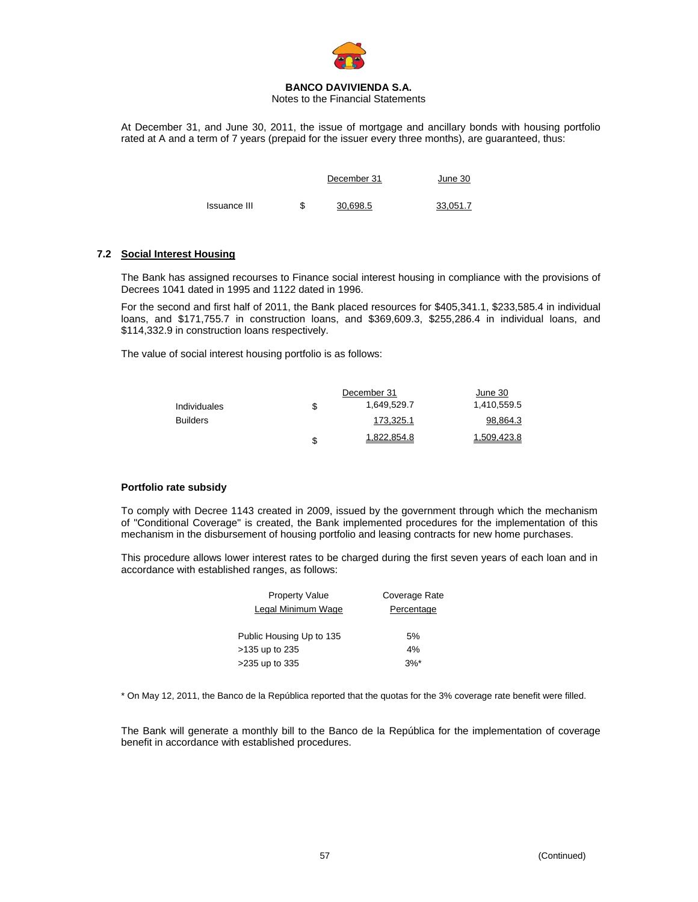

Notes to the Financial Statements

At December 31, and June 30, 2011, the issue of mortgage and ancillary bonds with housing portfolio rated at A and a term of 7 years (prepaid for the issuer every three months), are guaranteed, thus:

|              |   | December 31 | June 30  |
|--------------|---|-------------|----------|
| Issuance III | S | 30.698.5    | 33,051.7 |

## **7.2 Social Interest Housing**

The Bank has assigned recourses to Finance social interest housing in compliance with the provisions of Decrees 1041 dated in 1995 and 1122 dated in 1996.

For the second and first half of 2011, the Bank placed resources for \$405,341.1, \$233,585.4 in individual loans, and \$171,755.7 in construction loans, and \$369,609.3, \$255,286.4 in individual loans, and \$114,332.9 in construction loans respectively.

The value of social interest housing portfolio is as follows:

|                     |   | December 31 |             |  |  |
|---------------------|---|-------------|-------------|--|--|
| <b>Individuales</b> | S | 1,649,529.7 | 1,410,559.5 |  |  |
| <b>Builders</b>     |   | 173.325.1   | 98,864.3    |  |  |
|                     | S | 1.822.854.8 | 1.509.423.8 |  |  |

### **Portfolio rate subsidy**

To comply with Decree 1143 created in 2009, issued by the government through which the mechanism of "Conditional Coverage" is created, the Bank implemented procedures for the implementation of this mechanism in the disbursement of housing portfolio and leasing contracts for new home purchases.

This procedure allows lower interest rates to be charged during the first seven years of each loan and in accordance with established ranges, as follows:

| <b>Property Value</b>    | Coverage Rate |
|--------------------------|---------------|
| Legal Minimum Wage       | Percentage    |
| Public Housing Up to 135 | 5%            |
| >135 up to 235           | 4%            |
| >235 up to 335           | $3%^*$        |

\* On May 12, 2011, the Banco de la República reported that the quotas for the 3% coverage rate benefit were filled.

The Bank will generate a monthly bill to the Banco de la República for the implementation of coverage benefit in accordance with established procedures.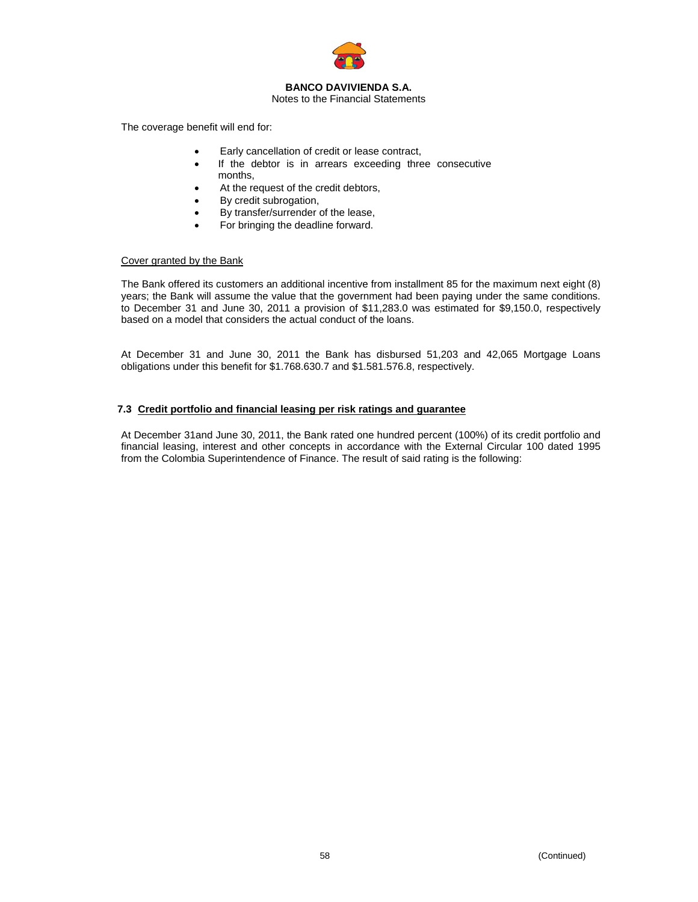

### Notes to the Financial Statements

The coverage benefit will end for:

- Early cancellation of credit or lease contract,
- If the debtor is in arrears exceeding three consecutive months,
- At the request of the credit debtors,
- By credit subrogation,
- By transfer/surrender of the lease,
- For bringing the deadline forward.

## Cover granted by the Bank

The Bank offered its customers an additional incentive from installment 85 for the maximum next eight (8) years; the Bank will assume the value that the government had been paying under the same conditions. to December 31 and June 30, 2011 a provision of \$11,283.0 was estimated for \$9,150.0, respectively based on a model that considers the actual conduct of the loans.

At December 31 and June 30, 2011 the Bank has disbursed 51,203 and 42,065 Mortgage Loans obligations under this benefit for \$1.768.630.7 and \$1.581.576.8, respectively.

## **7.3 Credit portfolio and financial leasing per risk ratings and guarantee**

At December 31and June 30, 2011, the Bank rated one hundred percent (100%) of its credit portfolio and financial leasing, interest and other concepts in accordance with the External Circular 100 dated 1995 from the Colombia Superintendence of Finance. The result of said rating is the following: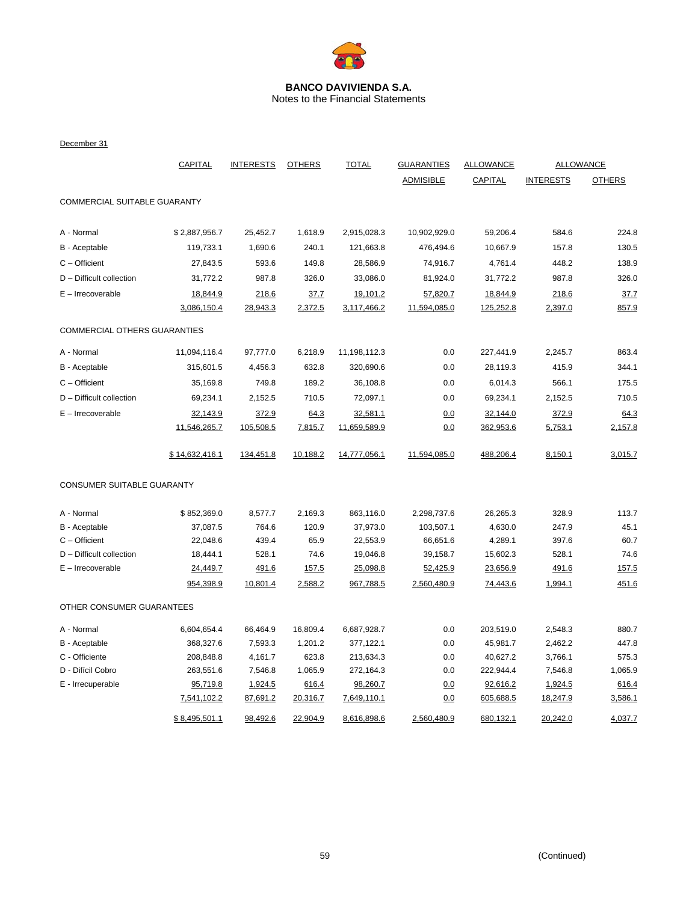

Notes to the Financial Statements

December 31

|                              | <b>CAPITAL</b> | <b>INTERESTS</b> | <b>OTHERS</b> | <b>TOTAL</b> | <b>GUARANTIES</b> | <b>ALLOWANCE</b> |                  | <b>ALLOWANCE</b> |
|------------------------------|----------------|------------------|---------------|--------------|-------------------|------------------|------------------|------------------|
|                              |                |                  |               |              | <b>ADMISIBLE</b>  | <b>CAPITAL</b>   | <b>INTERESTS</b> | <b>OTHERS</b>    |
| COMMERCIAL SUITABLE GUARANTY |                |                  |               |              |                   |                  |                  |                  |
|                              |                |                  |               |              |                   |                  |                  |                  |
| A - Normal                   | \$2,887,956.7  | 25,452.7         | 1,618.9       | 2,915,028.3  | 10,902,929.0      | 59,206.4         | 584.6            | 224.8            |
| B - Aceptable                | 119,733.1      | 1,690.6          | 240.1         | 121,663.8    | 476,494.6         | 10,667.9         | 157.8            | 130.5            |
| $C -$ Officient              | 27,843.5       | 593.6            | 149.8         | 28,586.9     | 74,916.7          | 4,761.4          | 448.2            | 138.9            |
| D - Difficult collection     | 31,772.2       | 987.8            | 326.0         | 33,086.0     | 81,924.0          | 31,772.2         | 987.8            | 326.0            |
| E - Irrecoverable            | 18,844.9       | 218.6            | 37.7          | 19,101.2     | 57,820.7          | 18,844.9         | 218.6            | 37.7             |
|                              | 3,086,150.4    | 28,943.3         | 2,372.5       | 3,117,466.2  | 11,594,085.0      | 125,252.8        | 2,397.0          | 857.9            |
| COMMERCIAL OTHERS GUARANTIES |                |                  |               |              |                   |                  |                  |                  |
| A - Normal                   | 11,094,116.4   | 97,777.0         | 6,218.9       | 11,198,112.3 | 0.0               | 227,441.9        | 2,245.7          | 863.4            |
| B - Aceptable                | 315,601.5      | 4,456.3          | 632.8         | 320,690.6    | 0.0               | 28,119.3         | 415.9            | 344.1            |
| $C -$ Officient              | 35,169.8       | 749.8            | 189.2         | 36,108.8     | 0.0               | 6,014.3          | 566.1            | 175.5            |
| D - Difficult collection     | 69,234.1       | 2,152.5          | 710.5         | 72,097.1     | 0.0               | 69,234.1         | 2,152.5          | 710.5            |
| $E - Irrecoverable$          | 32,143.9       | 372.9            | 64.3          | 32,581.1     | 0.0               | 32,144.0         | 372.9            | 64.3             |
|                              | 11,546,265.7   | 105,508.5        | 7,815.7       | 11,659,589.9 | 0.0               | 362,953.6        | 5,753.1          | 2,157.8          |
|                              | \$14,632,416.1 | 134,451.8        | 10,188.2      | 14,777,056.1 | 11,594,085.0      | 488,206.4        | 8,150.1          | 3,015.7          |
| CONSUMER SUITABLE GUARANTY   |                |                  |               |              |                   |                  |                  |                  |
| A - Normal                   | \$852,369.0    | 8,577.7          | 2,169.3       | 863,116.0    | 2,298,737.6       | 26,265.3         | 328.9            | 113.7            |
| B - Aceptable                | 37,087.5       | 764.6            | 120.9         | 37,973.0     | 103,507.1         | 4,630.0          | 247.9            | 45.1             |
| $C -$ Officient              | 22,048.6       | 439.4            | 65.9          | 22,553.9     | 66,651.6          | 4,289.1          | 397.6            | 60.7             |
| D - Difficult collection     | 18,444.1       | 528.1            | 74.6          | 19,046.8     | 39,158.7          | 15,602.3         | 528.1            | 74.6             |
| $E - Irrecoverable$          | 24,449.7       | 491.6            | 157.5         | 25,098.8     | 52,425.9          | 23,656.9         | 491.6            | 157.5            |
|                              | 954,398.9      | 10,801.4         | 2,588.2       | 967,788.5    | 2,560,480.9       | 74,443.6         | 1,994.1          | 451.6            |
| OTHER CONSUMER GUARANTEES    |                |                  |               |              |                   |                  |                  |                  |
| A - Normal                   | 6,604,654.4    | 66,464.9         | 16,809.4      | 6,687,928.7  | 0.0               | 203,519.0        | 2,548.3          | 880.7            |
| B - Aceptable                | 368,327.6      | 7,593.3          | 1,201.2       | 377,122.1    | 0.0               | 45,981.7         | 2,462.2          | 447.8            |
| C - Officiente               | 208,848.8      | 4,161.7          | 623.8         | 213,634.3    | 0.0               | 40,627.2         | 3,766.1          | 575.3            |
| D - Difícil Cobro            | 263,551.6      | 7,546.8          | 1,065.9       | 272,164.3    | 0.0               | 222,944.4        | 7,546.8          | 1,065.9          |
| E - Irrecuperable            | 95,719.8       | 1,924.5          | 616.4         | 98,260.7     | 0.0               | 92,616.2         | 1,924.5          | 616.4            |
|                              | 7,541,102.2    | 87,691.2         | 20,316.7      | 7,649,110.1  | 0.0               | 605,688.5        | 18,247.9         | 3,586.1          |
|                              | \$8,495,501.1  | 98,492.6         | 22,904.9      | 8,616,898.6  | 2,560,480.9       | 680,132.1        | 20,242.0         | 4,037.7          |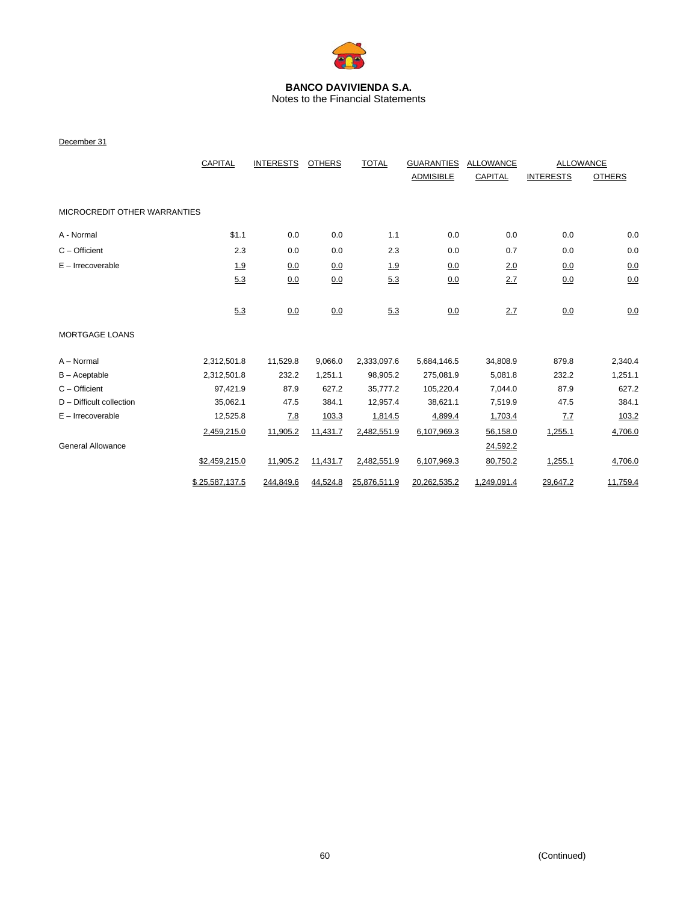

Notes to the Financial Statements

December 31

|                              | <b>CAPITAL</b> |            |          | <b>TOTAL</b><br><b>INTERESTS</b><br><b>OTHERS</b> |                  | <b>GUARANTIES</b> | <b>ALLOWANCE</b> |               | <b>ALLOWANCE</b> |  |
|------------------------------|----------------|------------|----------|---------------------------------------------------|------------------|-------------------|------------------|---------------|------------------|--|
|                              |                |            |          |                                                   | <b>ADMISIBLE</b> | <b>CAPITAL</b>    | <b>INTERESTS</b> | <b>OTHERS</b> |                  |  |
| MICROCREDIT OTHER WARRANTIES |                |            |          |                                                   |                  |                   |                  |               |                  |  |
| A - Normal                   | \$1.1          | 0.0        | 0.0      | 1.1                                               | 0.0              | 0.0               | 0.0              | 0.0           |                  |  |
| $C -$ Officient              | 2.3            | 0.0        | 0.0      | 2.3                                               | 0.0              | 0.7               | 0.0              | 0.0           |                  |  |
| $E -$ Irrecoverable          | 1.9            | 0.0        | 0.0      | 1.9                                               | 0.0              | 2.0               | 0.0              | 0.0           |                  |  |
|                              | 5.3            | 0.0        | 0.0      | 5.3                                               | 0.0              | 2.7               | 0.0              | 0.0           |                  |  |
|                              | 5.3            | 0.0        | 0.0      | 5.3                                               | 0.0              | 2.7               | 0.0              | 0.0           |                  |  |
| <b>MORTGAGE LOANS</b>        |                |            |          |                                                   |                  |                   |                  |               |                  |  |
| A - Normal                   | 2,312,501.8    | 11,529.8   | 9,066.0  | 2,333,097.6                                       | 5,684,146.5      | 34,808.9          | 879.8            | 2,340.4       |                  |  |
| $B -$ Aceptable              | 2,312,501.8    | 232.2      | 1,251.1  | 98,905.2                                          | 275,081.9        | 5,081.8           | 232.2            | 1,251.1       |                  |  |
| $C -$ Officient              | 97,421.9       | 87.9       | 627.2    | 35,777.2                                          | 105,220.4        | 7,044.0           | 87.9             | 627.2         |                  |  |
| $D$ – Difficult collection   | 35,062.1       | 47.5       | 384.1    | 12,957.4                                          | 38,621.1         | 7,519.9           | 47.5             | 384.1         |                  |  |
| $E -$ Irrecoverable          | 12,525.8       | <u>7.8</u> | 103.3    | 1,814.5                                           | 4,899.4          | 1,703.4           | <u>7.7</u>       | 103.2         |                  |  |
|                              | 2,459,215.0    | 11,905.2   | 11,431.7 | 2,482,551.9                                       | 6,107,969.3      | 56,158.0          | 1,255.1          | 4,706.0       |                  |  |
| <b>General Allowance</b>     |                |            |          |                                                   |                  | 24,592.2          |                  |               |                  |  |
|                              | \$2,459,215.0  | 11,905.2   | 11,431.7 | 2,482,551.9                                       | 6,107,969.3      | 80,750.2          | 1,255.1          | 4,706.0       |                  |  |
|                              | \$25.587.137.5 | 244.849.6  | 44,524.8 | 25,876,511.9                                      | 20,262,535.2     | 1.249.091.4       | 29,647.2         | 11,759.4      |                  |  |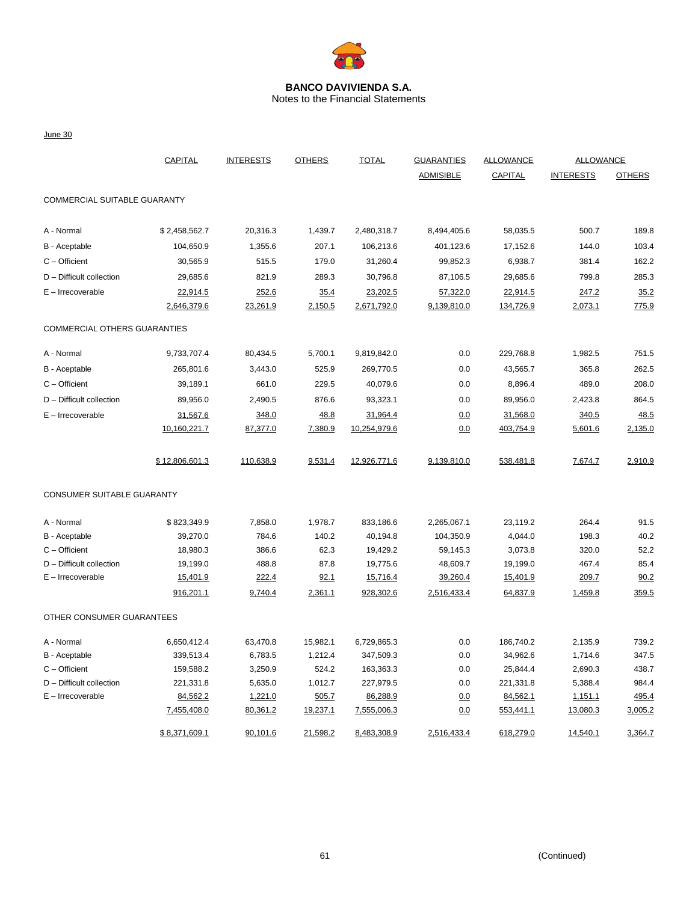

Notes to the Financial Statements

June 30

|                              | CAPITAL        | <b>INTERESTS</b> | <b>OTHERS</b> | <b>TOTAL</b> | <b>GUARANTIES</b> | <b>ALLOWANCE</b> | <b>ALLOWANCE</b> |               |
|------------------------------|----------------|------------------|---------------|--------------|-------------------|------------------|------------------|---------------|
|                              |                |                  |               |              | <b>ADMISIBLE</b>  | <b>CAPITAL</b>   | <b>INTERESTS</b> | <b>OTHERS</b> |
| COMMERCIAL SUITABLE GUARANTY |                |                  |               |              |                   |                  |                  |               |
| A - Normal                   | \$2,458,562.7  | 20,316.3         | 1,439.7       | 2,480,318.7  | 8,494,405.6       | 58,035.5         | 500.7            | 189.8         |
| B - Aceptable                | 104,650.9      | 1,355.6          | 207.1         | 106,213.6    | 401,123.6         | 17,152.6         | 144.0            | 103.4         |
| $C -$ Officient              | 30,565.9       | 515.5            | 179.0         | 31,260.4     | 99,852.3          | 6,938.7          | 381.4            | 162.2         |
| $D$ – Difficult collection   | 29,685.6       | 821.9            | 289.3         | 30,796.8     | 87,106.5          | 29,685.6         | 799.8            | 285.3         |
| $E - Irrecoverable$          | 22,914.5       | 252.6            | 35.4          | 23,202.5     | 57,322.0          | 22,914.5         | 247.2            | 35.2          |
|                              | 2,646,379.6    | 23,261.9         | 2,150.5       | 2,671,792.0  | 9,139,810.0       | 134,726.9        | 2,073.1          | 775.9         |
| COMMERCIAL OTHERS GUARANTIES |                |                  |               |              |                   |                  |                  |               |
| A - Normal                   | 9,733,707.4    | 80,434.5         | 5,700.1       | 9,819,842.0  | 0.0               | 229,768.8        | 1,982.5          | 751.5         |
| B - Aceptable                | 265,801.6      | 3,443.0          | 525.9         | 269,770.5    | 0.0               | 43,565.7         | 365.8            | 262.5         |
| $C -$ Officient              | 39,189.1       | 661.0            | 229.5         | 40,079.6     | 0.0               | 8,896.4          | 489.0            | 208.0         |
| D - Difficult collection     | 89,956.0       | 2,490.5          | 876.6         | 93,323.1     | 0.0               | 89,956.0         | 2,423.8          | 864.5         |
| $E - Irrecoverable$          | 31,567.6       | 348.0            | 48.8          | 31,964.4     | 0.0               | 31,568.0         | 340.5            | 48.5          |
|                              | 10,160,221.7   | 87,377.0         | 7,380.9       | 10,254,979.6 | 0.0               | 403,754.9        | 5,601.6          | 2,135.0       |
|                              | \$12,806,601.3 | 110,638.9        | 9,531.4       | 12,926,771.6 | 9,139,810.0       | 538,481.8        | 7,674.7          | 2,910.9       |
| CONSUMER SUITABLE GUARANTY   |                |                  |               |              |                   |                  |                  |               |
| A - Normal                   | \$823,349.9    | 7,858.0          | 1,978.7       | 833,186.6    | 2,265,067.1       | 23,119.2         | 264.4            | 91.5          |
| B - Aceptable                | 39,270.0       | 784.6            | 140.2         | 40,194.8     | 104,350.9         | 4,044.0          | 198.3            | 40.2          |
| C - Officient                | 18,980.3       | 386.6            | 62.3          | 19,429.2     | 59,145.3          | 3,073.8          | 320.0            | 52.2          |
| D - Difficult collection     | 19,199.0       | 488.8            | 87.8          | 19,775.6     | 48,609.7          | 19,199.0         | 467.4            | 85.4          |
| $E - Irrecoverable$          | 15,401.9       | 222.4            | 92.1          | 15,716.4     | 39,260.4          | 15,401.9         | 209.7            | 90.2          |
|                              | 916,201.1      | 9,740.4          | 2,361.1       | 928,302.6    | 2,516,433.4       | 64,837.9         | 1,459.8          | 359.5         |
| OTHER CONSUMER GUARANTEES    |                |                  |               |              |                   |                  |                  |               |
| A - Normal                   | 6,650,412.4    | 63,470.8         | 15,982.1      | 6,729,865.3  | 0.0               | 186,740.2        | 2,135.9          | 739.2         |
| B - Aceptable                | 339,513.4      | 6,783.5          | 1,212.4       | 347,509.3    | 0.0               | 34,962.6         | 1,714.6          | 347.5         |
| $C -$ Officient              | 159,588.2      | 3,250.9          | 524.2         | 163,363.3    | 0.0               | 25,844.4         | 2,690.3          | 438.7         |
| D - Difficult collection     | 221,331.8      | 5,635.0          | 1,012.7       | 227,979.5    | 0.0               | 221,331.8        | 5,388.4          | 984.4         |
| $E -$ Irrecoverable          | 84,562.2       | 1,221.0          | 505.7         | 86,288.9     | 0.0               | 84,562.1         | 1,151.1          | 495.4         |
|                              | 7,455,408.0    | 80,361.2         | 19,237.1      | 7,555,006.3  | 0.0               | 553,441.1        | 13,080.3         | 3,005.2       |
|                              | \$8,371,609.1  | 90,101.6         | 21,598.2      | 8,483,308.9  | 2,516,433.4       | 618,279.0        | 14,540.1         | 3,364.7       |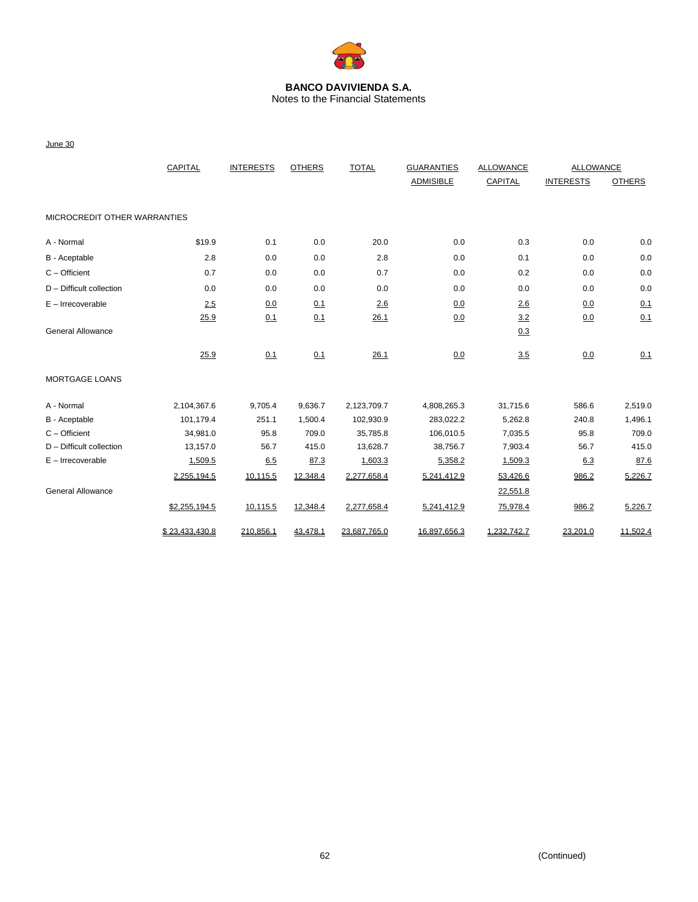

Notes to the Financial Statements

|                              | CAPITAL        | <b>INTERESTS</b> | <b>OTHERS</b> | <b>TOTAL</b> | <b>GUARANTIES</b> | ALLOWANCE      | <b>ALLOWANCE</b> |               |
|------------------------------|----------------|------------------|---------------|--------------|-------------------|----------------|------------------|---------------|
|                              |                |                  |               |              | <b>ADMISIBLE</b>  | <b>CAPITAL</b> | <b>INTERESTS</b> | <b>OTHERS</b> |
| MICROCREDIT OTHER WARRANTIES |                |                  |               |              |                   |                |                  |               |
| A - Normal                   | \$19.9         | 0.1              | 0.0           | 20.0         | 0.0               | 0.3            | 0.0              | 0.0           |
| B - Aceptable                | 2.8            | 0.0              | 0.0           | 2.8          | 0.0               | 0.1            | 0.0              | 0.0           |
| $C -$ Officient              | 0.7            | 0.0              | 0.0           | 0.7          | 0.0               | 0.2            | 0.0              | 0.0           |
| D - Difficult collection     | 0.0            | 0.0              | 0.0           | 0.0          | 0.0               | 0.0            | 0.0              | 0.0           |
| $E - Irrecoverable$          | 2.5            | 0.0              | 0.1           | 2.6          | 0.0               | 2.6            | 0.0              | 0.1           |
|                              | 25.9           | 0.1              | 0.1           | 26.1         | 0.0               | 3.2            | 0.0              | 0.1           |
| <b>General Allowance</b>     |                |                  |               |              |                   | 0.3            |                  |               |
|                              | 25.9           | 0.1              | 0.1           | 26.1         | 0.0               | 3.5            | 0.0              | 0.1           |
| <b>MORTGAGE LOANS</b>        |                |                  |               |              |                   |                |                  |               |
| A - Normal                   | 2,104,367.6    | 9,705.4          | 9,636.7       | 2,123,709.7  | 4,808,265.3       | 31,715.6       | 586.6            | 2,519.0       |
| B - Aceptable                | 101,179.4      | 251.1            | 1,500.4       | 102,930.9    | 283,022.2         | 5,262.8        | 240.8            | 1,496.1       |
| $C -$ Officient              | 34,981.0       | 95.8             | 709.0         | 35,785.8     | 106,010.5         | 7,035.5        | 95.8             | 709.0         |
| $D$ – Difficult collection   | 13,157.0       | 56.7             | 415.0         | 13,628.7     | 38,756.7          | 7,903.4        | 56.7             | 415.0         |
| $E - Irrecoverable$          | 1,509.5        | 6.5              | 87.3          | 1,603.3      | 5,358.2           | 1,509.3        | 6.3              | 87.6          |
|                              | 2,255,194.5    | 10,115.5         | 12,348.4      | 2,277,658.4  | 5,241,412.9       | 53,426.6       | 986.2            | 5,226.7       |
| <b>General Allowance</b>     |                |                  |               |              |                   | 22,551.8       |                  |               |
|                              | \$2,255,194.5  | 10,115.5         | 12,348.4      | 2,277,658.4  | 5,241,412.9       | 75,978.4       | 986.2            | 5,226.7       |
|                              | \$23,433,430.8 | 210,856.1        | 43,478.1      | 23,687,765.0 | 16,897,656.3      | 1,232,742.7    | 23,201.0         | 11,502.4      |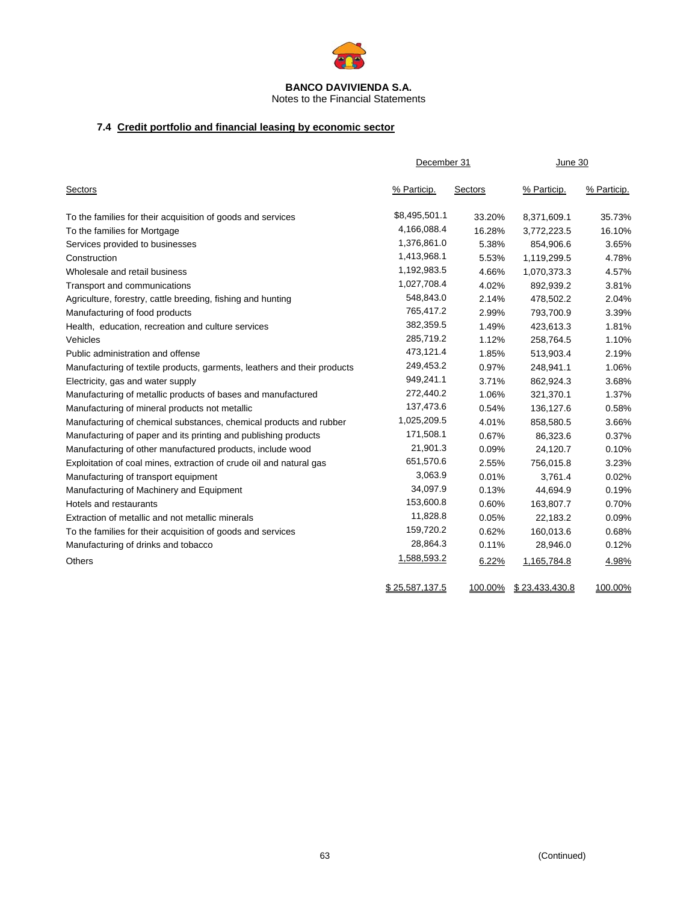

Notes to the Financial Statements

# **7.4 Credit portfolio and financial leasing by economic sector**

|                                                                          | December 31    |         | June 30        |             |  |
|--------------------------------------------------------------------------|----------------|---------|----------------|-------------|--|
| <b>Sectors</b>                                                           | % Particip.    | Sectors | % Particip.    | % Particip. |  |
| To the families for their acquisition of goods and services              | \$8,495,501.1  | 33.20%  | 8,371,609.1    | 35.73%      |  |
| To the families for Mortgage                                             | 4,166,088.4    | 16.28%  | 3,772,223.5    | 16.10%      |  |
| Services provided to businesses                                          | 1,376,861.0    | 5.38%   | 854,906.6      | 3.65%       |  |
| Construction                                                             | 1,413,968.1    | 5.53%   | 1,119,299.5    | 4.78%       |  |
| Wholesale and retail business                                            | 1,192,983.5    | 4.66%   | 1,070,373.3    | 4.57%       |  |
| Transport and communications                                             | 1,027,708.4    | 4.02%   | 892,939.2      | 3.81%       |  |
| Agriculture, forestry, cattle breeding, fishing and hunting              | 548,843.0      | 2.14%   | 478,502.2      | 2.04%       |  |
| Manufacturing of food products                                           | 765,417.2      | 2.99%   | 793,700.9      | 3.39%       |  |
| Health, education, recreation and culture services                       | 382,359.5      | 1.49%   | 423,613.3      | 1.81%       |  |
| Vehicles                                                                 | 285,719.2      | 1.12%   | 258,764.5      | 1.10%       |  |
| Public administration and offense                                        | 473,121.4      | 1.85%   | 513,903.4      | 2.19%       |  |
| Manufacturing of textile products, garments, leathers and their products | 249,453.2      | 0.97%   | 248,941.1      | 1.06%       |  |
| Electricity, gas and water supply                                        | 949,241.1      | 3.71%   | 862,924.3      | 3.68%       |  |
| Manufacturing of metallic products of bases and manufactured             | 272,440.2      | 1.06%   | 321,370.1      | 1.37%       |  |
| Manufacturing of mineral products not metallic                           | 137,473.6      | 0.54%   | 136,127.6      | 0.58%       |  |
| Manufacturing of chemical substances, chemical products and rubber       | 1,025,209.5    | 4.01%   | 858,580.5      | 3.66%       |  |
| Manufacturing of paper and its printing and publishing products          | 171,508.1      | 0.67%   | 86,323.6       | 0.37%       |  |
| Manufacturing of other manufactured products, include wood               | 21,901.3       | 0.09%   | 24,120.7       | 0.10%       |  |
| Exploitation of coal mines, extraction of crude oil and natural gas      | 651,570.6      | 2.55%   | 756,015.8      | 3.23%       |  |
| Manufacturing of transport equipment                                     | 3,063.9        | 0.01%   | 3,761.4        | 0.02%       |  |
| Manufacturing of Machinery and Equipment                                 | 34,097.9       | 0.13%   | 44,694.9       | 0.19%       |  |
| Hotels and restaurants                                                   | 153,600.8      | 0.60%   | 163,807.7      | 0.70%       |  |
| Extraction of metallic and not metallic minerals                         | 11,828.8       | 0.05%   | 22,183.2       | 0.09%       |  |
| To the families for their acquisition of goods and services              | 159,720.2      | 0.62%   | 160,013.6      | 0.68%       |  |
| Manufacturing of drinks and tobacco                                      | 28,864.3       | 0.11%   | 28,946.0       | 0.12%       |  |
| <b>Others</b>                                                            | 1,588,593.2    | 6.22%   | 1,165,784.8    | 4.98%       |  |
|                                                                          | \$25,587,137.5 | 100.00% | \$23,433,430.8 | 100.00%     |  |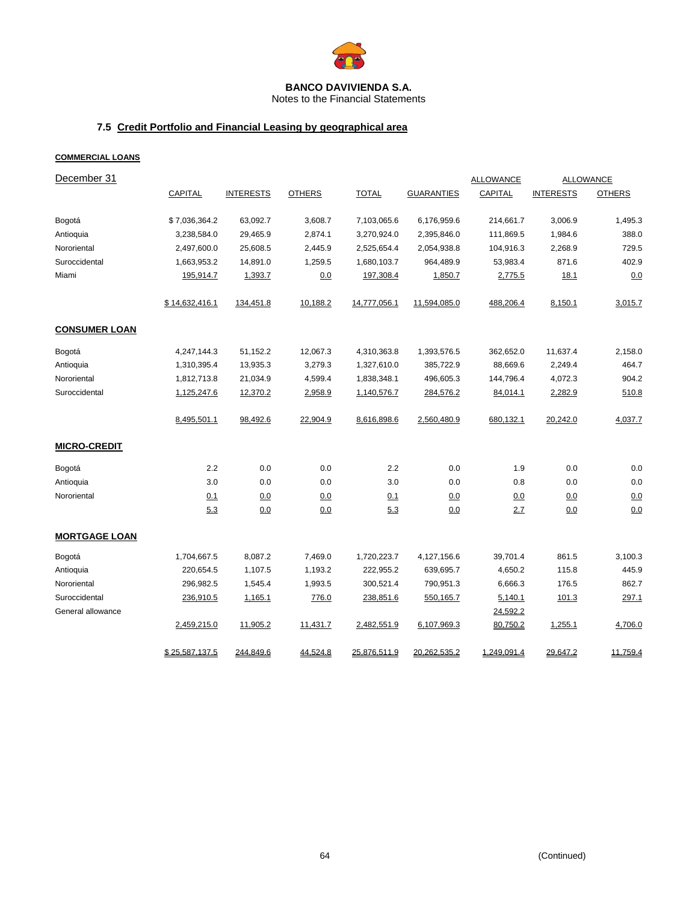

Notes to the Financial Statements

# **7.5 Credit Portfolio and Financial Leasing by geographical area**

## **COMMERCIAL LOANS**

| December 31          |                |                  |               |              |                   | <b>ALLOWANCE</b> |                  | <b>ALLOWANCE</b> |
|----------------------|----------------|------------------|---------------|--------------|-------------------|------------------|------------------|------------------|
|                      | <b>CAPITAL</b> | <b>INTERESTS</b> | <b>OTHERS</b> | <b>TOTAL</b> | <b>GUARANTIES</b> | CAPITAL          | <b>INTERESTS</b> | <b>OTHERS</b>    |
| Bogotá               | \$7,036,364.2  | 63,092.7         | 3,608.7       | 7,103,065.6  | 6,176,959.6       | 214,661.7        | 3,006.9          | 1,495.3          |
| Antioquia            | 3,238,584.0    | 29,465.9         | 2,874.1       | 3,270,924.0  | 2,395,846.0       | 111,869.5        | 1,984.6          | 388.0            |
| Nororiental          | 2,497,600.0    | 25,608.5         | 2,445.9       | 2,525,654.4  | 2,054,938.8       | 104,916.3        | 2,268.9          | 729.5            |
| Suroccidental        | 1,663,953.2    | 14,891.0         | 1,259.5       | 1,680,103.7  | 964,489.9         | 53,983.4         | 871.6            | 402.9            |
| Miami                | 195,914.7      | 1,393.7          | 0.0           | 197,308.4    | 1,850.7           | 2,775.5          | 18.1             | 0.0              |
|                      | \$14,632,416.1 | 134,451.8        | 10,188.2      | 14,777,056.1 | 11,594,085.0      | 488,206.4        | 8,150.1          | 3,015.7          |
| <b>CONSUMER LOAN</b> |                |                  |               |              |                   |                  |                  |                  |
| Bogotá               | 4,247,144.3    | 51,152.2         | 12,067.3      | 4,310,363.8  | 1,393,576.5       | 362,652.0        | 11,637.4         | 2,158.0          |
| Antioquia            | 1,310,395.4    | 13,935.3         | 3,279.3       | 1,327,610.0  | 385,722.9         | 88,669.6         | 2,249.4          | 464.7            |
| Nororiental          | 1,812,713.8    | 21,034.9         | 4,599.4       | 1,838,348.1  | 496,605.3         | 144,796.4        | 4,072.3          | 904.2            |
| Suroccidental        | 1,125,247.6    | 12,370.2         | 2,958.9       | 1,140,576.7  | 284,576.2         | 84,014.1         | 2,282.9          | 510.8            |
|                      | 8,495,501.1    | 98,492.6         | 22,904.9      | 8,616,898.6  | 2,560,480.9       | 680,132.1        | 20,242.0         | 4,037.7          |
| <b>MICRO-CREDIT</b>  |                |                  |               |              |                   |                  |                  |                  |
| Bogotá               | 2.2            | 0.0              | 0.0           | 2.2          | 0.0               | 1.9              | 0.0              | 0.0              |
| Antioquia            | 3.0            | 0.0              | 0.0           | 3.0          | 0.0               | 0.8              | 0.0              | 0.0              |
| Nororiental          | <u>0.1</u>     | 0.0              | 0.0           | 0.1          | 0.0               | 0.0              | 0.0              | 0.0              |
|                      | 5.3            | 0.0              | 0.0           | 5.3          | 0.0               | 2.7              | 0.0              | 0.0              |
| <b>MORTGAGE LOAN</b> |                |                  |               |              |                   |                  |                  |                  |
| Bogotá               | 1,704,667.5    | 8,087.2          | 7,469.0       | 1,720,223.7  | 4,127,156.6       | 39,701.4         | 861.5            | 3,100.3          |
| Antioquia            | 220,654.5      | 1,107.5          | 1,193.2       | 222,955.2    | 639,695.7         | 4,650.2          | 115.8            | 445.9            |
| Nororiental          | 296,982.5      | 1,545.4          | 1,993.5       | 300,521.4    | 790,951.3         | 6,666.3          | 176.5            | 862.7            |
| Suroccidental        | 236,910.5      | 1,165.1          | 776.0         | 238,851.6    | 550,165.7         | 5,140.1          | 101.3            | 297.1            |
| General allowance    |                |                  |               |              |                   | 24,592.2         |                  |                  |
|                      | 2,459,215.0    | 11,905.2         | 11,431.7      | 2,482,551.9  | 6,107,969.3       | 80,750.2         | 1,255.1          | 4,706.0          |
|                      | \$25,587,137.5 | 244,849.6        | 44,524.8      | 25,876,511.9 | 20, 262, 535.2    | 1,249,091.4      | 29,647.2         | 11,759.4         |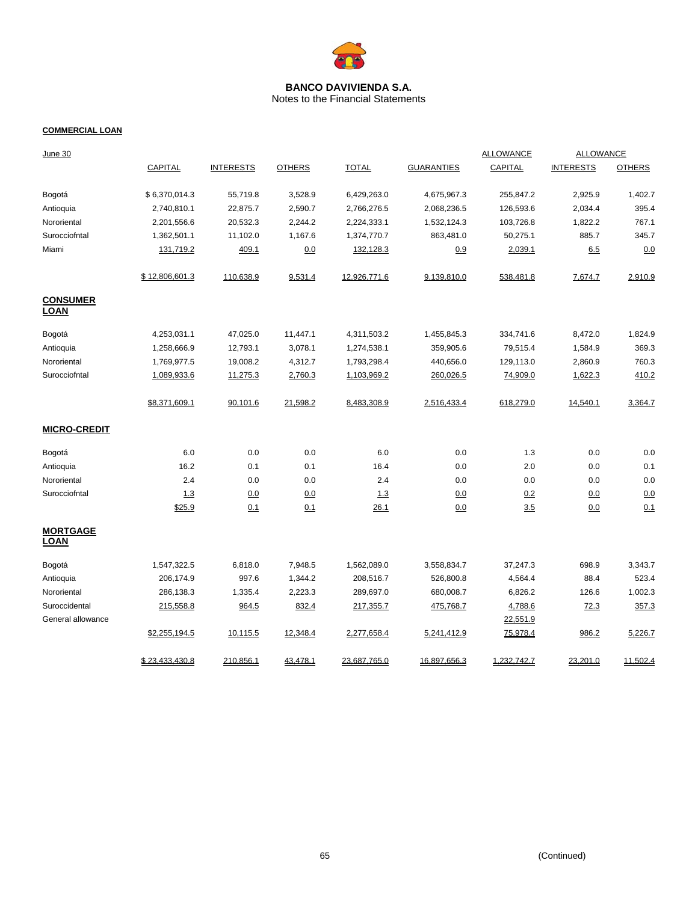

Notes to the Financial Statements

### **COMMERCIAL LOAN**

| <u>June 30</u>          |                |                  |               |              |                   | <b>ALLOWANCE</b> | <b>ALLOWANCE</b> |               |
|-------------------------|----------------|------------------|---------------|--------------|-------------------|------------------|------------------|---------------|
|                         | <b>CAPITAL</b> | <b>INTERESTS</b> | <b>OTHERS</b> | <b>TOTAL</b> | <b>GUARANTIES</b> | <b>CAPITAL</b>   | <b>INTERESTS</b> | <b>OTHERS</b> |
| Bogotá                  | \$6,370,014.3  | 55,719.8         | 3,528.9       | 6,429,263.0  | 4,675,967.3       | 255,847.2        | 2,925.9          | 1,402.7       |
| Antioquia               | 2,740,810.1    | 22,875.7         | 2,590.7       | 2,766,276.5  | 2,068,236.5       | 126,593.6        | 2,034.4          | 395.4         |
| Nororiental             | 2,201,556.6    | 20,532.3         | 2,244.2       | 2,224,333.1  | 1,532,124.3       | 103,726.8        | 1,822.2          | 767.1         |
| Surocciofntal           | 1,362,501.1    | 11,102.0         | 1,167.6       | 1,374,770.7  | 863,481.0         | 50,275.1         | 885.7            | 345.7         |
| Miami                   | 131,719.2      | 409.1            | 0.0           | 132,128.3    | 0.9               | 2,039.1          | 6.5              | 0.0           |
|                         | \$12,806,601.3 | 110,638.9        | 9,531.4       | 12,926,771.6 | 9,139,810.0       | 538,481.8        | 7,674.7          | 2,910.9       |
| <b>CONSUMER</b><br>LOAN |                |                  |               |              |                   |                  |                  |               |
| Bogotá                  | 4,253,031.1    | 47,025.0         | 11,447.1      | 4,311,503.2  | 1,455,845.3       | 334,741.6        | 8,472.0          | 1,824.9       |
| Antioquia               | 1,258,666.9    | 12,793.1         | 3,078.1       | 1,274,538.1  | 359,905.6         | 79,515.4         | 1,584.9          | 369.3         |
| Nororiental             | 1,769,977.5    | 19,008.2         | 4,312.7       | 1,793,298.4  | 440,656.0         | 129,113.0        | 2,860.9          | 760.3         |
| Surocciofntal           | 1,089,933.6    | 11,275.3         | 2,760.3       | 1,103,969.2  | 260,026.5         | 74,909.0         | 1,622.3          | 410.2         |
|                         | \$8,371,609.1  | 90,101.6         | 21,598.2      | 8,483,308.9  | 2,516,433.4       | 618,279.0        | 14,540.1         | 3,364.7       |
| <b>MICRO-CREDIT</b>     |                |                  |               |              |                   |                  |                  |               |
| Bogotá                  | 6.0            | 0.0              | 0.0           | 6.0          | 0.0               | 1.3              | 0.0              | 0.0           |
| Antioquia               | 16.2           | 0.1              | 0.1           | 16.4         | 0.0               | 2.0              | 0.0              | 0.1           |
| Nororiental             | 2.4            | 0.0              | 0.0           | 2.4          | 0.0               | 0.0              | 0.0              | 0.0           |
| Surocciofntal           | 1.3            | 0.0              | 0.0           | 1.3          | 0.0               | 0.2              | 0.0              | 0.0           |
|                         | \$25.9         | 0.1              | 0.1           | 26.1         | 0.0               | 3.5              | 0.0              | 0.1           |
| <b>MORTGAGE</b><br>LOAN |                |                  |               |              |                   |                  |                  |               |
| Bogotá                  | 1,547,322.5    | 6,818.0          | 7,948.5       | 1,562,089.0  | 3,558,834.7       | 37,247.3         | 698.9            | 3,343.7       |
| Antioquia               | 206,174.9      | 997.6            | 1,344.2       | 208,516.7    | 526,800.8         | 4,564.4          | 88.4             | 523.4         |
| Nororiental             | 286,138.3      | 1,335.4          | 2,223.3       | 289,697.0    | 680,008.7         | 6,826.2          | 126.6            | 1,002.3       |
| Suroccidental           | 215,558.8      | 964.5            | 832.4         | 217,355.7    | 475,768.7         | 4,788.6          | 72.3             | 357.3         |
| General allowance       |                |                  |               |              |                   | 22,551.9         |                  |               |
|                         | \$2,255,194.5  | 10,115.5         | 12,348.4      | 2,277,658.4  | 5,241,412.9       | 75,978.4         | 986.2            | 5,226.7       |
|                         | \$23,433,430.8 | 210,856.1        | 43,478.1      | 23,687,765.0 | 16,897,656.3      | 1,232,742.7      | 23,201.0         | 11,502.4      |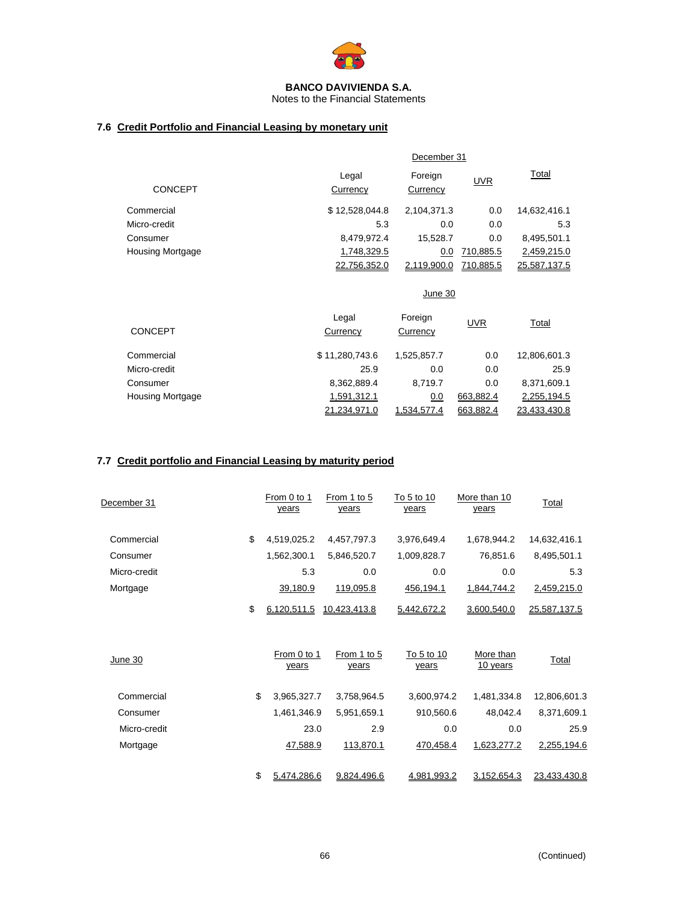

Notes to the Financial Statements

# **7.6 Credit Portfolio and Financial Leasing by monetary unit**

|                         |                   | December 31         |            |              |  |  |
|-------------------------|-------------------|---------------------|------------|--------------|--|--|
| <b>CONCEPT</b>          | Legal<br>Currency | Foreign<br>Currency | <b>UVR</b> | Total        |  |  |
| Commercial              | \$12,528,044.8    | 2,104,371.3         | 0.0        | 14,632,416.1 |  |  |
| Micro-credit            | 5.3               | 0.0                 | 0.0        | 5.3          |  |  |
| Consumer                | 8,479,972.4       | 15,528.7            | 0.0        | 8,495,501.1  |  |  |
| <b>Housing Mortgage</b> | 1,748,329.5       | 0.0                 | 710,885.5  | 2,459,215.0  |  |  |
|                         | 22.756.352.0      | 2,119,900.0         | 710.885.5  | 25,587,137.5 |  |  |
|                         |                   | June 30             |            |              |  |  |

| <b>CONCEPT</b>   | Legal<br>Currency | Foreign<br>Currency | <b>UVR</b> | <u>Total</u> |
|------------------|-------------------|---------------------|------------|--------------|
| Commercial       | \$11.280.743.6    | 1,525,857.7         | 0.0        | 12,806,601.3 |
| Micro-credit     | 25.9              | 0.0                 | 0.0        | 25.9         |
| Consumer         | 8,362,889.4       | 8.719.7             | 0.0        | 8,371,609.1  |
| Housing Mortgage | 1,591,312.1       | 0.0                 | 663.882.4  | 2,255,194.5  |
|                  | 21.234.971.0      | <u>1.534.577.4</u>  | 663.882.4  | 23.433.430.8 |

# **7.7 Credit portfolio and Financial Leasing by maturity period**

| December 31  | From 0 to 1<br>years | From 1 to 5<br>years | To 5 to 10<br>years | More than 10<br>years | Total        |
|--------------|----------------------|----------------------|---------------------|-----------------------|--------------|
| Commercial   | \$<br>4,519,025.2    | 4,457,797.3          | 3,976,649.4         | 1,678,944.2           | 14,632,416.1 |
| Consumer     | 1,562,300.1          | 5,846,520.7          | 1,009,828.7         | 76,851.6              | 8,495,501.1  |
| Micro-credit | 5.3                  | 0.0                  | 0.0                 | 0.0                   | 5.3          |
| Mortgage     | 39,180.9             | 119,095.8            | 456,194.1           | 1,844,744.2           | 2,459,215.0  |
|              | \$<br>6,120,511.5    | 10,423,413.8         | 5,442,672.2         | 3,600,540.0           | 25,587,137.5 |
| June 30      | From 0 to 1<br>years | From 1 to 5<br>years | To 5 to 10<br>years | More than<br>10 years | Total        |
| Commercial   | \$<br>3,965,327.7    | 3,758,964.5          | 3,600,974.2         | 1,481,334.8           | 12,806,601.3 |
| Consumer     | 1,461,346.9          | 5,951,659.1          | 910,560.6           | 48,042.4              | 8,371,609.1  |
| Micro-credit | 23.0                 | 2.9                  | 0.0                 | 0.0                   | 25.9         |
| Mortgage     | 47,588.9             | 113,870.1            | 470,458.4           | 1,623,277.2           | 2,255,194.6  |
|              | \$<br>5.474.286.6    | 9.824.496.6          | 4.981.993.2         | 3,152,654.3           | 23.433.430.8 |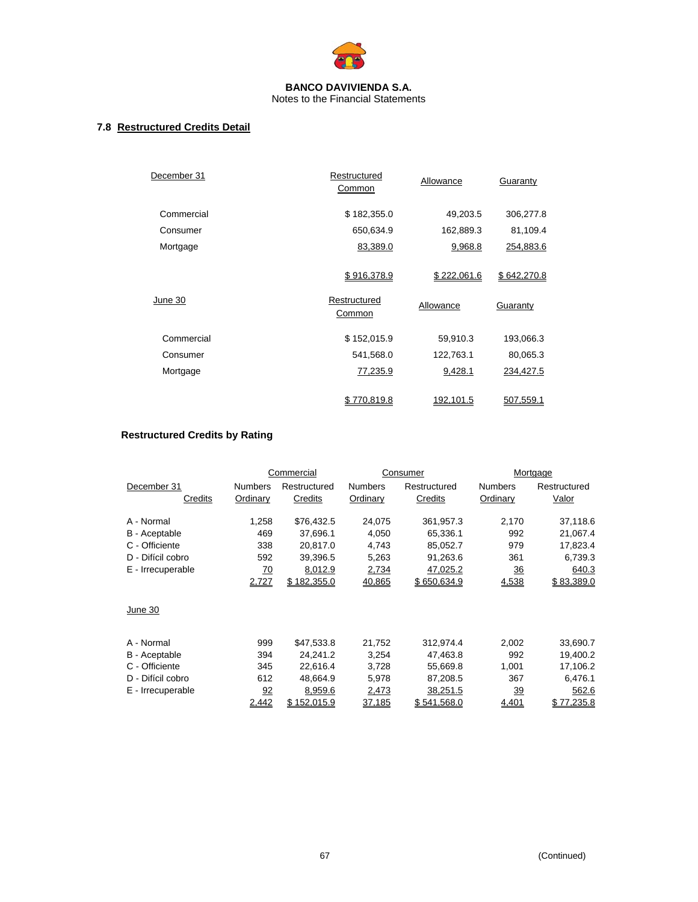

# **7.8 Restructured Credits Detail**

| December 31 | Restructured<br>Common                | Allowance                | Guaranty                |
|-------------|---------------------------------------|--------------------------|-------------------------|
| Commercial  | \$182,355.0                           | 49,203.5                 | 306,277.8               |
| Consumer    | 650,634.9                             | 162,889.3                | 81,109.4                |
| Mortgage    | 83,389.0                              | 9,968.8                  | 254,883.6               |
| June 30     | \$916,378.9<br>Restructured<br>Common | \$222,061.6<br>Allowance | \$642,270.8<br>Guaranty |
| Commercial  | \$152,015.9                           | 59,910.3                 | 193,066.3               |
| Consumer    | 541,568.0                             | 122,763.1                | 80,065.3                |
| Mortgage    | 77,235.9                              | 9,428.1                  | 234,427.5               |
|             | \$770.819.8                           | <u>192,101.5</u>         | 507.559.1               |

# **Restructured Credits by Rating**

|                      |                 | Commercial   |                | Consumer     |                | Mortgage     |
|----------------------|-----------------|--------------|----------------|--------------|----------------|--------------|
| December 31          | <b>Numbers</b>  | Restructured | <b>Numbers</b> | Restructured | <b>Numbers</b> | Restructured |
| Credits              | Ordinary        | Credits      | Ordinary       | Credits      | Ordinary       | Valor        |
| A - Normal           | 1,258           | \$76,432.5   | 24,075         | 361,957.3    | 2,170          | 37,118.6     |
| <b>B</b> - Aceptable | 469             | 37,696.1     | 4,050          | 65,336.1     | 992            | 21,067.4     |
| C - Officiente       | 338             | 20,817.0     | 4,743          | 85,052.7     | 979            | 17,823.4     |
| D - Difícil cobro    | 592             | 39,396.5     | 5,263          | 91,263.6     | 361            | 6,739.3      |
| E - Irrecuperable    | $\overline{70}$ | 8,012.9      | 2,734          | 47,025.2     | <u>36</u>      | 640.3        |
|                      | 2,727           | \$182,355.0  | 40,865         | \$650,634.9  | 4,538          | \$83,389.0   |
| June 30              |                 |              |                |              |                |              |
| A - Normal           | 999             | \$47,533.8   | 21.752         | 312,974.4    | 2,002          | 33,690.7     |
| B - Aceptable        | 394             | 24,241.2     | 3,254          | 47,463.8     | 992            | 19,400.2     |
| C - Officiente       | 345             | 22,616.4     | 3,728          | 55,669.8     | 1,001          | 17,106.2     |
| D - Difícil cobro    | 612             | 48,664.9     | 5,978          | 87,208.5     | 367            | 6,476.1      |
| E - Irrecuperable    | $\frac{92}{5}$  | 8,959.6      | 2,473          | 38,251.5     | <u>39</u>      | 562.6        |
|                      | 2,442           | \$152,015.9  | 37,185         | \$541,568.0  | 4,401          | \$77,235.8   |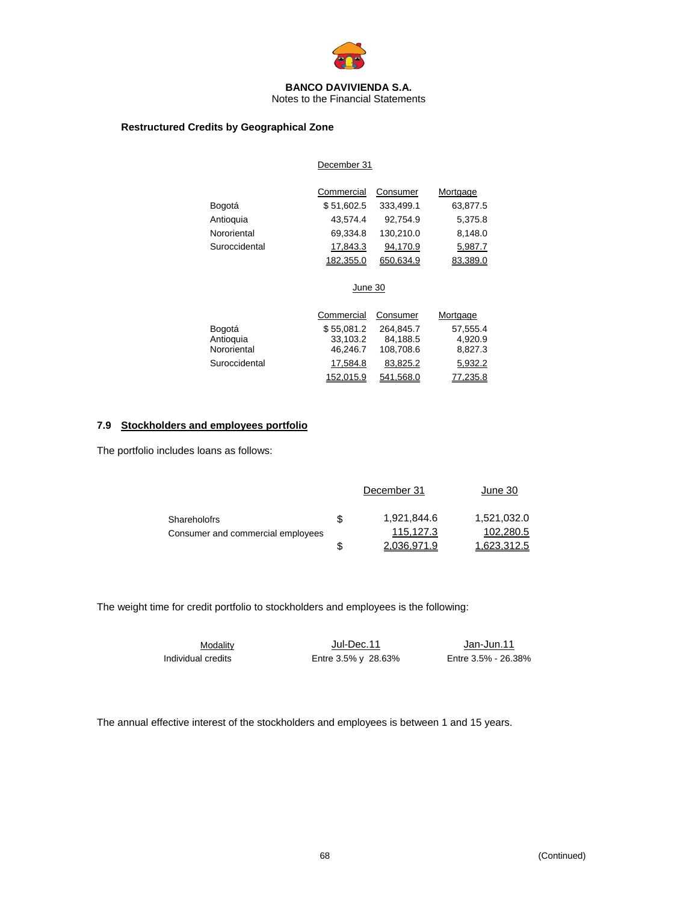

Notes to the Financial Statements

## **Restructured Credits by Geographical Zone**

### December 31

|               | Commercial | Consumer  | Mortgage |
|---------------|------------|-----------|----------|
| Bogotá        | \$51,602.5 | 333,499.1 | 63,877.5 |
| Antioquia     | 43.574.4   | 92,754.9  | 5,375.8  |
| Nororiental   | 69.334.8   | 130,210.0 | 8,148.0  |
| Suroccidental | 17,843.3   | 94,170.9  | 5,987.7  |
|               | 182,355.0  | 650,634.9 | 83,389.0 |

### June 30

|               | Commercial | Consumer  | Mortgage |
|---------------|------------|-----------|----------|
| Bogotá        | \$55.081.2 | 264.845.7 | 57,555.4 |
| Antioquia     | 33.103.2   | 84,188.5  | 4.920.9  |
| Nororiental   | 46,246.7   | 108,708.6 | 8,827.3  |
| Suroccidental | 17,584.8   | 83,825.2  | 5,932.2  |
|               | 152,015.9  | 541,568.0 | 77,235.8 |

## **7.9 Stockholders and employees portfolio**

The portfolio includes loans as follows:

|                                   |    | December 31 | June 30     |
|-----------------------------------|----|-------------|-------------|
| <b>Shareholofrs</b>               | .S | 1,921,844.6 | 1,521,032.0 |
| Consumer and commercial employees |    | 115.127.3   | 102,280.5   |
|                                   |    | 2.036.971.9 | 1.623.312.5 |

The weight time for credit portfolio to stockholders and employees is the following:

|                    | Modality |  |
|--------------------|----------|--|
| Individual credits |          |  |

Jul-Dec.11 Jan-Jun.11 Entre 3.5% y 28.63% Entre 3.5% - 26.38%

The annual effective interest of the stockholders and employees is between 1 and 15 years.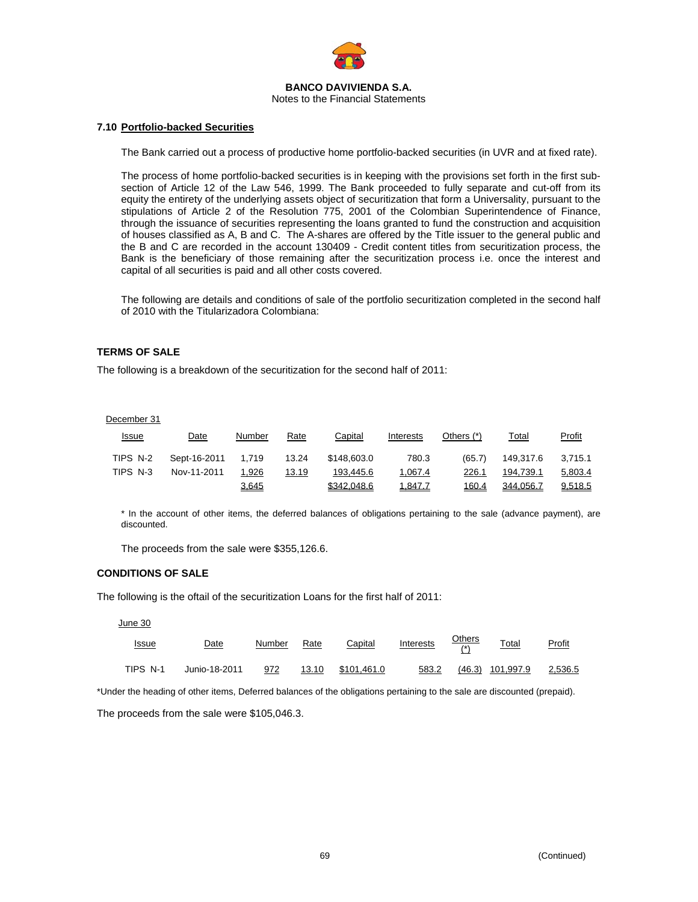

### **7.10 Portfolio-backed Securities**

The Bank carried out a process of productive home portfolio-backed securities (in UVR and at fixed rate).

The process of home portfolio-backed securities is in keeping with the provisions set forth in the first subsection of Article 12 of the Law 546, 1999. The Bank proceeded to fully separate and cut-off from its equity the entirety of the underlying assets object of securitization that form a Universality, pursuant to the stipulations of Article 2 of the Resolution 775, 2001 of the Colombian Superintendence of Finance, through the issuance of securities representing the loans granted to fund the construction and acquisition of houses classified as A, B and C. The A-shares are offered by the Title issuer to the general public and the B and C are recorded in the account 130409 - Credit content titles from securitization process, the Bank is the beneficiary of those remaining after the securitization process i.e. once the interest and capital of all securities is paid and all other costs covered.

The following are details and conditions of sale of the portfolio securitization completed in the second half of 2010 with the Titularizadora Colombiana:

## **TERMS OF SALE**

The following is a breakdown of the securitization for the second half of 2011:

### December 31

| <b>Issue</b> | Date         | Number       | Rate  | Capital     | Interests | Others (*) | Total     | Profit  |
|--------------|--------------|--------------|-------|-------------|-----------|------------|-----------|---------|
| TIPS N-2     | Sept-16-2011 | 1.719        | 13.24 | \$148,603.0 | 780.3     | (65.7)     | 149.317.6 | 3,715.1 |
| TIPS N-3     | Nov-11-2011  | 1.926        | 13.19 | 193.445.6   | 1.067.4   | 226.1      | 194.739.1 | 5,803.4 |
|              |              | <u>3,645</u> |       | \$342.048.6 | 1,847.7   | 160.4      | 344.056.7 | 9.518.5 |

\* In the account of other items, the deferred balances of obligations pertaining to the sale (advance payment), are discounted.

The proceeds from the sale were \$355,126.6.

### **CONDITIONS OF SALE**

The following is the oftail of the securitization Loans for the first half of 2011:

#### June 30

| <u>Issue</u> | Date          | Number | Rate  | Capital     | Interests | <b>Others</b><br>$(*)$ | Total              | Profit  |
|--------------|---------------|--------|-------|-------------|-----------|------------------------|--------------------|---------|
| TIPS N-1     | Junio-18-2011 | 972    | 13.10 | \$101.461.0 | 583.2     |                        | $(46.3)$ 101,997.9 | 2,536.5 |

\*Under the heading of other items, Deferred balances of the obligations pertaining to the sale are discounted (prepaid). The proceeds from the sale were \$105,046.3.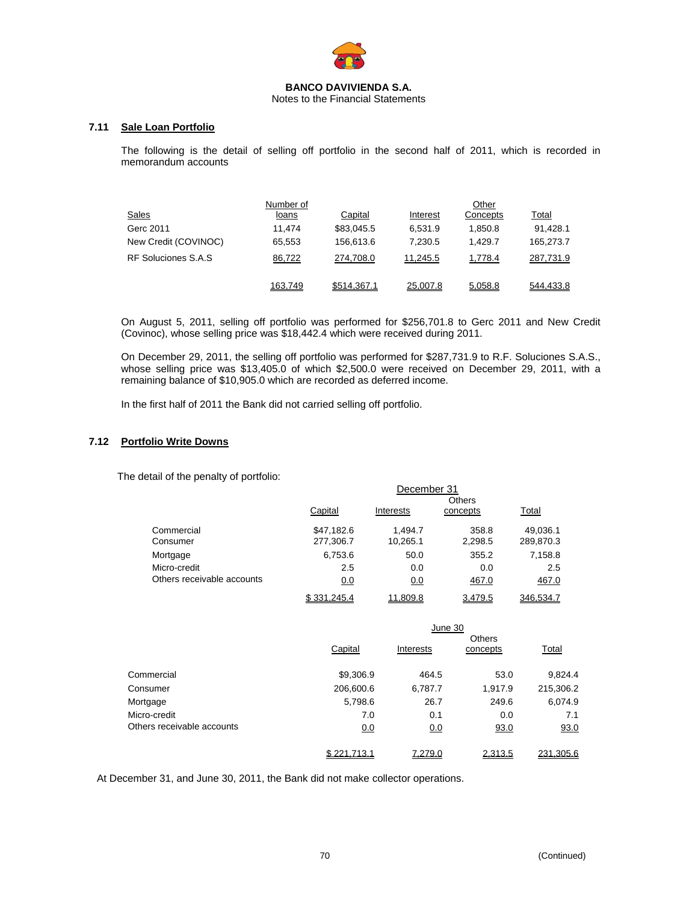

Notes to the Financial Statements

# **7.11 Sale Loan Portfolio**

The following is the detail of selling off portfolio in the second half of 2011, which is recorded in memorandum accounts

|                      | Number of    |             |          | Other    |              |
|----------------------|--------------|-------------|----------|----------|--------------|
| Sales                | <u>loans</u> | Capital     | Interest | Concepts | <u>Total</u> |
| Gerc 2011            | 11.474       | \$83,045.5  | 6,531.9  | 1.850.8  | 91,428.1     |
| New Credit (COVINOC) | 65,553       | 156,613.6   | 7.230.5  | 1.429.7  | 165,273.7    |
| RF Soluciones S.A.S  | 86,722       | 274.708.0   | 11.245.5 | 1,778.4  | 287,731.9    |
|                      | 163,749      | \$514,367.1 | 25,007.8 | 5,058.8  | 544,433.8    |

On August 5, 2011, selling off portfolio was performed for \$256,701.8 to Gerc 2011 and New Credit (Covinoc), whose selling price was \$18,442.4 which were received during 2011.

On December 29, 2011, the selling off portfolio was performed for \$287,731.9 to R.F. Soluciones S.A.S., whose selling price was \$13,405.0 of which \$2,500.0 were received on December 29, 2011, with a remaining balance of \$10,905.0 which are recorded as deferred income.

In the first half of 2011 the Bank did not carried selling off portfolio.

## **7.12 Portfolio Write Downs**

The detail of the penalty of portfolio:

|                            | December 31   |           |          |           |  |  |  |  |
|----------------------------|---------------|-----------|----------|-----------|--|--|--|--|
|                            | <b>Others</b> |           |          |           |  |  |  |  |
|                            | Capital       | Interests | concepts | Total     |  |  |  |  |
| Commercial                 | \$47,182.6    | 1.494.7   | 358.8    | 49,036.1  |  |  |  |  |
| Consumer                   | 277,306.7     | 10,265.1  | 2,298.5  | 289,870.3 |  |  |  |  |
| Mortgage                   | 6,753.6       | 50.0      | 355.2    | 7,158.8   |  |  |  |  |
| Micro-credit               | 2.5           | 0.0       | 0.0      | 2.5       |  |  |  |  |
| Others receivable accounts | 0.0           | 0.0       | 467.0    | 467.0     |  |  |  |  |
|                            | \$331,245.4   | 11.809.8  | 3,479.5  | 346.534.7 |  |  |  |  |

|                            | June 30     |           |                           |           |  |  |
|----------------------------|-------------|-----------|---------------------------|-----------|--|--|
|                            | Capital     | Interests | <b>Others</b><br>concepts | Total     |  |  |
| Commercial                 | \$9,306.9   | 464.5     | 53.0                      | 9,824.4   |  |  |
| Consumer                   | 206,600.6   | 6,787.7   | 1,917.9                   | 215,306.2 |  |  |
| Mortgage                   | 5,798.6     | 26.7      | 249.6                     | 6,074.9   |  |  |
| Micro-credit               | 7.0         | 0.1       | 0.0                       | 7.1       |  |  |
| Others receivable accounts | 0.0         | 0.0       | 93.0                      | 93.0      |  |  |
|                            | \$221,713.1 | 7,279.0   | 2,313.5                   | 231,305.6 |  |  |

At December 31, and June 30, 2011, the Bank did not make collector operations.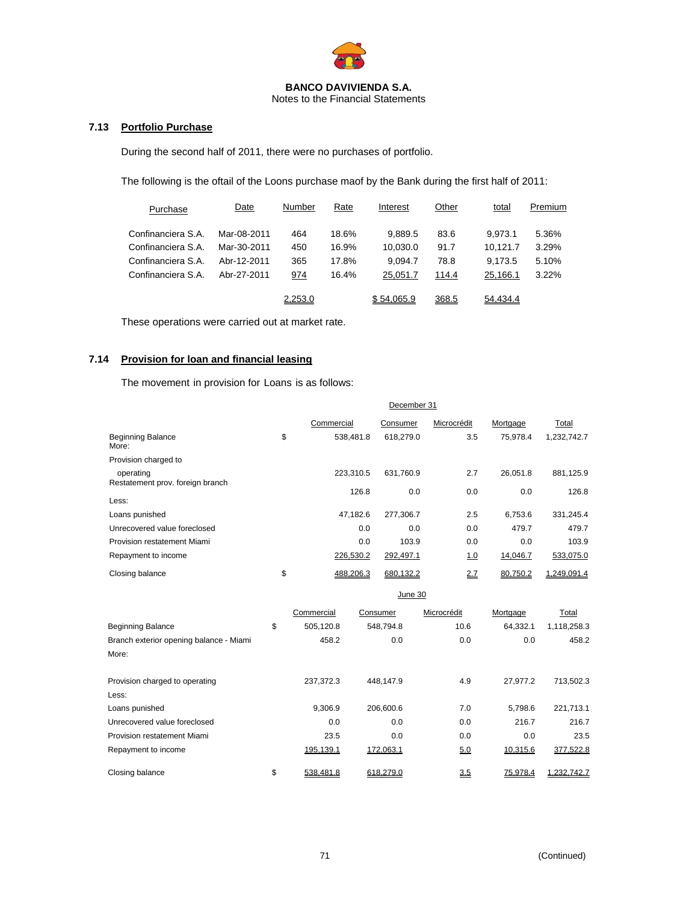

Notes to the Financial Statements

# **7.13 Portfolio Purchase**

During the second half of 2011, there were no purchases of portfolio.

The following is the oftail of the Loons purchase maof by the Bank during the first half of 2011:

| Purchase           | Date        | Number  | Rate  | Interest   | Other | total    | Premium |
|--------------------|-------------|---------|-------|------------|-------|----------|---------|
| Confinanciera S.A. | Mar-08-2011 | 464     | 18.6% | 9.889.5    | 83.6  | 9.973.1  | 5.36%   |
| Confinanciera S.A. | Mar-30-2011 | 450     | 16.9% | 10,030.0   | 91.7  | 10.121.7 | 3.29%   |
| Confinanciera S.A. | Abr-12-2011 | 365     | 17.8% | 9.094.7    | 78.8  | 9.173.5  | 5.10%   |
| Confinanciera S.A. | Abr-27-2011 | 974     | 16.4% | 25,051.7   | 114.4 | 25,166.1 | 3.22%   |
|                    |             | 2,253.0 |       | \$54.065.9 | 368.5 | 54.434.4 |         |

These operations were carried out at market rate.

# **7.14 Provision for loan and financial leasing**

The movement in provision for Loans is as follows:

|                                   | December 31 |            |           |             |          |             |  |
|-----------------------------------|-------------|------------|-----------|-------------|----------|-------------|--|
|                                   |             | Commercial | Consumer  | Microcrédit | Mortgage | Total       |  |
| <b>Beginning Balance</b><br>More: | \$          | 538.481.8  | 618.279.0 | 3.5         | 75.978.4 | 1,232,742.7 |  |
| Provision charged to              |             |            |           |             |          |             |  |
| operating                         |             | 223,310.5  | 631,760.9 | 2.7         | 26.051.8 | 881,125.9   |  |
| Restatement prov. foreign branch  |             | 126.8      | 0.0       | 0.0         | 0.0      | 126.8       |  |
| Less:                             |             |            |           |             |          |             |  |
| Loans punished                    |             | 47.182.6   | 277,306.7 | 2.5         | 6,753.6  | 331,245.4   |  |
| Unrecovered value foreclosed      |             | 0.0        | 0.0       | 0.0         | 479.7    | 479.7       |  |
| Provision restatement Miami       |             | 0.0        | 103.9     | 0.0         | 0.0      | 103.9       |  |
| Repayment to income               |             | 226,530.2  | 292,497.1 | <u>1.0</u>  | 14,046.7 | 533,075.0   |  |
| Closing balance                   | \$          | 488.206.3  | 680.132.2 | 2.7         | 80.750.2 | 1.249.091.4 |  |

|                                         | June 30 |            |           |             |          |                    |  |  |
|-----------------------------------------|---------|------------|-----------|-------------|----------|--------------------|--|--|
|                                         |         | Commercial | Consumer  | Microcrédit | Mortgage | Total              |  |  |
| <b>Beginning Balance</b>                | \$      | 505,120.8  | 548,794.8 | 10.6        | 64,332.1 | 1,118,258.3        |  |  |
| Branch exterior opening balance - Miami |         | 458.2      | 0.0       | 0.0         | 0.0      | 458.2              |  |  |
| More:                                   |         |            |           |             |          |                    |  |  |
| Provision charged to operating          |         | 237,372.3  | 448.147.9 | 4.9         | 27.977.2 | 713,502.3          |  |  |
| Less:                                   |         |            |           |             |          |                    |  |  |
| Loans punished                          |         | 9.306.9    | 206,600.6 | 7.0         | 5.798.6  | 221,713.1          |  |  |
| Unrecovered value foreclosed            |         | 0.0        | 0.0       | 0.0         | 216.7    | 216.7              |  |  |
| Provision restatement Miami             |         | 23.5       | 0.0       | 0.0         | 0.0      | 23.5               |  |  |
| Repayment to income                     |         | 195,139.1  | 172,063.1 | 5.0         | 10,315.6 | 377,522.8          |  |  |
| Closing balance                         | \$      | 538.481.8  | 618.279.0 | 3.5         | 75.978.4 | <u>1.232.742.7</u> |  |  |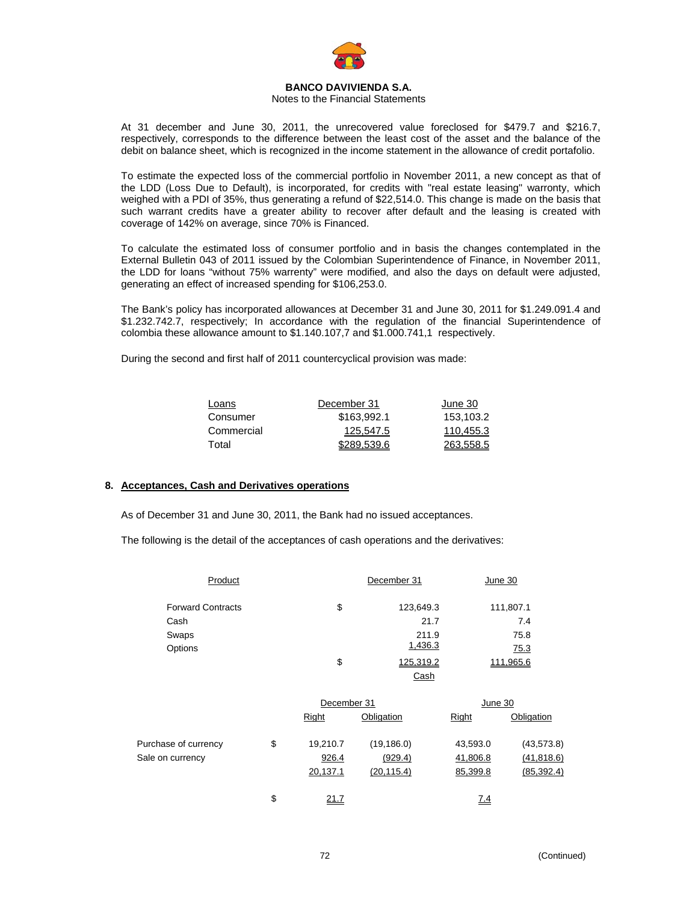

## Notes to the Financial Statements

At 31 december and June 30, 2011, the unrecovered value foreclosed for \$479.7 and \$216.7, respectively, corresponds to the difference between the least cost of the asset and the balance of the debit on balance sheet, which is recognized in the income statement in the allowance of credit portafolio.

To estimate the expected loss of the commercial portfolio in November 2011, a new concept as that of the LDD (Loss Due to Default), is incorporated, for credits with "real estate leasing" warronty, which weighed with a PDI of 35%, thus generating a refund of \$22,514.0. This change is made on the basis that such warrant credits have a greater ability to recover after default and the leasing is created with coverage of 142% on average, since 70% is Financed.

To calculate the estimated loss of consumer portfolio and in basis the changes contemplated in the External Bulletin 043 of 2011 issued by the Colombian Superintendence of Finance, in November 2011, the LDD for loans "without 75% warrenty" were modified, and also the days on default were adjusted, generating an effect of increased spending for \$106,253.0.

The Bank's policy has incorporated allowances at December 31 and June 30, 2011 for \$1.249.091.4 and \$1.232.742.7, respectively; In accordance with the regulation of the financial Superintendence of colombia these allowance amount to \$1.140.107,7 and \$1.000.741,1 respectively.

During the second and first half of 2011 countercyclical provision was made:

| Loans      | December 31 | June 30   |
|------------|-------------|-----------|
| Consumer   | \$163,992.1 | 153.103.2 |
| Commercial | 125.547.5   | 110.455.3 |
| Total      | \$289,539.6 | 263.558.5 |

## **8. Acceptances, Cash and Derivatives operations**

As of December 31 and June 30, 2011, the Bank had no issued acceptances.

The following is the detail of the acceptances of cash operations and the derivatives:

| Product                  | December 31 | June 30   |             |
|--------------------------|-------------|-----------|-------------|
| <b>Forward Contracts</b> | \$          | 123,649.3 | 111,807.1   |
| Cash                     |             | 21.7      | 7.4         |
| Swaps                    |             | 211.9     | 75.8        |
| Options                  |             | 1,436.3   | <u>75.3</u> |
|                          | \$          | 125.319.2 | 111.965.6   |
|                          |             | Cash      |             |

|                      | December 31    |             | June 30  |             |  |
|----------------------|----------------|-------------|----------|-------------|--|
|                      | Right          | Obligation  | Right    | Obligation  |  |
| Purchase of currency | \$<br>19,210.7 | (19, 186.0) | 43,593.0 | (43, 573.8) |  |
| Sale on currency     | 926.4          | (929.4)     | 41,806.8 | (41, 818.6) |  |
|                      | 20,137.1       | (20, 115.4) | 85,399.8 | (85, 392.4) |  |
|                      | \$<br>21.7     |             | Z.4      |             |  |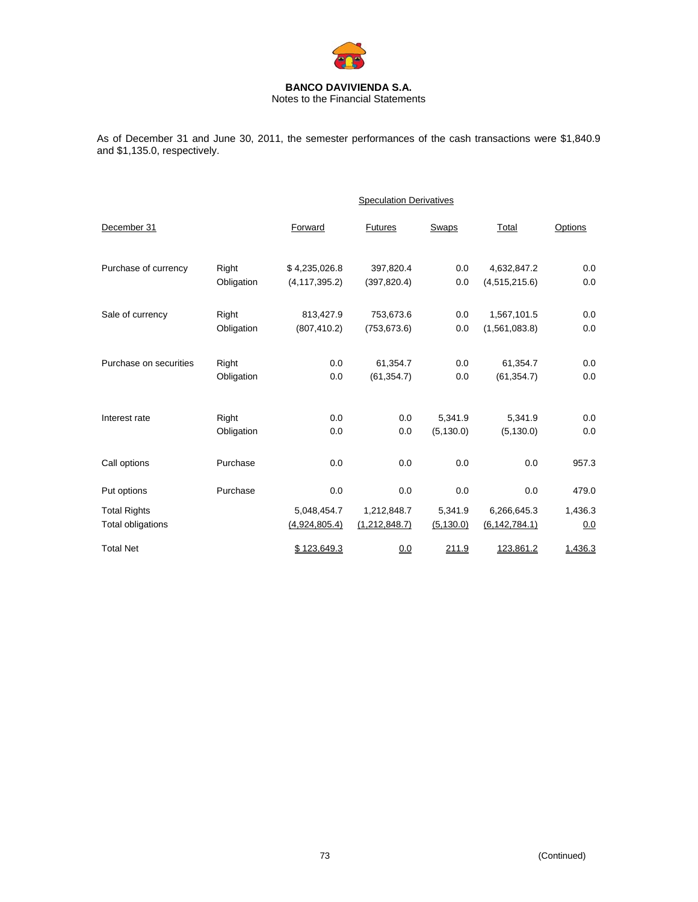

Notes to the Financial Statements

As of December 31 and June 30, 2011, the semester performances of the cash transactions were \$1,840.9 and \$1,135.0, respectively.

|                        |            | <b>Speculation Derivatives</b> |                |            |                 |         |  |
|------------------------|------------|--------------------------------|----------------|------------|-----------------|---------|--|
| December 31            |            | Forward                        | <b>Futures</b> | Swaps      | Total           | Options |  |
| Purchase of currency   | Right      | \$4,235,026.8                  | 397,820.4      | 0.0        | 4,632,847.2     | 0.0     |  |
|                        | Obligation | (4, 117, 395.2)                | (397, 820.4)   | 0.0        | (4,515,215.6)   | 0.0     |  |
| Sale of currency       | Right      | 813,427.9                      | 753,673.6      | 0.0        | 1,567,101.5     | 0.0     |  |
|                        | Obligation | (807, 410.2)                   | (753, 673.6)   | 0.0        | (1,561,083.8)   | 0.0     |  |
| Purchase on securities | Right      | 0.0                            | 61,354.7       | 0.0        | 61,354.7        | 0.0     |  |
|                        | Obligation | 0.0                            | (61, 354.7)    | 0.0        | (61, 354.7)     | 0.0     |  |
|                        |            |                                |                |            |                 |         |  |
| Interest rate          | Right      | 0.0                            | 0.0            | 5,341.9    | 5,341.9         | 0.0     |  |
|                        | Obligation | 0.0                            | 0.0            | (5, 130.0) | (5, 130.0)      | 0.0     |  |
| Call options           | Purchase   | 0.0                            | 0.0            | 0.0        | 0.0             | 957.3   |  |
| Put options            | Purchase   | 0.0                            | 0.0            | 0.0        | 0.0             | 479.0   |  |
| <b>Total Rights</b>    |            | 5,048,454.7                    | 1,212,848.7    | 5,341.9    | 6,266,645.3     | 1,436.3 |  |
| Total obligations      |            | (4,924,805.4)                  | (1,212,848.7)  | (5, 130.0) | (6, 142, 784.1) | 0.0     |  |
| <b>Total Net</b>       |            | \$123,649.3                    | 0.0            | 211.9      | 123,861.2       | 1,436.3 |  |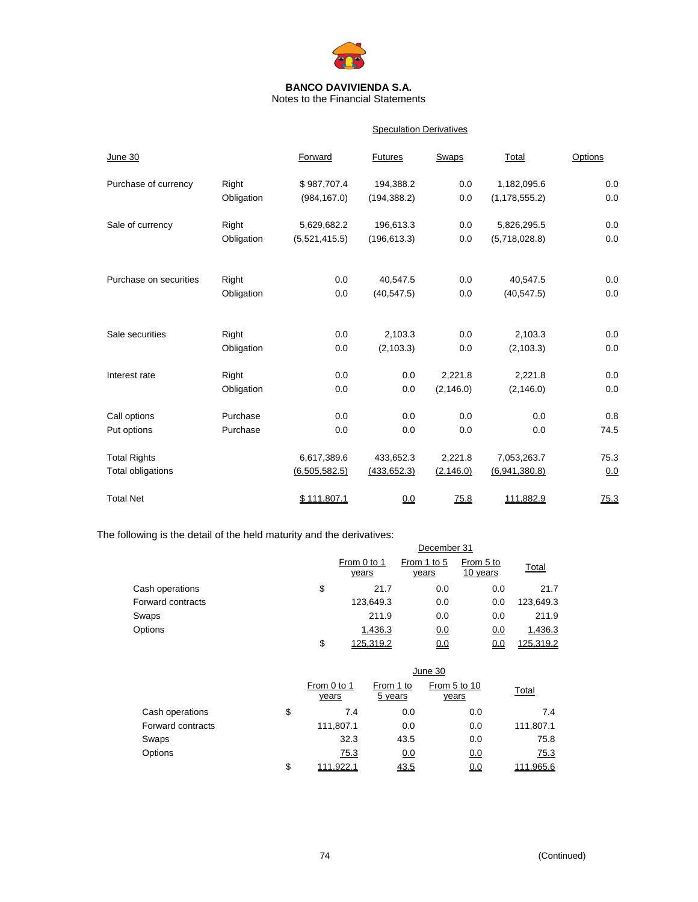

Notes to the Financial Statements

## **Speculation Derivatives**

| June 30                |            | Forward       | <b>Futures</b> | <b>Swaps</b> | Total           | Options |
|------------------------|------------|---------------|----------------|--------------|-----------------|---------|
| Purchase of currency   | Right      | \$987,707.4   | 194,388.2      | 0.0          | 1,182,095.6     | 0.0     |
|                        | Obligation | (984, 167.0)  | (194, 388.2)   | 0.0          | (1, 178, 555.2) | 0.0     |
| Sale of currency       | Right      | 5,629,682.2   | 196,613.3      | 0.0          | 5,826,295.5     | 0.0     |
|                        | Obligation | (5,521,415.5) | (196, 613.3)   | 0.0          | (5,718,028.8)   | 0.0     |
|                        |            |               |                |              |                 |         |
| Purchase on securities | Right      | 0.0           | 40,547.5       | 0.0          | 40,547.5        | 0.0     |
|                        | Obligation | 0.0           | (40, 547.5)    | 0.0          | (40, 547.5)     | 0.0     |
| Sale securities        | Right      | 0.0           | 2,103.3        | 0.0          | 2,103.3         | 0.0     |
|                        | Obligation | 0.0           | (2, 103.3)     | 0.0          | (2, 103.3)      | 0.0     |
| Interest rate          | Right      | 0.0           | 0.0            | 2,221.8      | 2.221.8         | 0.0     |
|                        | Obligation | 0.0           | 0.0            | (2, 146.0)   | (2, 146.0)      | 0.0     |
| Call options           | Purchase   | 0.0           | 0.0            | 0.0          | 0.0             | 0.8     |
| Put options            | Purchase   | 0.0           | 0.0            | 0.0          | 0.0             | 74.5    |
| <b>Total Rights</b>    |            | 6,617,389.6   | 433,652.3      | 2,221.8      | 7,053,263.7     | 75.3    |
| Total obligations      |            | (6,505,582.5) | (433, 652.3)   | (2, 146.0)   | (6,941,380.8)   | 0.0     |
| <b>Total Net</b>       |            | \$111.807.1   | 0.0            | 75.8         | 111.882.9       | 75.3    |

The following is the detail of the held maturity and the derivatives:

| lowing is the actual of the hold maturity and the activatives. |                             |                      |                       |           |  |  |
|----------------------------------------------------------------|-----------------------------|----------------------|-----------------------|-----------|--|--|
|                                                                | December 31                 |                      |                       |           |  |  |
|                                                                | From 0 to 1<br><u>years</u> | From 1 to 5<br>years | From 5 to<br>10 years | Total     |  |  |
| Cash operations                                                | \$<br>21.7                  | 0.0                  | 0.0                   | 21.7      |  |  |
| Forward contracts                                              | 123,649.3                   | 0.0                  | 0.0                   | 123,649.3 |  |  |
| Swaps                                                          | 211.9                       | 0.0                  | 0.0                   | 211.9     |  |  |
| Options                                                        | 1,436.3                     | 0.0                  | 0.0                   | 1,436.3   |  |  |
|                                                                | \$<br>125.319.2             | 0.0                  | <u>0.0</u>            | 125.319.2 |  |  |

|                   | June 30              |                      |                              |              |  |
|-------------------|----------------------|----------------------|------------------------------|--------------|--|
|                   | From 0 to 1<br>years | From 1 to<br>5 years | From 5 to 10<br><u>years</u> | <b>Total</b> |  |
| Cash operations   | \$<br>7.4            | 0.0                  | 0.0                          | 7.4          |  |
| Forward contracts | 111,807.1            | 0.0                  | 0.0                          | 111,807.1    |  |
| Swaps             | 32.3                 | 43.5                 | 0.0                          | 75.8         |  |
| Options           | 75.3                 | 0.0                  | 0.0                          | 75.3         |  |
|                   | \$<br>1.922.1        | 43.5                 | 0.0                          | 111.965.6    |  |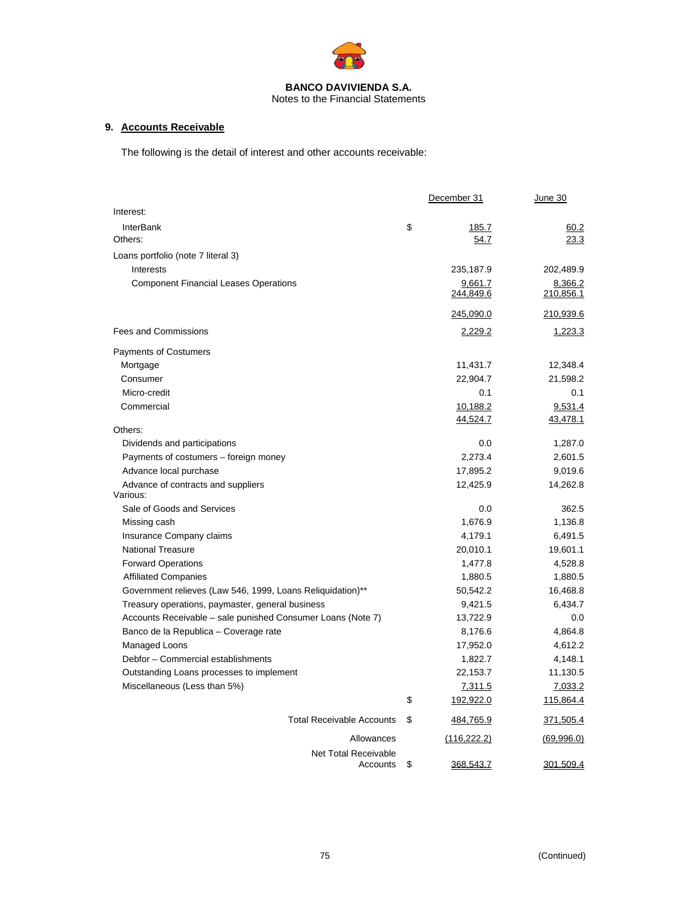

## Notes to the Financial Statements

# **9. Accounts Receivable**

The following is the detail of interest and other accounts receivable:

|                                                             | December 31     | June 30    |
|-------------------------------------------------------------|-----------------|------------|
| Interest:                                                   |                 |            |
| <b>InterBank</b>                                            | \$<br>185.7     | 60.2       |
| Others:                                                     | 54.7            | 23.3       |
| Loans portfolio (note 7 literal 3)                          |                 |            |
| Interests                                                   | 235,187.9       | 202,489.9  |
| <b>Component Financial Leases Operations</b>                | 9,661.7         | 8,366.2    |
|                                                             | 244,849.6       | 210,856.1  |
|                                                             | 245,090.0       | 210,939.6  |
| <b>Fees and Commissions</b>                                 | 2,229.2         | 1,223.3    |
| Payments of Costumers                                       |                 |            |
| Mortgage                                                    | 11,431.7        | 12,348.4   |
| Consumer                                                    | 22,904.7        | 21,598.2   |
| Micro-credit                                                | 0.1             | 0.1        |
| Commercial                                                  | 10,188.2        | 9,531.4    |
|                                                             | 44,524.7        | 43,478.1   |
| Others:                                                     |                 |            |
| Dividends and participations                                | 0.0             | 1,287.0    |
| Payments of costumers - foreign money                       | 2,273.4         | 2,601.5    |
| Advance local purchase                                      | 17,895.2        | 9,019.6    |
| Advance of contracts and suppliers<br>Various:              | 12,425.9        | 14,262.8   |
| Sale of Goods and Services                                  | 0.0             | 362.5      |
| Missing cash                                                | 1,676.9         | 1,136.8    |
| Insurance Company claims                                    | 4,179.1         | 6,491.5    |
| <b>National Treasure</b>                                    | 20,010.1        | 19,601.1   |
| <b>Forward Operations</b>                                   | 1,477.8         | 4,528.8    |
| <b>Affiliated Companies</b>                                 | 1,880.5         | 1,880.5    |
| Government relieves (Law 546, 1999, Loans Reliquidation)**  | 50,542.2        | 16,468.8   |
| Treasury operations, paymaster, general business            | 9,421.5         | 6,434.7    |
| Accounts Receivable – sale punished Consumer Loans (Note 7) | 13,722.9        | 0.0        |
| Banco de la Republica - Coverage rate                       | 8,176.6         | 4,864.8    |
| Managed Loons                                               | 17,952.0        | 4,612.2    |
| Debfor - Commercial establishments                          | 1,822.7         | 4,148.1    |
| Outstanding Loans processes to implement                    | 22,153.7        | 11,130.5   |
| Miscellaneous (Less than 5%)                                | 7,311.5         | 7,033.2    |
|                                                             | \$<br>192,922.0 | 115,864.4  |
| <b>Total Receivable Accounts</b>                            | \$<br>484,765.9 | 371,505.4  |
| Allowances                                                  | (116, 222.2)    | (69,996.0) |
| <b>Net Total Receivable</b><br>Accounts                     | \$<br>368,543.7 | 301,509.4  |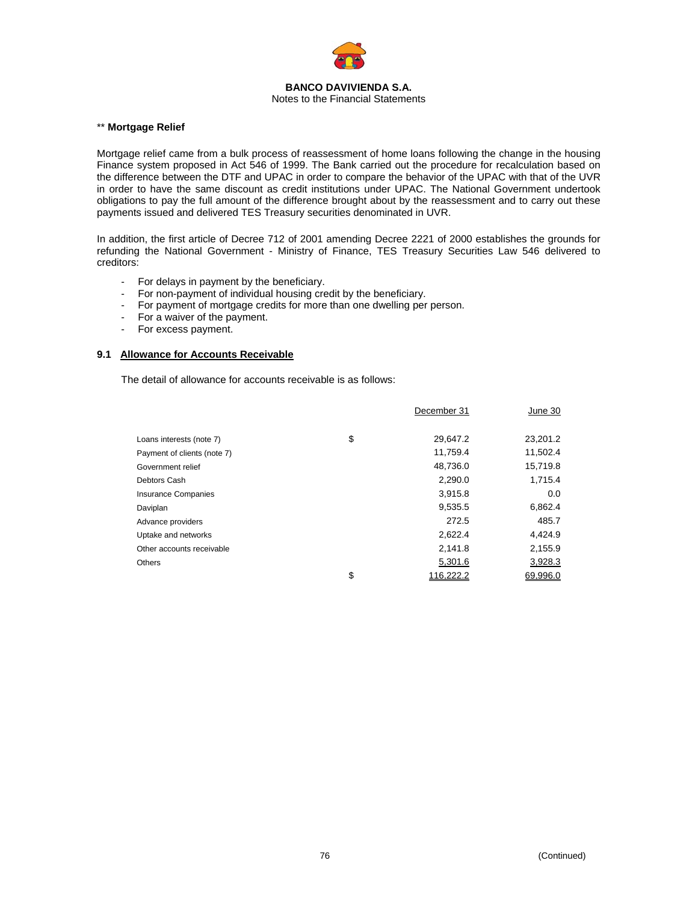

#### Notes to the Financial Statements

## \*\* **Mortgage Relief**

Mortgage relief came from a bulk process of reassessment of home loans following the change in the housing Finance system proposed in Act 546 of 1999. The Bank carried out the procedure for recalculation based on the difference between the DTF and UPAC in order to compare the behavior of the UPAC with that of the UVR in order to have the same discount as credit institutions under UPAC. The National Government undertook obligations to pay the full amount of the difference brought about by the reassessment and to carry out these payments issued and delivered TES Treasury securities denominated in UVR.

In addition, the first article of Decree 712 of 2001 amending Decree 2221 of 2000 establishes the grounds for refunding the National Government - Ministry of Finance, TES Treasury Securities Law 546 delivered to creditors:

- For delays in payment by the beneficiary.
- For non-payment of individual housing credit by the beneficiary.
- For payment of mortgage credits for more than one dwelling per person.
- For a waiver of the payment.
- For excess payment.

## **9.1 Allowance for Accounts Receivable**

The detail of allowance for accounts receivable is as follows:

|                             | December 31     | June 30  |
|-----------------------------|-----------------|----------|
|                             |                 |          |
| Loans interests (note 7)    | \$<br>29,647.2  | 23,201.2 |
| Payment of clients (note 7) | 11,759.4        | 11,502.4 |
| Government relief           | 48,736.0        | 15,719.8 |
| Debtors Cash                | 2,290.0         | 1,715.4  |
| <b>Insurance Companies</b>  | 3,915.8         | 0.0      |
| Daviplan                    | 9,535.5         | 6,862.4  |
| Advance providers           | 272.5           | 485.7    |
| Uptake and networks         | 2,622.4         | 4,424.9  |
| Other accounts receivable   | 2,141.8         | 2,155.9  |
| <b>Others</b>               | 5,301.6         | 3,928.3  |
|                             | \$<br>116,222.2 | 69,996.0 |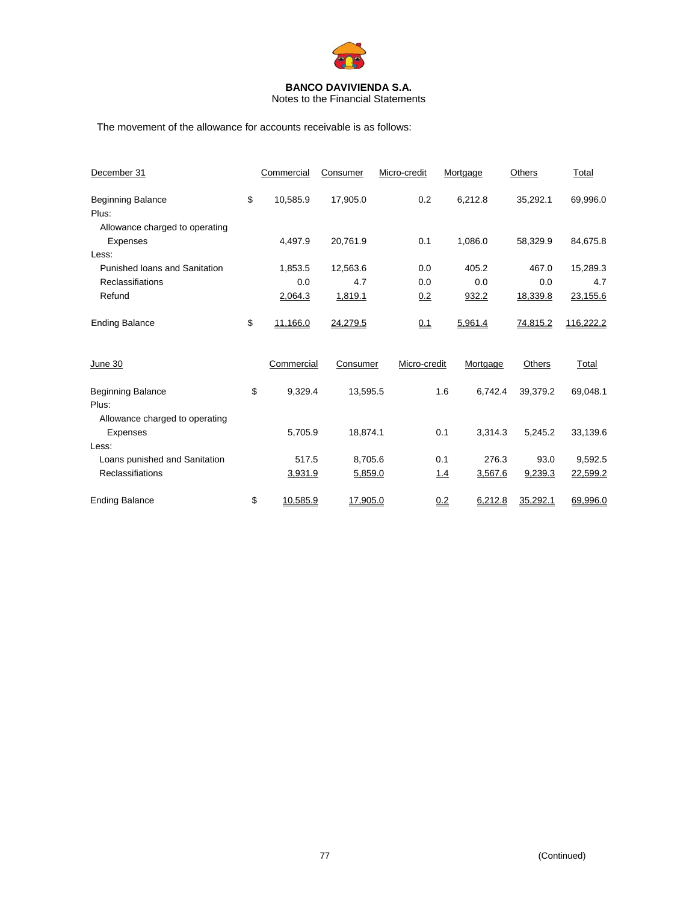

Notes to the Financial Statements

The movement of the allowance for accounts receivable is as follows:

| December 31                                       | Commercial     | Consumer | Micro-credit | Mortgage       | Others   | Total     |
|---------------------------------------------------|----------------|----------|--------------|----------------|----------|-----------|
| <b>Beginning Balance</b><br>Plus:                 | \$<br>10,585.9 | 17,905.0 | 0.2          | 6,212.8        | 35,292.1 | 69,996.0  |
| Allowance charged to operating<br><b>Expenses</b> | 4,497.9        | 20,761.9 | 0.1          | 1,086.0        | 58,329.9 | 84,675.8  |
| Less:                                             |                |          |              |                |          |           |
| Punished loans and Sanitation                     | 1,853.5        | 12,563.6 | 0.0          | 405.2          | 467.0    | 15,289.3  |
| Reclassifiations                                  | 0.0            | 4.7      | 0.0          | 0.0            | 0.0      | 4.7       |
| Refund                                            | 2,064.3        | 1,819.1  | 0.2          | 932.2          | 18,339.8 | 23,155.6  |
| <b>Ending Balance</b>                             | \$<br>11,166.0 | 24,279.5 | <u>0.1</u>   | 5,961.4        | 74,815.2 | 116,222.2 |
| June 30                                           | Commercial     | Consumer | Micro-credit | Mortgage       | Others   | Total     |
| <b>Beginning Balance</b><br>Plus:                 | \$<br>9,329.4  | 13,595.5 |              | 6,742.4<br>1.6 | 39,379.2 | 69,048.1  |
| Allowance charged to operating<br><b>Expenses</b> | 5,705.9        | 18,874.1 |              | 0.1<br>3,314.3 | 5,245.2  | 33,139.6  |
| Less:                                             |                |          |              |                |          |           |
| Loans punished and Sanitation                     | 517.5          | 8,705.6  |              | 0.1<br>276.3   | 93.0     | 9,592.5   |
| Reclassifiations                                  | 3,931.9        | 5,859.0  |              | 3,567.6<br>1.4 | 9,239.3  | 22,599.2  |
| <b>Ending Balance</b>                             | \$<br>10.585.9 | 17.905.0 |              | 0.2<br>6,212.8 | 35.292.1 | 69.996.0  |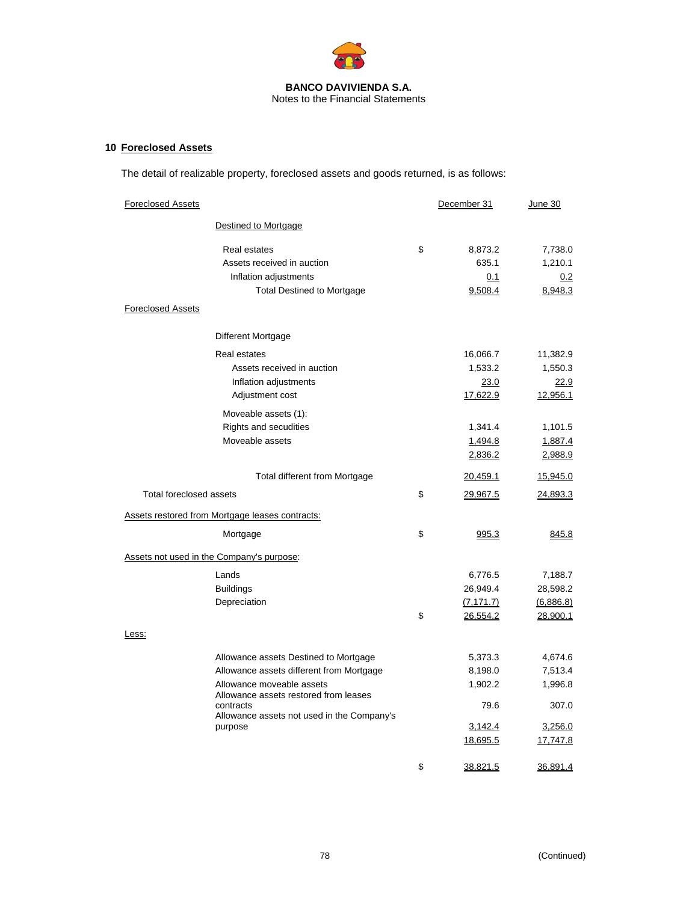

# **10 Foreclosed Assets**

The detail of realizable property, foreclosed assets and goods returned, is as follows:

| <b>Foreclosed Assets</b>                                                                                                                                                                                                      | December 31                                                  | <u>June 30</u>                                                |
|-------------------------------------------------------------------------------------------------------------------------------------------------------------------------------------------------------------------------------|--------------------------------------------------------------|---------------------------------------------------------------|
| Destined to Mortgage                                                                                                                                                                                                          |                                                              |                                                               |
| <b>Real estates</b><br>Assets received in auction<br>Inflation adjustments<br><b>Total Destined to Mortgage</b><br><b>Foreclosed Assets</b>                                                                                   | \$<br>8,873.2<br>635.1<br>0.1<br>9,508.4                     | 7,738.0<br>1,210.1<br>0.2<br>8,948.3                          |
| <b>Different Mortgage</b>                                                                                                                                                                                                     |                                                              |                                                               |
| Real estates<br>Assets received in auction<br>Inflation adjustments<br>Adjustment cost                                                                                                                                        | 16,066.7<br>1,533.2<br>23.0<br>17,622.9                      | 11,382.9<br>1,550.3<br>22.9<br>12,956.1                       |
| Moveable assets (1):<br>Rights and secudities<br>Moveable assets                                                                                                                                                              | 1,341.4<br>1,494.8<br>2,836.2                                | 1,101.5<br>1,887.4<br>2,988.9                                 |
| <b>Total different from Mortgage</b>                                                                                                                                                                                          | 20,459.1                                                     | 15,945.0                                                      |
| <b>Total foreclosed assets</b>                                                                                                                                                                                                | \$<br>29,967.5                                               | 24,893.3                                                      |
| <b>Assets restored from Mortgage leases contracts:</b>                                                                                                                                                                        |                                                              |                                                               |
| Mortgage                                                                                                                                                                                                                      | \$<br>995.3                                                  | 845.8                                                         |
| Assets not used in the Company's purpose:                                                                                                                                                                                     |                                                              |                                                               |
| Lands<br><b>Buildings</b><br>Depreciation                                                                                                                                                                                     | \$<br>6,776.5<br>26,949.4<br>(7, 171.7)<br>26,554.2          | 7,188.7<br>28,598.2<br>(6,886.8)<br>28,900.1                  |
| Less:                                                                                                                                                                                                                         |                                                              |                                                               |
| Allowance assets Destined to Mortgage<br>Allowance assets different from Mortgage<br>Allowance moveable assets<br>Allowance assets restored from leases<br>contracts<br>Allowance assets not used in the Company's<br>purpose | 5,373.3<br>8,198.0<br>1,902.2<br>79.6<br>3,142.4<br>18,695.5 | 4,674.6<br>7,513.4<br>1,996.8<br>307.0<br>3,256.0<br>17,747.8 |
|                                                                                                                                                                                                                               | \$<br>38,821.5                                               | 36,891.4                                                      |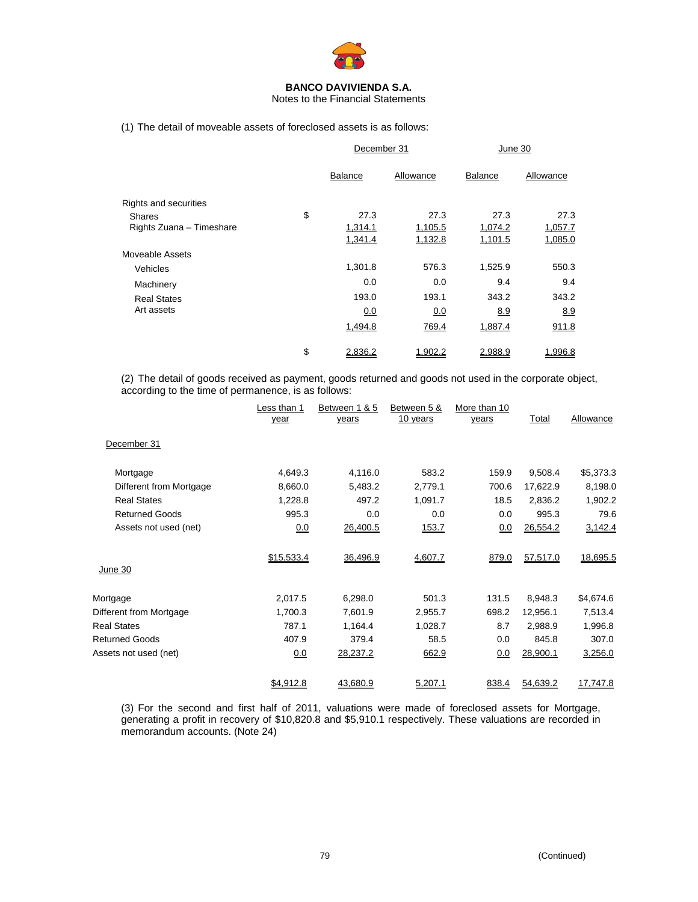

Notes to the Financial Statements

(1) The detail of moveable assets of foreclosed assets is as follows:

|                          | December 31    |           | June 30        |           |
|--------------------------|----------------|-----------|----------------|-----------|
|                          | <b>Balance</b> | Allowance | <b>Balance</b> | Allowance |
| Rights and securities    |                |           |                |           |
| <b>Shares</b>            | \$<br>27.3     | 27.3      | 27.3           | 27.3      |
| Rights Zuana - Timeshare | 1,314.1        | 1,105.5   | 1,074.2        | 1,057.7   |
|                          | 1,341.4        | 1,132.8   | 1,101.5        | 1,085.0   |
| Moveable Assets          |                |           |                |           |
| Vehicles                 | 1,301.8        | 576.3     | 1,525.9        | 550.3     |
| Machinery                | 0.0            | 0.0       | 9.4            | 9.4       |
| <b>Real States</b>       | 193.0          | 193.1     | 343.2          | 343.2     |
| Art assets               | 0.0            | 0.0       | 8.9            | 8.9       |
|                          | 1,494.8        | 769.4     | 1,887.4        | 911.8     |
|                          | \$<br>2,836.2  | 1.902.2   | 2,988.9        | 1,996.8   |

(2) The detail of goods received as payment, goods returned and goods not used in the corporate object, according to the time of permanence, is as follows:

|                         | ess than 1.<br>year | Between 1 & 5<br>years | Between 5 &<br>10 years | More than 10<br>years | <b>Total</b> | Allowance |
|-------------------------|---------------------|------------------------|-------------------------|-----------------------|--------------|-----------|
| December 31             |                     |                        |                         |                       |              |           |
| Mortgage                | 4,649.3             | 4,116.0                | 583.2                   | 159.9                 | 9,508.4      | \$5,373.3 |
| Different from Mortgage | 8,660.0             | 5,483.2                | 2,779.1                 | 700.6                 | 17,622.9     | 8,198.0   |
| <b>Real States</b>      | 1,228.8             | 497.2                  | 1,091.7                 | 18.5                  | 2,836.2      | 1,902.2   |
| <b>Returned Goods</b>   | 995.3               | 0.0                    | 0.0                     | 0.0                   | 995.3        | 79.6      |
| Assets not used (net)   | 0.0                 | 26,400.5               | 153.7                   | 0.0                   | 26,554.2     | 3,142.4   |
| June 30                 | \$15,533.4          | 36,496.9               | 4,607.7                 | 879.0                 | 57,517.0     | 18,695.5  |
| Mortgage                | 2,017.5             | 6,298.0                | 501.3                   | 131.5                 | 8,948.3      | \$4,674.6 |
| Different from Mortgage | 1,700.3             | 7,601.9                | 2,955.7                 | 698.2                 | 12,956.1     | 7,513.4   |
| <b>Real States</b>      | 787.1               | 1,164.4                | 1,028.7                 | 8.7                   | 2,988.9      | 1,996.8   |
| <b>Returned Goods</b>   | 407.9               | 379.4                  | 58.5                    | 0.0                   | 845.8        | 307.0     |
| Assets not used (net)   | 0.0                 | 28,237.2               | 662.9                   | 0.0                   | 28,900.1     | 3,256.0   |
|                         | \$4,912.8           | 43,680.9               | 5,207.1                 | 838.4                 | 54,639.2     | 17,747.8  |

(3) For the second and first half of 2011, valuations were made of foreclosed assets for Mortgage, generating a profit in recovery of \$10,820.8 and \$5,910.1 respectively. These valuations are recorded in memorandum accounts. (Note 24)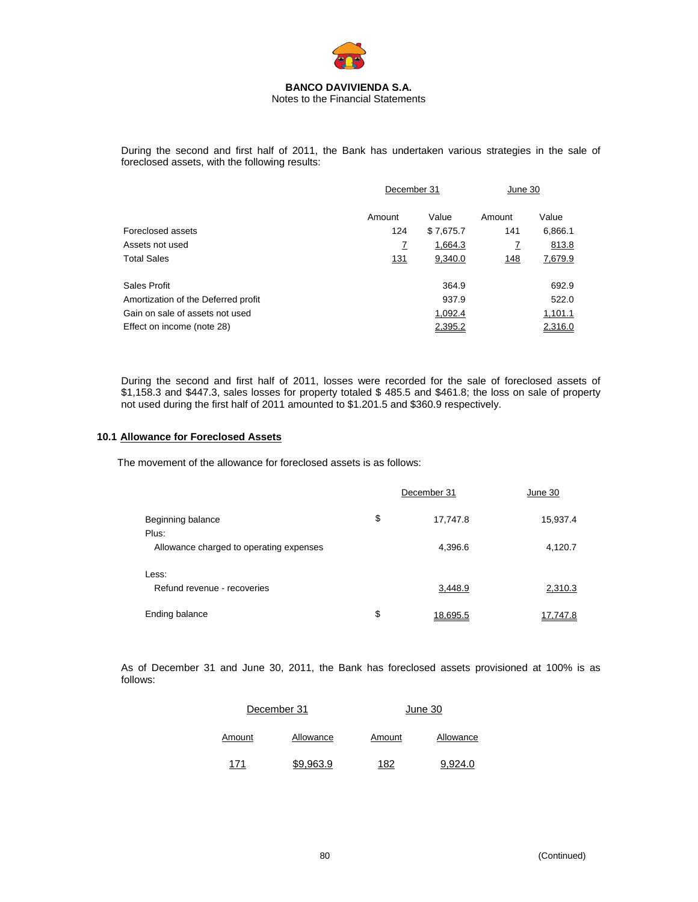

During the second and first half of 2011, the Bank has undertaken various strategies in the sale of foreclosed assets, with the following results:

|                                     | December 31 |           | June 30 |         |
|-------------------------------------|-------------|-----------|---------|---------|
|                                     | Amount      | Value     | Amount  | Value   |
| Foreclosed assets                   | 124         | \$7,675.7 | 141     | 6,866.1 |
| Assets not used                     | Z           | 1,664.3   | 7       | 813.8   |
| Total Sales                         | 131         | 9,340.0   | 148     | 7,679.9 |
| Sales Profit                        |             | 364.9     |         | 692.9   |
| Amortization of the Deferred profit |             | 937.9     |         | 522.0   |
| Gain on sale of assets not used     |             | 1,092.4   |         | 1,101.1 |
| Effect on income (note 28)          |             | 2,395.2   |         | 2,316.0 |
|                                     |             |           |         |         |

During the second and first half of 2011, losses were recorded for the sale of foreclosed assets of \$1,158.3 and \$447.3, sales losses for property totaled \$ 485.5 and \$461.8; the loss on sale of property not used during the first half of 2011 amounted to \$1.201.5 and \$360.9 respectively.

# **10.1 Allowance for Foreclosed Assets**

The movement of the allowance for foreclosed assets is as follows:

|                                         | December 31    | June 30  |
|-----------------------------------------|----------------|----------|
| Beginning balance<br>Plus:              | \$<br>17,747.8 | 15,937.4 |
| Allowance charged to operating expenses | 4,396.6        | 4,120.7  |
| Less:<br>Refund revenue - recoveries    | 3,448.9        | 2,310.3  |
| Ending balance                          | \$<br>18.695.5 | 17.747.8 |

As of December 31 and June 30, 2011, the Bank has foreclosed assets provisioned at 100% is as follows:

|        | December 31 |        | June 30   |
|--------|-------------|--------|-----------|
| Amount | Allowance   | Amount | Allowance |
| 171    | \$9.963.9   | 182    | 9.924.0   |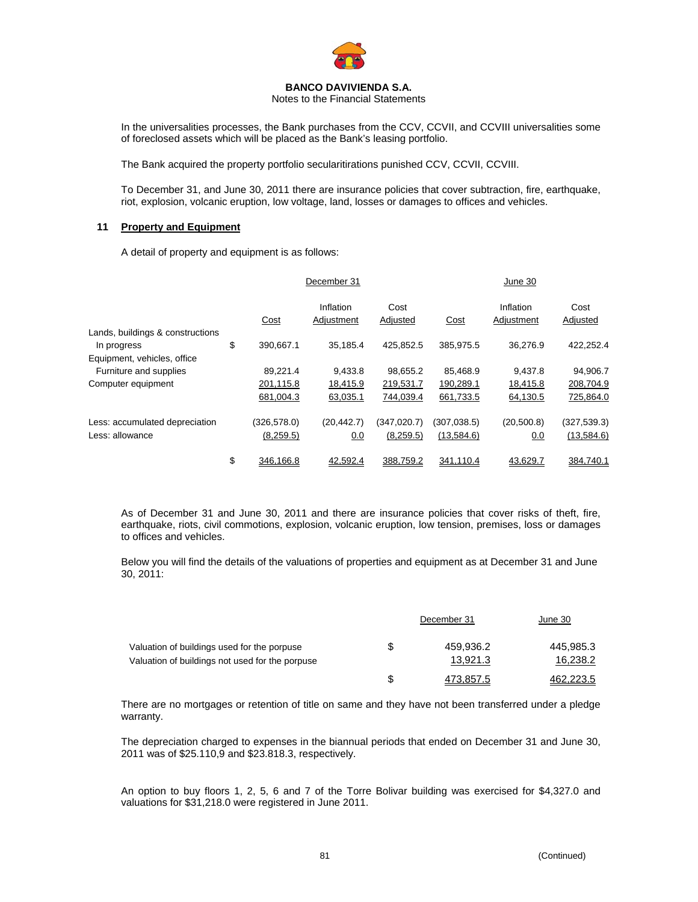

Notes to the Financial Statements

In the universalities processes, the Bank purchases from the CCV, CCVII, and CCVIII universalities some of foreclosed assets which will be placed as the Bank's leasing portfolio.

The Bank acquired the property portfolio secularitirations punished CCV, CCVII, CCVIII.

To December 31, and June 30, 2011 there are insurance policies that cover subtraction, fire, earthquake, riot, explosion, volcanic eruption, low voltage, land, losses or damages to offices and vehicles.

# **11 Property and Equipment**

A detail of property and equipment is as follows:

|                                                 |                 | December 31             |                  |              | June 30                 |                  |
|-------------------------------------------------|-----------------|-------------------------|------------------|--------------|-------------------------|------------------|
|                                                 | Cost            | Inflation<br>Adjustment | Cost<br>Adjusted | Cost         | Inflation<br>Adjustment | Cost<br>Adjusted |
| Lands, buildings & constructions<br>In progress | \$<br>390.667.1 | 35.185.4                | 425.852.5        | 385.975.5    | 36.276.9                | 422,252.4        |
| Equipment, vehicles, office                     |                 |                         |                  |              |                         |                  |
| Furniture and supplies                          | 89,221.4        | 9,433.8                 | 98,655.2         | 85.468.9     | 9.437.8                 | 94,906.7         |
| Computer equipment                              | 201,115.8       | 18,415.9                | 219,531.7        | 190,289.1    | 18,415.8                | 208,704.9        |
|                                                 | 681,004.3       | 63,035.1                | 744,039.4        | 661,733.5    | 64,130.5                | 725,864.0        |
| Less: accumulated depreciation                  | (326, 578.0)    | (20, 442.7)             | (347, 020.7)     | (307, 038.5) | (20, 500.8)             | (327, 539.3)     |
| Less: allowance                                 | (8,259.5)       | 0.0                     | (8,259.5)        | (13,584.6)   | 0.0                     | (13,584.6)       |
|                                                 | \$<br>346.166.8 | 42.592.4                | 388.759.2        | 341.110.4    | 43.629.7                | 384.740.1        |

As of December 31 and June 30, 2011 and there are insurance policies that cover risks of theft, fire, earthquake, riots, civil commotions, explosion, volcanic eruption, low tension, premises, loss or damages to offices and vehicles.

Below you will find the details of the valuations of properties and equipment as at December 31 and June 30, 2011:

|                                                 | December 31 | June 30   |
|-------------------------------------------------|-------------|-----------|
| Valuation of buildings used for the porpuse     | 459.936.2   | 445,985.3 |
| Valuation of buildings not used for the porpuse | 13.921.3    | 16,238.2  |
|                                                 | 473.857.5   | 462 223 5 |

There are no mortgages or retention of title on same and they have not been transferred under a pledge warranty.

The depreciation charged to expenses in the biannual periods that ended on December 31 and June 30, 2011 was of \$25.110,9 and \$23.818.3, respectively.

An option to buy floors 1, 2, 5, 6 and 7 of the Torre Bolivar building was exercised for \$4,327.0 and valuations for \$31,218.0 were registered in June 2011.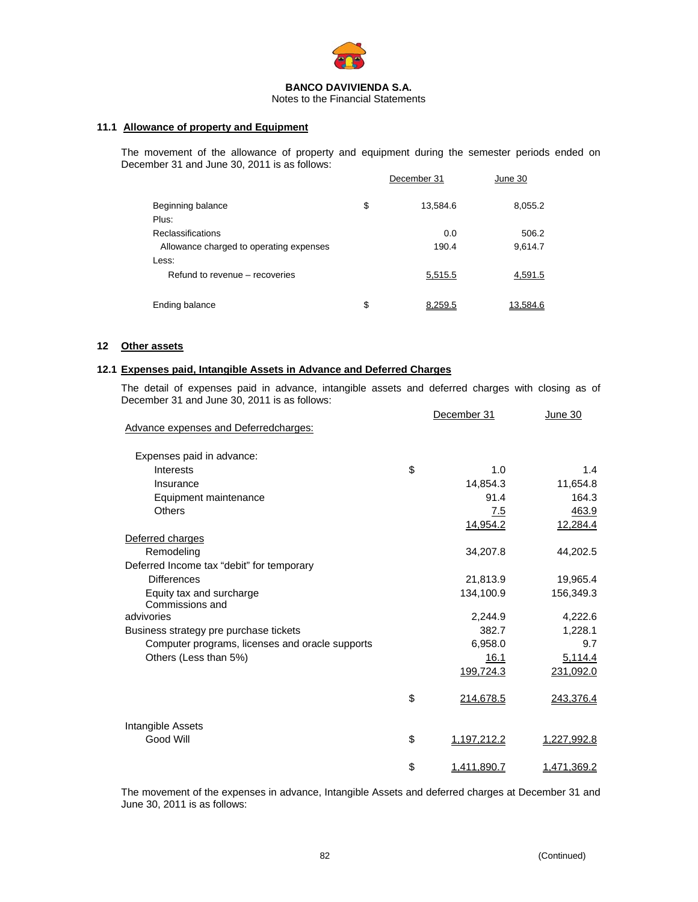

Notes to the Financial Statements

# **11.1 Allowance of property and Equipment**

The movement of the allowance of property and equipment during the semester periods ended on December 31 and June 30, 2011 is as follows:

|                                         | December 31    | June 30  |
|-----------------------------------------|----------------|----------|
| Beginning balance<br>Plus:              | \$<br>13,584.6 | 8,055.2  |
| <b>Reclassifications</b>                | 0.0            | 506.2    |
| Allowance charged to operating expenses | 190.4          | 9,614.7  |
| Less:                                   |                |          |
| Refund to revenue – recoveries          | 5,515.5        | 4,591.5  |
| Ending balance                          | \$<br>8,259.5  | 13,584.6 |

## **12 Other assets**

## **12.1 Expenses paid, Intangible Assets in Advance and Deferred Charges**

The detail of expenses paid in advance, intangible assets and deferred charges with closing as of December 31 and June 30, 2011 is as follows:

|                                                 |    | December 31 | June 30            |
|-------------------------------------------------|----|-------------|--------------------|
| Advance expenses and Deferredcharges:           |    |             |                    |
| Expenses paid in advance:                       |    |             |                    |
| Interests                                       | \$ | 1.0         | 1.4                |
| Insurance                                       |    | 14,854.3    | 11,654.8           |
| Equipment maintenance                           |    | 91.4        | 164.3              |
| <b>Others</b>                                   |    | 7.5         | 463.9              |
|                                                 |    | 14,954.2    | 12,284.4           |
| Deferred charges                                |    |             |                    |
| Remodeling                                      |    | 34,207.8    | 44,202.5           |
| Deferred Income tax "debit" for temporary       |    |             |                    |
| <b>Differences</b>                              |    | 21,813.9    | 19,965.4           |
| Equity tax and surcharge                        |    | 134,100.9   | 156,349.3          |
| Commissions and                                 |    |             |                    |
| advivories                                      |    | 2,244.9     | 4,222.6            |
| Business strategy pre purchase tickets          |    | 382.7       | 1,228.1            |
| Computer programs, licenses and oracle supports |    | 6,958.0     | 9.7                |
| Others (Less than 5%)                           |    | 16.1        | 5,114.4            |
|                                                 |    | 199,724.3   | 231,092.0          |
|                                                 | \$ | 214,678.5   | 243,376.4          |
| Intangible Assets                               |    |             |                    |
| Good Will                                       | \$ | 1,197,212.2 | <u>1,227,992.8</u> |
|                                                 | \$ | 1,411,890.7 | <u>1,471,369.2</u> |

The movement of the expenses in advance, Intangible Assets and deferred charges at December 31 and June 30, 2011 is as follows: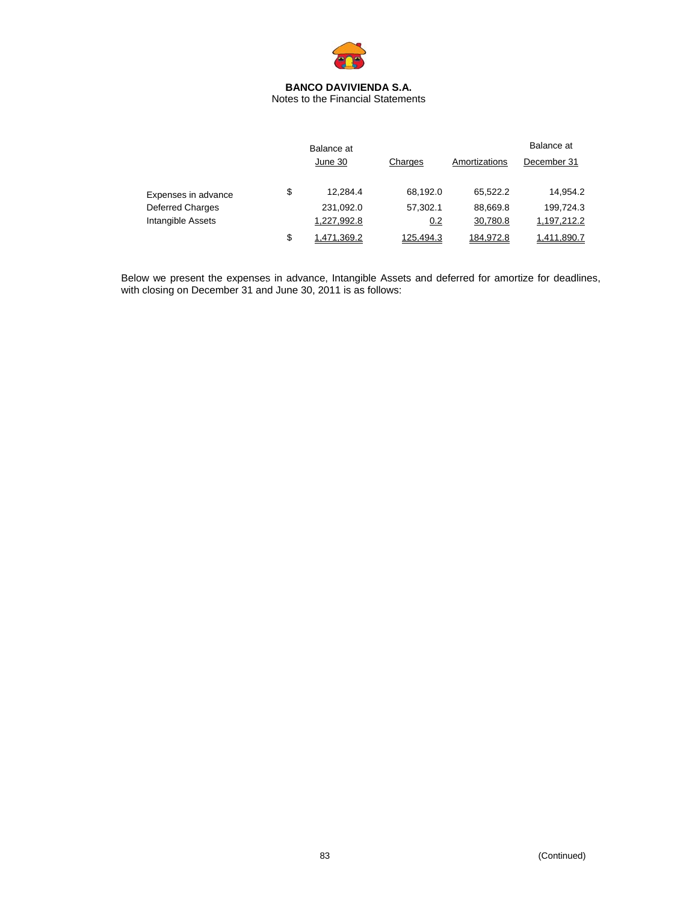

Notes to the Financial Statements

|                         | Balance at        |           |               | Balance at  |
|-------------------------|-------------------|-----------|---------------|-------------|
|                         | June 30           | Charges   | Amortizations | December 31 |
|                         |                   |           |               |             |
| Expenses in advance     | \$<br>12.284.4    | 68.192.0  | 65.522.2      | 14.954.2    |
| <b>Deferred Charges</b> | 231,092.0         | 57.302.1  | 88.669.8      | 199,724.3   |
| Intangible Assets       | 1,227,992.8       | 0.2       | 30,780.8      | 1,197,212.2 |
|                         | \$<br>1,471,369.2 | 125,494.3 | 184,972.8     | 1,411,890.7 |

Below we present the expenses in advance, Intangible Assets and deferred for amortize for deadlines, with closing on December 31 and June 30, 2011 is as follows: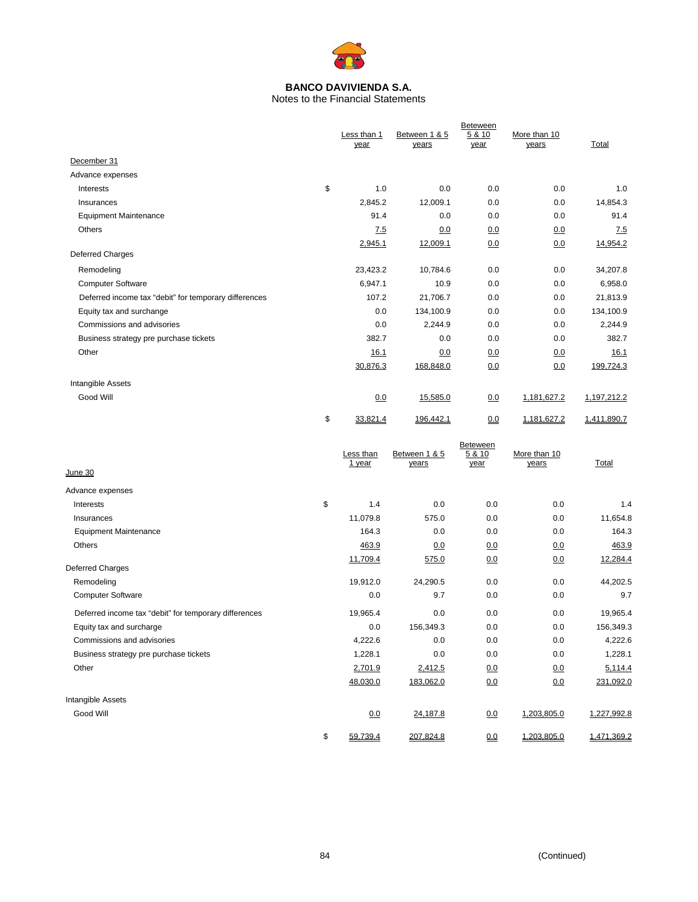

Notes to the Financial Statements

|                                                       |                     | <b>Beteween</b>        |                |                       |             |  |
|-------------------------------------------------------|---------------------|------------------------|----------------|-----------------------|-------------|--|
|                                                       | Less than 1<br>year | Between 1 & 5<br>years | 5 & 10<br>year | More than 10<br>years | Total       |  |
|                                                       |                     |                        |                |                       |             |  |
| December 31                                           |                     |                        |                |                       |             |  |
| Advance expenses                                      |                     |                        |                |                       |             |  |
| Interests                                             | \$<br>1.0           | 0.0                    | 0.0            | 0.0                   | 1.0         |  |
| Insurances                                            | 2,845.2             | 12,009.1               | 0.0            | 0.0                   | 14,854.3    |  |
| <b>Equipment Maintenance</b>                          | 91.4                | 0.0                    | 0.0            | 0.0                   | 91.4        |  |
| Others                                                | <u>7.5</u>          | 0.0                    | 0.0            | 0.0                   | 7.5         |  |
| <b>Deferred Charges</b>                               | 2,945.1             | 12,009.1               | 0.0            | 0.0                   | 14,954.2    |  |
| Remodeling                                            | 23,423.2            | 10,784.6               | 0.0            | 0.0                   | 34,207.8    |  |
| <b>Computer Software</b>                              | 6,947.1             | 10.9                   | 0.0            | 0.0                   | 6,958.0     |  |
| Deferred income tax "debit" for temporary differences | 107.2               | 21,706.7               | 0.0            | 0.0                   | 21,813.9    |  |
| Equity tax and surchange                              | 0.0                 | 134,100.9              | 0.0            | 0.0                   | 134,100.9   |  |
| Commissions and advisories                            | 0.0                 | 2,244.9                | 0.0            | 0.0                   | 2,244.9     |  |
| Business strategy pre purchase tickets                | 382.7               | 0.0                    | 0.0            | 0.0                   | 382.7       |  |
| Other                                                 | 16.1                | 0.0                    | 0.0            | 0.0                   | 16.1        |  |
|                                                       | 30,876.3            | 168,848.0              | 0.0            | 0.0                   | 199,724.3   |  |
| Intangible Assets                                     |                     |                        |                |                       |             |  |
| Good Will                                             | 0.0                 | 15,585.0               | 0.0            | 1,181,627.2           | 1,197,212.2 |  |
|                                                       |                     |                        |                |                       |             |  |
|                                                       | \$<br>33,821.4      | 196,442.1              | 0.0            | 1,181,627.2           | 1,411,890.7 |  |
|                                                       |                     |                        | Beteween       |                       |             |  |
|                                                       | Less than           | Between 1 & 5          | 5 & 10         | More than 10          |             |  |
| June 30                                               | 1 year              | years                  | year           | years                 | Total       |  |
| Advance expenses                                      |                     |                        |                |                       |             |  |
| Interests                                             | \$<br>1.4           | 0.0                    | 0.0            | 0.0                   | 1.4         |  |
| Insurances                                            | 11,079.8            | 575.0                  | 0.0            | 0.0                   | 11,654.8    |  |
| <b>Equipment Maintenance</b>                          | 164.3               | 0.0                    | 0.0            | 0.0                   | 164.3       |  |
| Others                                                | 463.9               | 0.0                    | 0.0            | 0.0                   | 463.9       |  |
|                                                       | 11,709.4            | 575.0                  | 0.0            | 0.0                   | 12,284.4    |  |
| Deferred Charges                                      |                     |                        |                |                       |             |  |
| Remodeling                                            | 19,912.0            | 24,290.5               | 0.0            | 0.0                   | 44,202.5    |  |
| <b>Computer Software</b>                              | 0.0                 | 9.7                    | 0.0            | 0.0                   | 9.7         |  |
| Deferred income tax "debit" for temporary differences | 19,965.4            | 0.0                    | 0.0            | 0.0                   | 19,965.4    |  |
| Equity tax and surcharge                              | 0.0                 | 156,349.3              | 0.0            | 0.0                   | 156,349.3   |  |
| Commissions and advisories                            | 4,222.6             | 0.0                    | 0.0            | 0.0                   | 4,222.6     |  |

Business strategy pre purchase tickets and the strategy pre- purchase tickets and the strategy pre- purchase tickets and the strategy pre- purchase tickets and the strategy pre- purchase tickets and the strategy pre- purch Other 2,701.9 2,412.5 0.0 0.0 5,114.4 2,701.9 2,412.5 0.0 0.0 5,114.4  $\underline{48,030.0} \qquad \qquad \underline{183,062.0} \qquad \qquad \underline{0.0} \qquad \qquad \underline{0.0} \qquad \qquad \underline{231,092.0}$ Intangible Assets Good Will 0.0 24,187.8 0.0 1,203,805.0 1,227,992.8  $$59,739.4$   $207,824.8$  0.0  $1,203,805.0$   $1,471,369.2$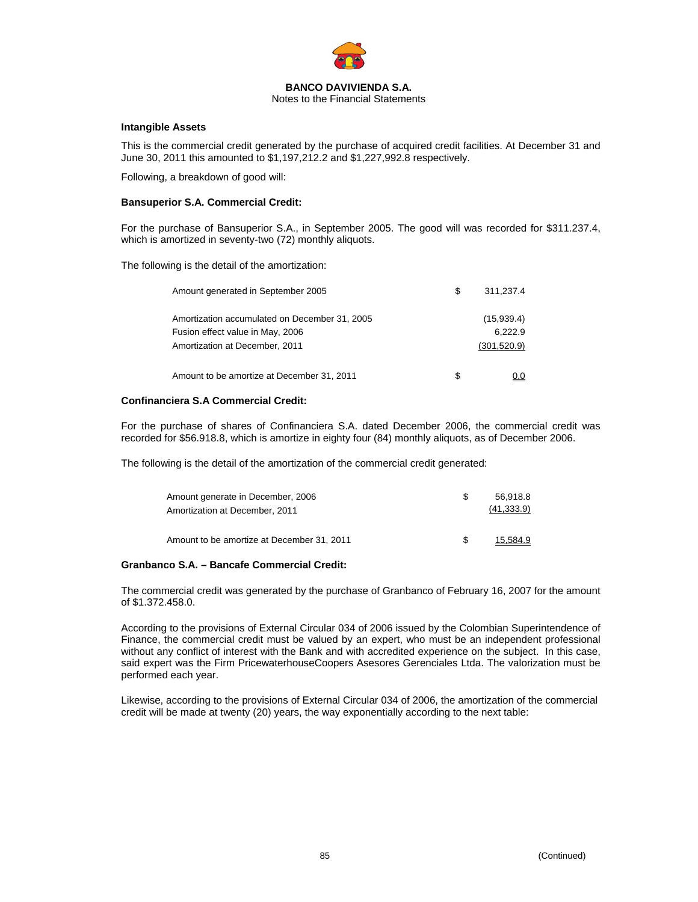

Notes to the Financial Statements

## **Intangible Assets**

This is the commercial credit generated by the purchase of acquired credit facilities. At December 31 and June 30, 2011 this amounted to \$1,197,212.2 and \$1,227,992.8 respectively.

Following, a breakdown of good will:

## **Bansuperior S.A. Commercial Credit:**

For the purchase of Bansuperior S.A., in September 2005. The good will was recorded for \$311.237.4, which is amortized in seventy-two (72) monthly aliquots.

The following is the detail of the amortization:

| Amount generated in September 2005                                                                                  | S | 311.237.4                             |
|---------------------------------------------------------------------------------------------------------------------|---|---------------------------------------|
| Amortization accumulated on December 31, 2005<br>Fusion effect value in May, 2006<br>Amortization at December, 2011 |   | (15,939.4)<br>6.222.9<br>(301, 520.9) |
| Amount to be amortize at December 31, 2011                                                                          | S |                                       |

## **Confinanciera S.A Commercial Credit:**

For the purchase of shares of Confinanciera S.A. dated December 2006, the commercial credit was recorded for \$56.918.8, which is amortize in eighty four (84) monthly aliquots, as of December 2006.

The following is the detail of the amortization of the commercial credit generated:

| Amount generate in December, 2006<br>Amortization at December, 2011 | 56.918.8<br>(41, 333.9) |
|---------------------------------------------------------------------|-------------------------|
| Amount to be amortize at December 31, 2011                          | 15.584.9                |

## **Granbanco S.A. – Bancafe Commercial Credit:**

The commercial credit was generated by the purchase of Granbanco of February 16, 2007 for the amount of \$1.372.458.0.

According to the provisions of External Circular 034 of 2006 issued by the Colombian Superintendence of Finance, the commercial credit must be valued by an expert, who must be an independent professional without any conflict of interest with the Bank and with accredited experience on the subject. In this case, said expert was the Firm PricewaterhouseCoopers Asesores Gerenciales Ltda. The valorization must be performed each year.

Likewise, according to the provisions of External Circular 034 of 2006, the amortization of the commercial credit will be made at twenty (20) years, the way exponentially according to the next table: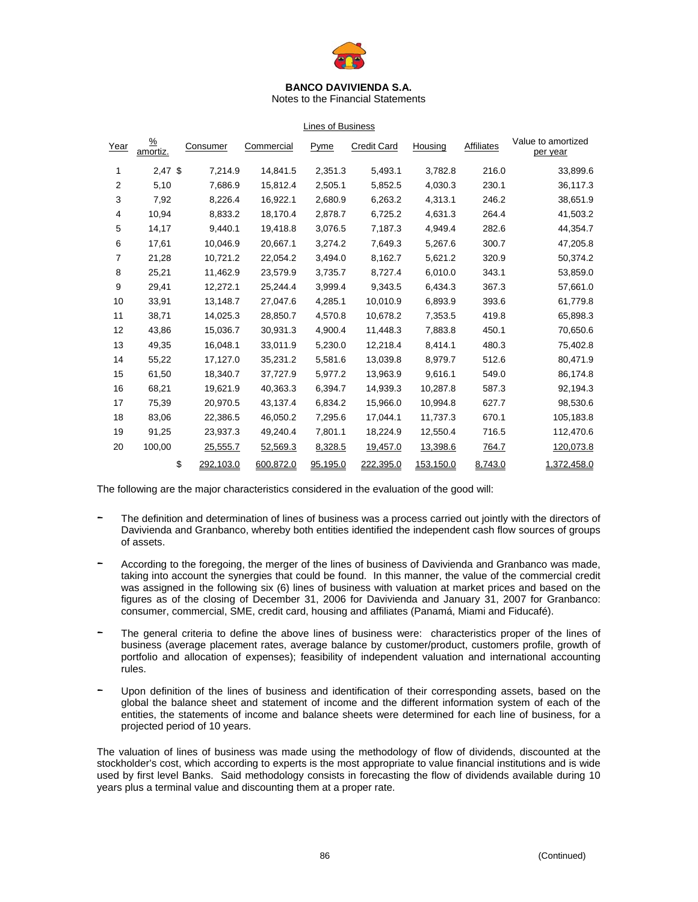

Notes to the Financial Statements

#### Lines of Business

| Year | $\frac{9}{6}$<br>amortiz. | Consumer        | Commercial | Pyme     | <b>Credit Card</b> | Housing   | Affiliates | Value to amortized<br>per year |
|------|---------------------------|-----------------|------------|----------|--------------------|-----------|------------|--------------------------------|
| 1    | $2,47$ \$                 | 7,214.9         | 14,841.5   | 2,351.3  | 5,493.1            | 3,782.8   | 216.0      | 33,899.6                       |
| 2    | 5,10                      | 7,686.9         | 15,812.4   | 2,505.1  | 5,852.5            | 4,030.3   | 230.1      | 36,117.3                       |
| 3    | 7,92                      | 8,226.4         | 16,922.1   | 2,680.9  | 6,263.2            | 4,313.1   | 246.2      | 38,651.9                       |
| 4    | 10,94                     | 8,833.2         | 18,170.4   | 2,878.7  | 6,725.2            | 4,631.3   | 264.4      | 41,503.2                       |
| 5    | 14,17                     | 9,440.1         | 19,418.8   | 3,076.5  | 7,187.3            | 4,949.4   | 282.6      | 44,354.7                       |
| 6    | 17,61                     | 10,046.9        | 20,667.1   | 3,274.2  | 7,649.3            | 5,267.6   | 300.7      | 47,205.8                       |
| 7    | 21,28                     | 10,721.2        | 22,054.2   | 3,494.0  | 8,162.7            | 5,621.2   | 320.9      | 50,374.2                       |
| 8    | 25,21                     | 11,462.9        | 23,579.9   | 3,735.7  | 8,727.4            | 6,010.0   | 343.1      | 53,859.0                       |
| 9    | 29,41                     | 12,272.1        | 25,244.4   | 3,999.4  | 9,343.5            | 6,434.3   | 367.3      | 57,661.0                       |
| 10   | 33,91                     | 13,148.7        | 27,047.6   | 4,285.1  | 10,010.9           | 6,893.9   | 393.6      | 61,779.8                       |
| 11   | 38,71                     | 14,025.3        | 28,850.7   | 4,570.8  | 10,678.2           | 7,353.5   | 419.8      | 65,898.3                       |
| 12   | 43,86                     | 15,036.7        | 30,931.3   | 4,900.4  | 11,448.3           | 7,883.8   | 450.1      | 70,650.6                       |
| 13   | 49,35                     | 16,048.1        | 33,011.9   | 5,230.0  | 12,218.4           | 8,414.1   | 480.3      | 75,402.8                       |
| 14   | 55,22                     | 17,127.0        | 35,231.2   | 5,581.6  | 13,039.8           | 8,979.7   | 512.6      | 80,471.9                       |
| 15   | 61,50                     | 18,340.7        | 37,727.9   | 5.977.2  | 13,963.9           | 9,616.1   | 549.0      | 86,174.8                       |
| 16   | 68,21                     | 19,621.9        | 40,363.3   | 6,394.7  | 14,939.3           | 10,287.8  | 587.3      | 92,194.3                       |
| 17   | 75,39                     | 20,970.5        | 43,137.4   | 6,834.2  | 15,966.0           | 10,994.8  | 627.7      | 98,530.6                       |
| 18   | 83,06                     | 22,386.5        | 46,050.2   | 7,295.6  | 17,044.1           | 11,737.3  | 670.1      | 105,183.8                      |
| 19   | 91,25                     | 23,937.3        | 49,240.4   | 7,801.1  | 18,224.9           | 12,550.4  | 716.5      | 112,470.6                      |
| 20   | 100,00                    | 25,555.7        | 52,569.3   | 8,328.5  | 19,457.0           | 13,398.6  | 764.7      | 120,073.8                      |
|      |                           | \$<br>292,103.0 | 600,872.0  | 95,195.0 | 222,395.0          | 153,150.0 | 8,743.0    | 1,372,458.0                    |

The following are the major characteristics considered in the evaluation of the good will:

- The definition and determination of lines of business was a process carried out jointly with the directors of Davivienda and Granbanco, whereby both entities identified the independent cash flow sources of groups of assets.
- According to the foregoing, the merger of the lines of business of Davivienda and Granbanco was made, taking into account the synergies that could be found. In this manner, the value of the commercial credit was assigned in the following six (6) lines of business with valuation at market prices and based on the figures as of the closing of December 31, 2006 for Davivienda and January 31, 2007 for Granbanco: consumer, commercial, SME, credit card, housing and affiliates (Panamá, Miami and Fiducafé).
- The general criteria to define the above lines of business were: characteristics proper of the lines of business (average placement rates, average balance by customer/product, customers profile, growth of portfolio and allocation of expenses); feasibility of independent valuation and international accounting rules.
- Upon definition of the lines of business and identification of their corresponding assets, based on the global the balance sheet and statement of income and the different information system of each of the entities, the statements of income and balance sheets were determined for each line of business, for a projected period of 10 years.

The valuation of lines of business was made using the methodology of flow of dividends, discounted at the stockholder's cost, which according to experts is the most appropriate to value financial institutions and is wide used by first level Banks. Said methodology consists in forecasting the flow of dividends available during 10 years plus a terminal value and discounting them at a proper rate.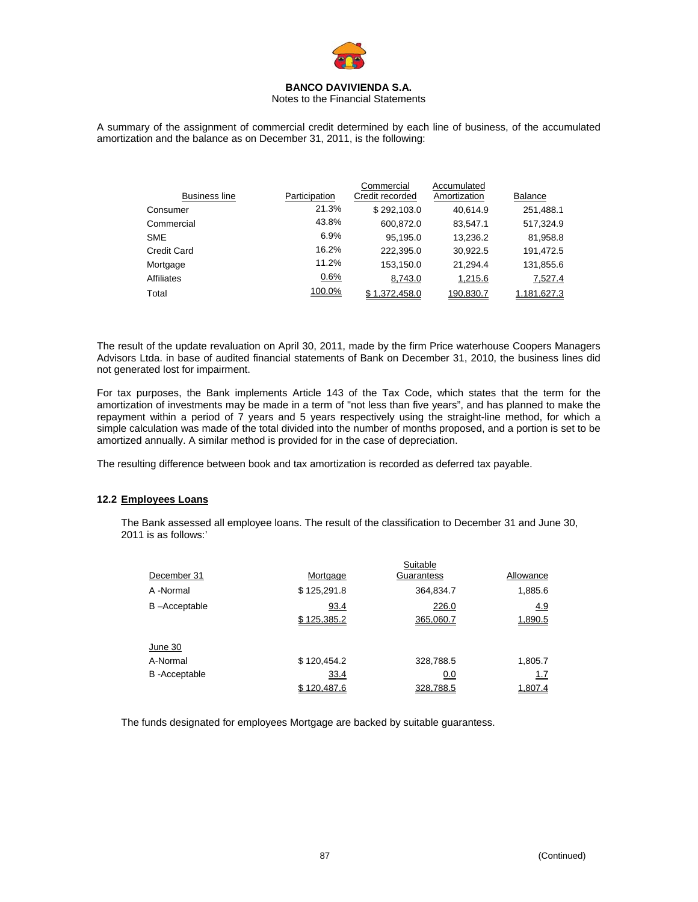

## Notes to the Financial Statements

A summary of the assignment of commercial credit determined by each line of business, of the accumulated amortization and the balance as on December 31, 2011, is the following:

|                      |               | Commercial      | Accumulated  |                |
|----------------------|---------------|-----------------|--------------|----------------|
| <b>Business line</b> | Participation | Credit recorded | Amortization | <b>Balance</b> |
| Consumer             | 21.3%         | \$292.103.0     | 40.614.9     | 251,488.1      |
| Commercial           | 43.8%         | 600,872.0       | 83,547.1     | 517,324.9      |
| <b>SME</b>           | 6.9%          | 95,195.0        | 13,236.2     | 81,958.8       |
| Credit Card          | 16.2%         | 222.395.0       | 30,922.5     | 191,472.5      |
| Mortgage             | 11.2%         | 153,150.0       | 21.294.4     | 131,855.6      |
| Affiliates           | 0.6%          | 8,743.0         | 1,215.6      | 7,527.4        |
| Total                | 100.0%        | \$1,372,458.0   | 190,830.7    | 1,181,627.3    |

The result of the update revaluation on April 30, 2011, made by the firm Price waterhouse Coopers Managers Advisors Ltda. in base of audited financial statements of Bank on December 31, 2010, the business lines did not generated lost for impairment.

For tax purposes, the Bank implements Article 143 of the Tax Code, which states that the term for the amortization of investments may be made in a term of "not less than five years", and has planned to make the repayment within a period of  $\overline{7}$  years and 5 years respectively using the straight-line method, for which a simple calculation was made of the total divided into the number of months proposed, and a portion is set to be amortized annually. A similar method is provided for in the case of depreciation.

The resulting difference between book and tax amortization is recorded as deferred tax payable.

## **12.2 Employees Loans**

The Bank assessed all employee loans. The result of the classification to December 31 and June 30, 2011 is as follows:'

Suitable

|                      |             | Sultable   |             |
|----------------------|-------------|------------|-------------|
| December 31          | Mortgage    | Guarantess | Allowance   |
| A -Normal            | \$125,291.8 | 364,834.7  | 1,885.6     |
| B-Acceptable         | 93.4        | 226.0      | 4.9         |
|                      | \$125.385.2 | 365.060.7  | 1,890.5     |
| June 30              |             |            |             |
| A-Normal             | \$120,454.2 | 328,788.5  | 1,805.7     |
| <b>B</b> -Acceptable | 33.4        | 0.0        | <u> 1.7</u> |
|                      | \$120.487.6 | 328.788.5  | 1,807.4     |

The funds designated for employees Mortgage are backed by suitable guarantess.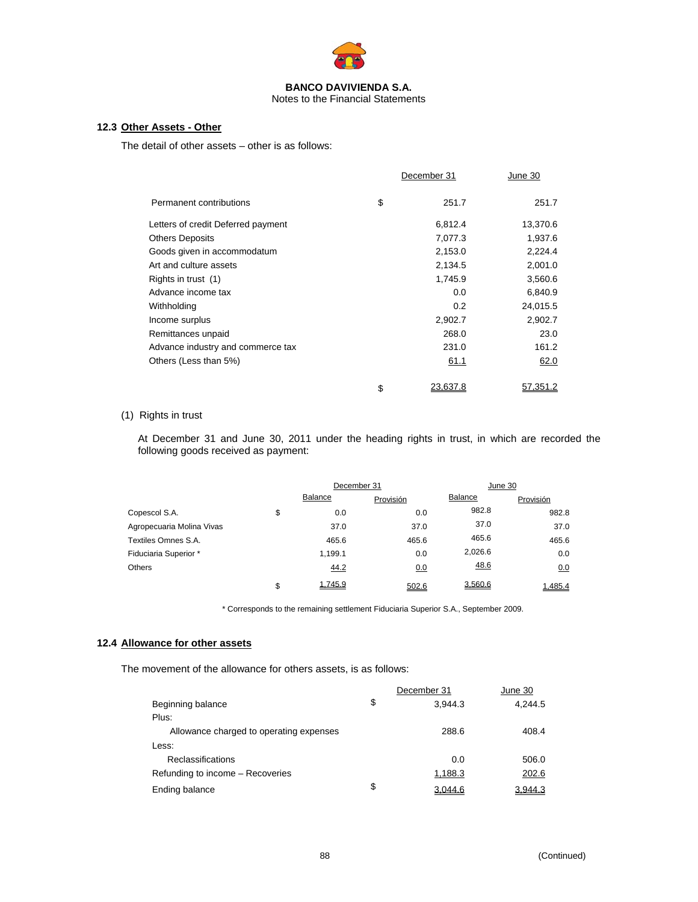

## Notes to the Financial Statements

# **12.3 Other Assets - Other**

The detail of other assets – other is as follows:

|                                    | December 31    | June 30  |
|------------------------------------|----------------|----------|
| Permanent contributions            | \$<br>251.7    | 251.7    |
| Letters of credit Deferred payment | 6,812.4        | 13,370.6 |
| <b>Others Deposits</b>             | 7,077.3        | 1,937.6  |
| Goods given in accommodatum        | 2,153.0        | 2,224.4  |
| Art and culture assets             | 2,134.5        | 2,001.0  |
| Rights in trust (1)                | 1,745.9        | 3,560.6  |
| Advance income tax                 | 0.0            | 6,840.9  |
| Withholding                        | 0.2            | 24,015.5 |
| Income surplus                     | 2,902.7        | 2,902.7  |
| Remittances unpaid                 | 268.0          | 23.0     |
| Advance industry and commerce tax  | 231.0          | 161.2    |
| Others (Less than 5%)              | 61.1           | 62.0     |
|                                    | \$<br>23.637.8 | 57.351.2 |

# (1) Rights in trust

At December 31 and June 30, 2011 under the heading rights in trust, in which are recorded the following goods received as payment:

|                           | December 31   |           | June 30 |           |
|---------------------------|---------------|-----------|---------|-----------|
|                           | Balance       | Provisión | Balance | Provisión |
| Copescol S.A.             | \$<br>0.0     | 0.0       | 982.8   | 982.8     |
| Agropecuaria Molina Vivas | 37.0          | 37.0      | 37.0    | 37.0      |
| Textiles Omnes S.A.       | 465.6         | 465.6     | 465.6   | 465.6     |
| Fiduciaria Superior *     | 1.199.1       | 0.0       | 2,026.6 | 0.0       |
| Others                    | 44.2          | 0.0       | 48.6    | 0.0       |
|                           | \$<br>1.745.9 | 502.6     | 3.560.6 | 1.485.4   |

\* Corresponds to the remaining settlement Fiduciaria Superior S.A., September 2009.

## **12.4 Allowance for other assets**

The movement of the allowance for others assets, is as follows:

|                                         | December 31   | June 30 |
|-----------------------------------------|---------------|---------|
| Beginning balance                       | \$<br>3.944.3 | 4.244.5 |
| Plus:                                   |               |         |
| Allowance charged to operating expenses | 288.6         | 408.4   |
| Less:                                   |               |         |
| Reclassifications                       | 0.0           | 506.0   |
| Refunding to income – Recoveries        | 1,188.3       | 202.6   |
| Ending balance                          | \$<br>3.044.6 | 3.944.3 |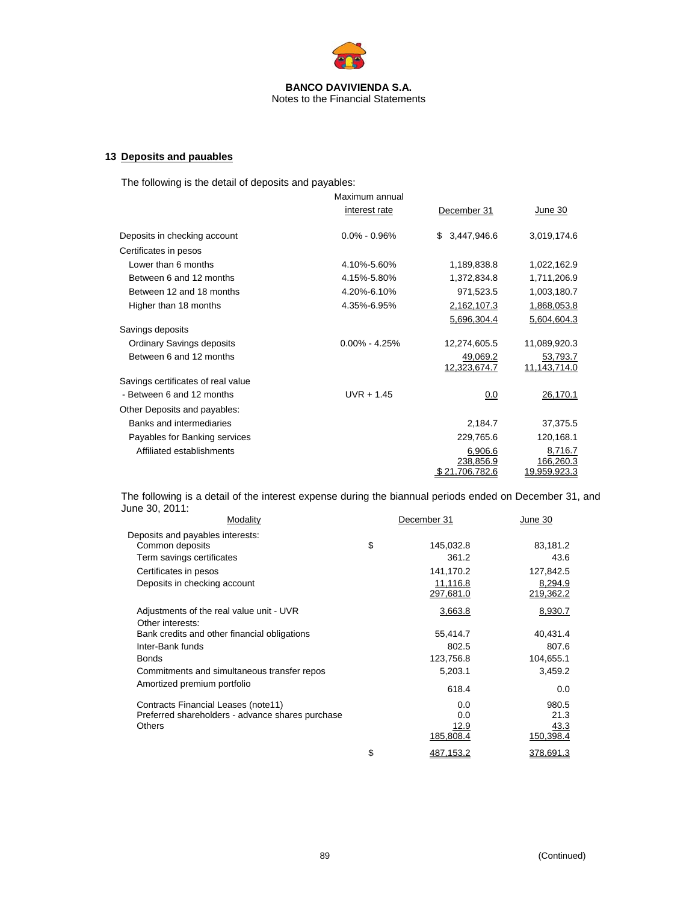

# **13 Deposits and pauables**

The following is the detail of deposits and payables:

|                                    | Maximum annual    |                    |                     |
|------------------------------------|-------------------|--------------------|---------------------|
|                                    | interest rate     | December 31        | June 30             |
| Deposits in checking account       | $0.0\% - 0.96\%$  | 3,447,946.6<br>\$. | 3,019,174.6         |
| Certificates in pesos              |                   |                    |                     |
| Lower than 6 months                | 4.10%-5.60%       | 1,189,838.8        | 1,022,162.9         |
| Between 6 and 12 months            | 4.15%-5.80%       | 1,372,834.8        | 1,711,206.9         |
| Between 12 and 18 months           | 4.20%-6.10%       | 971,523.5          | 1,003,180.7         |
| Higher than 18 months              | 4.35%-6.95%       | 2,162,107.3        | 1,868,053.8         |
|                                    |                   | 5,696,304.4        | 5,604,604.3         |
| Savings deposits                   |                   |                    |                     |
| <b>Ordinary Savings deposits</b>   | $0.00\% - 4.25\%$ | 12,274,605.5       | 11,089,920.3        |
| Between 6 and 12 months            |                   | 49,069.2           | 53,793.7            |
|                                    |                   | 12,323,674.7       | 11,143,714.0        |
| Savings certificates of real value |                   |                    |                     |
| - Between 6 and 12 months          | $UVR + 1.45$      | 0.0                | 26,170.1            |
| Other Deposits and payables:       |                   |                    |                     |
| Banks and intermediaries           |                   | 2,184.7            | 37,375.5            |
| Payables for Banking services      |                   | 229,765.6          | 120,168.1           |
| Affiliated establishments          |                   | 6,906.6            | 8,716.7             |
|                                    |                   | 238,856.9          | 166,260.3           |
|                                    |                   | \$21.706.782.6     | <u>19.959.923.3</u> |

The following is a detail of the interest expense during the biannual periods ended on December 31, and June 30, 2011:

| Modality                                         | December 31 |           | June 30   |  |
|--------------------------------------------------|-------------|-----------|-----------|--|
| Deposits and payables interests:                 |             |           |           |  |
| Common deposits                                  | \$          | 145,032.8 | 83,181.2  |  |
| Term savings certificates                        |             | 361.2     | 43.6      |  |
| Certificates in pesos                            |             | 141,170.2 | 127,842.5 |  |
| Deposits in checking account                     |             | 11,116.8  | 8,294.9   |  |
|                                                  |             | 297,681.0 | 219,362.2 |  |
| Adjustments of the real value unit - UVR         |             | 3,663.8   | 8,930.7   |  |
| Other interests:                                 |             |           |           |  |
| Bank credits and other financial obligations     |             | 55,414.7  | 40,431.4  |  |
| Inter-Bank funds                                 |             | 802.5     | 807.6     |  |
| <b>Bonds</b>                                     |             | 123,756.8 | 104,655.1 |  |
| Commitments and simultaneous transfer repos      |             | 5,203.1   | 3,459.2   |  |
| Amortized premium portfolio                      |             | 618.4     | 0.0       |  |
| Contracts Financial Leases (note11)              |             | 0.0       | 980.5     |  |
| Preferred shareholders - advance shares purchase |             | 0.0       | 21.3      |  |
| <b>Others</b>                                    |             | 12.9      | 43.3      |  |
|                                                  |             | 185,808.4 | 150,398.4 |  |
|                                                  | \$          | 487,153.2 | 378,691.3 |  |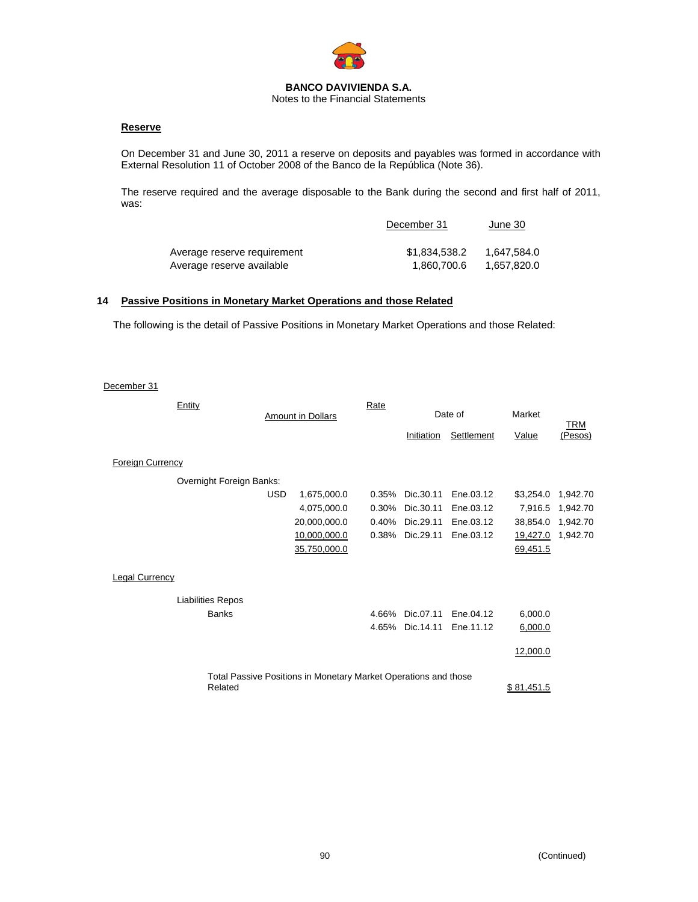

# **Reserve**

On December 31 and June 30, 2011 a reserve on deposits and payables was formed in accordance with External Resolution 11 of October 2008 of the Banco de la República (Note 36).

The reserve required and the average disposable to the Bank during the second and first half of 2011, was:

|                             | December 31   | June 30     |
|-----------------------------|---------------|-------------|
| Average reserve requirement | \$1.834.538.2 | 1,647,584.0 |
| Average reserve available   | 1.860.700.6   | 1,657,820.0 |

## **14 Passive Positions in Monetary Market Operations and those Related**

The following is the detail of Passive Positions in Monetary Market Operations and those Related:

December 31

| Entity                   |            | <b>Amount in Dollars</b>                                        | Rate     |                 | Date of    | Market     |                |
|--------------------------|------------|-----------------------------------------------------------------|----------|-----------------|------------|------------|----------------|
|                          |            |                                                                 |          | Initiation      | Settlement | Value      | TRM<br>(Pesos) |
| <b>Foreign Currency</b>  |            |                                                                 |          |                 |            |            |                |
| Overnight Foreign Banks: |            |                                                                 |          |                 |            |            |                |
|                          | <b>USD</b> | 1,675,000.0                                                     | $0.35\%$ | Dic.30.11       | Ene.03.12  | \$3,254.0  | 1,942.70       |
|                          |            | 4,075,000.0                                                     | 0.30%    | Dic.30.11       | Ene.03.12  | 7,916.5    | 1,942.70       |
|                          |            | 20,000,000.0                                                    | 0.40%    | Dic.29.11       | Ene.03.12  | 38,854.0   | 1,942.70       |
|                          |            | 10,000,000.0                                                    | 0.38%    | Dic.29.11       | Ene.03.12  | 19,427.0   | 1,942.70       |
|                          |            | 35,750,000.0                                                    |          |                 |            | 69,451.5   |                |
| Legal Currency           |            |                                                                 |          |                 |            |            |                |
| <b>Liabilities Repos</b> |            |                                                                 |          |                 |            |            |                |
| <b>Banks</b>             |            |                                                                 | 4.66%    | Dic.07.11       | Ene.04.12  | 6,000.0    |                |
|                          |            |                                                                 |          | 4.65% Dic.14.11 | Ene.11.12  | 6,000.0    |                |
|                          |            |                                                                 |          |                 |            | 12,000.0   |                |
| Related                  |            | Total Passive Positions in Monetary Market Operations and those |          |                 |            | \$81.451.5 |                |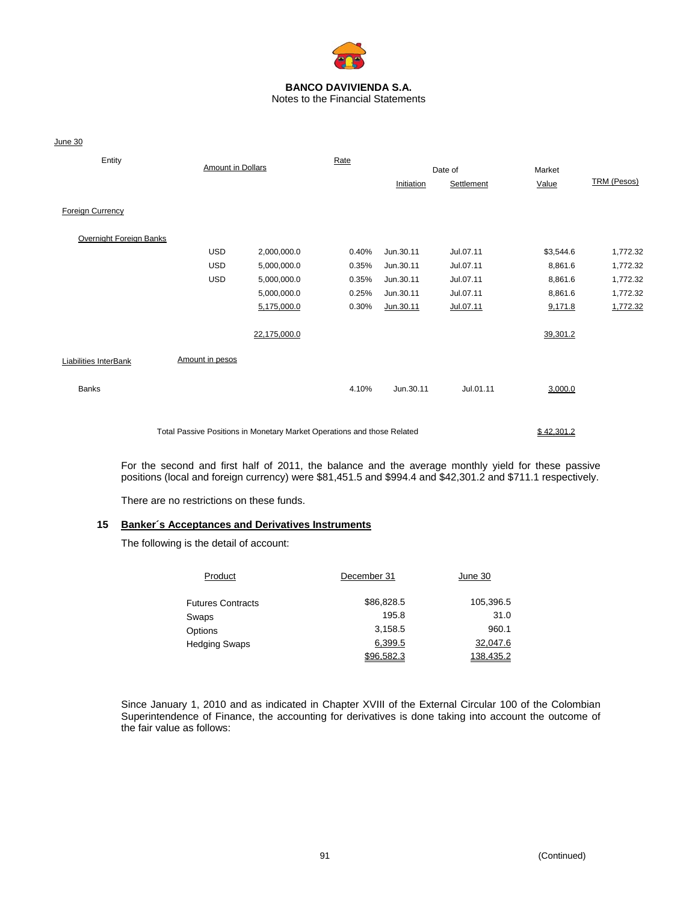

Notes to the Financial Statements

June 30

| Entity                       | <b>Amount in Dollars</b>                                                |              | Rate  |            | Date of    | Market     |                    |
|------------------------------|-------------------------------------------------------------------------|--------------|-------|------------|------------|------------|--------------------|
|                              |                                                                         |              |       | Initiation | Settlement | Value      | <b>TRM (Pesos)</b> |
| <b>Foreign Currency</b>      |                                                                         |              |       |            |            |            |                    |
| Overnight Foreign Banks      |                                                                         |              |       |            |            |            |                    |
|                              | <b>USD</b>                                                              | 2,000,000.0  | 0.40% | Jun.30.11  | Jul.07.11  | \$3,544.6  | 1,772.32           |
|                              | <b>USD</b>                                                              | 5,000,000.0  | 0.35% | Jun.30.11  | Jul.07.11  | 8,861.6    | 1,772.32           |
|                              | <b>USD</b>                                                              | 5,000,000.0  | 0.35% | Jun.30.11  | Jul.07.11  | 8,861.6    | 1,772.32           |
|                              |                                                                         | 5,000,000.0  | 0.25% | Jun.30.11  | Jul.07.11  | 8,861.6    | 1,772.32           |
|                              |                                                                         | 5,175,000.0  | 0.30% | Jun.30.11  | Jul.07.11  | 9,171.8    | 1,772.32           |
|                              |                                                                         | 22,175,000.0 |       |            |            | 39,301.2   |                    |
| <b>Liabilities InterBank</b> | Amount in pesos                                                         |              |       |            |            |            |                    |
| <b>Banks</b>                 |                                                                         |              | 4.10% | Jun.30.11  | Jul.01.11  | 3,000.0    |                    |
|                              | Total Passive Positions in Monetary Market Operations and those Related |              |       |            |            | \$42,301.2 |                    |

For the second and first half of 2011, the balance and the average monthly yield for these passive positions (local and foreign currency) were \$81,451.5 and \$994.4 and \$42,301.2 and \$711.1 respectively.

There are no restrictions on these funds.

## **15 Banker´s Acceptances and Derivatives Instruments**

The following is the detail of account:

| Product                  | December 31 | June 30   |
|--------------------------|-------------|-----------|
| <b>Futures Contracts</b> | \$86,828.5  | 105,396.5 |
| Swaps                    | 195.8       | 31.0      |
| Options                  | 3.158.5     | 960.1     |
| Hedging Swaps            | 6,399.5     | 32,047.6  |
|                          | \$96,582.3  | 138,435.2 |

Since January 1, 2010 and as indicated in Chapter XVIII of the External Circular 100 of the Colombian Superintendence of Finance, the accounting for derivatives is done taking into account the outcome of the fair value as follows: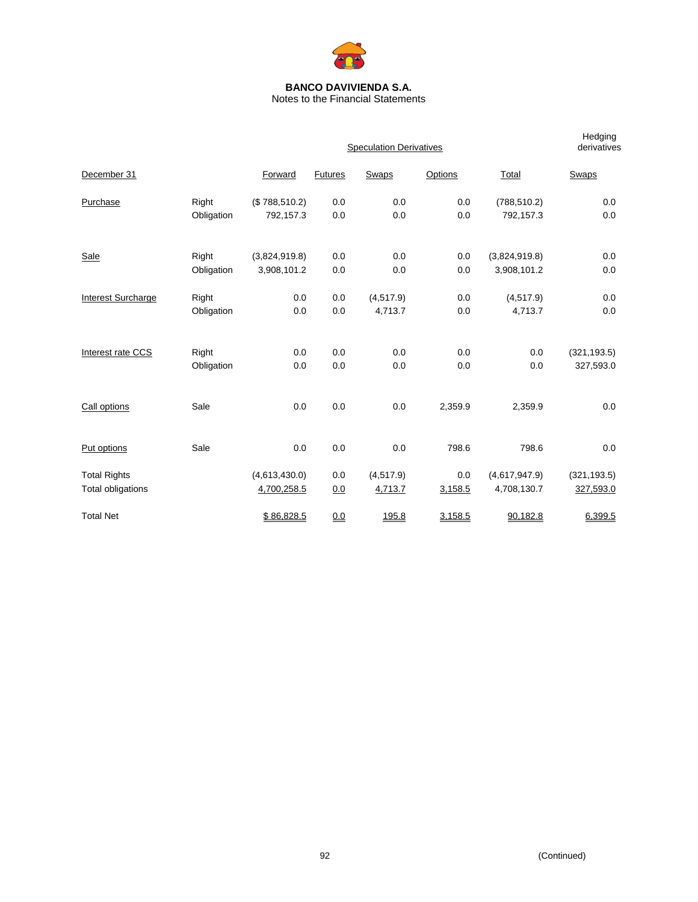

Notes to the Financial Statements

|                           |            |               |         | <b>Speculation Derivatives</b> |         |               | Hedging<br>derivatives |
|---------------------------|------------|---------------|---------|--------------------------------|---------|---------------|------------------------|
| December 31               |            | Forward       | Futures | <b>Swaps</b>                   | Options | Total         | <b>Swaps</b>           |
| Purchase                  | Right      | (\$788,510.2) | 0.0     | 0.0                            | 0.0     | (788, 510.2)  | 0.0                    |
|                           | Obligation | 792,157.3     | 0.0     | 0.0                            | 0.0     | 792,157.3     | 0.0                    |
| <b>Sale</b>               | Right      | (3,824,919.8) | 0.0     | 0.0                            | 0.0     | (3,824,919.8) | 0.0                    |
|                           | Obligation | 3,908,101.2   | 0.0     | 0.0                            | 0.0     | 3,908,101.2   | 0.0                    |
| <b>Interest Surcharge</b> | Right      | 0.0           | 0.0     | (4, 517.9)                     | 0.0     | (4, 517.9)    | 0.0                    |
|                           | Obligation | 0.0           | 0.0     | 4,713.7                        | 0.0     | 4,713.7       | 0.0                    |
| Interest rate CCS         | Right      | 0.0           | 0.0     | 0.0                            | 0.0     | 0.0           | (321, 193.5)           |
|                           | Obligation | 0.0           | 0.0     | 0.0                            | 0.0     | 0.0           | 327,593.0              |
| Call options              | Sale       | 0.0           | 0.0     | 0.0                            | 2,359.9 | 2,359.9       | 0.0                    |
|                           |            |               |         |                                |         |               |                        |
| Put options               | Sale       | 0.0           | 0.0     | 0.0                            | 798.6   | 798.6         | 0.0                    |
| <b>Total Rights</b>       |            | (4,613,430.0) | 0.0     | (4, 517.9)                     | 0.0     | (4,617,947.9) | (321, 193.5)           |
| Total obligations         |            | 4,700,258.5   | 0.0     | 4,713.7                        | 3,158.5 | 4,708,130.7   | 327,593.0              |
| <b>Total Net</b>          |            | \$86,828.5    | 0.0     | 195.8                          | 3,158.5 | 90,182.8      | 6,399.5                |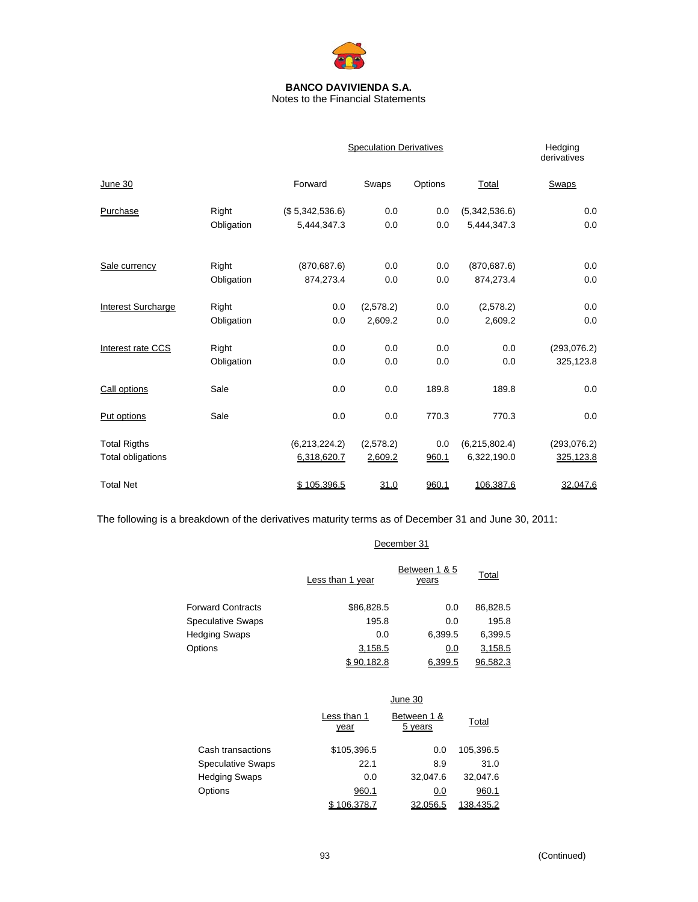

Notes to the Financial Statements

|                     |            |                 | <b>Speculation Derivatives</b> |         |               |              |  |  |
|---------------------|------------|-----------------|--------------------------------|---------|---------------|--------------|--|--|
| June 30             |            | Forward         | Swaps                          | Options | Total         | Swaps        |  |  |
| Purchase            | Right      | (\$5,342,536.6) | 0.0                            | 0.0     | (5,342,536.6) | 0.0          |  |  |
|                     | Obligation | 5,444,347.3     | 0.0                            | 0.0     | 5,444,347.3   | 0.0          |  |  |
| Sale currency       | Right      | (870, 687.6)    | 0.0                            | 0.0     | (870, 687.6)  | 0.0          |  |  |
|                     | Obligation | 874,273.4       | 0.0                            | 0.0     | 874,273.4     | 0.0          |  |  |
| Interest Surcharge  | Right      | 0.0             | (2,578.2)                      | 0.0     | (2,578.2)     | 0.0          |  |  |
|                     | Obligation | 0.0             | 2,609.2                        | 0.0     | 2,609.2       | 0.0          |  |  |
| Interest rate CCS   | Right      | 0.0             | 0.0                            | 0.0     | 0.0           | (293, 076.2) |  |  |
|                     | Obligation | 0.0             | 0.0                            | 0.0     | 0.0           | 325,123.8    |  |  |
| Call options        | Sale       | 0.0             | 0.0                            | 189.8   | 189.8         | 0.0          |  |  |
| Put options         | Sale       | 0.0             | 0.0                            | 770.3   | 770.3         | 0.0          |  |  |
| <b>Total Rigths</b> |            | (6,213,224.2)   | (2,578.2)                      | 0.0     | (6,215,802.4) | (293, 076.2) |  |  |
| Total obligations   |            | 6,318,620.7     | 2,609.2                        | 960.1   | 6,322,190.0   | 325,123.8    |  |  |
| <b>Total Net</b>    |            | \$105,396.5     | 31.0                           | 960.1   | 106,387.6     | 32,047.6     |  |  |

The following is a breakdown of the derivatives maturity terms as of December 31 and June 30, 2011:

# December 31

| Less than 1 year | Between 1 & 5<br><u>years</u> | Total    |
|------------------|-------------------------------|----------|
| \$86,828.5       | 0.0                           | 86,828.5 |
| 195.8            | 0.0                           | 195.8    |
| 0.0              | 6,399.5                       | 6,399.5  |
| 3,158.5          | 0.0                           | 3,158.5  |
| \$90.182.8       | 6.399.5                       | 96.582.3 |
|                  |                               |          |

|                          |                     | June 30                |           |
|--------------------------|---------------------|------------------------|-----------|
|                          | Less than 1<br>year | Between 1 &<br>5 years | Total     |
| Cash transactions        | \$105,396.5         | 0.0                    | 105,396.5 |
| <b>Speculative Swaps</b> | 22.1                | 8.9                    | 31.0      |
| <b>Hedging Swaps</b>     | 0.0                 | 32,047.6               | 32,047.6  |
| Options                  | 960.1               | 0.0                    | 960.1     |
|                          | \$106.378.7         | 32,056.5               | 138,435.2 |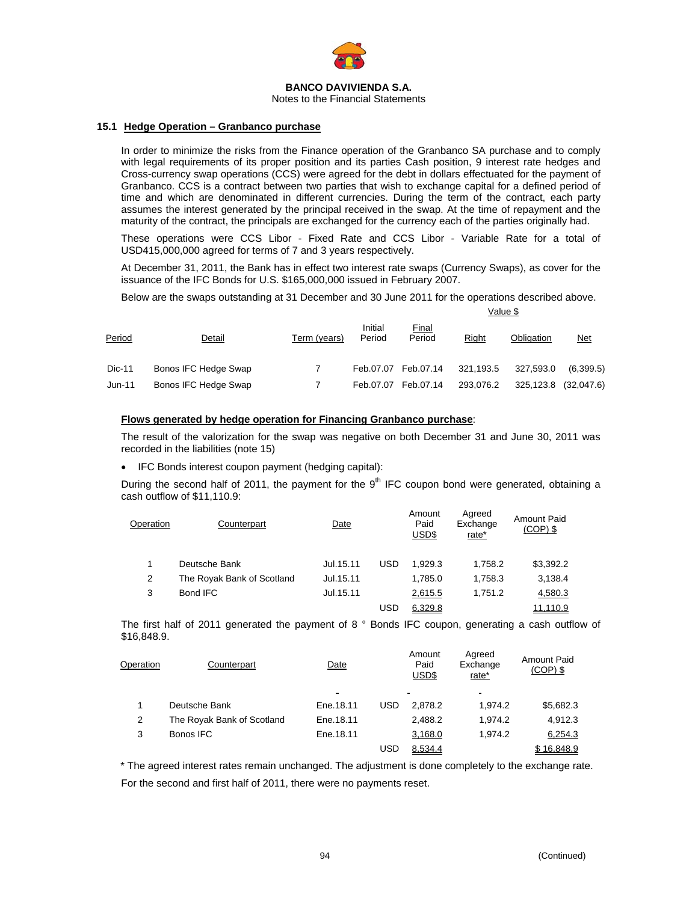

Notes to the Financial Statements

## **15.1 Hedge Operation – Granbanco purchase**

In order to minimize the risks from the Finance operation of the Granbanco SA purchase and to comply with legal requirements of its proper position and its parties Cash position, 9 interest rate hedges and Cross-currency swap operations (CCS) were agreed for the debt in dollars effectuated for the payment of Granbanco. CCS is a contract between two parties that wish to exchange capital for a defined period of time and which are denominated in different currencies. During the term of the contract, each party assumes the interest generated by the principal received in the swap. At the time of repayment and the maturity of the contract, the principals are exchanged for the currency each of the parties originally had.

These operations were CCS Libor - Fixed Rate and CCS Libor - Variable Rate for a total of USD415,000,000 agreed for terms of 7 and 3 years respectively.

At December 31, 2011, the Bank has in effect two interest rate swaps (Currency Swaps), as cover for the issuance of the IFC Bonds for U.S. \$165,000,000 issued in February 2007.

Below are the swaps outstanding at 31 December and 30 June 2011 for the operations described above.

|        |                      |              |                   | Value \$               |           |            |            |  |
|--------|----------------------|--------------|-------------------|------------------------|-----------|------------|------------|--|
| Period | Detail               | Term (years) | Initial<br>Period | <u>Final</u><br>Period | Right     | Obligation | <u>Net</u> |  |
| Dic-11 | Bonos IFC Hedge Swap |              |                   | Feb.07.07 Feb.07.14    | 321,193.5 | 327,593.0  | (6,399.5)  |  |
| Jun-11 | Bonos IFC Hedge Swap |              | Feb.07.07         | Feb.07.14              | 293,076.2 | 325,123.8  | (32,047.6) |  |

## **Flows generated by hedge operation for Financing Granbanco purchase**:

The result of the valorization for the swap was negative on both December 31 and June 30, 2011 was recorded in the liabilities (note 15)

• IFC Bonds interest coupon payment (hedging capital):

During the second half of 2011, the payment for the  $9<sup>th</sup>$  IFC coupon bond were generated, obtaining a cash outflow of \$11,110.9:

| Operation | Counterpart                | Date       |            | Amount<br>Paid<br>USD\$ | Agreed<br>Exchange<br>rate* | Amount Paid<br>$(COP)$ \$ |
|-----------|----------------------------|------------|------------|-------------------------|-----------------------------|---------------------------|
|           | Deutsche Bank              | Jul. 15.11 | <b>USD</b> | 1.929.3                 | 1.758.2                     | \$3,392.2                 |
| 2         | The Royak Bank of Scotland | Jul.15.11  |            | 1.785.0                 | 1.758.3                     | 3,138.4                   |
| 3         | Bond IFC                   | Jul.15.11  |            | 2,615.5                 | 1.751.2                     | 4,580.3                   |
|           |                            |            | USD        | 6.329.8                 |                             | 11.110.9                  |

The first half of 2011 generated the payment of 8 ° Bonds IFC coupon, generating a cash outflow of \$16,848.9.

| Operation | Counterpart                | Date      |            | Amount<br>Paid<br>USD\$ | Agreed<br>Exchange<br>rate* | Amount Paid<br>$(COP)$ \$ |
|-----------|----------------------------|-----------|------------|-------------------------|-----------------------------|---------------------------|
|           |                            |           |            | -                       |                             |                           |
|           | Deutsche Bank              | Ene.18.11 | <b>USD</b> | 2.878.2                 | 1.974.2                     | \$5,682.3                 |
| 2         | The Royak Bank of Scotland | Ene.18.11 |            | 2.488.2                 | 1.974.2                     | 4,912.3                   |
| 3         | Bonos IFC                  | Ene.18.11 |            | 3,168.0                 | 1.974.2                     | 6,254.3                   |
|           |                            |           | USD        | 8.534.4                 |                             | \$16,848.9                |

\* The agreed interest rates remain unchanged. The adjustment is done completely to the exchange rate. For the second and first half of 2011, there were no payments reset.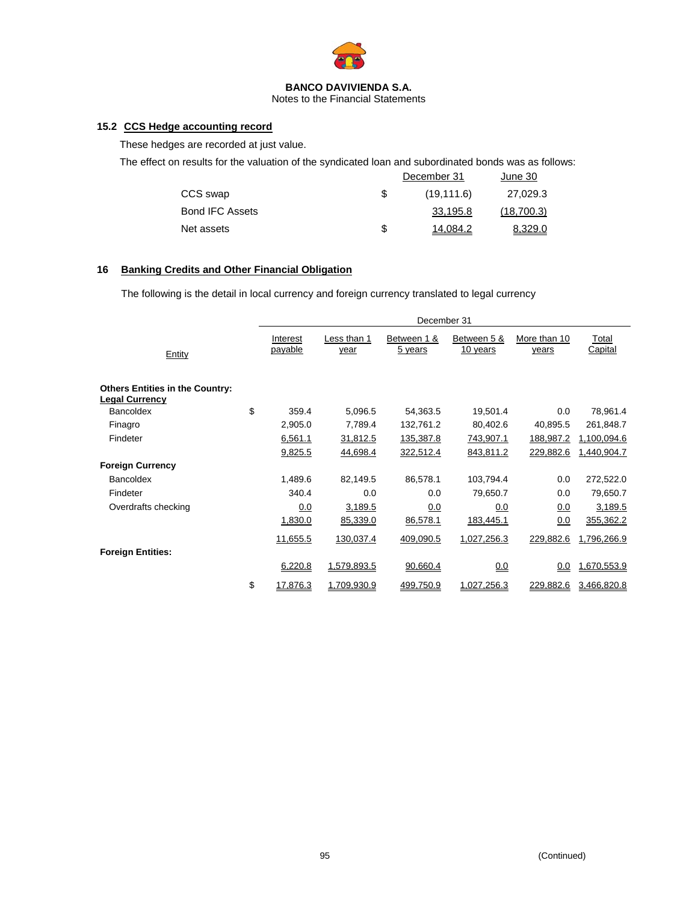

Notes to the Financial Statements

# **15.2 CCS Hedge accounting record**

These hedges are recorded at just value.

The effect on results for the valuation of the syndicated loan and subordinated bonds was as follows:

|                        |   | December 31 | June 30    |
|------------------------|---|-------------|------------|
| CCS swap               |   | (19, 111.6) | 27,029.3   |
| <b>Bond IFC Assets</b> |   | 33.195.8    | (18,700.3) |
| Net assets             | S | 14.084.2    | 8.329.0    |

# **16 Banking Credits and Other Financial Obligation**

The following is the detail in local currency and foreign currency translated to legal currency

|                                                                 | December 31         |                     |                        |                         |                       |                  |  |  |
|-----------------------------------------------------------------|---------------------|---------------------|------------------------|-------------------------|-----------------------|------------------|--|--|
| Entity                                                          | Interest<br>payable | Less than 1<br>year | Between 1 &<br>5 years | Between 5 &<br>10 years | More than 10<br>years | Total<br>Capital |  |  |
| <b>Others Entities in the Country:</b><br><b>Legal Currency</b> |                     |                     |                        |                         |                       |                  |  |  |
| <b>Bancoldex</b>                                                | \$<br>359.4         | 5,096.5             | 54,363.5               | 19,501.4                | 0.0                   | 78,961.4         |  |  |
| Finagro                                                         | 2,905.0             | 7,789.4             | 132,761.2              | 80,402.6                | 40,895.5              | 261,848.7        |  |  |
| Findeter                                                        | 6,561.1             | 31,812.5            | 135,387.8              | 743,907.1               | 188,987.2             | 1,100,094.6      |  |  |
|                                                                 | 9,825.5             | 44,698.4            | 322,512.4              | 843,811.2               | 229,882.6             | 1,440,904.7      |  |  |
| <b>Foreign Currency</b>                                         |                     |                     |                        |                         |                       |                  |  |  |
| Bancoldex                                                       | 1,489.6             | 82,149.5            | 86,578.1               | 103,794.4               | 0.0                   | 272,522.0        |  |  |
| Findeter                                                        | 340.4               | 0.0                 | 0.0                    | 79,650.7                | 0.0                   | 79,650.7         |  |  |
| Overdrafts checking                                             | 0.0                 | 3,189.5             | 0.0                    | 0.0                     | 0.0                   | 3,189.5          |  |  |
|                                                                 | 1,830.0             | 85,339.0            | 86,578.1               | 183,445.1               | 0.0                   | 355,362.2        |  |  |
|                                                                 | 11,655.5            | 130,037.4           | 409,090.5              | 1,027,256.3             | 229,882.6             | 1,796,266.9      |  |  |
| <b>Foreign Entities:</b>                                        |                     |                     |                        |                         |                       |                  |  |  |
|                                                                 | 6,220.8             | 1.579.893.5         | 90.660.4               | 0.0                     | 0.0                   | 1.670.553.9      |  |  |
|                                                                 | \$<br>17,876.3      | 1,709,930.9         | 499,750.9              | 1,027,256.3             | 229,882.6             | 3,466,820.8      |  |  |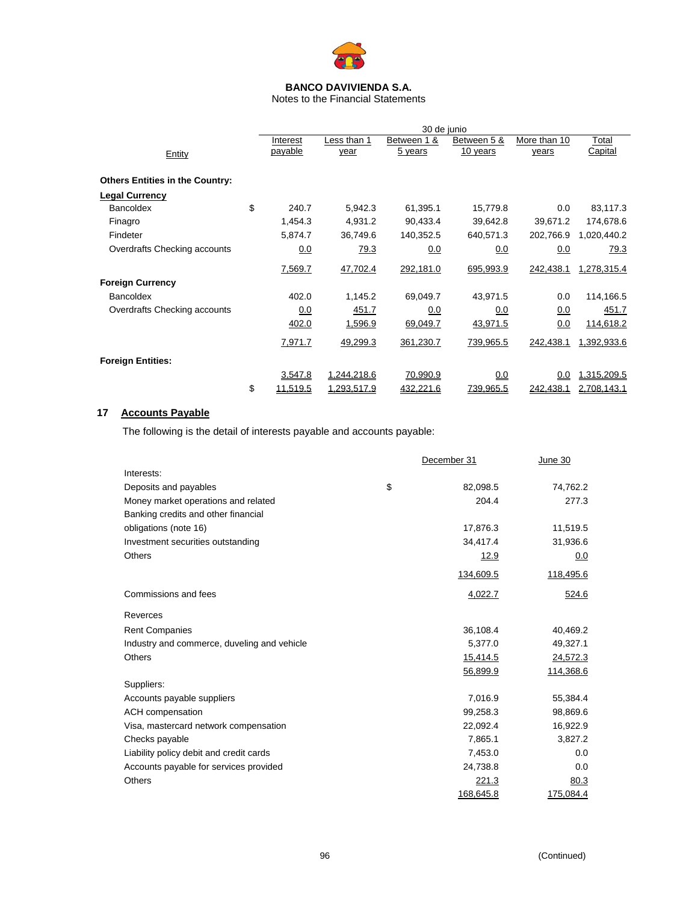

Notes to the Financial Statements

|                                        | 30 de junio    |                    |                 |                  |              |                |
|----------------------------------------|----------------|--------------------|-----------------|------------------|--------------|----------------|
|                                        | Interest       | Less than 1        | Between 1 &     | Between 5 &      | More than 10 | Total          |
| Entity                                 | payable        | year               | 5 years         | 10 years         | years        | <b>Capital</b> |
|                                        |                |                    |                 |                  |              |                |
| <b>Others Entities in the Country:</b> |                |                    |                 |                  |              |                |
| <b>Legal Currency</b>                  |                |                    |                 |                  |              |                |
| Bancoldex                              | \$<br>240.7    | 5,942.3            | 61,395.1        | 15,779.8         | 0.0          | 83,117.3       |
| Finagro                                | 1,454.3        | 4,931.2            | 90,433.4        | 39,642.8         | 39,671.2     | 174,678.6      |
| Findeter                               | 5,874.7        | 36,749.6           | 140,352.5       | 640,571.3        | 202,766.9    | 1,020,440.2    |
| Overdrafts Checking accounts           | 0.0            | 79.3               | 0.0             | 0.0              | 0.0          | 79.3           |
|                                        | 7,569.7        | 47,702.4           | 292,181.0       | 695,993.9        | 242,438.1    | 1,278,315.4    |
| <b>Foreign Currency</b>                |                |                    |                 |                  |              |                |
| Bancoldex                              | 402.0          | 1,145.2            | 69,049.7        | 43,971.5         | 0.0          |                |
|                                        |                |                    |                 |                  |              | 114,166.5      |
| Overdrafts Checking accounts           | 0.0            | 451.7              | 0.0             | 0.0              | 0.0          | 451.7          |
|                                        | 402.0          | 1,596.9            | 69,049.7        | 43,971.5         | 0.0          | 114,618.2      |
|                                        | 7,971.7        | 49,299.3           | 361,230.7       | 739,965.5        | 242,438.1    | 1,392,933.6    |
| <b>Foreign Entities:</b>               |                |                    |                 |                  |              |                |
|                                        | 3,547.8        | <u>1.244.218.6</u> | <u>70,990.9</u> | 0.0              | 0.0          | 1.315.209.5    |
|                                        | \$<br>11.519.5 | 1.293.517.9        | 432,221.6       | <u>739.965.5</u> | 242,438.1    | 2,708,143.1    |

# **17 Accounts Payable**

The following is the detail of interests payable and accounts payable:

|                                             | December 31    | June 30   |
|---------------------------------------------|----------------|-----------|
| Interests:                                  |                |           |
| Deposits and payables                       | \$<br>82,098.5 | 74,762.2  |
| Money market operations and related         | 204.4          | 277.3     |
| Banking credits and other financial         |                |           |
| obligations (note 16)                       | 17,876.3       | 11,519.5  |
| Investment securities outstanding           | 34,417.4       | 31,936.6  |
| <b>Others</b>                               | 12.9           | 0.0       |
|                                             | 134,609.5      | 118,495.6 |
| Commissions and fees                        | 4,022.7        | 524.6     |
| Reverces                                    |                |           |
| <b>Rent Companies</b>                       | 36,108.4       | 40,469.2  |
| Industry and commerce, duveling and vehicle | 5,377.0        | 49,327.1  |
| <b>Others</b>                               | 15,414.5       | 24,572.3  |
|                                             | 56,899.9       | 114,368.6 |
| Suppliers:                                  |                |           |
| Accounts payable suppliers                  | 7,016.9        | 55,384.4  |
| ACH compensation                            | 99,258.3       | 98,869.6  |
| Visa, mastercard network compensation       | 22,092.4       | 16,922.9  |
| Checks payable                              | 7,865.1        | 3,827.2   |
| Liability policy debit and credit cards     | 7,453.0        | 0.0       |
| Accounts payable for services provided      | 24,738.8       | 0.0       |
| Others                                      | 221.3          | 80.3      |
|                                             | 168,645.8      | 175,084.4 |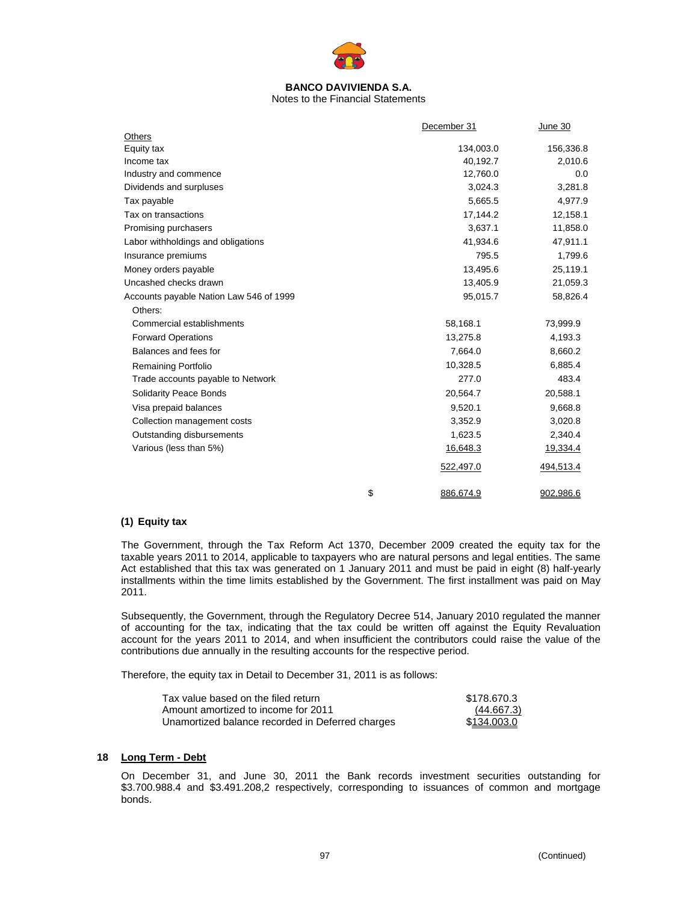

Notes to the Financial Statements

|                                         | December 31     | June 30   |
|-----------------------------------------|-----------------|-----------|
| Others                                  |                 |           |
| Equity tax                              | 134,003.0       | 156,336.8 |
| Income tax                              | 40,192.7        | 2,010.6   |
| Industry and commence                   | 12,760.0        | 0.0       |
| Dividends and surpluses                 | 3,024.3         | 3,281.8   |
| Tax payable                             | 5,665.5         | 4,977.9   |
| Tax on transactions                     | 17,144.2        | 12,158.1  |
| Promising purchasers                    | 3,637.1         | 11,858.0  |
| Labor withholdings and obligations      | 41,934.6        | 47,911.1  |
| Insurance premiums                      | 795.5           | 1,799.6   |
| Money orders payable                    | 13,495.6        | 25,119.1  |
| Uncashed checks drawn                   | 13,405.9        | 21,059.3  |
| Accounts payable Nation Law 546 of 1999 | 95,015.7        | 58,826.4  |
| Others:                                 |                 |           |
| Commercial establishments               | 58,168.1        | 73,999.9  |
| <b>Forward Operations</b>               | 13,275.8        | 4,193.3   |
| Balances and fees for                   | 7,664.0         | 8,660.2   |
| <b>Remaining Portfolio</b>              | 10,328.5        | 6,885.4   |
| Trade accounts payable to Network       | 277.0           | 483.4     |
| Solidarity Peace Bonds                  | 20,564.7        | 20,588.1  |
| Visa prepaid balances                   | 9,520.1         | 9,668.8   |
| Collection management costs             | 3,352.9         | 3,020.8   |
| Outstanding disbursements               | 1,623.5         | 2,340.4   |
| Various (less than 5%)                  | 16,648.3        | 19,334.4  |
|                                         | 522,497.0       | 494,513.4 |
|                                         | \$<br>886.674.9 | 902.986.6 |

# **(1) Equity tax**

The Government, through the Tax Reform Act 1370, December 2009 created the equity tax for the taxable years 2011 to 2014, applicable to taxpayers who are natural persons and legal entities. The same Act established that this tax was generated on 1 January 2011 and must be paid in eight (8) half-yearly installments within the time limits established by the Government. The first installment was paid on May 2011.

Subsequently, the Government, through the Regulatory Decree 514, January 2010 regulated the manner of accounting for the tax, indicating that the tax could be written off against the Equity Revaluation account for the years 2011 to 2014, and when insufficient the contributors could raise the value of the contributions due annually in the resulting accounts for the respective period.

Therefore, the equity tax in Detail to December 31, 2011 is as follows:

| Tax value based on the filed return              | \$178,670.3 |
|--------------------------------------------------|-------------|
| Amount amortized to income for 2011              | (44.667.3)  |
| Unamortized balance recorded in Deferred charges | \$134,003.0 |

#### **18 Long Term - Debt**

On December 31, and June 30, 2011 the Bank records investment securities outstanding for \$3.700.988.4 and \$3.491.208,2 respectively, corresponding to issuances of common and mortgage bonds.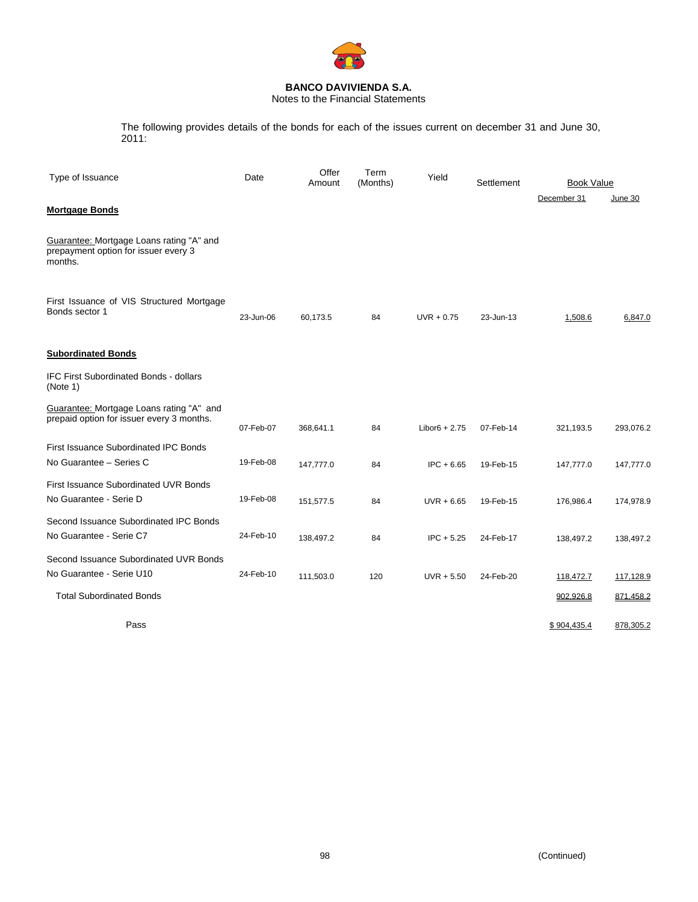

Notes to the Financial Statements

The following provides details of the bonds for each of the issues current on december 31 and June 30, 2011:

| Type of Issuance                                                                            | Date      | Offer<br>Amount | Term<br>(Months) | Yield           | Settlement | <b>Book Value</b> |                  |
|---------------------------------------------------------------------------------------------|-----------|-----------------|------------------|-----------------|------------|-------------------|------------------|
|                                                                                             |           |                 |                  |                 |            | December 31       | June 30          |
| <b>Mortgage Bonds</b>                                                                       |           |                 |                  |                 |            |                   |                  |
| Guarantee: Mortgage Loans rating "A" and<br>prepayment option for issuer every 3<br>months. |           |                 |                  |                 |            |                   |                  |
| First Issuance of VIS Structured Mortgage<br>Bonds sector 1                                 | 23-Jun-06 | 60,173.5        | 84               | $UVR + 0.75$    | 23-Jun-13  | 1,508.6           | 6,847.0          |
| <b>Subordinated Bonds</b>                                                                   |           |                 |                  |                 |            |                   |                  |
| <b>IFC First Subordinated Bonds - dollars</b><br>(Note 1)                                   |           |                 |                  |                 |            |                   |                  |
| Guarantee: Mortgage Loans rating "A" and<br>prepaid option for issuer every 3 months.       | 07-Feb-07 | 368,641.1       | 84               | $Libor6 + 2.75$ | 07-Feb-14  | 321,193.5         | 293,076.2        |
| <b>First Issuance Subordinated IPC Bonds</b>                                                |           |                 |                  |                 |            |                   |                  |
| No Guarantee - Series C                                                                     | 19-Feb-08 | 147,777.0       | 84               | $IPC + 6.65$    | 19-Feb-15  | 147,777.0         | 147,777.0        |
| <b>First Issuance Subordinated UVR Bonds</b>                                                |           |                 |                  |                 |            |                   |                  |
| No Guarantee - Serie D                                                                      | 19-Feb-08 | 151,577.5       | 84               | $UVR + 6.65$    | 19-Feb-15  | 176,986.4         | 174,978.9        |
| Second Issuance Subordinated IPC Bonds                                                      |           |                 |                  |                 |            |                   |                  |
| No Guarantee - Serie C7                                                                     | 24-Feb-10 | 138,497.2       | 84               | $IPC + 5.25$    | 24-Feb-17  | 138,497.2         | 138,497.2        |
| Second Issuance Subordinated UVR Bonds                                                      |           |                 |                  |                 |            |                   |                  |
| No Guarantee - Serie U10                                                                    | 24-Feb-10 | 111,503.0       | 120              | $UVR + 5.50$    | 24-Feb-20  | 118,472.7         | <u>117,128.9</u> |
| <b>Total Subordinated Bonds</b>                                                             |           |                 |                  |                 |            | 902,926.8         | 871,458.2        |
| Pass                                                                                        |           |                 |                  |                 |            | \$904,435.4       | 878,305.2        |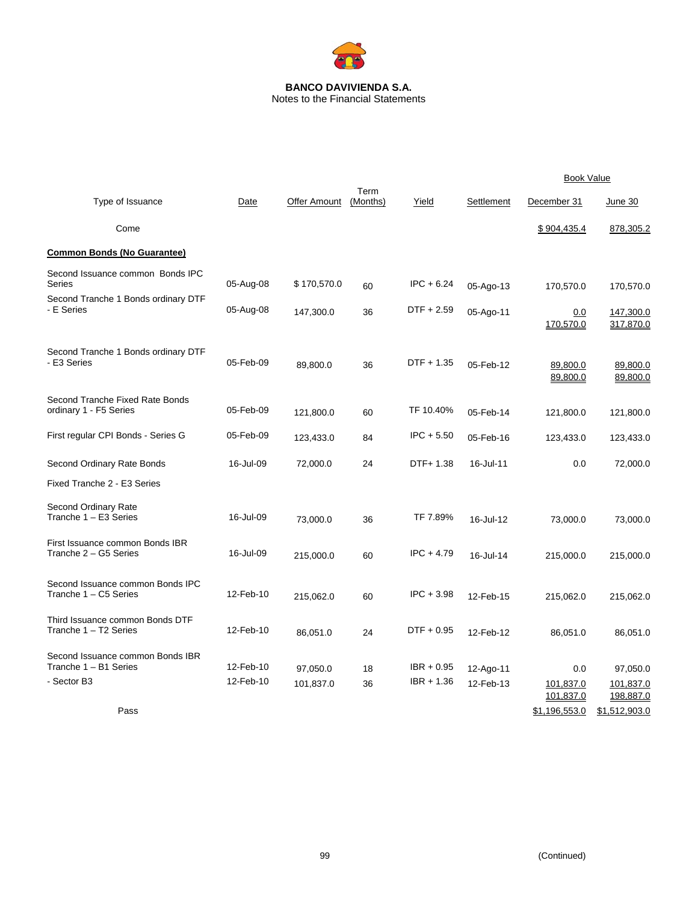

|                                                           |           |              |                  |              |            | <b>Book Value</b>      |                        |
|-----------------------------------------------------------|-----------|--------------|------------------|--------------|------------|------------------------|------------------------|
| Type of Issuance                                          | Date      | Offer Amount | Term<br>(Months) | Yield        | Settlement | December 31            | June 30                |
| Come                                                      |           |              |                  |              |            | \$904,435.4            | 878,305.2              |
| <b>Common Bonds (No Guarantee)</b>                        |           |              |                  |              |            |                        |                        |
| Second Issuance common Bonds IPC<br><b>Series</b>         | 05-Aug-08 | \$170,570.0  | 60               | $IPC + 6.24$ | 05-Ago-13  | 170,570.0              | 170,570.0              |
| Second Tranche 1 Bonds ordinary DTF<br>- E Series         | 05-Aug-08 | 147,300.0    | 36               | $DTF + 2.59$ | 05-Ago-11  | 0.0<br>170,570.0       | 147,300.0<br>317,870.0 |
| Second Tranche 1 Bonds ordinary DTF<br>- E3 Series        | 05-Feb-09 | 89,800.0     | 36               | $DTF + 1.35$ | 05-Feb-12  | 89,800.0<br>89,800.0   | 89,800.0<br>89,800.0   |
| Second Tranche Fixed Rate Bonds<br>ordinary 1 - F5 Series | 05-Feb-09 | 121,800.0    | 60               | TF 10.40%    | 05-Feb-14  | 121,800.0              | 121,800.0              |
| First regular CPI Bonds - Series G                        | 05-Feb-09 | 123,433.0    | 84               | $IPC + 5.50$ | 05-Feb-16  | 123,433.0              | 123,433.0              |
| Second Ordinary Rate Bonds                                | 16-Jul-09 | 72,000.0     | 24               | DTF+ 1.38    | 16-Jul-11  | 0.0                    | 72,000.0               |
| Fixed Tranche 2 - E3 Series                               |           |              |                  |              |            |                        |                        |
| Second Ordinary Rate<br>Tranche 1 - E3 Series             | 16-Jul-09 | 73.000.0     | 36               | TF 7.89%     | 16-Jul-12  | 73,000.0               | 73,000.0               |
| First Issuance common Bonds IBR<br>Tranche 2 - G5 Series  | 16-Jul-09 | 215,000.0    | 60               | $IPC + 4.79$ | 16-Jul-14  | 215,000.0              | 215,000.0              |
| Second Issuance common Bonds IPC<br>Tranche 1 - C5 Series | 12-Feb-10 | 215,062.0    | 60               | $IPC + 3.98$ | 12-Feb-15  | 215,062.0              | 215,062.0              |
| Third Issuance common Bonds DTF<br>Tranche 1 - T2 Series  | 12-Feb-10 | 86,051.0     | 24               | $DTF + 0.95$ | 12-Feb-12  | 86,051.0               | 86,051.0               |
| Second Issuance common Bonds IBR<br>Tranche 1 - B1 Series | 12-Feb-10 | 97,050.0     | 18               | $IBR + 0.95$ | 12-Ago-11  | 0.0                    | 97,050.0               |
| - Sector B3                                               | 12-Feb-10 | 101,837.0    | 36               | $IBR + 1.36$ | 12-Feb-13  | 101,837.0<br>101,837.0 | 101,837.0<br>198,887.0 |
| Pass                                                      |           |              |                  |              |            | \$1,196,553.0          | \$1,512,903.0          |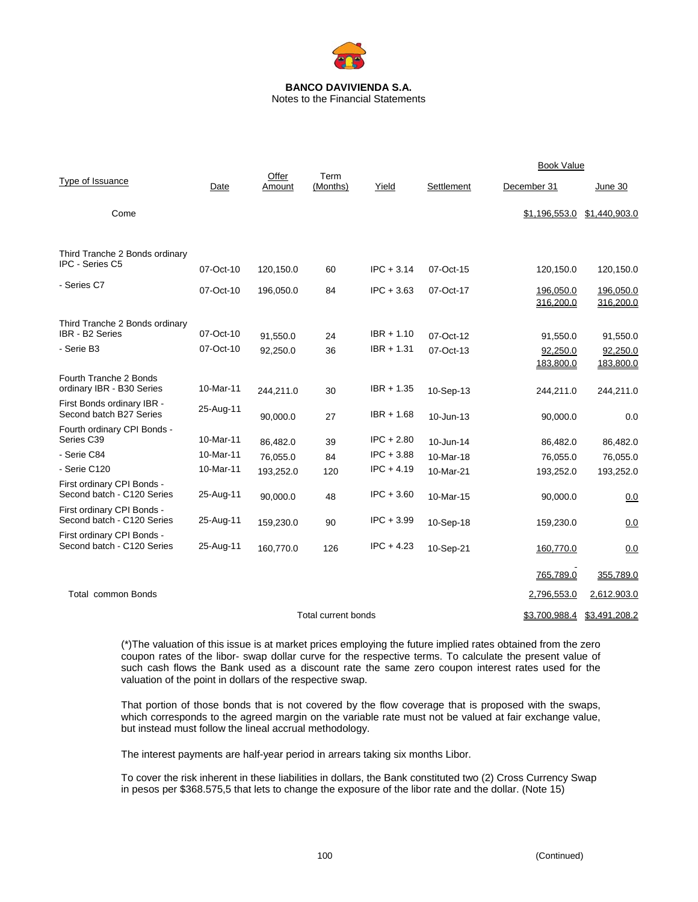

Notes to the Financial Statements

|                                                          |           |                 |                     |              |            | <b>Book Value</b>      |                        |
|----------------------------------------------------------|-----------|-----------------|---------------------|--------------|------------|------------------------|------------------------|
| Type of Issuance                                         | Date      | Offer<br>Amount | Term<br>(Months)    | Yield        | Settlement | December 31            | June 30                |
| Come                                                     |           |                 |                     |              |            | \$1,196,553.0          | \$1,440,903.0          |
| Third Tranche 2 Bonds ordinary<br>IPC - Series C5        |           |                 |                     |              |            |                        |                        |
|                                                          | 07-Oct-10 | 120,150.0       | 60                  | $IPC + 3.14$ | 07-Oct-15  | 120,150.0              | 120,150.0              |
| - Series C7                                              | 07-Oct-10 | 196,050.0       | 84                  | $IPC + 3.63$ | 07-Oct-17  | 196,050.0<br>316,200.0 | 196,050.0<br>316,200.0 |
| Third Tranche 2 Bonds ordinary<br>IBR - B2 Series        | 07-Oct-10 | 91,550.0        | 24                  | $IBR + 1.10$ | 07-Oct-12  | 91,550.0               | 91,550.0               |
| - Serie B3                                               | 07-Oct-10 | 92,250.0        | 36                  | $IBR + 1.31$ | 07-Oct-13  | 92,250.0               | 92,250.0               |
|                                                          |           |                 |                     |              |            | 183,800.0              | 183,800.0              |
| Fourth Tranche 2 Bonds<br>ordinary IBR - B30 Series      | 10-Mar-11 | 244,211.0       | 30                  | $IBR + 1.35$ | 10-Sep-13  | 244,211.0              | 244,211.0              |
| First Bonds ordinary IBR -<br>Second batch B27 Series    | 25-Aug-11 | 90,000.0        | 27                  | $IBR + 1.68$ | 10-Jun-13  | 90,000.0               | 0.0                    |
| Fourth ordinary CPI Bonds -<br>Series C39                | 10-Mar-11 | 86,482.0        | 39                  | $IPC + 2.80$ | 10-Jun-14  | 86,482.0               | 86,482.0               |
| - Serie C84                                              | 10-Mar-11 | 76,055.0        | 84                  | $IPC + 3.88$ | 10-Mar-18  | 76,055.0               | 76,055.0               |
| - Serie C120                                             | 10-Mar-11 | 193,252.0       | 120                 | $IPC + 4.19$ | 10-Mar-21  | 193,252.0              | 193,252.0              |
| First ordinary CPI Bonds -<br>Second batch - C120 Series | 25-Aug-11 | 90.000.0        | 48                  | $IPC + 3.60$ | 10-Mar-15  | 90,000.0               | 0.0                    |
| First ordinary CPI Bonds -<br>Second batch - C120 Series | 25-Aug-11 | 159,230.0       | 90                  | $IPC + 3.99$ | 10-Sep-18  | 159,230.0              | 0.0                    |
| First ordinary CPI Bonds -<br>Second batch - C120 Series | 25-Aug-11 | 160,770.0       | 126                 | $IPC + 4.23$ | 10-Sep-21  | 160,770.0              | 0.0                    |
|                                                          |           |                 |                     |              |            | 765,789.0              | 355,789.0              |
| <b>Total common Bonds</b>                                |           |                 |                     |              |            | 2,796,553.0            | 2,612.903.0            |
|                                                          |           |                 | Total current bonds |              |            | \$3,700,988.4          | \$3,491,208.2          |

(\*)The valuation of this issue is at market prices employing the future implied rates obtained from the zero coupon rates of the libor- swap dollar curve for the respective terms. To calculate the present value of such cash flows the Bank used as a discount rate the same zero coupon interest rates used for the valuation of the point in dollars of the respective swap.

That portion of those bonds that is not covered by the flow coverage that is proposed with the swaps, which corresponds to the agreed margin on the variable rate must not be valued at fair exchange value, but instead must follow the lineal accrual methodology.

The interest payments are half-year period in arrears taking six months Libor.

To cover the risk inherent in these liabilities in dollars, the Bank constituted two (2) Cross Currency Swap in pesos per \$368.575,5 that lets to change the exposure of the libor rate and the dollar. (Note 15)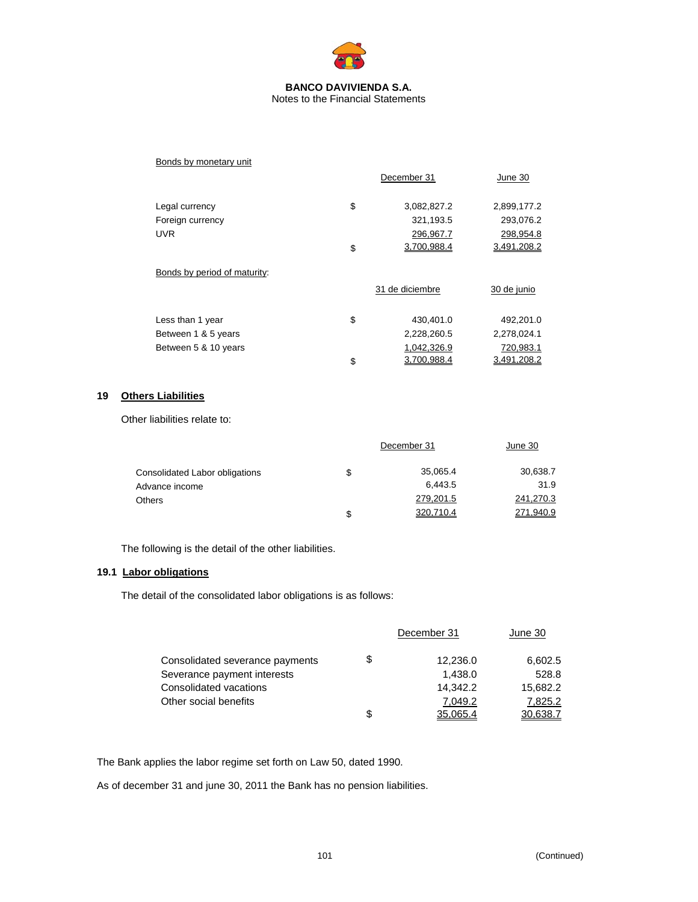

| Bonds by monetary unit       |                   |             |
|------------------------------|-------------------|-------------|
|                              | December 31       | June 30     |
| Legal currency               | \$<br>3,082,827.2 | 2,899,177.2 |
| Foreign currency             | 321,193.5         | 293,076.2   |
| <b>UVR</b>                   | 296,967.7         | 298,954.8   |
|                              | \$<br>3.700.988.4 | 3.491.208.2 |
| Bonds by period of maturity: |                   |             |
|                              | 31 de diciembre   | 30 de junio |
| Less than 1 year             | \$<br>430,401.0   | 492,201.0   |
| Between 1 & 5 years          | 2,228,260.5       | 2,278,024.1 |
| Between 5 & 10 years         | 1,042,326.9       | 720,983.1   |
|                              | \$<br>3.700.988.4 | 3.491.208.2 |

# **19 Others Liabilities**

Other liabilities relate to:

|                                | December 31 | June 30   |           |
|--------------------------------|-------------|-----------|-----------|
| Consolidated Labor obligations | S           | 35,065.4  | 30,638.7  |
| Advance income                 |             | 6.443.5   | 31.9      |
| <b>Others</b>                  |             | 279,201.5 | 241,270.3 |
|                                | S           | 320,710.4 | 271,940.9 |

The following is the detail of the other liabilities.

# **19.1 Labor obligations**

The detail of the consolidated labor obligations is as follows:

|                                 | December 31    | June 30  |
|---------------------------------|----------------|----------|
| Consolidated severance payments | \$<br>12,236.0 | 6,602.5  |
| Severance payment interests     | 1,438.0        | 528.8    |
| Consolidated vacations          | 14.342.2       | 15,682.2 |
| Other social benefits           | 7.049.2        | 7,825.2  |
|                                 | \$<br>35.065.4 | 30.638.7 |

The Bank applies the labor regime set forth on Law 50, dated 1990.

As of december 31 and june 30, 2011 the Bank has no pension liabilities.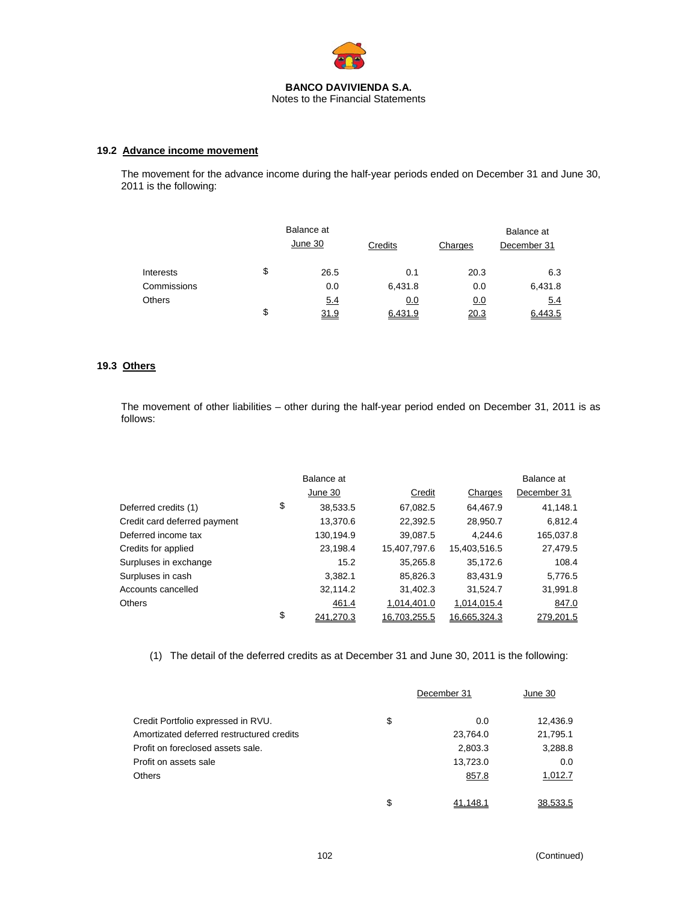

# **19.2 Advance income movement**

The movement for the advance income during the half-year periods ended on December 31 and June 30, 2011 is the following:

|               |    | Balance at<br>June 30 | Credits | Charges    | Balance at<br>December 31 |
|---------------|----|-----------------------|---------|------------|---------------------------|
| Interests     | \$ | 26.5                  | 0.1     | 20.3       | 6.3                       |
| Commissions   |    | 0.0                   | 6,431.8 | 0.0        | 6,431.8                   |
| <b>Others</b> |    | 5.4                   | 0.0     | <u>0.0</u> | 5.4                       |
|               | S  | 31.9                  | 6.431.9 | 20.3       | 6.443.5                   |

## **19.3 Others**

The movement of other liabilities – other during the half-year period ended on December 31, 2011 is as follows:

|                              | Balance at      |              |              | Balance at  |
|------------------------------|-----------------|--------------|--------------|-------------|
|                              | June 30         | Credit       | Charges      | December 31 |
| Deferred credits (1)         | \$<br>38,533.5  | 67,082.5     | 64,467.9     | 41,148.1    |
| Credit card deferred payment | 13,370.6        | 22,392.5     | 28,950.7     | 6,812.4     |
| Deferred income tax          | 130,194.9       | 39,087.5     | 4.244.6      | 165,037.8   |
| Credits for applied          | 23,198.4        | 15,407,797.6 | 15,403,516.5 | 27,479.5    |
| Surpluses in exchange        | 15.2            | 35,265.8     | 35.172.6     | 108.4       |
| Surpluses in cash            | 3.382.1         | 85,826.3     | 83.431.9     | 5,776.5     |
| Accounts cancelled           | 32,114.2        | 31,402.3     | 31,524.7     | 31,991.8    |
| <b>Others</b>                | 461.4           | 1,014,401.0  | 1,014,015.4  | 847.0       |
|                              | \$<br>241,270.3 | 16,703,255.5 | 16,665,324.3 | 279,201.5   |

(1) The detail of the deferred credits as at December 31 and June 30, 2011 is the following:

|                                           | December 31    | June 30  |
|-------------------------------------------|----------------|----------|
| Credit Portfolio expressed in RVU.        | \$<br>0.0      | 12,436.9 |
| Amortizated deferred restructured credits | 23,764.0       | 21,795.1 |
| Profit on foreclosed assets sale.         | 2,803.3        | 3,288.8  |
| Profit on assets sale                     | 13,723.0       | 0.0      |
| Others                                    | 857.8          | 1,012.7  |
|                                           | \$<br>41.148.1 | 38,533.5 |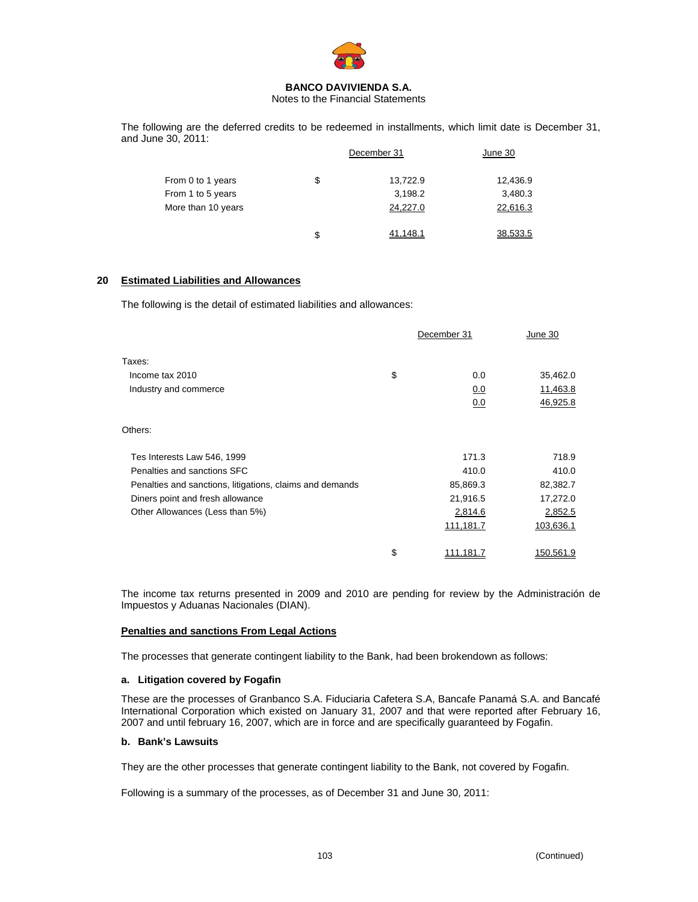

Notes to the Financial Statements

The following are the deferred credits to be redeemed in installments, which limit date is December 31, and June 30, 2011:

|                    | December 31 | June 30  |          |
|--------------------|-------------|----------|----------|
| From 0 to 1 years  | \$          | 13,722.9 | 12,436.9 |
| From 1 to 5 years  |             | 3,198.2  | 3,480.3  |
| More than 10 years |             | 24,227.0 | 22,616.3 |
|                    | \$          | 41.148.1 | 38.533.5 |

## **20 Estimated Liabilities and Allowances**

The following is the detail of estimated liabilities and allowances:

|                                                          | December 31 |           | June 30   |  |
|----------------------------------------------------------|-------------|-----------|-----------|--|
| Taxes:                                                   |             |           |           |  |
| Income tax 2010                                          | \$          | 0.0       | 35,462.0  |  |
| Industry and commerce                                    |             | 0.0       | 11,463.8  |  |
|                                                          |             | 0.0       | 46,925.8  |  |
| Others:                                                  |             |           |           |  |
| Tes Interests Law 546, 1999                              |             | 171.3     | 718.9     |  |
| Penalties and sanctions SFC                              |             | 410.0     | 410.0     |  |
| Penalties and sanctions, litigations, claims and demands |             | 85,869.3  | 82,382.7  |  |
| Diners point and fresh allowance                         |             | 21,916.5  | 17,272.0  |  |
| Other Allowances (Less than 5%)                          |             | 2,814.6   | 2,852.5   |  |
|                                                          |             | 111,181.7 | 103,636.1 |  |
|                                                          | \$          | 111,181.7 | 150,561.9 |  |
|                                                          |             |           |           |  |

The income tax returns presented in 2009 and 2010 are pending for review by the Administración de Impuestos y Aduanas Nacionales (DIAN).

## **Penalties and sanctions From Legal Actions**

The processes that generate contingent liability to the Bank, had been brokendown as follows:

#### **a. Litigation covered by Fogafin**

These are the processes of Granbanco S.A. Fiduciaria Cafetera S.A, Bancafe Panamá S.A. and Bancafé International Corporation which existed on January 31, 2007 and that were reported after February 16, 2007 and until february 16, 2007, which are in force and are specifically guaranteed by Fogafin.

#### **b. Bank's Lawsuits**

They are the other processes that generate contingent liability to the Bank, not covered by Fogafin.

Following is a summary of the processes, as of December 31 and June 30, 2011: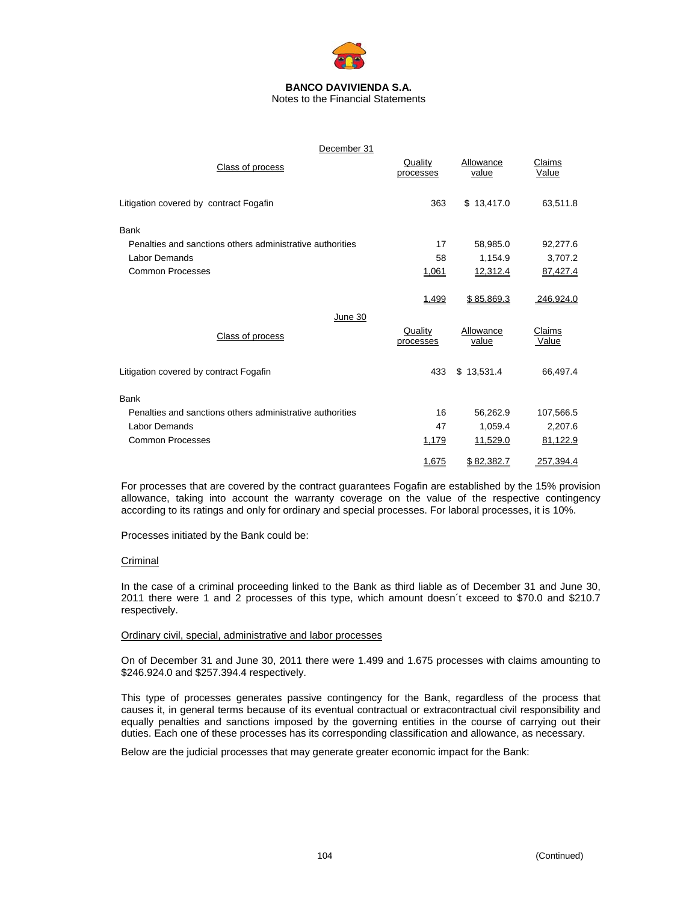

Notes to the Financial Statements

| December 31                                               |                      |                    |                 |
|-----------------------------------------------------------|----------------------|--------------------|-----------------|
| Class of process                                          | Quality<br>processes | Allowance<br>value | Claims<br>Value |
| Litigation covered by contract Fogafin                    | 363                  | \$13,417.0         | 63,511.8        |
| Bank                                                      |                      |                    |                 |
| Penalties and sanctions others administrative authorities | 17                   | 58,985.0           | 92,277.6        |
| Labor Demands                                             | 58                   | 1,154.9            | 3,707.2         |
| <b>Common Processes</b>                                   | 1,061                | 12,312.4           | 87,427.4        |
|                                                           | 1,499                | \$85,869.3         | 246,924.0       |
| June 30                                                   |                      |                    |                 |
| Class of process                                          | Quality<br>processes | Allowance<br>value | Claims<br>Value |
| Litigation covered by contract Fogafin                    | 433                  | \$13,531.4         | 66,497.4        |
| <b>Bank</b>                                               |                      |                    |                 |
| Penalties and sanctions others administrative authorities | 16                   | 56,262.9           | 107,566.5       |
| Labor Demands                                             | 47                   | 1,059.4            | 2,207.6         |
| <b>Common Processes</b>                                   | 1,179                | 11,529.0           | 81,122.9        |
|                                                           | 1,675                | \$82,382.7         | 257,394.4       |

For processes that are covered by the contract guarantees Fogafin are established by the 15% provision allowance, taking into account the warranty coverage on the value of the respective contingency according to its ratings and only for ordinary and special processes. For laboral processes, it is 10%.

Processes initiated by the Bank could be:

## Criminal

In the case of a criminal proceeding linked to the Bank as third liable as of December 31 and June 30, 2011 there were 1 and 2 processes of this type, which amount doesn´t exceed to \$70.0 and \$210.7 respectively.

## Ordinary civil, special, administrative and labor processes

On of December 31 and June 30, 2011 there were 1.499 and 1.675 processes with claims amounting to \$246.924.0 and \$257.394.4 respectively.

This type of processes generates passive contingency for the Bank, regardless of the process that causes it, in general terms because of its eventual contractual or extracontractual civil responsibility and equally penalties and sanctions imposed by the governing entities in the course of carrying out their duties. Each one of these processes has its corresponding classification and allowance, as necessary.

Below are the judicial processes that may generate greater economic impact for the Bank: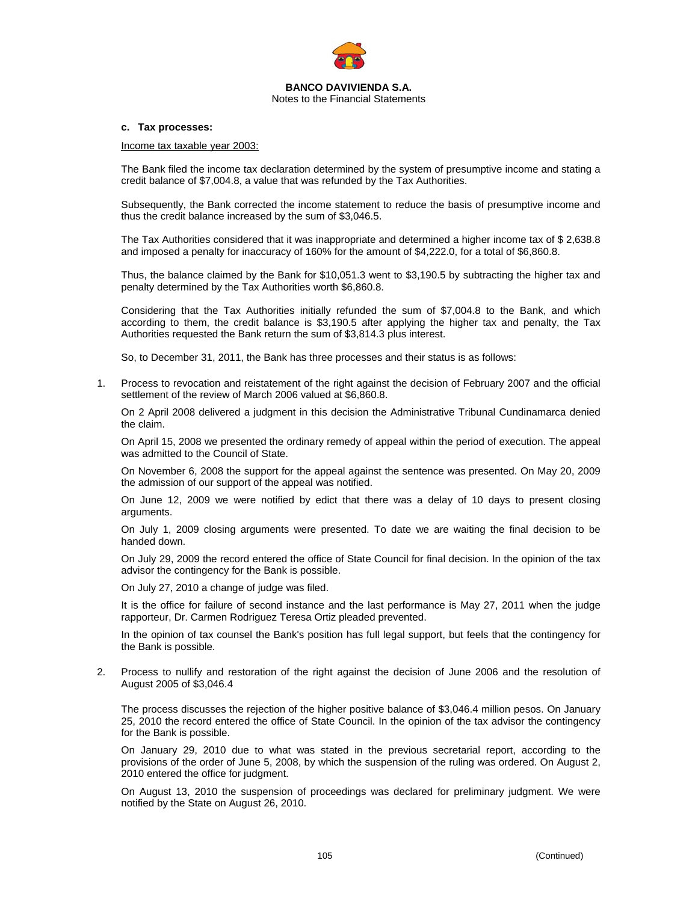

#### **c. Tax processes:**

Income tax taxable year 2003:

The Bank filed the income tax declaration determined by the system of presumptive income and stating a credit balance of \$7,004.8, a value that was refunded by the Tax Authorities.

Subsequently, the Bank corrected the income statement to reduce the basis of presumptive income and thus the credit balance increased by the sum of \$3,046.5.

The Tax Authorities considered that it was inappropriate and determined a higher income tax of \$ 2,638.8 and imposed a penalty for inaccuracy of 160% for the amount of \$4,222.0, for a total of \$6,860.8.

Thus, the balance claimed by the Bank for \$10,051.3 went to \$3,190.5 by subtracting the higher tax and penalty determined by the Tax Authorities worth \$6,860.8.

Considering that the Tax Authorities initially refunded the sum of \$7,004.8 to the Bank, and which according to them, the credit balance is \$3,190.5 after applying the higher tax and penalty, the Tax Authorities requested the Bank return the sum of \$3,814.3 plus interest.

So, to December 31, 2011, the Bank has three processes and their status is as follows:

1. Process to revocation and reistatement of the right against the decision of February 2007 and the official settlement of the review of March 2006 valued at \$6,860.8.

On 2 April 2008 delivered a judgment in this decision the Administrative Tribunal Cundinamarca denied the claim.

On April 15, 2008 we presented the ordinary remedy of appeal within the period of execution. The appeal was admitted to the Council of State.

On November 6, 2008 the support for the appeal against the sentence was presented. On May 20, 2009 the admission of our support of the appeal was notified.

On June 12, 2009 we were notified by edict that there was a delay of 10 days to present closing arguments.

On July 1, 2009 closing arguments were presented. To date we are waiting the final decision to be handed down.

On July 29, 2009 the record entered the office of State Council for final decision. In the opinion of the tax advisor the contingency for the Bank is possible.

On July 27, 2010 a change of judge was filed.

It is the office for failure of second instance and the last performance is May 27, 2011 when the judge rapporteur, Dr. Carmen Rodriguez Teresa Ortiz pleaded prevented.

In the opinion of tax counsel the Bank's position has full legal support, but feels that the contingency for the Bank is possible.

2. Process to nullify and restoration of the right against the decision of June 2006 and the resolution of August 2005 of \$3,046.4

The process discusses the rejection of the higher positive balance of \$3,046.4 million pesos. On January 25, 2010 the record entered the office of State Council. In the opinion of the tax advisor the contingency for the Bank is possible.

On January 29, 2010 due to what was stated in the previous secretarial report, according to the provisions of the order of June 5, 2008, by which the suspension of the ruling was ordered. On August 2, 2010 entered the office for judgment.

On August 13, 2010 the suspension of proceedings was declared for preliminary judgment. We were notified by the State on August 26, 2010.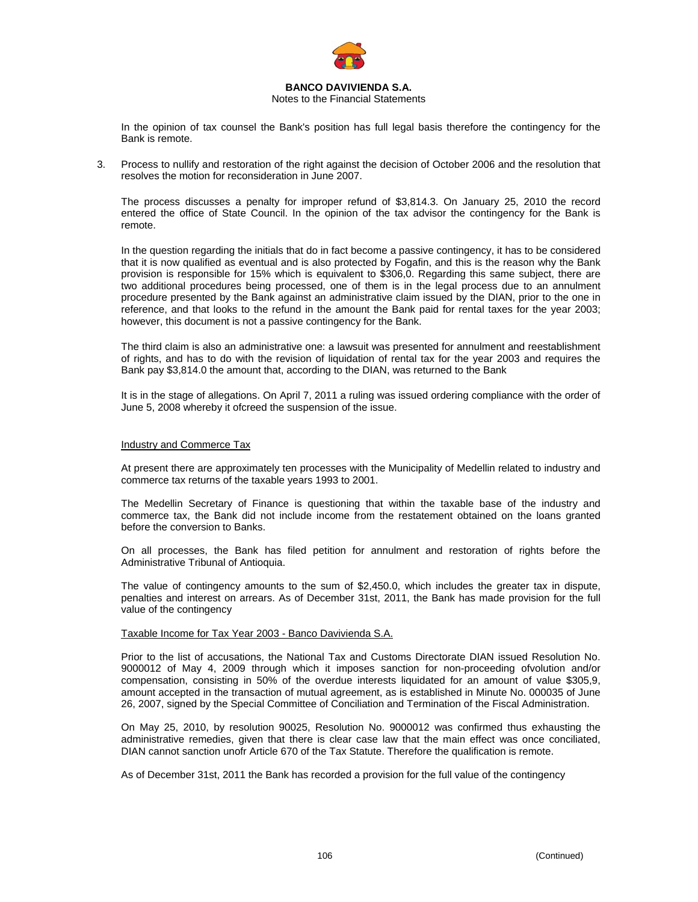

## Notes to the Financial Statements

In the opinion of tax counsel the Bank's position has full legal basis therefore the contingency for the Bank is remote.

3. Process to nullify and restoration of the right against the decision of October 2006 and the resolution that resolves the motion for reconsideration in June 2007.

The process discusses a penalty for improper refund of \$3,814.3. On January 25, 2010 the record entered the office of State Council. In the opinion of the tax advisor the contingency for the Bank is remote.

In the question regarding the initials that do in fact become a passive contingency, it has to be considered that it is now qualified as eventual and is also protected by Fogafin, and this is the reason why the Bank provision is responsible for 15% which is equivalent to \$306,0. Regarding this same subject, there are two additional procedures being processed, one of them is in the legal process due to an annulment procedure presented by the Bank against an administrative claim issued by the DIAN, prior to the one in reference, and that looks to the refund in the amount the Bank paid for rental taxes for the year 2003; however, this document is not a passive contingency for the Bank.

The third claim is also an administrative one: a lawsuit was presented for annulment and reestablishment of rights, and has to do with the revision of liquidation of rental tax for the year 2003 and requires the Bank pay \$3,814.0 the amount that, according to the DIAN, was returned to the Bank

It is in the stage of allegations. On April 7, 2011 a ruling was issued ordering compliance with the order of June 5, 2008 whereby it ofcreed the suspension of the issue.

#### Industry and Commerce Tax

At present there are approximately ten processes with the Municipality of Medellin related to industry and commerce tax returns of the taxable years 1993 to 2001.

The Medellin Secretary of Finance is questioning that within the taxable base of the industry and commerce tax, the Bank did not include income from the restatement obtained on the loans granted before the conversion to Banks.

On all processes, the Bank has filed petition for annulment and restoration of rights before the Administrative Tribunal of Antioquia.

The value of contingency amounts to the sum of \$2,450.0, which includes the greater tax in dispute, penalties and interest on arrears. As of December 31st, 2011, the Bank has made provision for the full value of the contingency

#### Taxable Income for Tax Year 2003 - Banco Davivienda S.A.

Prior to the list of accusations, the National Tax and Customs Directorate DIAN issued Resolution No. 9000012 of May 4, 2009 through which it imposes sanction for non-proceeding ofvolution and/or compensation, consisting in 50% of the overdue interests liquidated for an amount of value \$305,9, amount accepted in the transaction of mutual agreement, as is established in Minute No. 000035 of June 26, 2007, signed by the Special Committee of Conciliation and Termination of the Fiscal Administration.

On May 25, 2010, by resolution 90025, Resolution No. 9000012 was confirmed thus exhausting the administrative remedies, given that there is clear case law that the main effect was once conciliated, DIAN cannot sanction unofr Article 670 of the Tax Statute. Therefore the qualification is remote.

As of December 31st, 2011 the Bank has recorded a provision for the full value of the contingency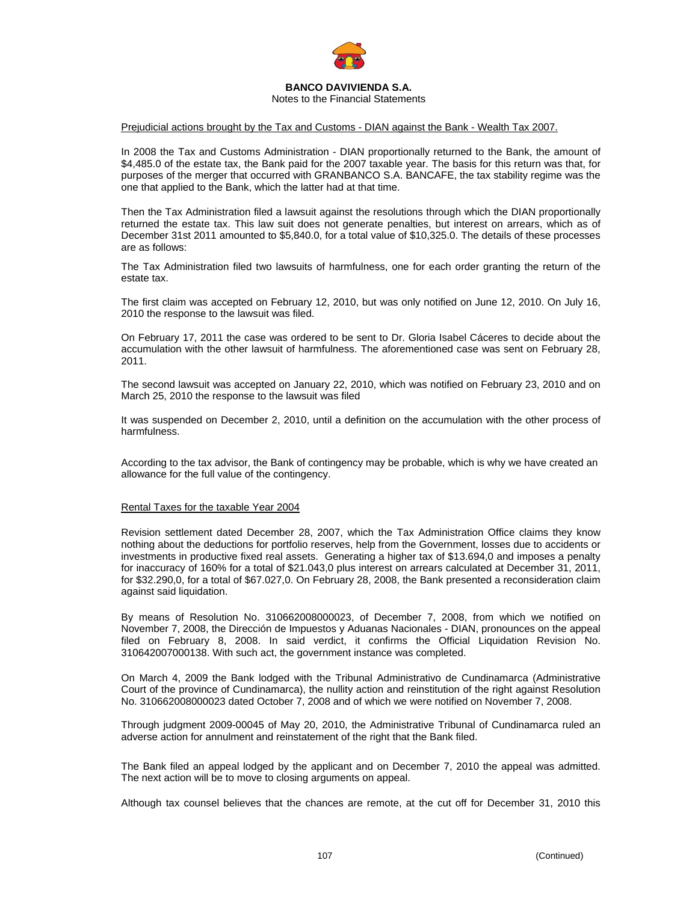

Notes to the Financial Statements

#### Prejudicial actions brought by the Tax and Customs - DIAN against the Bank - Wealth Tax 2007.

In 2008 the Tax and Customs Administration - DIAN proportionally returned to the Bank, the amount of \$4,485.0 of the estate tax, the Bank paid for the 2007 taxable year. The basis for this return was that, for purposes of the merger that occurred with GRANBANCO S.A. BANCAFE, the tax stability regime was the one that applied to the Bank, which the latter had at that time.

Then the Tax Administration filed a lawsuit against the resolutions through which the DIAN proportionally returned the estate tax. This law suit does not generate penalties, but interest on arrears, which as of December 31st 2011 amounted to \$5,840.0, for a total value of \$10,325.0. The details of these processes are as follows:

The Tax Administration filed two lawsuits of harmfulness, one for each order granting the return of the estate tax.

The first claim was accepted on February 12, 2010, but was only notified on June 12, 2010. On July 16, 2010 the response to the lawsuit was filed.

On February 17, 2011 the case was ordered to be sent to Dr. Gloria Isabel Cáceres to decide about the accumulation with the other lawsuit of harmfulness. The aforementioned case was sent on February 28, 2011.

The second lawsuit was accepted on January 22, 2010, which was notified on February 23, 2010 and on March 25, 2010 the response to the lawsuit was filed

It was suspended on December 2, 2010, until a definition on the accumulation with the other process of harmfulness.

According to the tax advisor, the Bank of contingency may be probable, which is why we have created an allowance for the full value of the contingency.

#### Rental Taxes for the taxable Year 2004

Revision settlement dated December 28, 2007, which the Tax Administration Office claims they know nothing about the deductions for portfolio reserves, help from the Government, losses due to accidents or investments in productive fixed real assets. Generating a higher tax of \$13.694,0 and imposes a penalty for inaccuracy of 160% for a total of \$21.043,0 plus interest on arrears calculated at December 31, 2011, for \$32.290,0, for a total of \$67.027,0. On February 28, 2008, the Bank presented a reconsideration claim against said liquidation.

By means of Resolution No. 310662008000023, of December 7, 2008, from which we notified on November 7, 2008, the Dirección de Impuestos y Aduanas Nacionales - DIAN, pronounces on the appeal filed on February 8, 2008. In said verdict, it confirms the Official Liquidation Revision No. 310642007000138. With such act, the government instance was completed.

On March 4, 2009 the Bank lodged with the Tribunal Administrativo de Cundinamarca (Administrative Court of the province of Cundinamarca), the nullity action and reinstitution of the right against Resolution No. 310662008000023 dated October 7, 2008 and of which we were notified on November 7, 2008.

Through judgment 2009-00045 of May 20, 2010, the Administrative Tribunal of Cundinamarca ruled an adverse action for annulment and reinstatement of the right that the Bank filed.

The Bank filed an appeal lodged by the applicant and on December 7, 2010 the appeal was admitted. The next action will be to move to closing arguments on appeal.

Although tax counsel believes that the chances are remote, at the cut off for December 31, 2010 this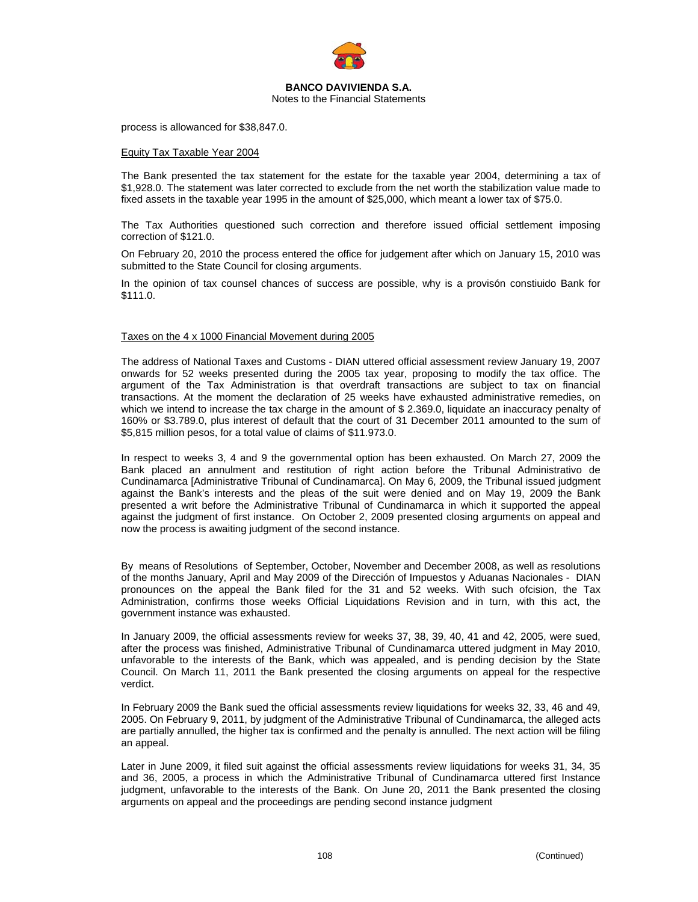

Notes to the Financial Statements

process is allowanced for \$38,847.0.

#### Equity Tax Taxable Year 2004

The Bank presented the tax statement for the estate for the taxable year 2004, determining a tax of \$1,928.0. The statement was later corrected to exclude from the net worth the stabilization value made to fixed assets in the taxable year 1995 in the amount of \$25,000, which meant a lower tax of \$75.0.

The Tax Authorities questioned such correction and therefore issued official settlement imposing correction of \$121.0.

On February 20, 2010 the process entered the office for judgement after which on January 15, 2010 was submitted to the State Council for closing arguments.

In the opinion of tax counsel chances of success are possible, why is a provisón constiuido Bank for \$111.0.

#### Taxes on the 4 x 1000 Financial Movement during 2005

The address of National Taxes and Customs - DIAN uttered official assessment review January 19, 2007 onwards for 52 weeks presented during the 2005 tax year, proposing to modify the tax office. The argument of the Tax Administration is that overdraft transactions are subject to tax on financial transactions. At the moment the declaration of 25 weeks have exhausted administrative remedies, on which we intend to increase the tax charge in the amount of \$2.369.0, liquidate an inaccuracy penalty of 160% or \$3.789.0, plus interest of default that the court of 31 December 2011 amounted to the sum of \$5,815 million pesos, for a total value of claims of \$11.973.0.

In respect to weeks 3, 4 and 9 the governmental option has been exhausted. On March 27, 2009 the Bank placed an annulment and restitution of right action before the Tribunal Administrativo de Cundinamarca [Administrative Tribunal of Cundinamarca]. On May 6, 2009, the Tribunal issued judgment against the Bank's interests and the pleas of the suit were denied and on May 19, 2009 the Bank presented a writ before the Administrative Tribunal of Cundinamarca in which it supported the appeal against the judgment of first instance. On October 2, 2009 presented closing arguments on appeal and now the process is awaiting judgment of the second instance.

By means of Resolutions of September, October, November and December 2008, as well as resolutions of the months January, April and May 2009 of the Dirección of Impuestos y Aduanas Nacionales - DIAN pronounces on the appeal the Bank filed for the 31 and 52 weeks. With such ofcision, the Tax Administration, confirms those weeks Official Liquidations Revision and in turn, with this act, the government instance was exhausted.

In January 2009, the official assessments review for weeks 37, 38, 39, 40, 41 and 42, 2005, were sued, after the process was finished, Administrative Tribunal of Cundinamarca uttered judgment in May 2010, unfavorable to the interests of the Bank, which was appealed, and is pending decision by the State Council. On March 11, 2011 the Bank presented the closing arguments on appeal for the respective verdict.

In February 2009 the Bank sued the official assessments review liquidations for weeks 32, 33, 46 and 49, 2005. On February 9, 2011, by judgment of the Administrative Tribunal of Cundinamarca, the alleged acts are partially annulled, the higher tax is confirmed and the penalty is annulled. The next action will be filing an appeal.

Later in June 2009, it filed suit against the official assessments review liquidations for weeks 31, 34, 35 and 36, 2005, a process in which the Administrative Tribunal of Cundinamarca uttered first Instance judgment, unfavorable to the interests of the Bank. On June 20, 2011 the Bank presented the closing arguments on appeal and the proceedings are pending second instance judgment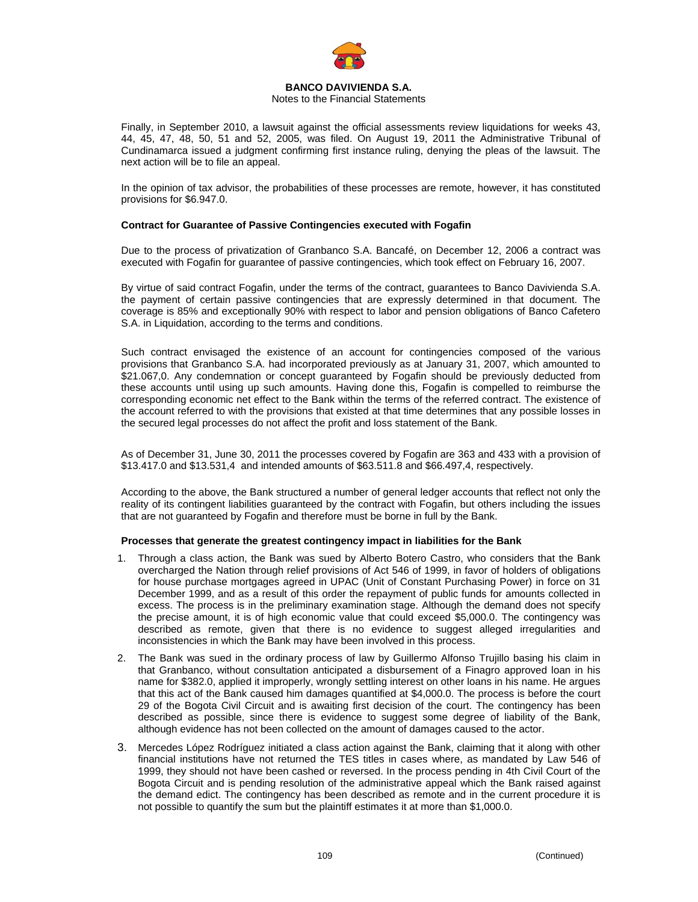

#### Notes to the Financial Statements

Finally, in September 2010, a lawsuit against the official assessments review liquidations for weeks 43, 44, 45, 47, 48, 50, 51 and 52, 2005, was filed. On August 19, 2011 the Administrative Tribunal of Cundinamarca issued a judgment confirming first instance ruling, denying the pleas of the lawsuit. The next action will be to file an appeal.

In the opinion of tax advisor, the probabilities of these processes are remote, however, it has constituted provisions for \$6.947.0.

### **Contract for Guarantee of Passive Contingencies executed with Fogafin**

Due to the process of privatization of Granbanco S.A. Bancafé, on December 12, 2006 a contract was executed with Fogafin for guarantee of passive contingencies, which took effect on February 16, 2007.

By virtue of said contract Fogafin, under the terms of the contract, guarantees to Banco Davivienda S.A. the payment of certain passive contingencies that are expressly determined in that document. The coverage is 85% and exceptionally 90% with respect to labor and pension obligations of Banco Cafetero S.A. in Liquidation, according to the terms and conditions.

Such contract envisaged the existence of an account for contingencies composed of the various provisions that Granbanco S.A. had incorporated previously as at January 31, 2007, which amounted to \$21.067,0. Any condemnation or concept guaranteed by Fogafin should be previously deducted from these accounts until using up such amounts. Having done this, Fogafin is compelled to reimburse the corresponding economic net effect to the Bank within the terms of the referred contract. The existence of the account referred to with the provisions that existed at that time determines that any possible losses in the secured legal processes do not affect the profit and loss statement of the Bank.

As of December 31, June 30, 2011 the processes covered by Fogafin are 363 and 433 with a provision of \$13.417.0 and \$13.531,4 and intended amounts of \$63.511.8 and \$66.497,4, respectively.

According to the above, the Bank structured a number of general ledger accounts that reflect not only the reality of its contingent liabilities guaranteed by the contract with Fogafin, but others including the issues that are not guaranteed by Fogafin and therefore must be borne in full by the Bank.

#### **Processes that generate the greatest contingency impact in liabilities for the Bank**

- 1. Through a class action, the Bank was sued by Alberto Botero Castro, who considers that the Bank overcharged the Nation through relief provisions of Act 546 of 1999, in favor of holders of obligations for house purchase mortgages agreed in UPAC (Unit of Constant Purchasing Power) in force on 31 December 1999, and as a result of this order the repayment of public funds for amounts collected in excess. The process is in the preliminary examination stage. Although the demand does not specify the precise amount, it is of high economic value that could exceed \$5,000.0. The contingency was described as remote, given that there is no evidence to suggest alleged irregularities and inconsistencies in which the Bank may have been involved in this process.
- 2. The Bank was sued in the ordinary process of law by Guillermo Alfonso Trujillo basing his claim in that Granbanco, without consultation anticipated a disbursement of a Finagro approved loan in his name for \$382.0, applied it improperly, wrongly settling interest on other loans in his name. He argues that this act of the Bank caused him damages quantified at \$4,000.0. The process is before the court 29 of the Bogota Civil Circuit and is awaiting first decision of the court. The contingency has been described as possible, since there is evidence to suggest some degree of liability of the Bank, although evidence has not been collected on the amount of damages caused to the actor.
- 3. Mercedes López Rodríguez initiated a class action against the Bank, claiming that it along with other financial institutions have not returned the TES titles in cases where, as mandated by Law 546 of 1999, they should not have been cashed or reversed. In the process pending in 4th Civil Court of the Bogota Circuit and is pending resolution of the administrative appeal which the Bank raised against the demand edict. The contingency has been described as remote and in the current procedure it is not possible to quantify the sum but the plaintiff estimates it at more than \$1,000.0.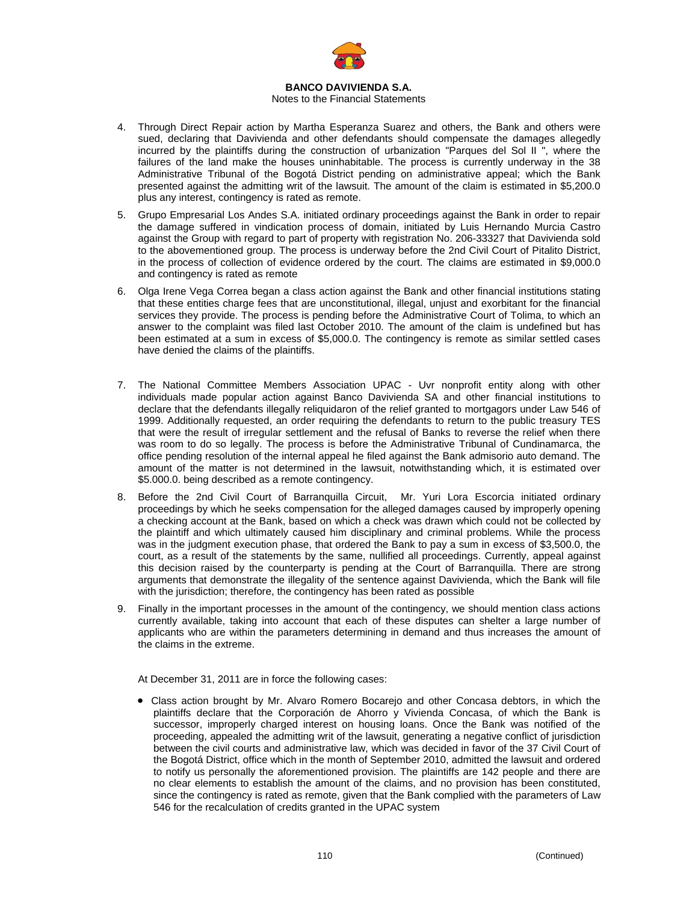

### Notes to the Financial Statements

- 4. Through Direct Repair action by Martha Esperanza Suarez and others, the Bank and others were sued, declaring that Davivienda and other defendants should compensate the damages allegedly incurred by the plaintiffs during the construction of urbanization "Parques del Sol II ", where the failures of the land make the houses uninhabitable. The process is currently underway in the 38 Administrative Tribunal of the Bogotá District pending on administrative appeal; which the Bank presented against the admitting writ of the lawsuit. The amount of the claim is estimated in \$5,200.0 plus any interest, contingency is rated as remote.
- 5. Grupo Empresarial Los Andes S.A. initiated ordinary proceedings against the Bank in order to repair the damage suffered in vindication process of domain, initiated by Luis Hernando Murcia Castro against the Group with regard to part of property with registration No. 206-33327 that Davivienda sold to the abovementioned group. The process is underway before the 2nd Civil Court of Pitalito District, in the process of collection of evidence ordered by the court. The claims are estimated in \$9,000.0 and contingency is rated as remote
- 6. Olga Irene Vega Correa began a class action against the Bank and other financial institutions stating that these entities charge fees that are unconstitutional, illegal, unjust and exorbitant for the financial services they provide. The process is pending before the Administrative Court of Tolima, to which an answer to the complaint was filed last October 2010. The amount of the claim is undefined but has been estimated at a sum in excess of \$5,000.0. The contingency is remote as similar settled cases have denied the claims of the plaintiffs.
- 7. The National Committee Members Association UPAC Uvr nonprofit entity along with other individuals made popular action against Banco Davivienda SA and other financial institutions to declare that the defendants illegally reliquidaron of the relief granted to mortgagors under Law 546 of 1999. Additionally requested, an order requiring the defendants to return to the public treasury TES that were the result of irregular settlement and the refusal of Banks to reverse the relief when there was room to do so legally. The process is before the Administrative Tribunal of Cundinamarca, the office pending resolution of the internal appeal he filed against the Bank admisorio auto demand. The amount of the matter is not determined in the lawsuit, notwithstanding which, it is estimated over \$5.000.0. being described as a remote contingency.
- 8. Before the 2nd Civil Court of Barranquilla Circuit, Mr. Yuri Lora Escorcia initiated ordinary proceedings by which he seeks compensation for the alleged damages caused by improperly opening a checking account at the Bank, based on which a check was drawn which could not be collected by the plaintiff and which ultimately caused him disciplinary and criminal problems. While the process was in the judgment execution phase, that ordered the Bank to pay a sum in excess of \$3,500.0, the court, as a result of the statements by the same, nullified all proceedings. Currently, appeal against this decision raised by the counterparty is pending at the Court of Barranquilla. There are strong arguments that demonstrate the illegality of the sentence against Davivienda, which the Bank will file with the jurisdiction; therefore, the contingency has been rated as possible
- 9. Finally in the important processes in the amount of the contingency, we should mention class actions currently available, taking into account that each of these disputes can shelter a large number of applicants who are within the parameters determining in demand and thus increases the amount of the claims in the extreme.

At December 31, 2011 are in force the following cases:

• Class action brought by Mr. Alvaro Romero Bocarejo and other Concasa debtors, in which the plaintiffs declare that the Corporación de Ahorro y Vivienda Concasa, of which the Bank is successor, improperly charged interest on housing loans. Once the Bank was notified of the proceeding, appealed the admitting writ of the lawsuit, generating a negative conflict of jurisdiction between the civil courts and administrative law, which was decided in favor of the 37 Civil Court of the Bogotá District, office which in the month of September 2010, admitted the lawsuit and ordered to notify us personally the aforementioned provision. The plaintiffs are 142 people and there are no clear elements to establish the amount of the claims, and no provision has been constituted, since the contingency is rated as remote, given that the Bank complied with the parameters of Law 546 for the recalculation of credits granted in the UPAC system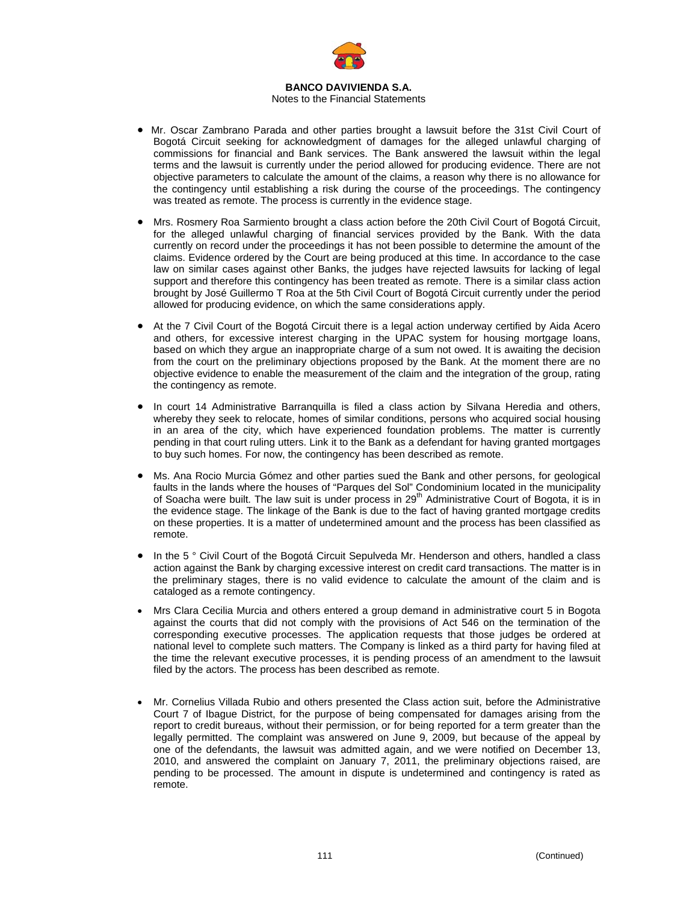

### Notes to the Financial Statements

- Mr. Oscar Zambrano Parada and other parties brought a lawsuit before the 31st Civil Court of Bogotá Circuit seeking for acknowledgment of damages for the alleged unlawful charging of commissions for financial and Bank services. The Bank answered the lawsuit within the legal terms and the lawsuit is currently under the period allowed for producing evidence. There are not objective parameters to calculate the amount of the claims, a reason why there is no allowance for the contingency until establishing a risk during the course of the proceedings. The contingency was treated as remote. The process is currently in the evidence stage.
- Mrs. Rosmery Roa Sarmiento brought a class action before the 20th Civil Court of Bogotá Circuit, for the alleged unlawful charging of financial services provided by the Bank. With the data currently on record under the proceedings it has not been possible to determine the amount of the claims. Evidence ordered by the Court are being produced at this time. In accordance to the case law on similar cases against other Banks, the judges have rejected lawsuits for lacking of legal support and therefore this contingency has been treated as remote. There is a similar class action brought by José Guillermo T Roa at the 5th Civil Court of Bogotá Circuit currently under the period allowed for producing evidence, on which the same considerations apply.
- At the 7 Civil Court of the Bogotá Circuit there is a legal action underway certified by Aida Acero and others, for excessive interest charging in the UPAC system for housing mortgage loans, based on which they argue an inappropriate charge of a sum not owed. It is awaiting the decision from the court on the preliminary objections proposed by the Bank. At the moment there are no objective evidence to enable the measurement of the claim and the integration of the group, rating the contingency as remote.
- In court 14 Administrative Barranquilla is filed a class action by Silvana Heredia and others, whereby they seek to relocate, homes of similar conditions, persons who acquired social housing in an area of the city, which have experienced foundation problems. The matter is currently pending in that court ruling utters. Link it to the Bank as a defendant for having granted mortgages to buy such homes. For now, the contingency has been described as remote.
- Ms. Ana Rocio Murcia Gómez and other parties sued the Bank and other persons, for geological faults in the lands where the houses of "Parques del Sol" Condominium located in the municipality of Soacha were built. The law suit is under process in 29<sup>th</sup> Administrative Court of Bogota, it is in the evidence stage. The linkage of the Bank is due to the fact of having granted mortgage credits on these properties. It is a matter of undetermined amount and the process has been classified as remote.
- In the 5 ° Civil Court of the Bogotá Circuit Sepulveda Mr. Henderson and others, handled a class action against the Bank by charging excessive interest on credit card transactions. The matter is in the preliminary stages, there is no valid evidence to calculate the amount of the claim and is cataloged as a remote contingency.
- Mrs Clara Cecilia Murcia and others entered a group demand in administrative court 5 in Bogota against the courts that did not comply with the provisions of Act 546 on the termination of the corresponding executive processes. The application requests that those judges be ordered at national level to complete such matters. The Company is linked as a third party for having filed at the time the relevant executive processes, it is pending process of an amendment to the lawsuit filed by the actors. The process has been described as remote.
- Mr. Cornelius Villada Rubio and others presented the Class action suit, before the Administrative Court 7 of Ibague District, for the purpose of being compensated for damages arising from the report to credit bureaus, without their permission, or for being reported for a term greater than the legally permitted. The complaint was answered on June 9, 2009, but because of the appeal by one of the defendants, the lawsuit was admitted again, and we were notified on December 13, 2010, and answered the complaint on January 7, 2011, the preliminary objections raised, are pending to be processed. The amount in dispute is undetermined and contingency is rated as remote.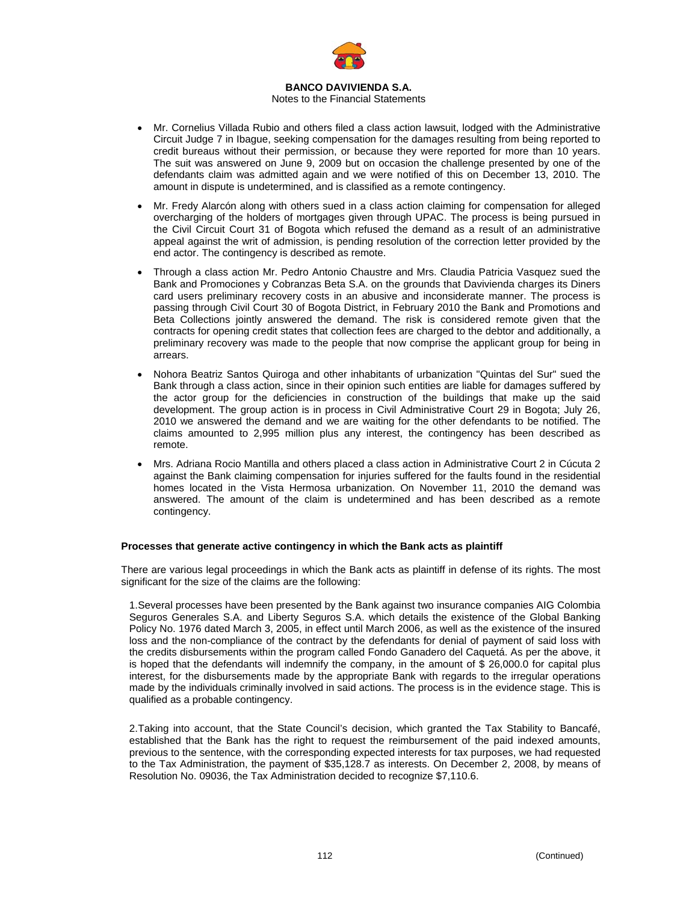

#### Notes to the Financial Statements

- Mr. Cornelius Villada Rubio and others filed a class action lawsuit, lodged with the Administrative Circuit Judge 7 in Ibague, seeking compensation for the damages resulting from being reported to credit bureaus without their permission, or because they were reported for more than 10 years. The suit was answered on June 9, 2009 but on occasion the challenge presented by one of the defendants claim was admitted again and we were notified of this on December 13, 2010. The amount in dispute is undetermined, and is classified as a remote contingency.
- Mr. Fredy Alarcón along with others sued in a class action claiming for compensation for alleged overcharging of the holders of mortgages given through UPAC. The process is being pursued in the Civil Circuit Court 31 of Bogota which refused the demand as a result of an administrative appeal against the writ of admission, is pending resolution of the correction letter provided by the end actor. The contingency is described as remote.
- Through a class action Mr. Pedro Antonio Chaustre and Mrs. Claudia Patricia Vasquez sued the Bank and Promociones y Cobranzas Beta S.A. on the grounds that Davivienda charges its Diners card users preliminary recovery costs in an abusive and inconsiderate manner. The process is passing through Civil Court 30 of Bogota District, in February 2010 the Bank and Promotions and Beta Collections jointly answered the demand. The risk is considered remote given that the contracts for opening credit states that collection fees are charged to the debtor and additionally, a preliminary recovery was made to the people that now comprise the applicant group for being in arrears.
- Nohora Beatriz Santos Quiroga and other inhabitants of urbanization "Quintas del Sur" sued the Bank through a class action, since in their opinion such entities are liable for damages suffered by the actor group for the deficiencies in construction of the buildings that make up the said development. The group action is in process in Civil Administrative Court 29 in Bogota; July 26, 2010 we answered the demand and we are waiting for the other defendants to be notified. The claims amounted to 2,995 million plus any interest, the contingency has been described as remote.
- Mrs. Adriana Rocio Mantilla and others placed a class action in Administrative Court 2 in Cúcuta 2 against the Bank claiming compensation for injuries suffered for the faults found in the residential homes located in the Vista Hermosa urbanization. On November 11, 2010 the demand was answered. The amount of the claim is undetermined and has been described as a remote contingency.

#### **Processes that generate active contingency in which the Bank acts as plaintiff**

There are various legal proceedings in which the Bank acts as plaintiff in defense of its rights. The most significant for the size of the claims are the following:

1. Several processes have been presented by the Bank against two insurance companies AIG Colombia Seguros Generales S.A. and Liberty Seguros S.A. which details the existence of the Global Banking Policy No. 1976 dated March 3, 2005, in effect until March 2006, as well as the existence of the insured loss and the non-compliance of the contract by the defendants for denial of payment of said loss with the credits disbursements within the program called Fondo Ganadero del Caquetá. As per the above, it is hoped that the defendants will indemnify the company, in the amount of \$ 26,000.0 for capital plus interest, for the disbursements made by the appropriate Bank with regards to the irregular operations made by the individuals criminally involved in said actions. The process is in the evidence stage. This is qualified as a probable contingency.

2. Taking into account, that the State Council's decision, which granted the Tax Stability to Bancafé, established that the Bank has the right to request the reimbursement of the paid indexed amounts, previous to the sentence, with the corresponding expected interests for tax purposes, we had requested to the Tax Administration, the payment of \$35,128.7 as interests. On December 2, 2008, by means of Resolution No. 09036, the Tax Administration decided to recognize \$7,110.6.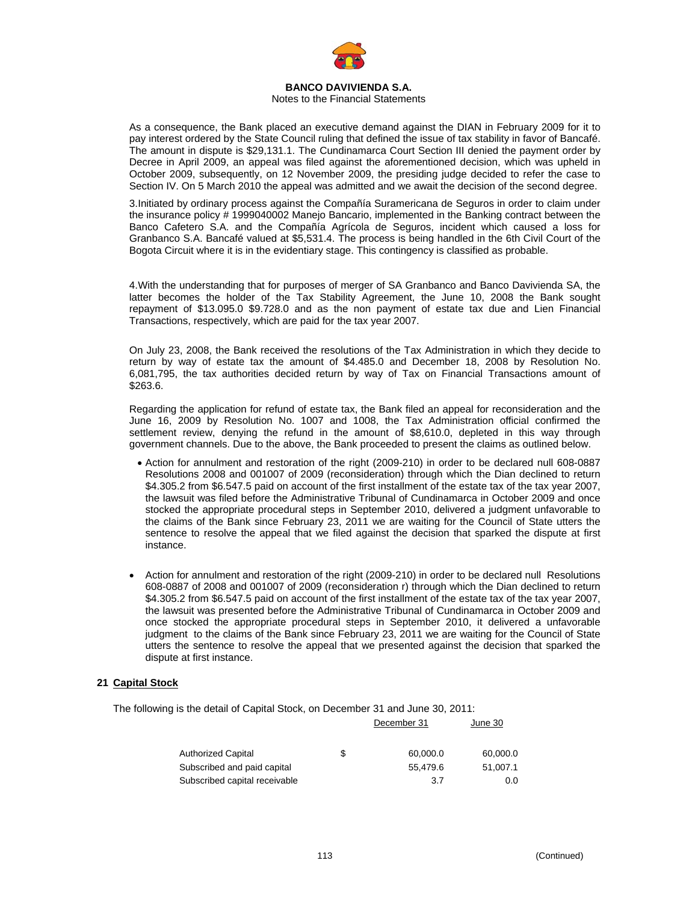

Notes to the Financial Statements

As a consequence, the Bank placed an executive demand against the DIAN in February 2009 for it to pay interest ordered by the State Council ruling that defined the issue of tax stability in favor of Bancafé. The amount in dispute is \$29,131.1. The Cundinamarca Court Section III denied the payment order by Decree in April 2009, an appeal was filed against the aforementioned decision, which was upheld in October 2009, subsequently, on 12 November 2009, the presiding judge decided to refer the case to Section IV. On 5 March 2010 the appeal was admitted and we await the decision of the second degree.

3. Initiated by ordinary process against the Compañía Suramericana de Seguros in order to claim under the insurance policy # 1999040002 Manejo Bancario, implemented in the Banking contract between the Banco Cafetero S.A. and the Compañía Agrícola de Seguros, incident which caused a loss for Granbanco S.A. Bancafé valued at \$5,531.4. The process is being handled in the 6th Civil Court of the Bogota Circuit where it is in the evidentiary stage. This contingency is classified as probable.

4. With the understanding that for purposes of merger of SA Granbanco and Banco Davivienda SA, the latter becomes the holder of the Tax Stability Agreement, the June 10, 2008 the Bank sought repayment of \$13.095.0 \$9.728.0 and as the non payment of estate tax due and Lien Financial Transactions, respectively, which are paid for the tax year 2007.

On July 23, 2008, the Bank received the resolutions of the Tax Administration in which they decide to return by way of estate tax the amount of \$4.485.0 and December 18, 2008 by Resolution No. 6,081,795, the tax authorities decided return by way of Tax on Financial Transactions amount of \$263.6.

Regarding the application for refund of estate tax, the Bank filed an appeal for reconsideration and the June 16, 2009 by Resolution No. 1007 and 1008, the Tax Administration official confirmed the settlement review, denying the refund in the amount of \$8,610.0, depleted in this way through government channels. Due to the above, the Bank proceeded to present the claims as outlined below.

- Action for annulment and restoration of the right (2009-210) in order to be declared null 608-0887 Resolutions 2008 and 001007 of 2009 (reconsideration) through which the Dian declined to return \$4.305.2 from \$6.547.5 paid on account of the first installment of the estate tax of the tax year 2007, the lawsuit was filed before the Administrative Tribunal of Cundinamarca in October 2009 and once stocked the appropriate procedural steps in September 2010, delivered a judgment unfavorable to the claims of the Bank since February 23, 2011 we are waiting for the Council of State utters the sentence to resolve the appeal that we filed against the decision that sparked the dispute at first instance.
- Action for annulment and restoration of the right (2009-210) in order to be declared null Resolutions 608-0887 of 2008 and 001007 of 2009 (reconsideration r) through which the Dian declined to return \$4.305.2 from \$6.547.5 paid on account of the first installment of the estate tax of the tax year 2007, the lawsuit was presented before the Administrative Tribunal of Cundinamarca in October 2009 and once stocked the appropriate procedural steps in September 2010, it delivered a unfavorable judgment to the claims of the Bank since February 23, 2011 we are waiting for the Council of State utters the sentence to resolve the appeal that we presented against the decision that sparked the dispute at first instance.

### **21 Capital Stock**

The following is the detail of Capital Stock, on December 31 and June 30, 2011:

|                                 | December 31 | June 30  |
|---------------------------------|-------------|----------|
|                                 |             |          |
| <b>Authorized Capital</b><br>\$ | 60,000.0    | 60,000.0 |
| Subscribed and paid capital     | 55.479.6    | 51.007.1 |
| Subscribed capital receivable   | 3.7         | 0.0      |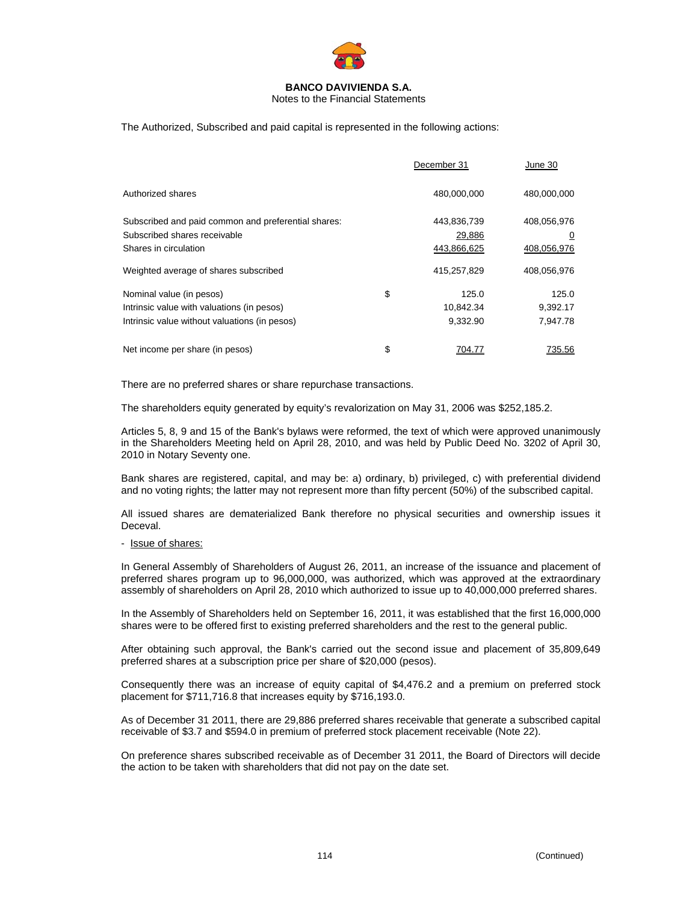

Notes to the Financial Statements

The Authorized, Subscribed and paid capital is represented in the following actions:

|                                                     | December 31  | June 30        |
|-----------------------------------------------------|--------------|----------------|
| Authorized shares                                   | 480.000.000  | 480.000.000    |
| Subscribed and paid common and preferential shares: | 443,836,739  | 408,056,976    |
| Subscribed shares receivable                        | 29,886       | $\overline{0}$ |
| Shares in circulation                               | 443,866,625  | 408,056,976    |
| Weighted average of shares subscribed               | 415,257,829  | 408,056,976    |
| Nominal value (in pesos)                            | \$<br>125.0  | 125.0          |
| Intrinsic value with valuations (in pesos)          | 10,842.34    | 9,392.17       |
| Intrinsic value without valuations (in pesos)       | 9,332.90     | 7.947.78       |
| Net income per share (in pesos)                     | \$<br>704.77 | 735.56         |

There are no preferred shares or share repurchase transactions.

The shareholders equity generated by equity's revalorization on May 31, 2006 was \$252,185.2.

Articles 5, 8, 9 and 15 of the Bank's bylaws were reformed, the text of which were approved unanimously in the Shareholders Meeting held on April 28, 2010, and was held by Public Deed No. 3202 of April 30, 2010 in Notary Seventy one.

Bank shares are registered, capital, and may be: a) ordinary, b) privileged, c) with preferential dividend and no voting rights; the latter may not represent more than fifty percent (50%) of the subscribed capital.

All issued shares are dematerialized Bank therefore no physical securities and ownership issues it Deceval.

#### - Issue of shares:

In General Assembly of Shareholders of August 26, 2011, an increase of the issuance and placement of preferred shares program up to 96,000,000, was authorized, which was approved at the extraordinary assembly of shareholders on April 28, 2010 which authorized to issue up to 40,000,000 preferred shares.

In the Assembly of Shareholders held on September 16, 2011, it was established that the first 16,000,000 shares were to be offered first to existing preferred shareholders and the rest to the general public.

After obtaining such approval, the Bank's carried out the second issue and placement of 35,809,649 preferred shares at a subscription price per share of \$20,000 (pesos).

Consequently there was an increase of equity capital of \$4,476.2 and a premium on preferred stock placement for \$711,716.8 that increases equity by \$716,193.0.

As of December 31 2011, there are 29,886 preferred shares receivable that generate a subscribed capital receivable of \$3.7 and \$594.0 in premium of preferred stock placement receivable (Note 22).

On preference shares subscribed receivable as of December 31 2011, the Board of Directors will decide the action to be taken with shareholders that did not pay on the date set.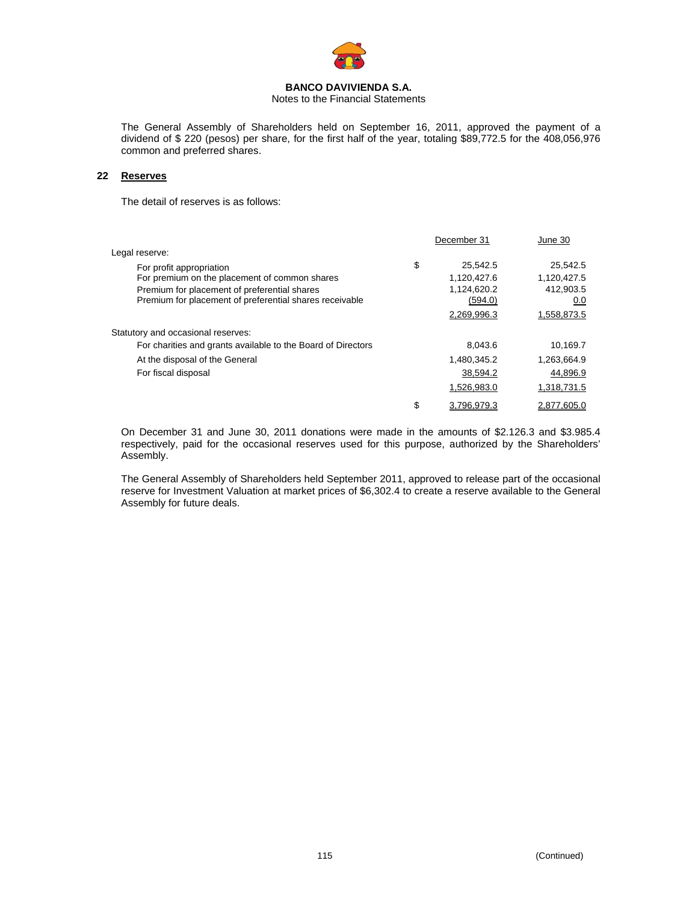

Notes to the Financial Statements

The General Assembly of Shareholders held on September 16, 2011, approved the payment of a dividend of \$ 220 (pesos) per share, for the first half of the year, totaling \$89,772.5 for the 408,056,976 common and preferred shares.

### **22 Reserves**

The detail of reserves is as follows:

|                                                              | December 31       | June 30     |
|--------------------------------------------------------------|-------------------|-------------|
| Legal reserve:                                               |                   |             |
| For profit appropriation                                     | \$<br>25.542.5    | 25,542.5    |
| For premium on the placement of common shares                | 1,120,427.6       | 1,120,427.5 |
| Premium for placement of preferential shares                 | 1,124,620.2       | 412,903.5   |
| Premium for placement of preferential shares receivable      | (594.0)           | 0.0         |
|                                                              | 2,269,996.3       | 1,558,873.5 |
| Statutory and occasional reserves:                           |                   |             |
| For charities and grants available to the Board of Directors | 8.043.6           | 10.169.7    |
| At the disposal of the General                               | 1,480,345.2       | 1,263,664.9 |
| For fiscal disposal                                          | 38,594.2          | 44,896.9    |
|                                                              | 1,526,983.0       | 1,318,731.5 |
|                                                              | \$<br>3.796.979.3 | 2.877.605.0 |
|                                                              |                   |             |

On December 31 and June 30, 2011 donations were made in the amounts of \$2.126.3 and \$3.985.4 respectively, paid for the occasional reserves used for this purpose, authorized by the Shareholders' Assembly.

The General Assembly of Shareholders held September 2011, approved to release part of the occasional reserve for Investment Valuation at market prices of \$6,302.4 to create a reserve available to the General Assembly for future deals.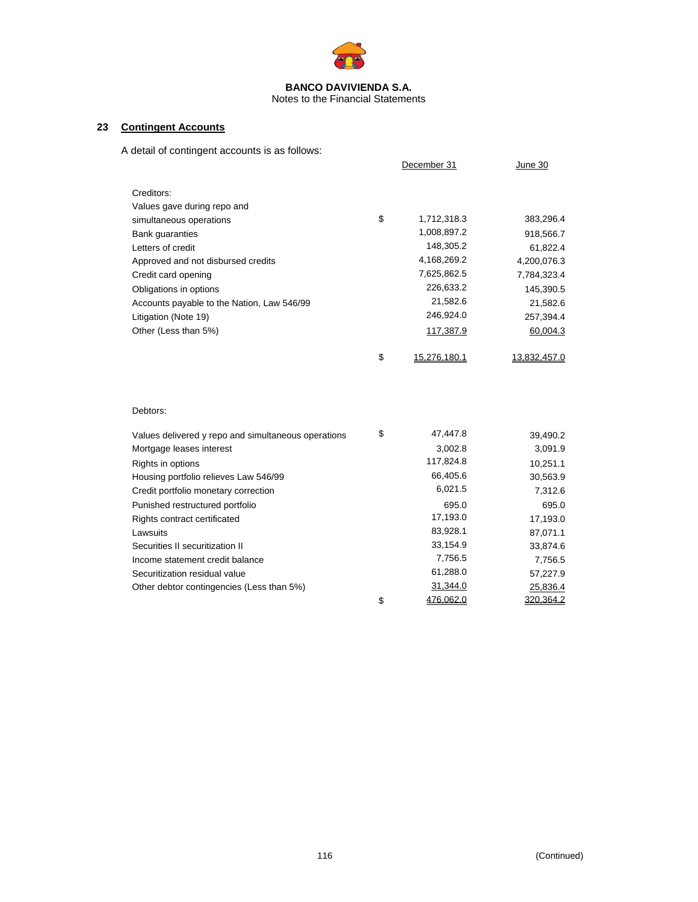

### Notes to the Financial Statements

### **23 Contingent Accounts**

A detail of contingent accounts is as follows:

|                                                     | December 31        | June 30      |
|-----------------------------------------------------|--------------------|--------------|
| Creditors:                                          |                    |              |
| Values gave during repo and                         |                    |              |
| simultaneous operations                             | \$<br>1,712,318.3  | 383,296.4    |
| <b>Bank guaranties</b>                              | 1,008,897.2        | 918,566.7    |
| Letters of credit                                   | 148,305.2          | 61,822.4     |
| Approved and not disbursed credits                  | 4,168,269.2        | 4,200,076.3  |
| Credit card opening                                 | 7,625,862.5        | 7,784,323.4  |
| Obligations in options                              | 226,633.2          | 145,390.5    |
| Accounts payable to the Nation, Law 546/99          | 21,582.6           | 21,582.6     |
| Litigation (Note 19)                                | 246,924.0          | 257,394.4    |
| Other (Less than 5%)                                | 117,387.9          | 60,004.3     |
|                                                     | \$<br>15,276,180.1 | 13,832,457.0 |
| Debtors:                                            |                    |              |
| Values delivered y repo and simultaneous operations | \$<br>47,447.8     | 39,490.2     |
| Mortgage leases interest                            | 3,002.8            | 3,091.9      |
| Rights in options                                   | 117,824.8          | 10,251.1     |
| Housing portfolio relieves Law 546/99               | 66,405.6           | 30,563.9     |
| Credit portfolio monetary correction                | 6,021.5            | 7,312.6      |
| Punished restructured portfolio                     | 695.0              | 695.0        |
| Rights contract certificated                        | 17,193.0           | 17,193.0     |
| Lawsuits                                            | 83,928.1           | 87,071.1     |
| Securities II securitization II                     | 33,154.9           | 33,874.6     |
| Income statement credit balance                     | 7,756.5            | 7,756.5      |
| Securitization residual value                       | 61,288.0           | 57,227.9     |
| Other debtor contingencies (Less than 5%)           | 31,344.0           | 25,836.4     |
|                                                     | \$<br>476,062.0    | 320,364.2    |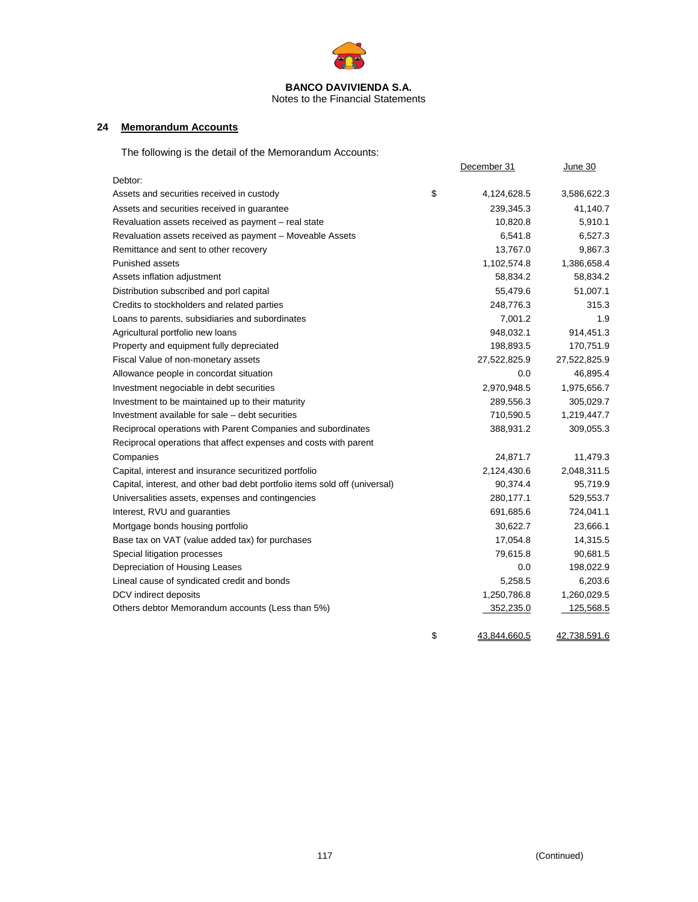

Notes to the Financial Statements

### **24 Memorandum Accounts**

The following is the detail of the Memorandum Accounts:

|                                                                            | December 31        | June 30      |
|----------------------------------------------------------------------------|--------------------|--------------|
| Debtor:                                                                    |                    |              |
| Assets and securities received in custody                                  | \$<br>4,124,628.5  | 3,586,622.3  |
| Assets and securities received in guarantee                                | 239,345.3          | 41,140.7     |
| Revaluation assets received as payment - real state                        | 10,820.8           | 5,910.1      |
| Revaluation assets received as payment - Moveable Assets                   | 6,541.8            | 6,527.3      |
| Remittance and sent to other recovery                                      | 13,767.0           | 9,867.3      |
| <b>Punished assets</b>                                                     | 1,102,574.8        | 1,386,658.4  |
| Assets inflation adjustment                                                | 58,834.2           | 58,834.2     |
| Distribution subscribed and porl capital                                   | 55,479.6           | 51,007.1     |
| Credits to stockholders and related parties                                | 248,776.3          | 315.3        |
| Loans to parents, subsidiaries and subordinates                            | 7,001.2            | 1.9          |
| Agricultural portfolio new loans                                           | 948,032.1          | 914,451.3    |
| Property and equipment fully depreciated                                   | 198,893.5          | 170,751.9    |
| Fiscal Value of non-monetary assets                                        | 27,522,825.9       | 27,522,825.9 |
| Allowance people in concordat situation                                    | 0.0                | 46,895.4     |
| Investment negociable in debt securities                                   | 2,970,948.5        | 1,975,656.7  |
| Investment to be maintained up to their maturity                           | 289,556.3          | 305,029.7    |
| Investment available for sale – debt securities                            | 710,590.5          | 1,219,447.7  |
| Reciprocal operations with Parent Companies and subordinates               | 388,931.2          | 309,055.3    |
| Reciprocal operations that affect expenses and costs with parent           |                    |              |
| Companies                                                                  | 24,871.7           | 11,479.3     |
| Capital, interest and insurance securitized portfolio                      | 2,124,430.6        | 2,048,311.5  |
| Capital, interest, and other bad debt portfolio items sold off (universal) | 90,374.4           | 95,719.9     |
| Universalities assets, expenses and contingencies                          | 280,177.1          | 529,553.7    |
| Interest, RVU and guaranties                                               | 691,685.6          | 724,041.1    |
| Mortgage bonds housing portfolio                                           | 30,622.7           | 23,666.1     |
| Base tax on VAT (value added tax) for purchases                            | 17,054.8           | 14,315.5     |
| Special litigation processes                                               | 79,615.8           | 90,681.5     |
| Depreciation of Housing Leases                                             | 0.0                | 198,022.9    |
| Lineal cause of syndicated credit and bonds                                | 5,258.5            | 6,203.6      |
| DCV indirect deposits                                                      | 1,250,786.8        | 1,260,029.5  |
| Others debtor Memorandum accounts (Less than 5%)                           | 352,235.0          | 125,568.5    |
|                                                                            | \$<br>43,844,660.5 | 42,738,591.6 |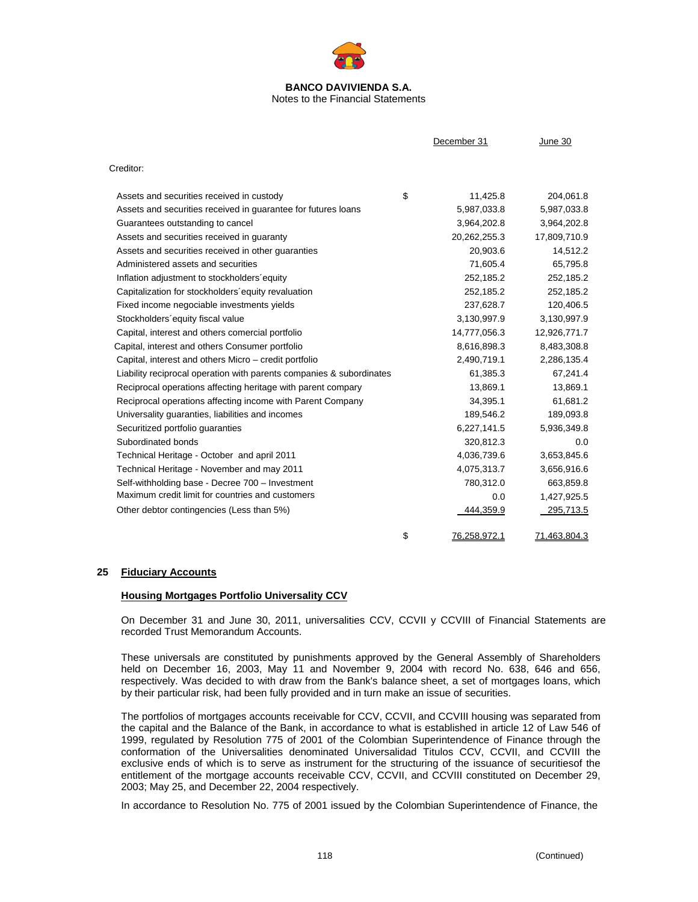

Notes to the Financial Statements

|                                                                      | December 31        | June 30      |
|----------------------------------------------------------------------|--------------------|--------------|
| Creditor:                                                            |                    |              |
| Assets and securities received in custody                            | \$<br>11,425.8     | 204,061.8    |
| Assets and securities received in guarantee for futures loans        | 5,987,033.8        | 5,987,033.8  |
| Guarantees outstanding to cancel                                     | 3,964,202.8        | 3,964,202.8  |
| Assets and securities received in guaranty                           | 20,262,255.3       | 17,809,710.9 |
| Assets and securities received in other guaranties                   | 20,903.6           | 14,512.2     |
| Administered assets and securities                                   | 71,605.4           | 65,795.8     |
| Inflation adjustment to stockholders equity                          | 252,185.2          | 252,185.2    |
| Capitalization for stockholders equity revaluation                   | 252,185.2          | 252,185.2    |
| Fixed income negociable investments yields                           | 237,628.7          | 120,406.5    |
| Stockholders' equity fiscal value                                    | 3,130,997.9        | 3,130,997.9  |
| Capital, interest and others comercial portfolio                     | 14,777,056.3       | 12,926,771.7 |
| Capital, interest and others Consumer portfolio                      | 8,616,898.3        | 8,483,308.8  |
| Capital, interest and others Micro – credit portfolio                | 2,490,719.1        | 2,286,135.4  |
| Liability reciprocal operation with parents companies & subordinates | 61,385.3           | 67,241.4     |
| Reciprocal operations affecting heritage with parent compary         | 13,869.1           | 13,869.1     |
| Reciprocal operations affecting income with Parent Company           | 34,395.1           | 61,681.2     |
| Universality quaranties, liabilities and incomes                     | 189,546.2          | 189,093.8    |
| Securitized portfolio guaranties                                     | 6,227,141.5        | 5,936,349.8  |
| Subordinated bonds                                                   | 320,812.3          | 0.0          |
| Technical Heritage - October and april 2011                          | 4,036,739.6        | 3,653,845.6  |
| Technical Heritage - November and may 2011                           | 4,075,313.7        | 3,656,916.6  |
| Self-withholding base - Decree 700 - Investment                      | 780,312.0          | 663,859.8    |
| Maximum credit limit for countries and customers                     | 0.0                | 1,427,925.5  |
| Other debtor contingencies (Less than 5%)                            | 444,359.9          | 295,713.5    |
|                                                                      | \$<br>76,258,972.1 | 71,463,804.3 |

### **25 Fiduciary Accounts**

### **Housing Mortgages Portfolio Universality CCV**

On December 31 and June 30, 2011, universalities CCV, CCVII y CCVIII of Financial Statements are recorded Trust Memorandum Accounts.

These universals are constituted by punishments approved by the General Assembly of Shareholders held on December 16, 2003, May 11 and November 9, 2004 with record No. 638, 646 and 656, respectively. Was decided to with draw from the Bank's balance sheet, a set of mortgages loans, which by their particular risk, had been fully provided and in turn make an issue of securities.

The portfolios of mortgages accounts receivable for CCV, CCVII, and CCVIII housing was separated from the capital and the Balance of the Bank, in accordance to what is established in article 12 of Law 546 of 1999, regulated by Resolution 775 of 2001 of the Colombian Superintendence of Finance through the conformation of the Universalities denominated Universalidad Titulos CCV, CCVII, and CCVIII the exclusive ends of which is to serve as instrument for the structuring of the issuance of securitiesof the entitlement of the mortgage accounts receivable CCV, CCVII, and CCVIII constituted on December 29, 2003; May 25, and December 22, 2004 respectively.

In accordance to Resolution No. 775 of 2001 issued by the Colombian Superintendence of Finance, the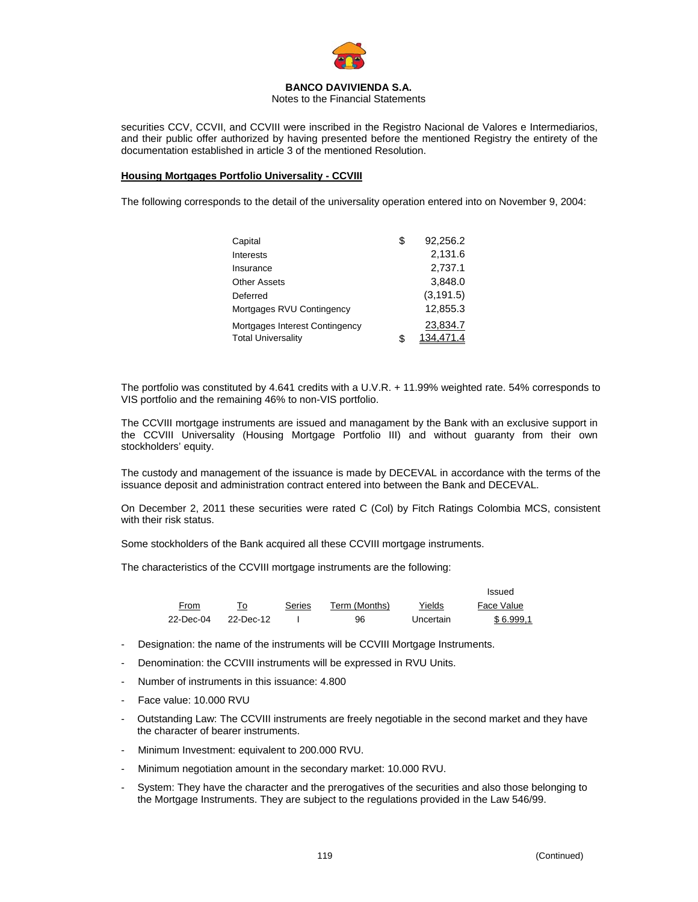

Notes to the Financial Statements

securities CCV, CCVII, and CCVIII were inscribed in the Registro Nacional de Valores e Intermediarios, and their public offer authorized by having presented before the mentioned Registry the entirety of the documentation established in article 3 of the mentioned Resolution.

### **Housing Mortgages Portfolio Universality - CCVIII**

The following corresponds to the detail of the universality operation entered into on November 9, 2004:

| Capital                        | \$<br>92.256.2  |
|--------------------------------|-----------------|
| Interests                      | 2,131.6         |
| Insurance                      | 2,737.1         |
| Other Assets                   | 3.848.0         |
| Deferred                       | (3, 191.5)      |
| Mortgages RVU Contingency      | 12,855.3        |
| Mortgages Interest Contingency | 23,834.7        |
| <b>Total Universality</b>      | \$<br>134.471.4 |

The portfolio was constituted by 4.641 credits with a U.V.R. + 11.99% weighted rate. 54% corresponds to VIS portfolio and the remaining 46% to non-VIS portfolio.

The CCVIII mortgage instruments are issued and managament by the Bank with an exclusive support in the CCVIII Universality (Housing Mortgage Portfolio III) and without guaranty from their own stockholders' equity.

The custody and management of the issuance is made by DECEVAL in accordance with the terms of the issuance deposit and administration contract entered into between the Bank and DECEVAL.

On December 2, 2011 these securities were rated C (Col) by Fitch Ratings Colombia MCS, consistent with their risk status.

Some stockholders of the Bank acquired all these CCVIII mortgage instruments.

The characteristics of the CCVIII mortgage instruments are the following:

|           |           |        |               |           | Issued     |
|-----------|-----------|--------|---------------|-----------|------------|
| From      | To        | Series | Term (Months) | Yields    | Face Value |
| 22-Dec-04 | 22-Dec-12 |        | 96            | Uncertain | \$6.999.1  |

- Designation: the name of the instruments will be CCVIII Mortgage Instruments.
- Denomination: the CCVIII instruments will be expressed in RVU Units.
- Number of instruments in this issuance: 4.800
- Face value: 10.000 RVU
- Outstanding Law: The CCVIII instruments are freely negotiable in the second market and they have the character of bearer instruments.
- Minimum Investment: equivalent to 200.000 RVU.
- Minimum negotiation amount in the secondary market: 10.000 RVU.
- System: They have the character and the prerogatives of the securities and also those belonging to the Mortgage Instruments. They are subject to the regulations provided in the Law 546/99.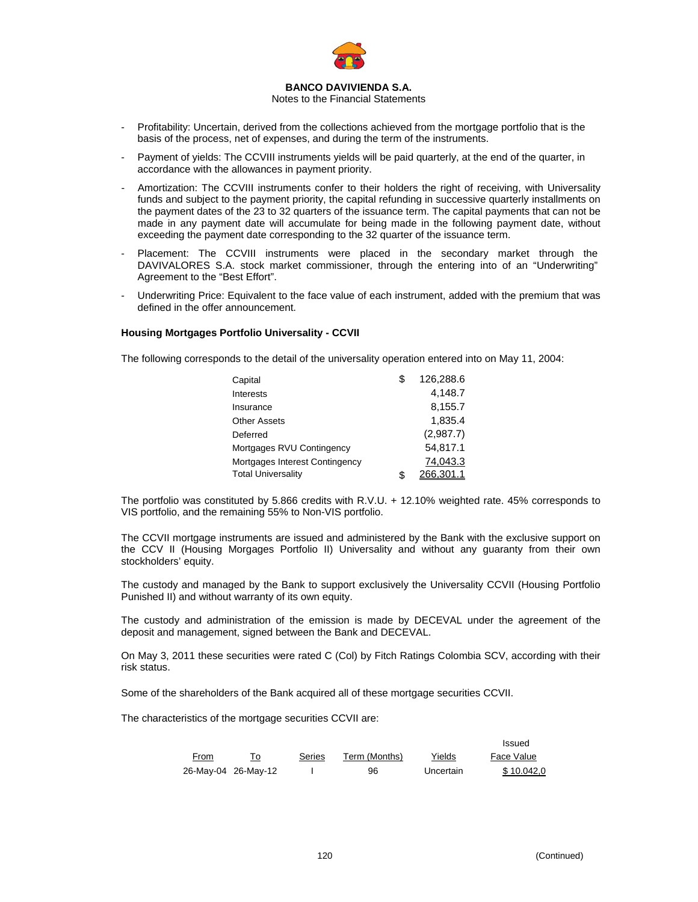

Notes to the Financial Statements

- Profitability: Uncertain, derived from the collections achieved from the mortgage portfolio that is the basis of the process, net of expenses, and during the term of the instruments.
- Payment of yields: The CCVIII instruments yields will be paid quarterly, at the end of the quarter, in accordance with the allowances in payment priority.
- Amortization: The CCVIII instruments confer to their holders the right of receiving, with Universality funds and subject to the payment priority, the capital refunding in successive quarterly installments on the payment dates of the 23 to 32 quarters of the issuance term. The capital payments that can not be made in any payment date will accumulate for being made in the following payment date, without exceeding the payment date corresponding to the 32 quarter of the issuance term.
- Placement: The CCVIII instruments were placed in the secondary market through the DAVIVALORES S.A. stock market commissioner, through the entering into of an "Underwriting" Agreement to the "Best Effort".
- Underwriting Price: Equivalent to the face value of each instrument, added with the premium that was defined in the offer announcement.

#### **Housing Mortgages Portfolio Universality - CCVII**

The following corresponds to the detail of the universality operation entered into on May 11, 2004:

| Capital                        | \$<br>126.288.6 |
|--------------------------------|-----------------|
| Interests                      | 4.148.7         |
| Insurance                      | 8,155.7         |
| <b>Other Assets</b>            | 1,835.4         |
| Deferred                       | (2,987.7)       |
| Mortgages RVU Contingency      | 54.817.1        |
| Mortgages Interest Contingency | 74.043.3        |
| <b>Total Universality</b>      | \$<br>266.301.1 |

The portfolio was constituted by 5.866 credits with R.V.U. + 12.10% weighted rate. 45% corresponds to VIS portfolio, and the remaining 55% to Non-VIS portfolio.

The CCVII mortgage instruments are issued and administered by the Bank with the exclusive support on the CCV II (Housing Morgages Portfolio II) Universality and without any guaranty from their own stockholders' equity.

The custody and managed by the Bank to support exclusively the Universality CCVII (Housing Portfolio Punished II) and without warranty of its own equity.

The custody and administration of the emission is made by DECEVAL under the agreement of the deposit and management, signed between the Bank and DECEVAL.

On May 3, 2011 these securities were rated C (Col) by Fitch Ratings Colombia SCV, according with their risk status.

Some of the shareholders of the Bank acquired all of these mortgage securities CCVII.

The characteristics of the mortgage securities CCVII are:

|      |                     |        |               |           | <b>Issued</b> |
|------|---------------------|--------|---------------|-----------|---------------|
| From |                     | Series | Term (Months) | Yields    | Face Value    |
|      | 26-May-04 26-May-12 |        | 96            | Uncertain | \$10.042.0    |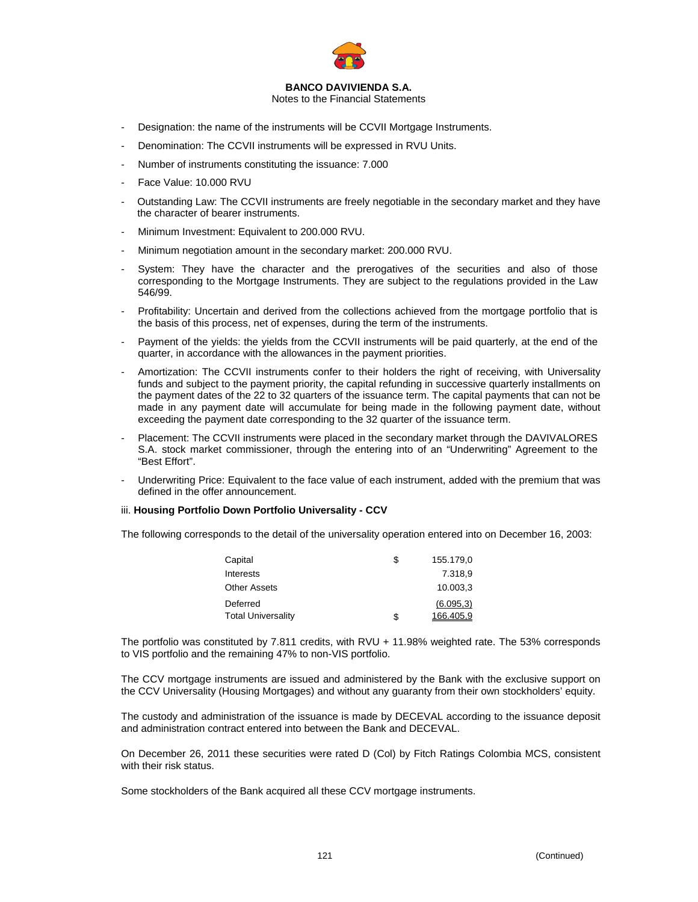

Notes to the Financial Statements

- Designation: the name of the instruments will be CCVII Mortgage Instruments.
- Denomination: The CCVII instruments will be expressed in RVU Units.
- Number of instruments constituting the issuance: 7.000
- Face Value: 10.000 RVU
- Outstanding Law: The CCVII instruments are freely negotiable in the secondary market and they have the character of bearer instruments.
- Minimum Investment: Equivalent to 200.000 RVU.
- Minimum negotiation amount in the secondary market: 200.000 RVU.
- System: They have the character and the prerogatives of the securities and also of those corresponding to the Mortgage Instruments. They are subject to the regulations provided in the Law 546/99.
- Profitability: Uncertain and derived from the collections achieved from the mortgage portfolio that is the basis of this process, net of expenses, during the term of the instruments.
- Payment of the yields: the yields from the CCVII instruments will be paid quarterly, at the end of the quarter, in accordance with the allowances in the payment priorities.
- Amortization: The CCVII instruments confer to their holders the right of receiving, with Universality funds and subject to the payment priority, the capital refunding in successive quarterly installments on the payment dates of the 22 to 32 quarters of the issuance term. The capital payments that can not be made in any payment date will accumulate for being made in the following payment date, without exceeding the payment date corresponding to the 32 quarter of the issuance term.
- Placement: The CCVII instruments were placed in the secondary market through the DAVIVALORES S.A. stock market commissioner, through the entering into of an "Underwriting" Agreement to the "Best Effort".
- Underwriting Price: Equivalent to the face value of each instrument, added with the premium that was defined in the offer announcement.

#### iii. **Housing Portfolio Down Portfolio Universality - CCV**

The following corresponds to the detail of the universality operation entered into on December 16, 2003:

| Capital                   | S | 155.179.0  |
|---------------------------|---|------------|
| Interests                 |   | 7.318.9    |
| <b>Other Assets</b>       |   | 10.003.3   |
| Deferred                  |   | (6.095, 3) |
| <b>Total Universality</b> | S | 166.405,9  |

The portfolio was constituted by 7.811 credits, with RVU + 11.98% weighted rate. The 53% corresponds to VIS portfolio and the remaining 47% to non-VIS portfolio.

The CCV mortgage instruments are issued and administered by the Bank with the exclusive support on the CCV Universality (Housing Mortgages) and without any guaranty from their own stockholders' equity.

The custody and administration of the issuance is made by DECEVAL according to the issuance deposit and administration contract entered into between the Bank and DECEVAL.

On December 26, 2011 these securities were rated D (Col) by Fitch Ratings Colombia MCS, consistent with their risk status.

Some stockholders of the Bank acquired all these CCV mortgage instruments.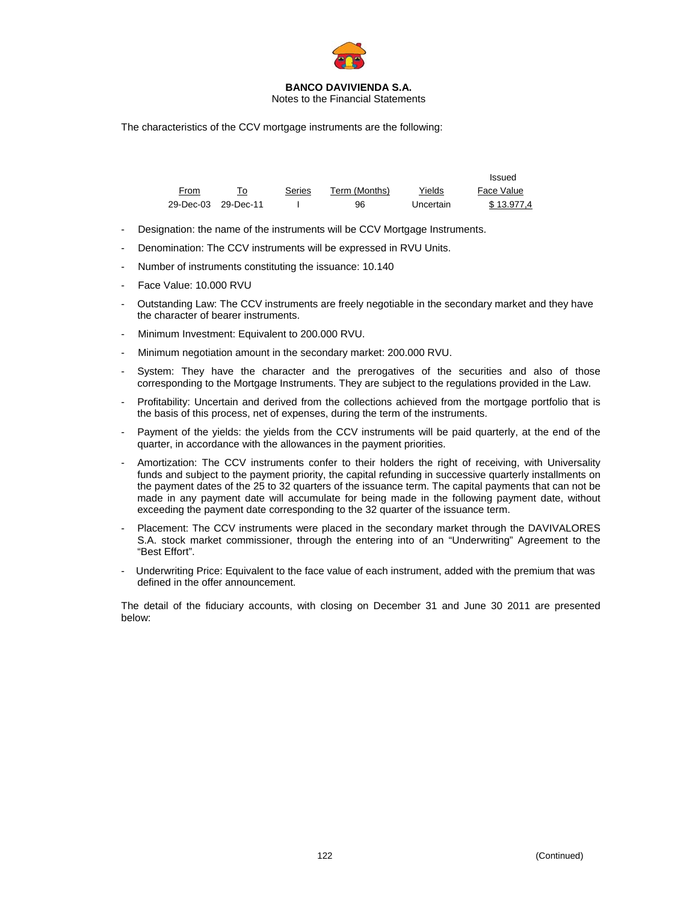

Notes to the Financial Statements

The characteristics of the CCV mortgage instruments are the following:

|                     |    |        |               |           | Issued     |
|---------------------|----|--------|---------------|-----------|------------|
| From                | То | Series | Term (Months) | Yields    | Face Value |
| 29-Dec-03 29-Dec-11 |    |        | 96            | Uncertain | \$13.977.4 |

- Designation: the name of the instruments will be CCV Mortgage Instruments.
- Denomination: The CCV instruments will be expressed in RVU Units.
- Number of instruments constituting the issuance: 10.140
- Face Value: 10.000 RVU
- Outstanding Law: The CCV instruments are freely negotiable in the secondary market and they have the character of bearer instruments.
- Minimum Investment: Equivalent to 200.000 RVU.
- Minimum negotiation amount in the secondary market: 200.000 RVU.
- System: They have the character and the prerogatives of the securities and also of those corresponding to the Mortgage Instruments. They are subject to the regulations provided in the Law.
- Profitability: Uncertain and derived from the collections achieved from the mortgage portfolio that is the basis of this process, net of expenses, during the term of the instruments.
- Payment of the yields: the yields from the CCV instruments will be paid quarterly, at the end of the quarter, in accordance with the allowances in the payment priorities.
- Amortization: The CCV instruments confer to their holders the right of receiving, with Universality funds and subject to the payment priority, the capital refunding in successive quarterly installments on the payment dates of the 25 to 32 quarters of the issuance term. The capital payments that can not be made in any payment date will accumulate for being made in the following payment date, without exceeding the payment date corresponding to the 32 quarter of the issuance term.
- Placement: The CCV instruments were placed in the secondary market through the DAVIVALORES S.A. stock market commissioner, through the entering into of an "Underwriting" Agreement to the "Best Effort".
- Underwriting Price: Equivalent to the face value of each instrument, added with the premium that was defined in the offer announcement.

The detail of the fiduciary accounts, with closing on December 31 and June 30 2011 are presented below: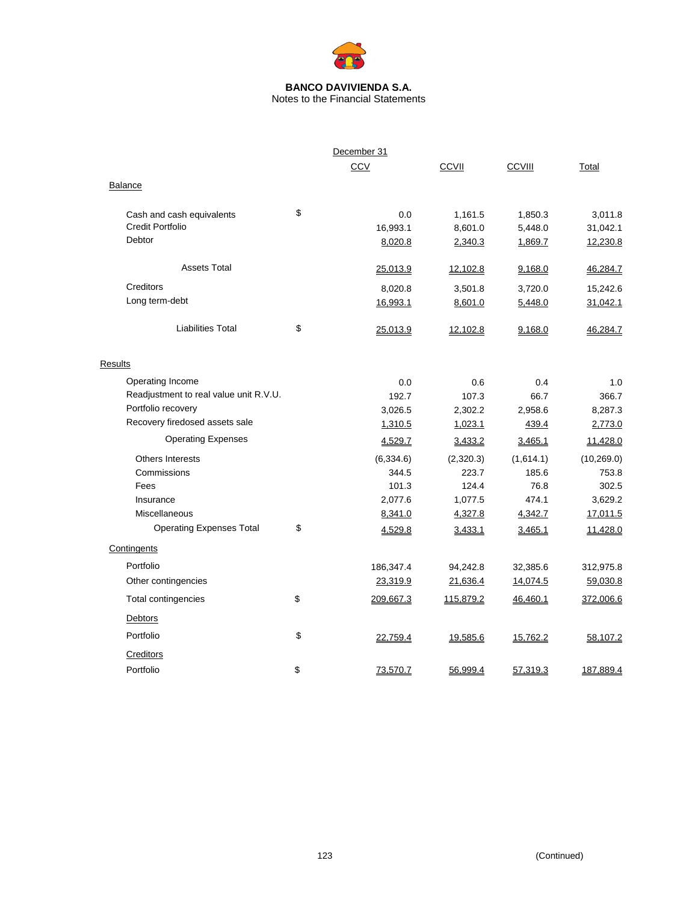

Notes to the Financial Statements

|                                        | December 31     |              |               |             |
|----------------------------------------|-----------------|--------------|---------------|-------------|
|                                        | CCV             | <b>CCVII</b> | <b>CCVIII</b> | Total       |
| <b>Balance</b>                         |                 |              |               |             |
| Cash and cash equivalents              | \$<br>0.0       | 1,161.5      | 1,850.3       | 3,011.8     |
| <b>Credit Portfolio</b>                | 16,993.1        | 8,601.0      | 5,448.0       | 31,042.1    |
| Debtor                                 | 8,020.8         | 2,340.3      | 1,869.7       | 12,230.8    |
| <b>Assets Total</b>                    | 25,013.9        | 12,102.8     | 9,168.0       | 46,284.7    |
| Creditors                              | 8,020.8         | 3,501.8      | 3,720.0       | 15,242.6    |
| Long term-debt                         | 16,993.1        | 8,601.0      | 5,448.0       | 31,042.1    |
| <b>Liabilities Total</b>               | \$<br>25,013.9  | 12,102.8     | 9,168.0       | 46,284.7    |
| Results                                |                 |              |               |             |
| Operating Income                       | 0.0             | 0.6          | 0.4           | 1.0         |
| Readjustment to real value unit R.V.U. | 192.7           | 107.3        | 66.7          | 366.7       |
| Portfolio recovery                     | 3,026.5         | 2,302.2      | 2,958.6       | 8,287.3     |
| Recovery firedosed assets sale         | 1,310.5         | 1,023.1      | 439.4         | 2,773.0     |
| <b>Operating Expenses</b>              | 4,529.7         | 3,433.2      | 3,465.1       | 11,428.0    |
| Others Interests                       | (6, 334.6)      | (2,320.3)    | (1,614.1)     | (10, 269.0) |
| Commissions                            | 344.5           | 223.7        | 185.6         | 753.8       |
| Fees                                   | 101.3           | 124.4        | 76.8          | 302.5       |
| Insurance                              | 2,077.6         | 1,077.5      | 474.1         | 3,629.2     |
| Miscellaneous                          | 8,341.0         | 4,327.8      | 4,342.7       | 17,011.5    |
| <b>Operating Expenses Total</b>        | \$<br>4,529.8   | 3,433.1      | 3,465.1       | 11,428.0    |
| Contingents                            |                 |              |               |             |
| Portfolio                              | 186,347.4       | 94,242.8     | 32,385.6      | 312,975.8   |
| Other contingencies                    | 23,319.9        | 21,636.4     | 14,074.5      | 59,030.8    |
| Total contingencies                    | \$<br>209,667.3 | 115,879.2    | 46,460.1      | 372,006.6   |
| Debtors                                |                 |              |               |             |
| Portfolio                              | \$<br>22,759.4  | 19,585.6     | 15,762.2      | 58,107.2    |
| Creditors                              |                 |              |               |             |
| Portfolio                              | \$<br>73,570.7  | 56,999.4     | 57,319.3      | 187,889.4   |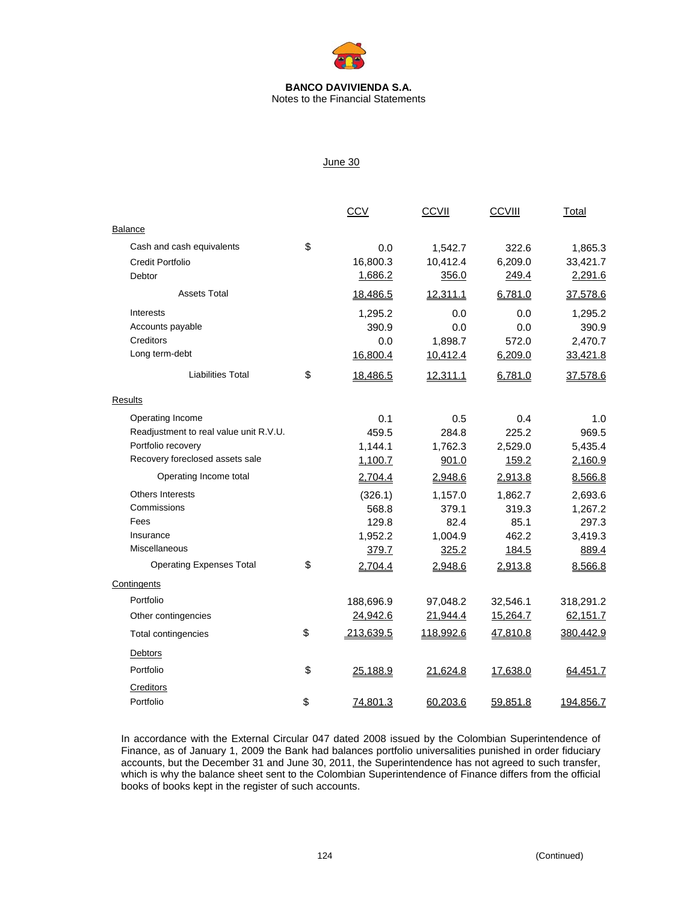

Notes to the Financial Statements

### June 30

|                                        | <b>CCV</b>      | <b>CCVII</b>    | <b>CCVIII</b> | Total     |
|----------------------------------------|-----------------|-----------------|---------------|-----------|
| Balance                                |                 |                 |               |           |
| Cash and cash equivalents              | \$<br>0.0       | 1,542.7         | 322.6         | 1,865.3   |
| Credit Portfolio                       | 16,800.3        | 10,412.4        | 6,209.0       | 33,421.7  |
| Debtor                                 | 1,686.2         | 356.0           | 249.4         | 2,291.6   |
| <b>Assets Total</b>                    | 18,486.5        | 12,311.1        | 6,781.0       | 37,578.6  |
| Interests                              | 1,295.2         | 0.0             | 0.0           | 1,295.2   |
| Accounts payable                       | 390.9           | 0.0             | 0.0           | 390.9     |
| Creditors                              | 0.0             | 1,898.7         | 572.0         | 2,470.7   |
| Long term-debt                         | 16,800.4        | 10,412.4        | 6,209.0       | 33,421.8  |
| <b>Liabilities Total</b>               | \$<br>18,486.5  | <u>12,311.1</u> | 6,781.0       | 37,578.6  |
| Results                                |                 |                 |               |           |
| Operating Income                       | 0.1             | 0.5             | 0.4           | 1.0       |
| Readjustment to real value unit R.V.U. | 459.5           | 284.8           | 225.2         | 969.5     |
| Portfolio recovery                     | 1,144.1         | 1,762.3         | 2,529.0       | 5,435.4   |
| Recovery foreclosed assets sale        | 1,100.7         | 901.0           | 159.2         | 2,160.9   |
| Operating Income total                 | 2,704.4         | 2,948.6         | 2,913.8       | 8,566.8   |
| <b>Others Interests</b>                | (326.1)         | 1,157.0         | 1,862.7       | 2,693.6   |
| Commissions                            | 568.8           | 379.1           | 319.3         | 1,267.2   |
| Fees                                   | 129.8           | 82.4            | 85.1          | 297.3     |
| Insurance                              | 1,952.2         | 1,004.9         | 462.2         | 3,419.3   |
| Miscellaneous                          | 379.7           | 325.2           | 184.5         | 889.4     |
| <b>Operating Expenses Total</b>        | \$<br>2,704.4   | 2,948.6         | 2,913.8       | 8,566.8   |
| Contingents                            |                 |                 |               |           |
| Portfolio                              | 188,696.9       | 97,048.2        | 32,546.1      | 318,291.2 |
| Other contingencies                    | 24,942.6        | <u>21,944.4</u> | 15,264.7      | 62,151.7  |
| <b>Total contingencies</b>             | \$<br>213,639.5 | 118,992.6       | 47,810.8      | 380,442.9 |
| Debtors                                |                 |                 |               |           |
| Portfolio                              | \$<br>25,188.9  | 21,624.8        | 17,638.0      | 64,451.7  |
| Creditors                              |                 |                 |               |           |
| Portfolio                              | \$<br>74,801.3  | 60,203.6        | 59,851.8      | 194,856.7 |

In accordance with the External Circular 047 dated 2008 issued by the Colombian Superintendence of Finance, as of January 1, 2009 the Bank had balances portfolio universalities punished in order fiduciary accounts, but the December 31 and June 30, 2011, the Superintendence has not agreed to such transfer, which is why the balance sheet sent to the Colombian Superintendence of Finance differs from the official books of books kept in the register of such accounts.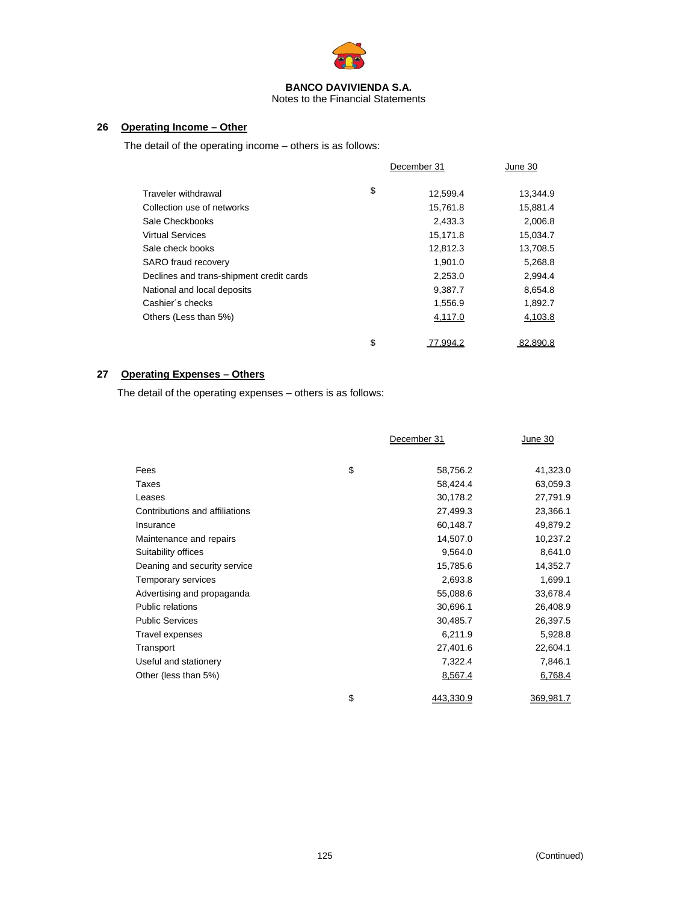

Notes to the Financial Statements

### **26 Operating Income – Other**

The detail of the operating income – others is as follows:

|                                          | December 31    | June 30  |
|------------------------------------------|----------------|----------|
| Traveler withdrawal                      | \$<br>12.599.4 | 13,344.9 |
| Collection use of networks               | 15,761.8       | 15,881.4 |
| Sale Checkbooks                          | 2,433.3        | 2,006.8  |
| <b>Virtual Services</b>                  | 15,171.8       | 15,034.7 |
| Sale check books                         | 12,812.3       | 13,708.5 |
| <b>SARO</b> fraud recovery               | 1,901.0        | 5,268.8  |
| Declines and trans-shipment credit cards | 2,253.0        | 2,994.4  |
| National and local deposits              | 9,387.7        | 8,654.8  |
| Cashier's checks                         | 1,556.9        | 1,892.7  |
| Others (Less than 5%)                    | 4,117.0        | 4,103.8  |
|                                          |                |          |
|                                          | \$<br>77.994.2 | 82.890.8 |

### **27 Operating Expenses – Others**

The detail of the operating expenses – others is as follows:

|                                | December 31     | June 30   |
|--------------------------------|-----------------|-----------|
| Fees                           | \$<br>58,756.2  | 41,323.0  |
| Taxes                          | 58,424.4        | 63,059.3  |
| Leases                         | 30,178.2        | 27,791.9  |
| Contributions and affiliations | 27,499.3        | 23,366.1  |
| Insurance                      | 60,148.7        | 49,879.2  |
| Maintenance and repairs        | 14,507.0        | 10,237.2  |
| Suitability offices            | 9,564.0         | 8,641.0   |
| Deaning and security service   | 15,785.6        | 14,352.7  |
| Temporary services             | 2,693.8         | 1,699.1   |
| Advertising and propaganda     | 55,088.6        | 33,678.4  |
| <b>Public relations</b>        | 30,696.1        | 26,408.9  |
| <b>Public Services</b>         | 30,485.7        | 26,397.5  |
| Travel expenses                | 6,211.9         | 5,928.8   |
| Transport                      | 27,401.6        | 22,604.1  |
| Useful and stationery          | 7,322.4         | 7,846.1   |
| Other (less than 5%)           | 8,567.4         | 6,768.4   |
|                                | \$<br>443,330.9 | 369,981.7 |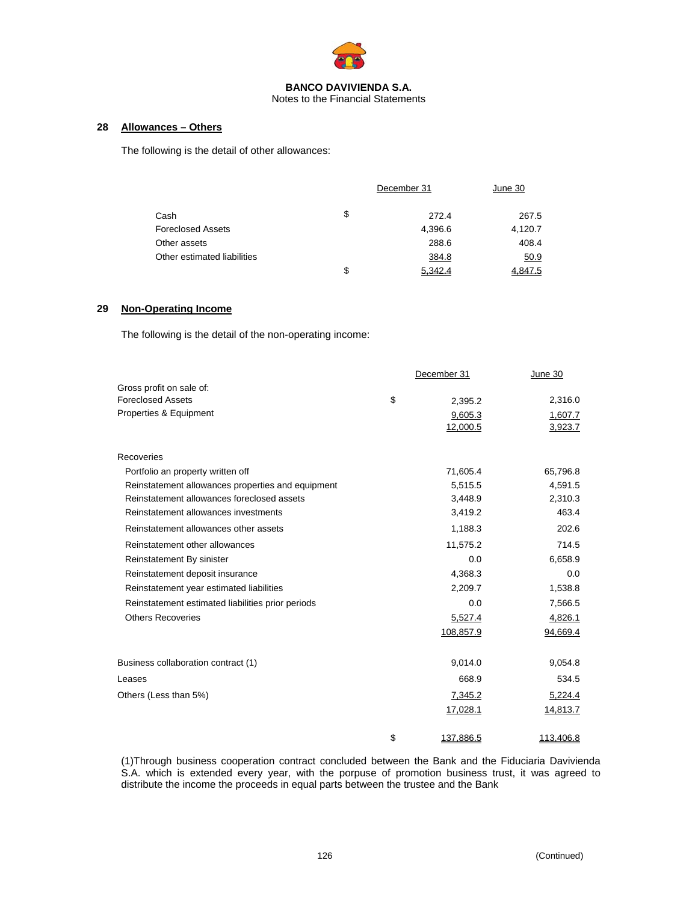

Notes to the Financial Statements

### **28 Allowances – Others**

The following is the detail of other allowances:

|                             |    | December 31 | June 30 |
|-----------------------------|----|-------------|---------|
| Cash                        | \$ | 272.4       | 267.5   |
| <b>Foreclosed Assets</b>    |    | 4,396.6     | 4,120.7 |
| Other assets                |    | 288.6       | 408.4   |
| Other estimated liabilities |    | 384.8       | 50.9    |
|                             | S  | 5.342.4     | 4.847.5 |

### **29 Non-Operating Income**

The following is the detail of the non-operating income:

|                                                   | December 31     | June 30   |
|---------------------------------------------------|-----------------|-----------|
| Gross profit on sale of:                          |                 |           |
| <b>Foreclosed Assets</b>                          | \$<br>2,395.2   | 2,316.0   |
| Properties & Equipment                            | 9,605.3         | 1,607.7   |
|                                                   | 12,000.5        | 3,923.7   |
| Recoveries                                        |                 |           |
| Portfolio an property written off                 | 71,605.4        | 65,796.8  |
| Reinstatement allowances properties and equipment | 5,515.5         | 4,591.5   |
| Reinstatement allowances foreclosed assets        | 3,448.9         | 2,310.3   |
| Reinstatement allowances investments              | 3,419.2         | 463.4     |
| Reinstatement allowances other assets             | 1,188.3         | 202.6     |
| Reinstatement other allowances                    | 11,575.2        | 714.5     |
| Reinstatement By sinister                         | 0.0             | 6,658.9   |
| Reinstatement deposit insurance                   | 4,368.3         | 0.0       |
| Reinstatement year estimated liabilities          | 2,209.7         | 1,538.8   |
| Reinstatement estimated liabilities prior periods | 0.0             | 7,566.5   |
| <b>Others Recoveries</b>                          | 5,527.4         | 4,826.1   |
|                                                   | 108,857.9       | 94,669.4  |
| Business collaboration contract (1)               | 9,014.0         | 9,054.8   |
| Leases                                            | 668.9           | 534.5     |
| Others (Less than 5%)                             | 7,345.2         | 5,224.4   |
|                                                   | 17,028.1        | 14,813.7  |
|                                                   | \$<br>137,886.5 | 113,406.8 |

(1)Through business cooperation contract concluded between the Bank and the Fiduciaria Davivienda S.A. which is extended every year, with the porpuse of promotion business trust, it was agreed to distribute the income the proceeds in equal parts between the trustee and the Bank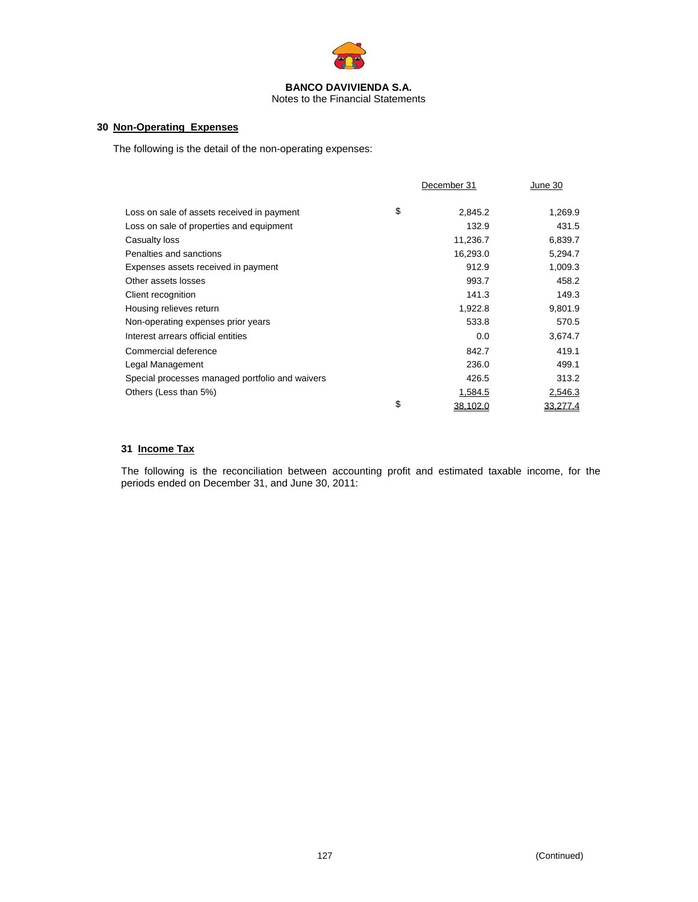

Notes to the Financial Statements

### **30 Non-Operating Expenses**

The following is the detail of the non-operating expenses:

|                                                 | December 31    | June 30  |
|-------------------------------------------------|----------------|----------|
| Loss on sale of assets received in payment      | \$<br>2,845.2  | 1,269.9  |
| Loss on sale of properties and equipment        | 132.9          | 431.5    |
| Casualty loss                                   | 11,236.7       | 6,839.7  |
| Penalties and sanctions                         | 16,293.0       | 5,294.7  |
| Expenses assets received in payment             | 912.9          | 1,009.3  |
| Other assets losses                             | 993.7          | 458.2    |
| Client recognition                              | 141.3          | 149.3    |
| Housing relieves return                         | 1,922.8        | 9,801.9  |
| Non-operating expenses prior years              | 533.8          | 570.5    |
| Interest arrears official entities              | 0.0            | 3,674.7  |
| Commercial deference                            | 842.7          | 419.1    |
| Legal Management                                | 236.0          | 499.1    |
| Special processes managed portfolio and waivers | 426.5          | 313.2    |
| Others (Less than 5%)                           | 1,584.5        | 2,546.3  |
|                                                 | \$<br>38,102.0 | 33,277.4 |

### **31 Income Tax**

The following is the reconciliation between accounting profit and estimated taxable income, for the periods ended on December 31, and June 30, 2011: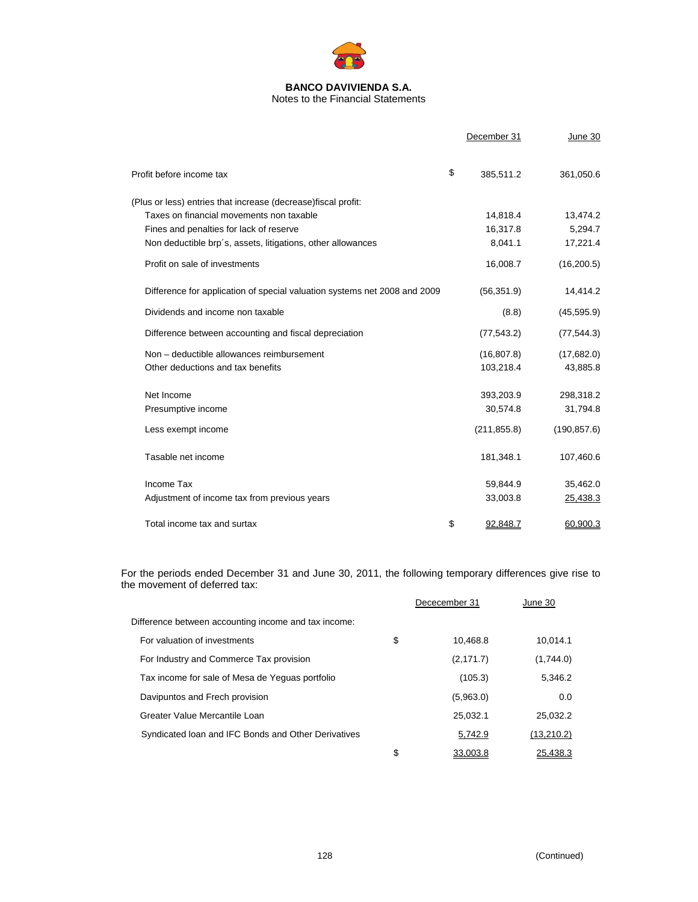

Notes to the Financial Statements

|                                                                           | December 31     | June 30      |
|---------------------------------------------------------------------------|-----------------|--------------|
| Profit before income tax                                                  | \$<br>385,511.2 | 361,050.6    |
| (Plus or less) entries that increase (decrease) fiscal profit:            |                 |              |
| Taxes on financial movements non taxable                                  | 14,818.4        | 13,474.2     |
| Fines and penalties for lack of reserve                                   | 16,317.8        | 5,294.7      |
| Non deductible brp's, assets, litigations, other allowances               | 8,041.1         | 17,221.4     |
| Profit on sale of investments                                             | 16,008.7        | (16, 200.5)  |
| Difference for application of special valuation systems net 2008 and 2009 | (56, 351.9)     | 14,414.2     |
| Dividends and income non taxable                                          | (8.8)           | (45, 595.9)  |
| Difference between accounting and fiscal depreciation                     | (77, 543.2)     | (77, 544.3)  |
| Non - deductible allowances reimbursement                                 | (16, 807.8)     | (17,682.0)   |
| Other deductions and tax benefits                                         | 103,218.4       | 43,885.8     |
| Net Income                                                                | 393,203.9       | 298,318.2    |
| Presumptive income                                                        | 30,574.8        | 31,794.8     |
| Less exempt income                                                        | (211, 855.8)    | (190, 857.6) |
| Tasable net income                                                        | 181,348.1       | 107,460.6    |
| Income Tax                                                                | 59,844.9        | 35,462.0     |
| Adjustment of income tax from previous years                              | 33,003.8        | 25,438.3     |
| Total income tax and surtax                                               | \$<br>92,848.7  | 60,900.3     |

For the periods ended December 31 and June 30, 2011, the following temporary differences give rise to the movement of deferred tax:

|                                                      | Dececember 31  | June 30    |
|------------------------------------------------------|----------------|------------|
| Difference between accounting income and tax income: |                |            |
| For valuation of investments                         | \$<br>10.468.8 | 10.014.1   |
| For Industry and Commerce Tax provision              | (2, 171.7)     | (1,744.0)  |
| Tax income for sale of Mesa de Yequas portfolio      | (105.3)        | 5,346.2    |
| Davipuntos and Frech provision                       | (5,963.0)      | 0.0        |
| Greater Value Mercantile Loan                        | 25.032.1       | 25.032.2   |
| Syndicated Ioan and IFC Bonds and Other Derivatives  | 5,742.9        | (13,210.2) |
|                                                      | \$<br>33.003.8 | 25.438.3   |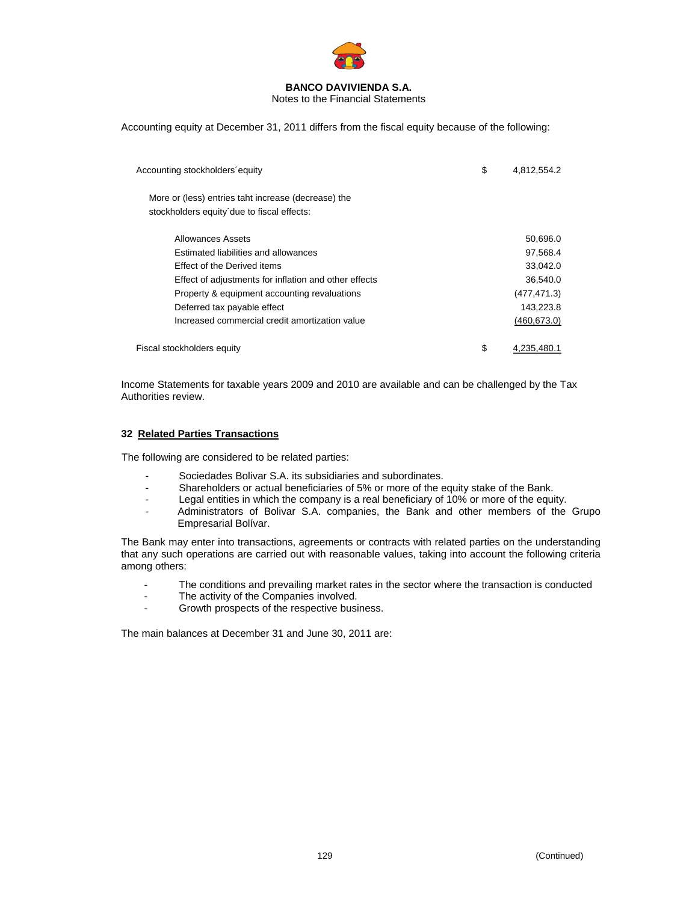

Notes to the Financial Statements

Accounting equity at December 31, 2011 differs from the fiscal equity because of the following:

| Accounting stockholders equity                                                                    | \$<br>4,812,554.2 |
|---------------------------------------------------------------------------------------------------|-------------------|
| More or (less) entries taht increase (decrease) the<br>stockholders equity due to fiscal effects: |                   |
| Allowances Assets                                                                                 | 50,696.0          |
| Estimated liabilities and allowances                                                              | 97,568.4          |
| Effect of the Derived items                                                                       | 33,042.0          |
| Effect of adjustments for inflation and other effects                                             | 36,540.0          |
| Property & equipment accounting revaluations                                                      | (477, 471.3)      |
| Deferred tax payable effect                                                                       | 143,223.8         |
| Increased commercial credit amortization value                                                    | (460, 673.0)      |
| Fiscal stockholders equity                                                                        | \$<br>4.235.480.1 |

Income Statements for taxable years 2009 and 2010 are available and can be challenged by the Tax Authorities review.

### **32 Related Parties Transactions**

The following are considered to be related parties:

- Sociedades Bolivar S.A. its subsidiaries and subordinates.
- Shareholders or actual beneficiaries of 5% or more of the equity stake of the Bank.
- Legal entities in which the company is a real beneficiary of 10% or more of the equity.
- Administrators of Bolivar S.A. companies, the Bank and other members of the Grupo Empresarial Bolívar.

The Bank may enter into transactions, agreements or contracts with related parties on the understanding that any such operations are carried out with reasonable values, taking into account the following criteria among others:

- The conditions and prevailing market rates in the sector where the transaction is conducted
- The activity of the Companies involved.
- Growth prospects of the respective business.

The main balances at December 31 and June 30, 2011 are: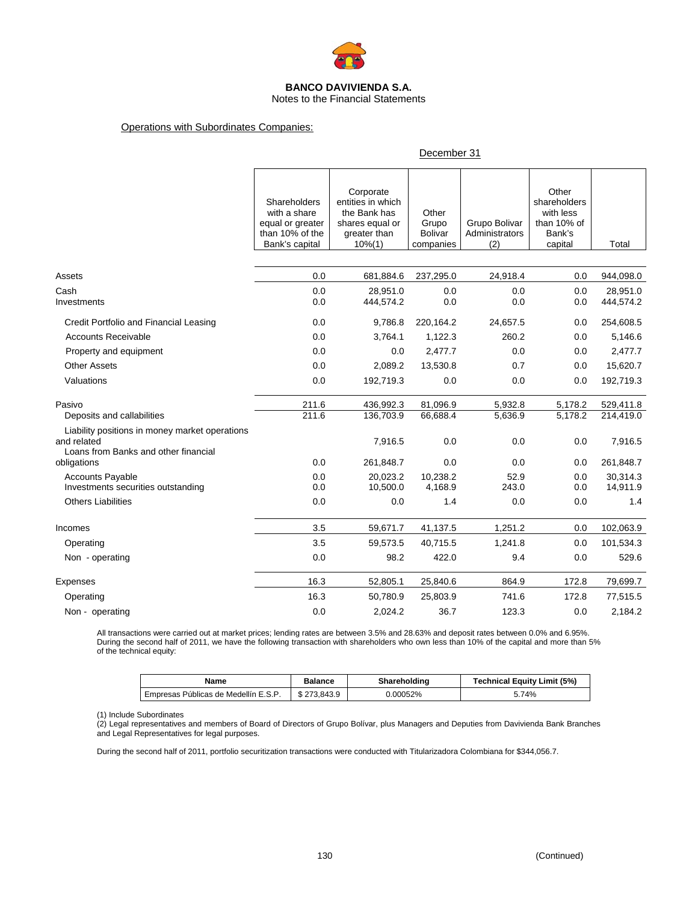

Notes to the Financial Statements

### Operations with Subordinates Companies:

#### December 31

|                                                                                                       | Shareholders<br>with a share<br>equal or greater<br>than 10% of the<br>Bank's capital | Corporate<br>entities in which<br>the Bank has<br>shares equal or<br>greater than<br>$10\% (1)$ | Other<br>Grupo<br><b>Bolivar</b><br>companies | Grupo Bolivar<br>Administrators<br>(2) | Other<br>shareholders<br>with less<br>than 10% of<br>Bank's<br>capital | Total                 |
|-------------------------------------------------------------------------------------------------------|---------------------------------------------------------------------------------------|-------------------------------------------------------------------------------------------------|-----------------------------------------------|----------------------------------------|------------------------------------------------------------------------|-----------------------|
|                                                                                                       |                                                                                       |                                                                                                 |                                               |                                        |                                                                        |                       |
| Assets                                                                                                | 0.0                                                                                   | 681,884.6                                                                                       | 237,295.0                                     | 24,918.4                               | 0.0                                                                    | 944,098.0             |
| Cash<br>Investments                                                                                   | 0.0<br>0.0                                                                            | 28,951.0<br>444,574.2                                                                           | 0.0<br>0.0                                    | 0.0<br>0.0                             | 0.0<br>0.0                                                             | 28,951.0<br>444,574.2 |
| Credit Portfolio and Financial Leasing                                                                | 0.0                                                                                   | 9,786.8                                                                                         | 220,164.2                                     | 24,657.5                               | 0.0                                                                    | 254,608.5             |
| <b>Accounts Receivable</b>                                                                            | 0.0                                                                                   | 3,764.1                                                                                         | 1,122.3                                       | 260.2                                  | 0.0                                                                    | 5,146.6               |
| Property and equipment                                                                                | 0.0                                                                                   | 0.0                                                                                             | 2,477.7                                       | 0.0                                    | 0.0                                                                    | 2,477.7               |
| <b>Other Assets</b>                                                                                   | 0.0                                                                                   | 2,089.2                                                                                         | 13,530.8                                      | 0.7                                    | 0.0                                                                    | 15,620.7              |
| Valuations                                                                                            | 0.0                                                                                   | 192,719.3                                                                                       | 0.0                                           | 0.0                                    | 0.0                                                                    | 192,719.3             |
| Pasivo                                                                                                | 211.6                                                                                 | 436,992.3                                                                                       | 81,096.9                                      | 5,932.8                                | 5,178.2                                                                | 529,411.8             |
| Deposits and callabilities                                                                            | 211.6                                                                                 | 136,703.9                                                                                       | 66,688.4                                      | 5,636.9                                | 5,178.2                                                                | 214,419.0             |
| Liability positions in money market operations<br>and related<br>Loans from Banks and other financial |                                                                                       | 7,916.5                                                                                         | 0.0                                           | 0.0                                    | 0.0                                                                    | 7,916.5               |
| obligations                                                                                           | 0.0                                                                                   | 261,848.7                                                                                       | 0.0                                           | 0.0                                    | 0.0                                                                    | 261,848.7             |
| <b>Accounts Payable</b><br>Investments securities outstanding                                         | 0.0<br>0.0                                                                            | 20,023.2<br>10,500.0                                                                            | 10,238.2<br>4,168.9                           | 52.9<br>243.0                          | 0.0<br>0.0                                                             | 30,314.3<br>14,911.9  |
| <b>Others Liabilities</b>                                                                             | 0.0                                                                                   | 0.0                                                                                             | 1.4                                           | 0.0                                    | 0.0                                                                    | 1.4                   |
| Incomes                                                                                               | 3.5                                                                                   | 59,671.7                                                                                        | 41,137.5                                      | 1,251.2                                | 0.0                                                                    | 102,063.9             |
| Operating                                                                                             | 3.5                                                                                   | 59,573.5                                                                                        | 40,715.5                                      | 1,241.8                                | 0.0                                                                    | 101,534.3             |
| Non - operating                                                                                       | 0.0                                                                                   | 98.2                                                                                            | 422.0                                         | 9.4                                    | 0.0                                                                    | 529.6                 |
| Expenses                                                                                              | 16.3                                                                                  | 52,805.1                                                                                        | 25,840.6                                      | 864.9                                  | 172.8                                                                  | 79,699.7              |
| Operating                                                                                             | 16.3                                                                                  | 50,780.9                                                                                        | 25,803.9                                      | 741.6                                  | 172.8                                                                  | 77,515.5              |
| Non - operating                                                                                       | 0.0                                                                                   | 2.024.2                                                                                         | 36.7                                          | 123.3                                  | 0.0                                                                    | 2,184.2               |

All transactions were carried out at market prices; lending rates are between 3.5% and 28.63% and deposit rates between 0.0% and 6.95%. During the second half of 2011, we have the following transaction with shareholders who own less than 10% of the capital and more than 5% of the technical equity:

| Name                                 | Balance     | Shareholding | <b>Technical Equity Limit (5%)</b> |
|--------------------------------------|-------------|--------------|------------------------------------|
| Empresas Públicas de Medellín E.S.P. | \$273.843.9 | 0.00052%     | 5.74%                              |

(1) Include Subordinates

(2) Legal representatives and members of Board of Directors of Grupo Bolívar, plus Managers and Deputies from Davivienda Bank Branches and Legal Representatives for legal purposes.

During the second half of 2011, portfolio securitization transactions were conducted with Titularizadora Colombiana for \$344,056.7.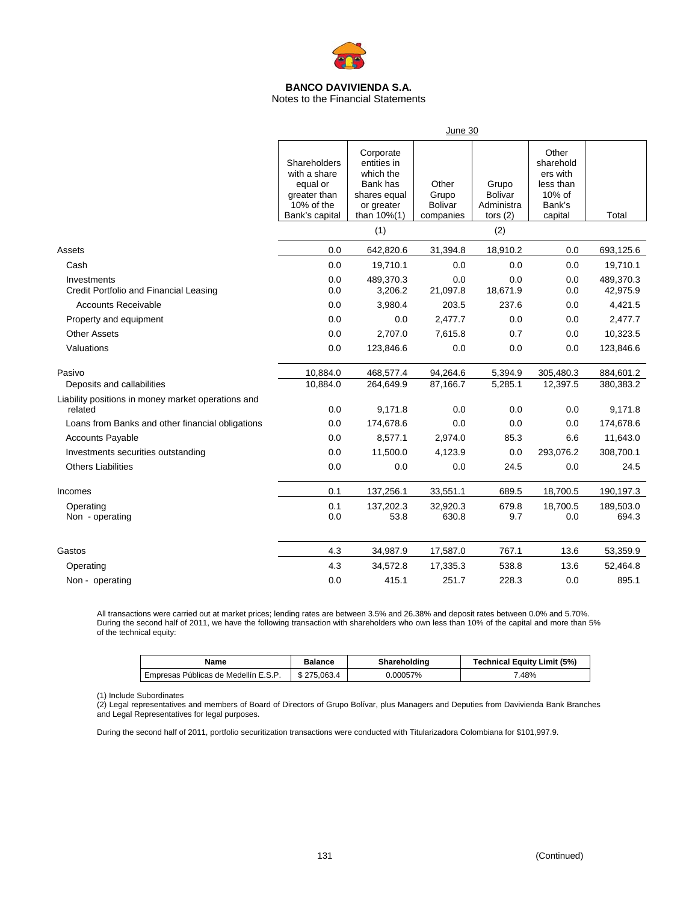

Notes to the Financial Statements

|                                                               | June 30                                                                                  |                                                                                                |                                               |                                                     |                                                                            |                        |  |  |
|---------------------------------------------------------------|------------------------------------------------------------------------------------------|------------------------------------------------------------------------------------------------|-----------------------------------------------|-----------------------------------------------------|----------------------------------------------------------------------------|------------------------|--|--|
|                                                               | Shareholders<br>with a share<br>equal or<br>greater than<br>10% of the<br>Bank's capital | Corporate<br>entities in<br>which the<br>Bank has<br>shares equal<br>or greater<br>than 10%(1) | Other<br>Grupo<br><b>Bolivar</b><br>companies | Grupo<br><b>Bolivar</b><br>Administra<br>tors $(2)$ | Other<br>sharehold<br>ers with<br>less than<br>10% of<br>Bank's<br>capital | Total                  |  |  |
|                                                               |                                                                                          | (1)                                                                                            |                                               | (2)                                                 |                                                                            |                        |  |  |
| Assets                                                        | 0.0                                                                                      | 642,820.6                                                                                      | 31,394.8                                      | 18,910.2                                            | 0.0                                                                        | 693,125.6              |  |  |
| Cash                                                          | 0.0                                                                                      | 19,710.1                                                                                       | 0.0                                           | 0.0                                                 | 0.0                                                                        | 19,710.1               |  |  |
| Investments<br>Credit Portfolio and Financial Leasing         | 0.0<br>0.0                                                                               | 489,370.3<br>3,206.2                                                                           | 0.0<br>21,097.8                               | 0.0<br>18,671.9                                     | 0.0<br>0.0                                                                 | 489,370.3<br>42,975.9  |  |  |
| <b>Accounts Receivable</b>                                    | 0.0                                                                                      | 3,980.4                                                                                        | 203.5                                         | 237.6                                               | 0.0                                                                        | 4,421.5                |  |  |
| Property and equipment                                        | 0.0                                                                                      | 0.0                                                                                            | 2,477.7                                       | 0.0                                                 | 0.0                                                                        | 2,477.7                |  |  |
| <b>Other Assets</b>                                           | 0.0                                                                                      | 2,707.0                                                                                        | 7,615.8                                       | 0.7                                                 | 0.0                                                                        | 10,323.5               |  |  |
| Valuations                                                    | 0.0                                                                                      | 123,846.6                                                                                      | 0.0                                           | 0.0                                                 | 0.0                                                                        | 123,846.6              |  |  |
| Pasivo<br>Deposits and callabilities                          | 10,884.0<br>10,884.0                                                                     | 468,577.4<br>264,649.9                                                                         | 94,264.6<br>87,166.7                          | 5,394.9<br>5,285.1                                  | 305,480.3<br>12,397.5                                                      | 884,601.2<br>380,383.2 |  |  |
| Liability positions in money market operations and<br>related | 0.0                                                                                      | 9,171.8                                                                                        | 0.0                                           | 0.0                                                 | 0.0                                                                        | 9,171.8                |  |  |
| Loans from Banks and other financial obligations              | 0.0                                                                                      | 174,678.6                                                                                      | 0.0                                           | 0.0                                                 | 0.0                                                                        | 174,678.6              |  |  |
| <b>Accounts Payable</b>                                       | 0.0                                                                                      | 8,577.1                                                                                        | 2,974.0                                       | 85.3                                                | 6.6                                                                        | 11,643.0               |  |  |
| Investments securities outstanding                            | 0.0                                                                                      | 11,500.0                                                                                       | 4,123.9                                       | 0.0                                                 | 293,076.2                                                                  | 308,700.1              |  |  |
| <b>Others Liabilities</b>                                     | 0.0                                                                                      | 0.0                                                                                            | 0.0                                           | 24.5                                                | 0.0                                                                        | 24.5                   |  |  |
| Incomes                                                       | 0.1                                                                                      | 137,256.1                                                                                      | 33,551.1                                      | 689.5                                               | 18,700.5                                                                   | 190,197.3              |  |  |
| Operating<br>Non - operating                                  | 0.1<br>0.0                                                                               | 137,202.3<br>53.8                                                                              | 32,920.3<br>630.8                             | 679.8<br>9.7                                        | 18,700.5<br>0.0                                                            | 189,503.0<br>694.3     |  |  |
| Gastos                                                        | 4.3                                                                                      | 34,987.9                                                                                       | 17,587.0                                      | 767.1                                               | 13.6                                                                       | 53,359.9               |  |  |
| Operating                                                     | 4.3                                                                                      | 34,572.8                                                                                       | 17,335.3                                      | 538.8                                               | 13.6                                                                       | 52,464.8               |  |  |
| Non - operating                                               | 0.0                                                                                      | 415.1                                                                                          | 251.7                                         | 228.3                                               | 0.0                                                                        | 895.1                  |  |  |

All transactions were carried out at market prices; lending rates are between 3.5% and 26.38% and deposit rates between 0.0% and 5.70%. During the second half of 2011, we have the following transaction with shareholders who own less than 10% of the capital and more than 5% of the technical equity:

| Name                                 | Balance                | Shareholding | Technical Equity Limit (5%) |
|--------------------------------------|------------------------|--------------|-----------------------------|
| Empresas Públicas de Medellín E.S.P. | 275.063.4 <sup>'</sup> | 0.00057%     | .48%                        |

(1) Include Subordinates

(2) Legal representatives and members of Board of Directors of Grupo Bolívar, plus Managers and Deputies from Davivienda Bank Branches and Legal Representatives for legal purposes.

During the second half of 2011, portfolio securitization transactions were conducted with Titularizadora Colombiana for \$101,997.9.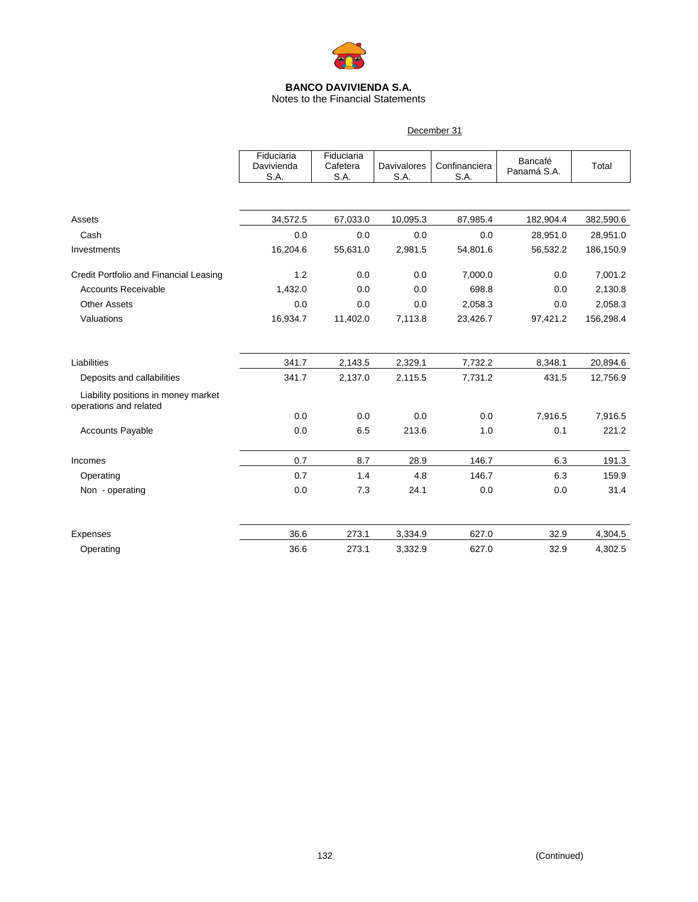

### Notes to the Financial Statements

December 31

|                                                               | Fiduciaria<br>Davivienda<br>S.A. | Fiduciaria<br>Cafetera<br>S.A. | <b>Davivalores</b><br>S.A. | Confinanciera<br>S.A. | Bancafé<br>Panamá S.A. | Total     |
|---------------------------------------------------------------|----------------------------------|--------------------------------|----------------------------|-----------------------|------------------------|-----------|
|                                                               |                                  |                                |                            |                       |                        |           |
| Assets                                                        | 34,572.5                         | 67,033.0                       | 10,095.3                   | 87,985.4              | 182,904.4              | 382,590.6 |
| Cash                                                          | 0.0                              | 0.0                            | 0.0                        | 0.0                   | 28,951.0               | 28,951.0  |
| Investments                                                   | 16,204.6                         | 55,631.0                       | 2,981.5                    | 54,801.6              | 56,532.2               | 186,150.9 |
| Credit Portfolio and Financial Leasing                        | 1.2                              | 0.0                            | 0.0                        | 7,000.0               | 0.0                    | 7,001.2   |
| <b>Accounts Receivable</b>                                    | 1,432.0                          | 0.0                            | 0.0                        | 698.8                 | 0.0                    | 2,130.8   |
| <b>Other Assets</b>                                           | 0.0                              | 0.0                            | 0.0                        | 2,058.3               | 0.0                    | 2,058.3   |
| Valuations                                                    | 16,934.7                         | 11,402.0                       | 7,113.8                    | 23,426.7              | 97,421.2               | 156,298.4 |
| Liabilities                                                   | 341.7                            | 2,143.5                        | 2,329.1                    | 7,732.2               | 8,348.1                | 20,894.6  |
| Deposits and callabilities                                    | 341.7                            | 2,137.0                        | 2,115.5                    | 7,731.2               | 431.5                  | 12,756.9  |
| Liability positions in money market<br>operations and related |                                  |                                |                            |                       |                        |           |
|                                                               | 0.0                              | 0.0                            | 0.0                        | 0.0                   | 7,916.5                | 7,916.5   |
| <b>Accounts Payable</b>                                       | 0.0                              | 6.5                            | 213.6                      | 1.0                   | 0.1                    | 221.2     |
| Incomes                                                       | 0.7                              | 8.7                            | 28.9                       | 146.7                 | 6.3                    | 191.3     |
| Operating                                                     | 0.7                              | 1.4                            | 4.8                        | 146.7                 | 6.3                    | 159.9     |
| Non - operating                                               | 0.0                              | 7.3                            | 24.1                       | 0.0                   | 0.0                    | 31.4      |
| Expenses                                                      | 36.6                             | 273.1                          | 3,334.9                    | 627.0                 | 32.9                   | 4,304.5   |
| Operating                                                     | 36.6                             | 273.1                          | 3,332.9                    | 627.0                 | 32.9                   | 4,302.5   |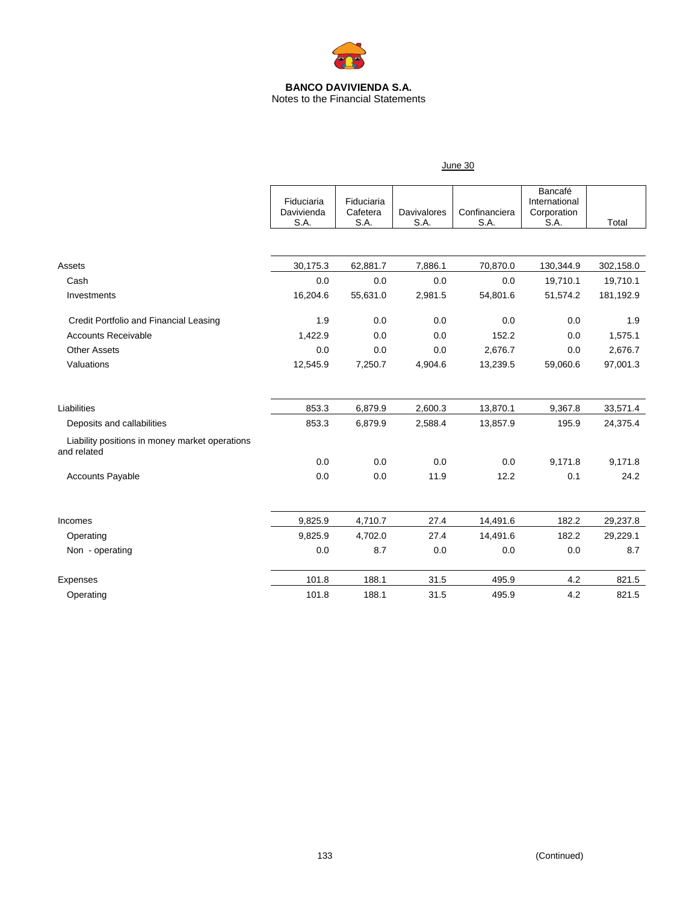

Notes to the Financial Statements

|                                                               | June 30                          |                                |                            |                       |                                                 |           |  |
|---------------------------------------------------------------|----------------------------------|--------------------------------|----------------------------|-----------------------|-------------------------------------------------|-----------|--|
|                                                               | Fiduciaria<br>Davivienda<br>S.A. | Fiduciaria<br>Cafetera<br>S.A. | <b>Davivalores</b><br>S.A. | Confinanciera<br>S.A. | Bancafé<br>International<br>Corporation<br>S.A. | Total     |  |
|                                                               |                                  |                                |                            |                       |                                                 |           |  |
| Assets                                                        | 30,175.3                         | 62,881.7                       | 7,886.1                    | 70,870.0              | 130,344.9                                       | 302,158.0 |  |
| Cash                                                          | 0.0                              | 0.0                            | 0.0                        | 0.0                   | 19,710.1                                        | 19,710.1  |  |
| Investments                                                   | 16,204.6                         | 55,631.0                       | 2,981.5                    | 54,801.6              | 51,574.2                                        | 181,192.9 |  |
| Credit Portfolio and Financial Leasing                        | 1.9                              | 0.0                            | 0.0                        | 0.0                   | 0.0                                             | 1.9       |  |
| <b>Accounts Receivable</b>                                    | 1,422.9                          | 0.0                            | 0.0                        | 152.2                 | 0.0                                             | 1,575.1   |  |
| <b>Other Assets</b>                                           | 0.0                              | 0.0                            | 0.0                        | 2,676.7               | 0.0                                             | 2,676.7   |  |
| Valuations                                                    | 12,545.9                         | 7,250.7                        | 4,904.6                    | 13,239.5              | 59,060.6                                        | 97,001.3  |  |
| Liabilities                                                   | 853.3                            | 6,879.9                        | 2,600.3                    | 13,870.1              | 9,367.8                                         | 33,571.4  |  |
| Deposits and callabilities                                    | 853.3                            | 6,879.9                        | 2,588.4                    | 13,857.9              | 195.9                                           | 24,375.4  |  |
| Liability positions in money market operations<br>and related |                                  |                                |                            |                       |                                                 |           |  |
|                                                               | 0.0                              | 0.0                            | 0.0                        | 0.0                   | 9,171.8                                         | 9,171.8   |  |
| <b>Accounts Payable</b>                                       | 0.0                              | 0.0                            | 11.9                       | 12.2                  | 0.1                                             | 24.2      |  |
| Incomes                                                       | 9,825.9                          | 4,710.7                        | 27.4                       | 14,491.6              | 182.2                                           | 29,237.8  |  |
| Operating                                                     | 9,825.9                          | 4,702.0                        | 27.4                       | 14,491.6              | 182.2                                           | 29,229.1  |  |
| Non - operating                                               | 0.0                              | 8.7                            | 0.0                        | 0.0                   | 0.0                                             | 8.7       |  |
| Expenses                                                      | 101.8                            | 188.1                          | 31.5                       | 495.9                 | 4.2                                             | 821.5     |  |
| Operating                                                     | 101.8                            | 188.1                          | 31.5                       | 495.9                 | 4.2                                             | 821.5     |  |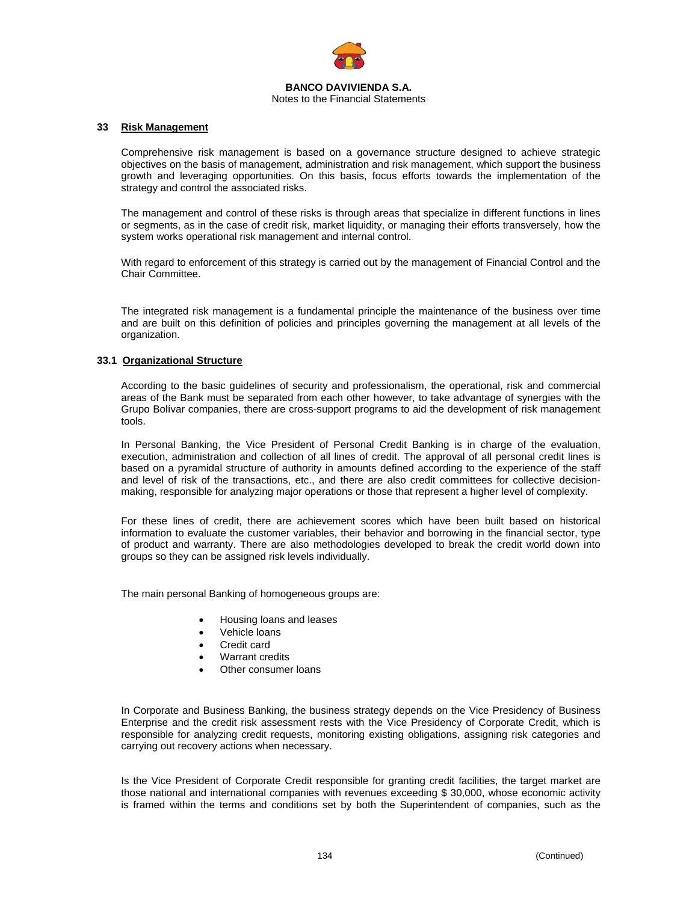

Notes to the Financial Statements

#### **33 Risk Management**

Comprehensive risk management is based on a governance structure designed to achieve strategic objectives on the basis of management, administration and risk management, which support the business growth and leveraging opportunities. On this basis, focus efforts towards the implementation of the strategy and control the associated risks.

The management and control of these risks is through areas that specialize in different functions in lines or segments, as in the case of credit risk, market liquidity, or managing their efforts transversely, how the system works operational risk management and internal control.

With regard to enforcement of this strategy is carried out by the management of Financial Control and the Chair Committee.

The integrated risk management is a fundamental principle the maintenance of the business over time and are built on this definition of policies and principles governing the management at all levels of the organization.

#### **33.1 Organizational Structure**

According to the basic guidelines of security and professionalism, the operational, risk and commercial areas of the Bank must be separated from each other however, to take advantage of synergies with the Grupo Bolívar companies, there are cross-support programs to aid the development of risk management tools.

In Personal Banking, the Vice President of Personal Credit Banking is in charge of the evaluation, execution, administration and collection of all lines of credit. The approval of all personal credit lines is based on a pyramidal structure of authority in amounts defined according to the experience of the staff and level of risk of the transactions, etc., and there are also credit committees for collective decisionmaking, responsible for analyzing major operations or those that represent a higher level of complexity.

For these lines of credit, there are achievement scores which have been built based on historical information to evaluate the customer variables, their behavior and borrowing in the financial sector, type of product and warranty. There are also methodologies developed to break the credit world down into groups so they can be assigned risk levels individually.

The main personal Banking of homogeneous groups are:

- Housing loans and leases
- Vehicle loans
- Credit card
- Warrant credits
- Other consumer loans

In Corporate and Business Banking, the business strategy depends on the Vice Presidency of Business Enterprise and the credit risk assessment rests with the Vice Presidency of Corporate Credit, which is responsible for analyzing credit requests, monitoring existing obligations, assigning risk categories and carrying out recovery actions when necessary.

Is the Vice President of Corporate Credit responsible for granting credit facilities, the target market are those national and international companies with revenues exceeding \$ 30,000, whose economic activity is framed within the terms and conditions set by both the Superintendent of companies, such as the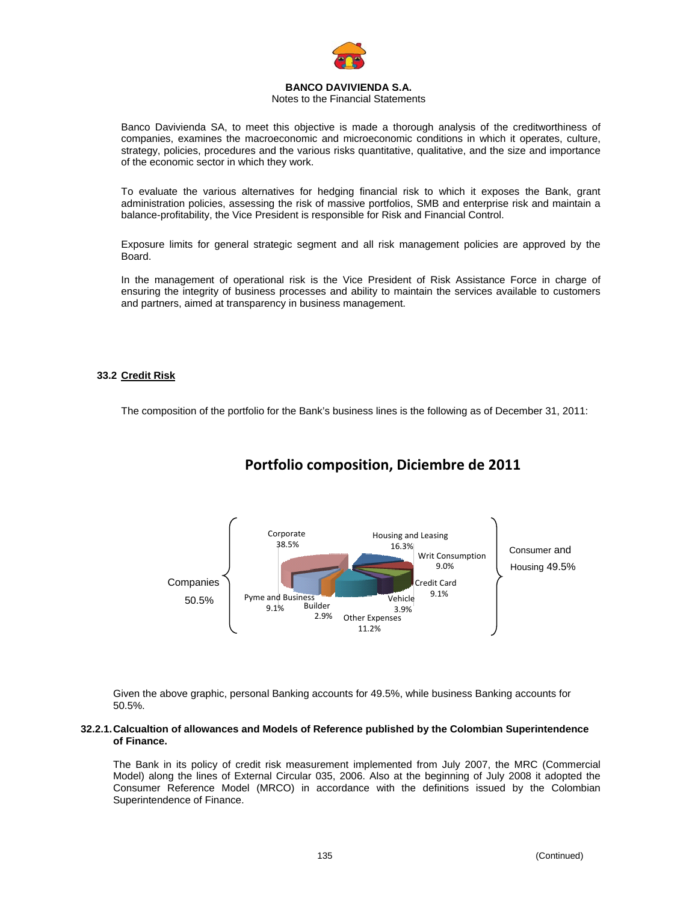

### Notes to the Financial Statements

Banco Davivienda SA, to meet this objective is made a thorough analysis of the creditworthiness of companies, examines the macroeconomic and microeconomic conditions in which it operates, culture, strategy, policies, procedures and the various risks quantitative, qualitative, and the size and importance of the economic sector in which they work.

To evaluate the various alternatives for hedging financial risk to which it exposes the Bank, grant administration policies, assessing the risk of massive portfolios, SMB and enterprise risk and maintain a balance-profitability, the Vice President is responsible for Risk and Financial Control.

Exposure limits for general strategic segment and all risk management policies are approved by the Board.

In the management of operational risk is the Vice President of Risk Assistance Force in charge of ensuring the integrity of business processes and ability to maintain the services available to customers and partners, aimed at transparency in business management.

### **33.2 Credit Risk**

The composition of the portfolio for the Bank's business lines is the following as of December 31, 2011:



# **Portfolio composition, Diciembre de 2011**

Given the above graphic, personal Banking accounts for 49.5%, while business Banking accounts for 50.5%.

#### **32.2.1. Calcualtion of allowances and Models of Reference published by the Colombian Superintendence of Finance.**

The Bank in its policy of credit risk measurement implemented from July 2007, the MRC (Commercial Model) along the lines of External Circular 035, 2006. Also at the beginning of July 2008 it adopted the Consumer Reference Model (MRCO) in accordance with the definitions issued by the Colombian Superintendence of Finance.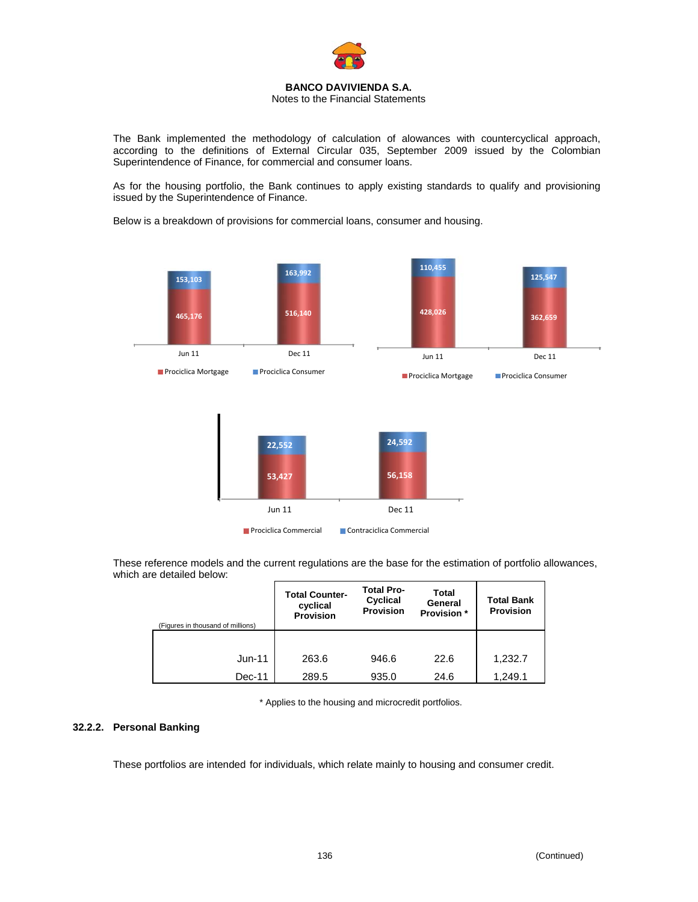

The Bank implemented the methodology of calculation of alowances with countercyclical approach, according to the definitions of External Circular 035, September 2009 issued by the Colombian Superintendence of Finance, for commercial and consumer loans.

As for the housing portfolio, the Bank continues to apply existing standards to qualify and provisioning issued by the Superintendence of Finance.

Below is a breakdown of provisions for commercial loans, consumer and housing.



These reference models and the current regulations are the base for the estimation of portfolio allowances, which are detailed below:

| (Figures in thousand of millions) | <b>Total Counter-</b><br>cyclical<br><b>Provision</b> | <b>Total Pro-</b><br>Cyclical<br><b>Provision</b> | Total<br>General<br><b>Provision</b> * | <b>Total Bank</b><br><b>Provision</b> |
|-----------------------------------|-------------------------------------------------------|---------------------------------------------------|----------------------------------------|---------------------------------------|
|                                   |                                                       |                                                   |                                        |                                       |
| Jun-11                            | 263.6                                                 | 946.6                                             | 22.6                                   | 1,232.7                               |
| Dec-11                            | 289.5                                                 | 935.0                                             | 24.6                                   | 1,249.1                               |

\* Applies to the housing and microcredit portfolios.

### **32.2.2. Personal Banking**

These portfolios are intended for individuals, which relate mainly to housing and consumer credit.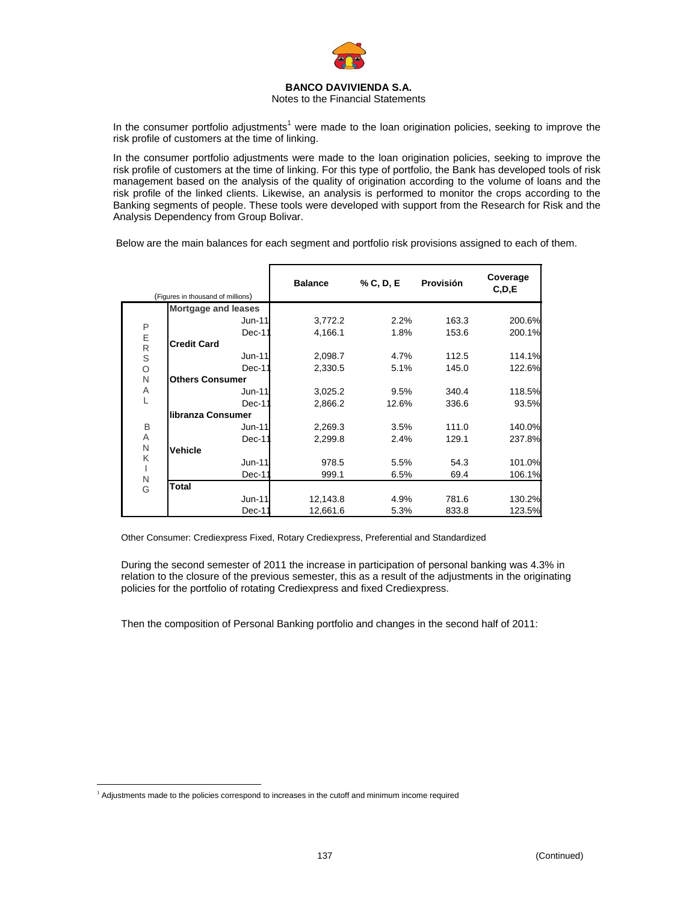

Notes to the Financial Statements

In the consumer portfolio adjustments<sup>1</sup> were made to the loan origination policies, seeking to improve the risk profile of customers at the time of linking.

In the consumer portfolio adjustments were made to the loan origination policies, seeking to improve the risk profile of customers at the time of linking. For this type of portfolio, the Bank has developed tools of risk management based on the analysis of the quality of origination according to the volume of loans and the risk profile of the linked clients. Likewise, an analysis is performed to monitor the crops according to the Banking segments of people. These tools were developed with support from the Research for Risk and the Analysis Dependency from Group Bolivar.

Below are the main balances for each segment and portfolio risk provisions assigned to each of them.

|             |                                   | <b>Balance</b> | % C, D, E | Provisión | Coverage<br>C, D, E |
|-------------|-----------------------------------|----------------|-----------|-----------|---------------------|
|             | (Figures in thousand of millions) |                |           |           |                     |
|             | <b>Mortgage and leases</b>        |                |           |           |                     |
| $\sf P$     | Jun-11                            | 3,772.2        | 2.2%      | 163.3     | 200.6%              |
|             | Dec-11                            | 4,166.1        | 1.8%      | 153.6     | 200.1%              |
| E<br>R<br>S | <b>Credit Card</b>                |                |           |           |                     |
|             | $Jun-11$                          | 2,098.7        | 4.7%      | 112.5     | 114.1%              |
| $\circ$     | Dec-11                            | 2,330.5        | 5.1%      | 145.0     | 122.6%              |
| N           | <b>Others Consumer</b>            |                |           |           |                     |
| Α           | Jun-11                            | 3,025.2        | 9.5%      | 340.4     | 118.5%              |
| L           | Dec-11                            | 2,866.2        | 12.6%     | 336.6     | 93.5%               |
|             | libranza Consumer                 |                |           |           |                     |
| B           | $Jun-11$                          | 2,269.3        | 3.5%      | 111.0     | 140.0%              |
| Α           | Dec-11                            | 2,299.8        | 2.4%      | 129.1     | 237.8%              |
| N           | <b>Vehicle</b>                    |                |           |           |                     |
| K           | $Jun-11$                          | 978.5          | 5.5%      | 54.3      | 101.0%              |
| ı           | Dec-11                            | 999.1          | 6.5%      | 69.4      | 106.1%              |
| N<br>G      | <b>Total</b>                      |                |           |           |                     |
|             | <b>Jun-11</b>                     | 12,143.8       | 4.9%      | 781.6     | 130.2%              |
|             | Dec-11                            | 12,661.6       | 5.3%      | 833.8     | 123.5%              |

Other Consumer: Crediexpress Fixed, Rotary Crediexpress, Preferential and Standardized

During the second semester of 2011 the increase in participation of personal banking was 4.3% in relation to the closure of the previous semester, this as a result of the adjustments in the originating policies for the portfolio of rotating Crediexpress and fixed Crediexpress.

Then the composition of Personal Banking portfolio and changes in the second half of 2011:

<sup>1</sup> <sup>1</sup> Adjustments made to the policies correspond to increases in the cutoff and minimum income required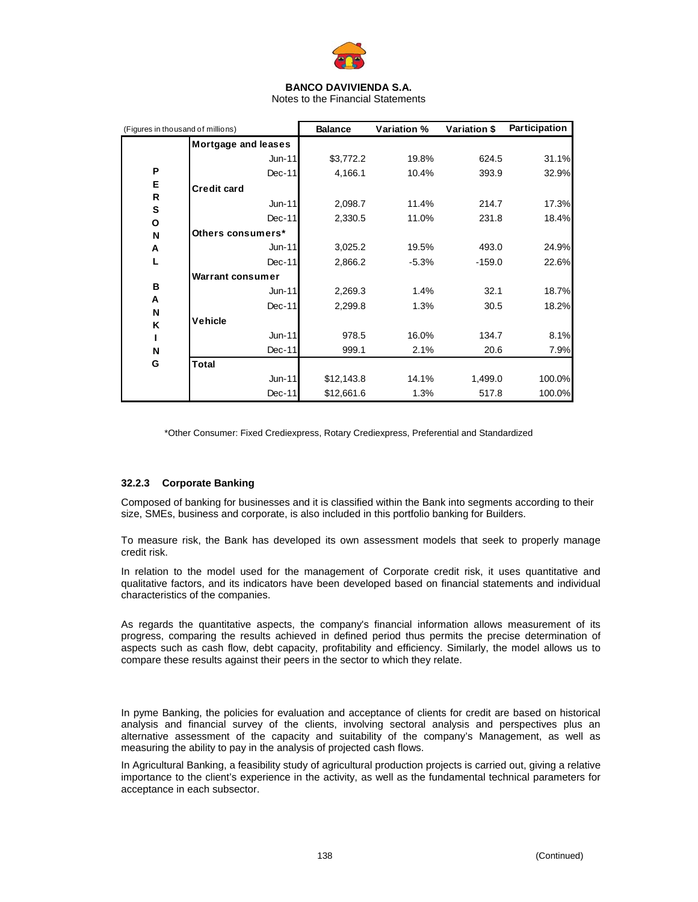

Notes to the Financial Statements

| (Figures in thousand of millions) |                         | <b>Balance</b> | Variation % | Variation \$ | Participation |
|-----------------------------------|-------------------------|----------------|-------------|--------------|---------------|
|                                   | Mortgage and leases     |                |             |              |               |
|                                   | $Jun-11$                | \$3,772.2      | 19.8%       | 624.5        | 31.1%         |
| P                                 | Dec-11                  | 4,166.1        | 10.4%       | 393.9        | 32.9%         |
| Е                                 | <b>Credit card</b>      |                |             |              |               |
| R                                 | $Jun-11$                | 2,098.7        | 11.4%       | 214.7        | 17.3%         |
| ${\bf s}$<br>O                    | $Dec-11$                | 2,330.5        | 11.0%       | 231.8        | 18.4%         |
| N                                 | Others consumers*       |                |             |              |               |
| A                                 | Jun-11                  | 3,025.2        | 19.5%       | 493.0        | 24.9%         |
| L                                 | $Dec-11$                | 2,866.2        | $-5.3%$     | $-159.0$     | 22.6%         |
|                                   | <b>Warrant consumer</b> |                |             |              |               |
| B                                 | $Jun-11$                | 2,269.3        | 1.4%        | 32.1         | 18.7%         |
| A<br>N                            | $Dec-11$                | 2,299.8        | 1.3%        | 30.5         | 18.2%         |
| K                                 | Vehicle                 |                |             |              |               |
|                                   | Jun-11                  | 978.5          | 16.0%       | 134.7        | 8.1%          |
| N                                 | $Dec-11$                | 999.1          | 2.1%        | 20.6         | 7.9%          |
| G                                 | <b>Total</b>            |                |             |              |               |
|                                   | Jun-11                  | \$12,143.8     | 14.1%       | 1,499.0      | 100.0%        |
|                                   | $Dec-11$                | \$12,661.6     | 1.3%        | 517.8        | 100.0%        |

\*Other Consumer: Fixed Crediexpress, Rotary Crediexpress, Preferential and Standardized

### **32.2.3 Corporate Banking**

Composed of banking for businesses and it is classified within the Bank into segments according to their size, SMEs, business and corporate, is also included in this portfolio banking for Builders.

To measure risk, the Bank has developed its own assessment models that seek to properly manage credit risk.

In relation to the model used for the management of Corporate credit risk, it uses quantitative and qualitative factors, and its indicators have been developed based on financial statements and individual characteristics of the companies.

As regards the quantitative aspects, the company's financial information allows measurement of its progress, comparing the results achieved in defined period thus permits the precise determination of aspects such as cash flow, debt capacity, profitability and efficiency. Similarly, the model allows us to compare these results against their peers in the sector to which they relate.

In pyme Banking, the policies for evaluation and acceptance of clients for credit are based on historical analysis and financial survey of the clients, involving sectoral analysis and perspectives plus an alternative assessment of the capacity and suitability of the company's Management, as well as measuring the ability to pay in the analysis of projected cash flows.

In Agricultural Banking, a feasibility study of agricultural production projects is carried out, giving a relative importance to the client's experience in the activity, as well as the fundamental technical parameters for acceptance in each subsector.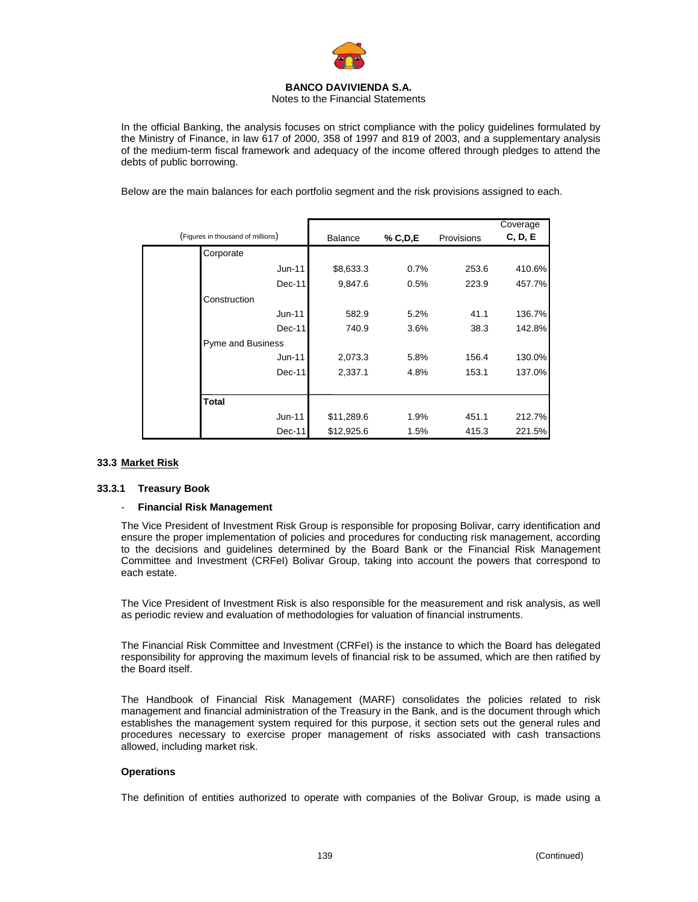

Notes to the Financial Statements

In the official Banking, the analysis focuses on strict compliance with the policy guidelines formulated by the Ministry of Finance, in law 617 of 2000, 358 of 1997 and 819 of 2003, and a supplementary analysis of the medium-term fiscal framework and adequacy of the income offered through pledges to attend the debts of public borrowing.

Below are the main balances for each portfolio segment and the risk provisions assigned to each.

| (Figures in thousand of millions) | <b>Balance</b> | % C, D, E | Provisions | Coverage<br>C, D, E |
|-----------------------------------|----------------|-----------|------------|---------------------|
| Corporate                         |                |           |            |                     |
| Jun-11                            | \$8,633.3      | 0.7%      | 253.6      | 410.6%              |
| $Dec-11$                          | 9,847.6        | 0.5%      | 223.9      | 457.7%              |
| Construction                      |                |           |            |                     |
| $Jun-11$                          | 582.9          | 5.2%      | 41.1       | 136.7%              |
| $Dec-11$                          | 740.9          | 3.6%      | 38.3       | 142.8%              |
| <b>Pyme and Business</b>          |                |           |            |                     |
| Jun-11                            | 2,073.3        | 5.8%      | 156.4      | 130.0%              |
| Dec-11                            | 2,337.1        | 4.8%      | 153.1      | 137.0%              |
|                                   |                |           |            |                     |
| <b>Total</b>                      |                |           |            |                     |
| $Jun-11$                          | \$11,289.6     | 1.9%      | 451.1      | 212.7%              |
| Dec-11                            | \$12,925.6     | 1.5%      | 415.3      | 221.5%              |

### **33.3 Market Risk**

### **33.3.1 Treasury Book**

#### - **Financial Risk Management**

The Vice President of Investment Risk Group is responsible for proposing Bolivar, carry identification and ensure the proper implementation of policies and procedures for conducting risk management, according to the decisions and guidelines determined by the Board Bank or the Financial Risk Management Committee and Investment (CRFeI) Bolivar Group, taking into account the powers that correspond to each estate.

The Vice President of Investment Risk is also responsible for the measurement and risk analysis, as well as periodic review and evaluation of methodologies for valuation of financial instruments.

The Financial Risk Committee and Investment (CRFeI) is the instance to which the Board has delegated responsibility for approving the maximum levels of financial risk to be assumed, which are then ratified by the Board itself.

The Handbook of Financial Risk Management (MARF) consolidates the policies related to risk management and financial administration of the Treasury in the Bank, and is the document through which establishes the management system required for this purpose, it section sets out the general rules and procedures necessary to exercise proper management of risks associated with cash transactions allowed, including market risk.

#### **Operations**

The definition of entities authorized to operate with companies of the Bolivar Group, is made using a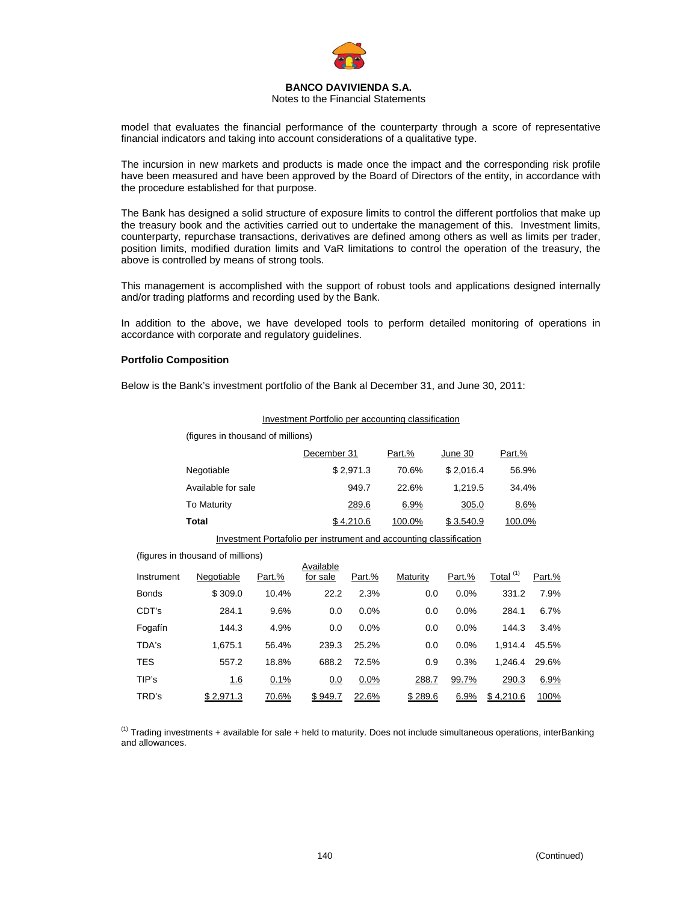

#### Notes to the Financial Statements

model that evaluates the financial performance of the counterparty through a score of representative financial indicators and taking into account considerations of a qualitative type.

The incursion in new markets and products is made once the impact and the corresponding risk profile have been measured and have been approved by the Board of Directors of the entity, in accordance with the procedure established for that purpose.

The Bank has designed a solid structure of exposure limits to control the different portfolios that make up the treasury book and the activities carried out to undertake the management of this. Investment limits, counterparty, repurchase transactions, derivatives are defined among others as well as limits per trader, position limits, modified duration limits and VaR limitations to control the operation of the treasury, the above is controlled by means of strong tools.

This management is accomplished with the support of robust tools and applications designed internally and/or trading platforms and recording used by the Bank.

In addition to the above, we have developed tools to perform detailed monitoring of operations in accordance with corporate and regulatory guidelines.

Investment Portfolio per accounting classification

#### **Portfolio Composition**

Below is the Bank's investment portfolio of the Bank al December 31, and June 30, 2011:

| (figures in thousand of millions) |                                                  |                                                         |           |                                       |           |                                                                                                                    |                                         |
|-----------------------------------|--------------------------------------------------|---------------------------------------------------------|-----------|---------------------------------------|-----------|--------------------------------------------------------------------------------------------------------------------|-----------------------------------------|
|                                   |                                                  |                                                         |           | Part.%                                | June 30   | Part.%                                                                                                             |                                         |
|                                   |                                                  |                                                         |           | 70.6%                                 |           | 56.9%                                                                                                              |                                         |
|                                   |                                                  |                                                         | 949.7     | 22.6%                                 |           | 34.4%                                                                                                              |                                         |
|                                   |                                                  |                                                         | 289.6     | 6.9%                                  |           | 8.6%                                                                                                               |                                         |
|                                   |                                                  |                                                         |           | 100.0%                                | \$3.540.9 |                                                                                                                    |                                         |
|                                   |                                                  |                                                         |           |                                       |           |                                                                                                                    |                                         |
|                                   |                                                  |                                                         |           |                                       |           |                                                                                                                    |                                         |
| Negotiable                        | Part.%                                           | for sale                                                | Part.%    | Maturity                              | Part.%    | Total $(1)$                                                                                                        | Part.%                                  |
| \$309.0                           | 10.4%                                            | 22.2                                                    | 2.3%      |                                       | 0.0%      | 331.2                                                                                                              | 7.9%                                    |
| 284.1                             | 9.6%                                             | 0.0                                                     | 0.0%      |                                       | 0.0%      | 284.1                                                                                                              | 6.7%                                    |
| 144.3                             | 4.9%                                             | 0.0                                                     | 0.0%      |                                       | 0.0%      | 144.3                                                                                                              | 3.4%                                    |
| 1,675.1                           | 56.4%                                            | 239.3                                                   | 25.2%     |                                       | 0.0%      | 1,914.4                                                                                                            | 45.5%                                   |
| 557.2                             | 18.8%                                            | 688.2                                                   | 72.5%     |                                       | 0.3%      | 1,246.4                                                                                                            | 29.6%                                   |
| <u>1.6</u>                        | 0.1%                                             | 0.0                                                     | 0.0%      |                                       | 99.7%     | 290.3                                                                                                              | 6.9%                                    |
| \$2,971.3                         | 70.6%                                            | \$949.7                                                 | 22.6%     |                                       | 6.9%      | \$4,210.6                                                                                                          | 100%                                    |
|                                   | Negotiable<br><b>To Maturity</b><br><b>Total</b> | Available for sale<br>(figures in thousand of millions) | Available | December 31<br>\$2,971.3<br>\$4,210.6 | 0.9       | Investment Portafolio per instrument and accounting classification<br>0.0<br>0.0<br>0.0<br>0.0<br>288.7<br>\$289.6 | \$2,016.4<br>1,219.5<br>305.0<br>100.0% |

 $<sup>(1)</sup>$  Trading investments + available for sale + held to maturity. Does not include simultaneous operations, interBanking</sup> and allowances.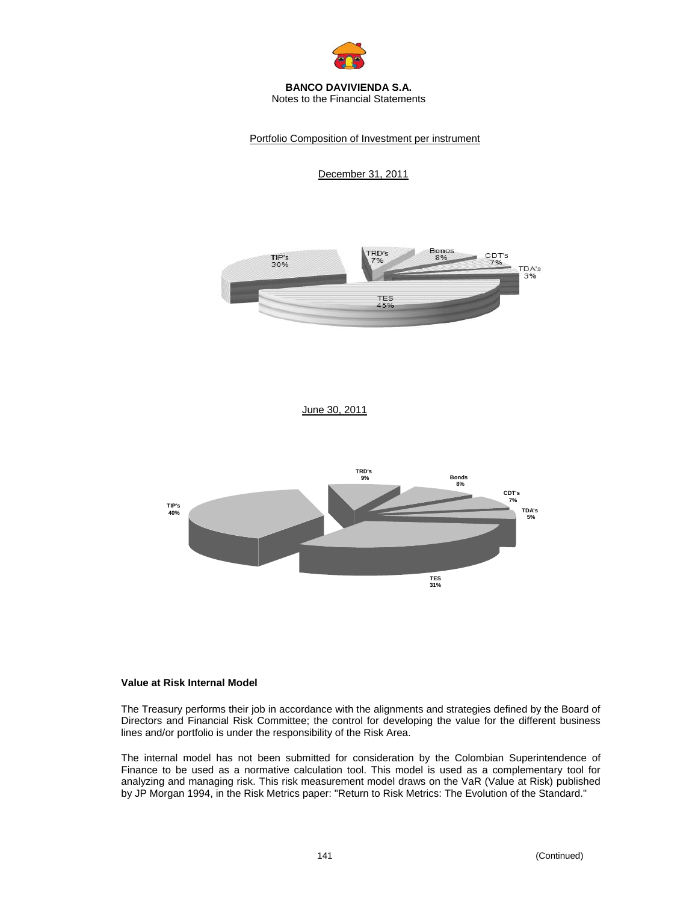

#### **BANCO DAVIVIENDA S.A.**  Notes to the Financial Statements

Portfolio Composition of Investment per instrument

December 31, 2011







#### **Value at Risk Internal Model**

The Treasury performs their job in accordance with the alignments and strategies defined by the Board of Directors and Financial Risk Committee; the control for developing the value for the different business lines and/or portfolio is under the responsibility of the Risk Area.

The internal model has not been submitted for consideration by the Colombian Superintendence of Finance to be used as a normative calculation tool. This model is used as a complementary tool for analyzing and managing risk. This risk measurement model draws on the VaR (Value at Risk) published by JP Morgan 1994, in the Risk Metrics paper: "Return to Risk Metrics: The Evolution of the Standard."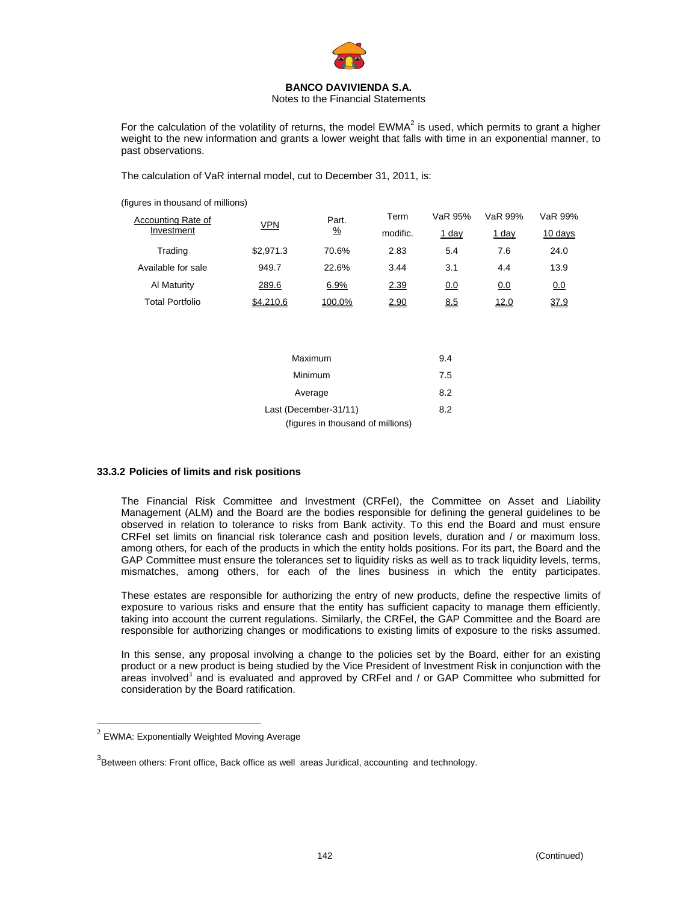

Notes to the Financial Statements

For the calculation of the volatility of returns, the model  $EWMA<sup>2</sup>$  is used, which permits to grant a higher weight to the new information and grants a lower weight that falls with time in an exponential manner, to past observations.

The calculation of VaR internal model, cut to December 31, 2011, is:

(figures in thousand of millions)

| Accounting Rate of |           | Part.<br><u>VPN</u><br>$\frac{9}{6}$<br>modific. |      | VaR 95% | VaR 99%      | VaR 99% |
|--------------------|-----------|--------------------------------------------------|------|---------|--------------|---------|
| Investment         |           |                                                  |      | 1 day   | <u>1 day</u> | 10 days |
| Trading            | \$2.971.3 | 70.6%                                            | 2.83 | 5.4     | 7.6          | 24.0    |
| Available for sale | 949.7     | 22.6%                                            | 3.44 | 3.1     | 4.4          | 13.9    |
| Al Maturity        | 289.6     | 6.9%                                             | 2.39 | 0.0     | 0.0          | 0.0     |
| Total Portfolio    | \$4.210.6 | 100.0%                                           | 2.90 | 8.5     | 12.0         | 37.9    |

| Maximum                           | 9.4 |
|-----------------------------------|-----|
| Minimum                           | 7.5 |
| Average                           | 8.2 |
| Last (December-31/11)             | 8.2 |
| (figures in thousand of millions) |     |

#### **33.3.2 Policies of limits and risk positions**

The Financial Risk Committee and Investment (CRFeI), the Committee on Asset and Liability Management (ALM) and the Board are the bodies responsible for defining the general guidelines to be observed in relation to tolerance to risks from Bank activity. To this end the Board and must ensure CRFeI set limits on financial risk tolerance cash and position levels, duration and / or maximum loss, among others, for each of the products in which the entity holds positions. For its part, the Board and the GAP Committee must ensure the tolerances set to liquidity risks as well as to track liquidity levels, terms, mismatches, among others, for each of the lines business in which the entity participates.

These estates are responsible for authorizing the entry of new products, define the respective limits of exposure to various risks and ensure that the entity has sufficient capacity to manage them efficiently, taking into account the current regulations. Similarly, the CRFeI, the GAP Committee and the Board are responsible for authorizing changes or modifications to existing limits of exposure to the risks assumed.

In this sense, any proposal involving a change to the policies set by the Board, either for an existing product or a new product is being studied by the Vice President of Investment Risk in conjunction with the areas involved<sup>3</sup> and is evaluated and approved by CRFeI and / or GAP Committee who submitted for consideration by the Board ratification.

1

 $2$  EWMA: Exponentially Weighted Moving Average

<sup>&</sup>lt;sup>3</sup>Between others: Front office, Back office as well areas Juridical, accounting and technology.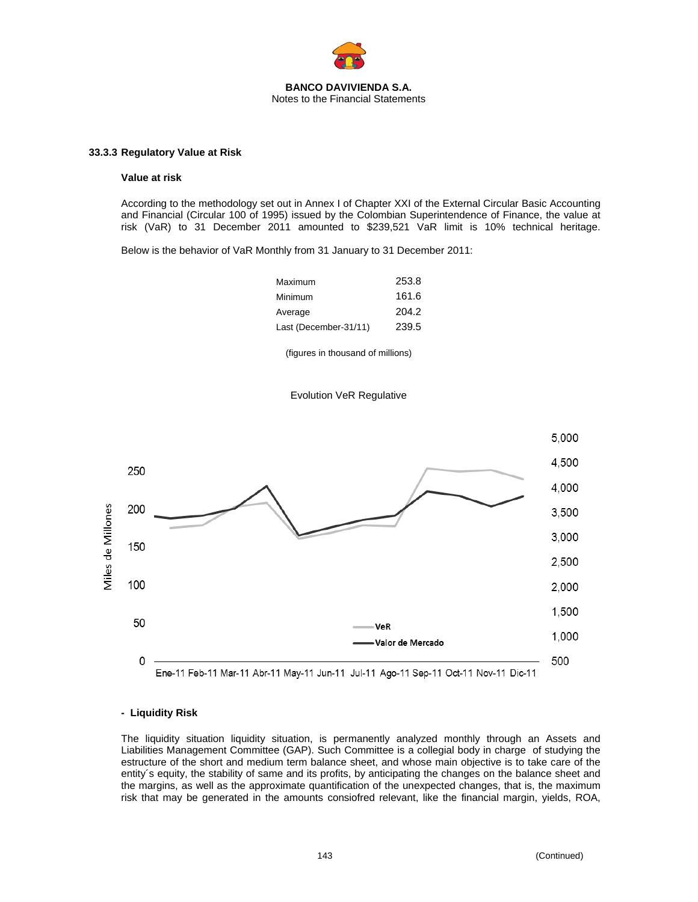

#### **33.3.3 Regulatory Value at Risk**

#### **Value at risk**

According to the methodology set out in Annex I of Chapter XXI of the External Circular Basic Accounting and Financial (Circular 100 of 1995) issued by the Colombian Superintendence of Finance, the value at risk (VaR) to 31 December 2011 amounted to \$239,521 VaR limit is 10% technical heritage.

Below is the behavior of VaR Monthly from 31 January to 31 December 2011:

| Maximum               | 253.8 |
|-----------------------|-------|
| Minimum               | 161.6 |
| Average               | 204.2 |
| Last (December-31/11) | 239.5 |

(figures in thousand of millions)





### **- Liquidity Risk**

The liquidity situation liquidity situation, is permanently analyzed monthly through an Assets and Liabilities Management Committee (GAP). Such Committee is a collegial body in charge of studying the estructure of the short and medium term balance sheet, and whose main objective is to take care of the entity´s equity, the stability of same and its profits, by anticipating the changes on the balance sheet and the margins, as well as the approximate quantification of the unexpected changes, that is, the maximum risk that may be generated in the amounts consiofred relevant, like the financial margin, yields, ROA,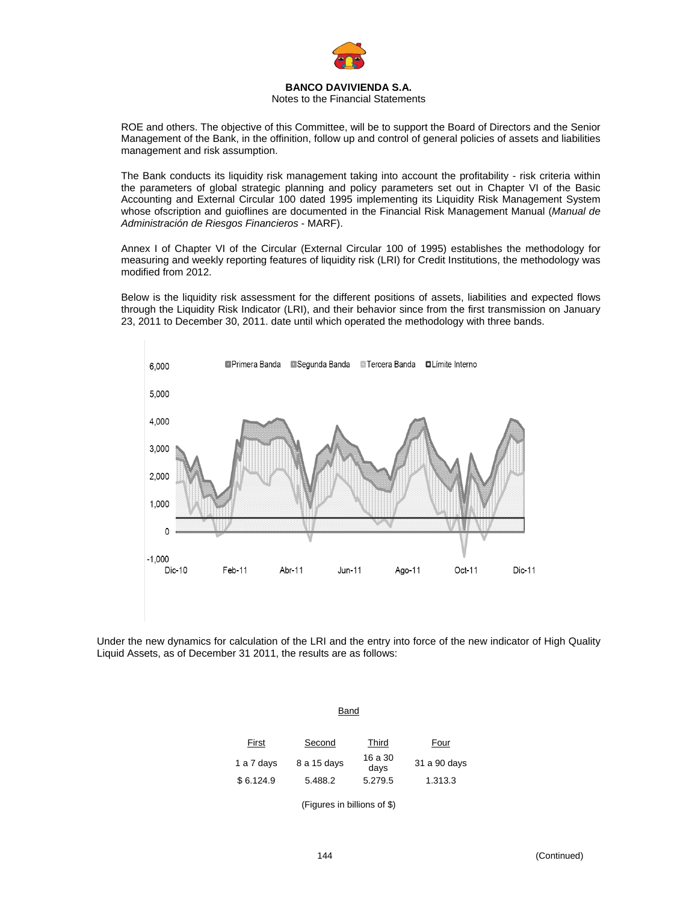

## Notes to the Financial Statements

ROE and others. The objective of this Committee, will be to support the Board of Directors and the Senior Management of the Bank, in the offinition, follow up and control of general policies of assets and liabilities management and risk assumption.

The Bank conducts its liquidity risk management taking into account the profitability - risk criteria within the parameters of global strategic planning and policy parameters set out in Chapter VI of the Basic Accounting and External Circular 100 dated 1995 implementing its Liquidity Risk Management System whose ofscription and guioflines are documented in the Financial Risk Management Manual (*Manual de Administración de Riesgos Financieros* - MARF).

Annex I of Chapter VI of the Circular (External Circular 100 of 1995) establishes the methodology for measuring and weekly reporting features of liquidity risk (LRI) for Credit Institutions, the methodology was modified from 2012.

Below is the liquidity risk assessment for the different positions of assets, liabilities and expected flows through the Liquidity Risk Indicator (LRI), and their behavior since from the first transmission on January 23, 2011 to December 30, 2011. date until which operated the methodology with three bands.



Under the new dynamics for calculation of the LRI and the entry into force of the new indicator of High Quality Liquid Assets, as of December 31 2011, the results are as follows:

| First      | Second      | Third           | Four         |
|------------|-------------|-----------------|--------------|
| 1 a 7 days | 8 a 15 days | 16 a 30<br>days | 31 a 90 days |
| \$6.124.9  | 5.488.2     | 5.279.5         | 1.313.3      |

Band

(Figures in billions of \$)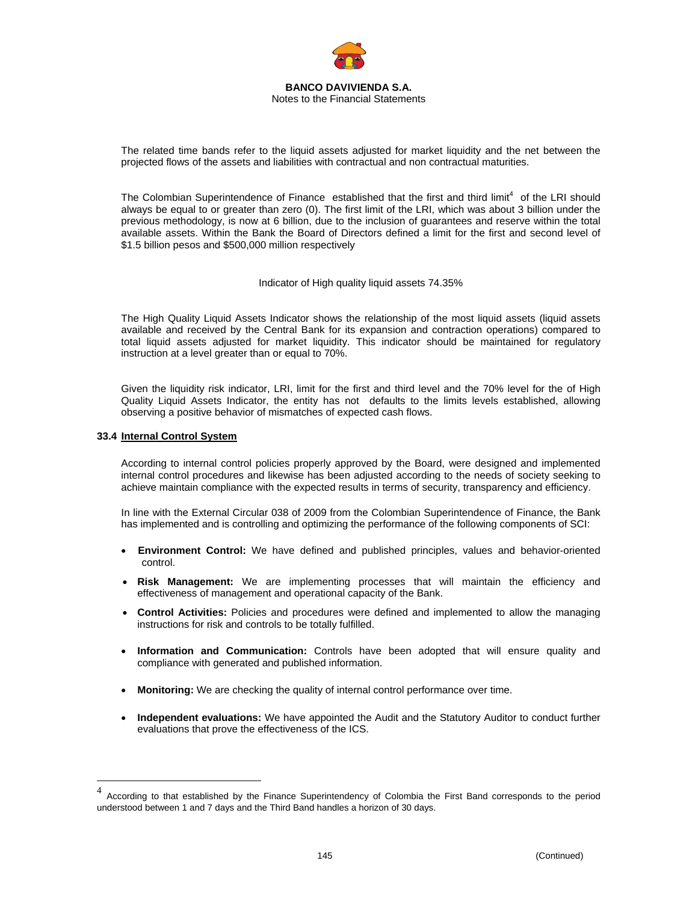

The related time bands refer to the liquid assets adjusted for market liquidity and the net between the projected flows of the assets and liabilities with contractual and non contractual maturities.

The Colombian Superintendence of Finance established that the first and third limit<sup>4</sup> of the LRI should always be equal to or greater than zero (0). The first limit of the LRI, which was about 3 billion under the previous methodology, is now at 6 billion, due to the inclusion of guarantees and reserve within the total available assets. Within the Bank the Board of Directors defined a limit for the first and second level of \$1.5 billion pesos and \$500,000 million respectively

Indicator of High quality liquid assets 74.35%

The High Quality Liquid Assets Indicator shows the relationship of the most liquid assets (liquid assets available and received by the Central Bank for its expansion and contraction operations) compared to total liquid assets adjusted for market liquidity. This indicator should be maintained for regulatory instruction at a level greater than or equal to 70%.

Given the liquidity risk indicator, LRI, limit for the first and third level and the 70% level for the of High Quality Liquid Assets Indicator, the entity has not defaults to the limits levels established, allowing observing a positive behavior of mismatches of expected cash flows.

## **33.4 Internal Control System**

1

According to internal control policies properly approved by the Board, were designed and implemented internal control procedures and likewise has been adjusted according to the needs of society seeking to achieve maintain compliance with the expected results in terms of security, transparency and efficiency.

In line with the External Circular 038 of 2009 from the Colombian Superintendence of Finance, the Bank has implemented and is controlling and optimizing the performance of the following components of SCI:

- **Environment Control:** We have defined and published principles, values and behavior-oriented control.
- **Risk Management:** We are implementing processes that will maintain the efficiency and effectiveness of management and operational capacity of the Bank.
- **Control Activities:** Policies and procedures were defined and implemented to allow the managing instructions for risk and controls to be totally fulfilled.
- **Information and Communication:** Controls have been adopted that will ensure quality and compliance with generated and published information.
- **Monitoring:** We are checking the quality of internal control performance over time.
- **Independent evaluations:** We have appointed the Audit and the Statutory Auditor to conduct further evaluations that prove the effectiveness of the ICS.

<sup>4</sup> According to that established by the Finance Superintendency of Colombia the First Band corresponds to the period understood between 1 and 7 days and the Third Band handles a horizon of 30 days.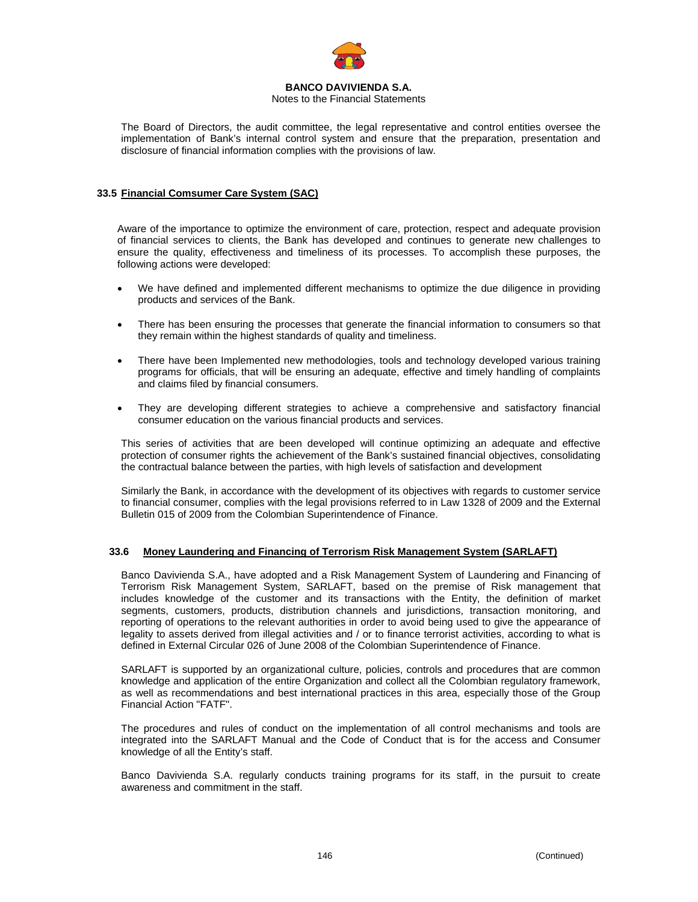

## Notes to the Financial Statements

The Board of Directors, the audit committee, the legal representative and control entities oversee the implementation of Bank's internal control system and ensure that the preparation, presentation and disclosure of financial information complies with the provisions of law.

# **33.5 Financial Comsumer Care System (SAC)**

Aware of the importance to optimize the environment of care, protection, respect and adequate provision of financial services to clients, the Bank has developed and continues to generate new challenges to ensure the quality, effectiveness and timeliness of its processes. To accomplish these purposes, the following actions were developed:

- We have defined and implemented different mechanisms to optimize the due diligence in providing products and services of the Bank.
- There has been ensuring the processes that generate the financial information to consumers so that they remain within the highest standards of quality and timeliness.
- There have been Implemented new methodologies, tools and technology developed various training programs for officials, that will be ensuring an adequate, effective and timely handling of complaints and claims filed by financial consumers.
- They are developing different strategies to achieve a comprehensive and satisfactory financial consumer education on the various financial products and services.

This series of activities that are been developed will continue optimizing an adequate and effective protection of consumer rights the achievement of the Bank's sustained financial objectives, consolidating the contractual balance between the parties, with high levels of satisfaction and development

Similarly the Bank, in accordance with the development of its objectives with regards to customer service to financial consumer, complies with the legal provisions referred to in Law 1328 of 2009 and the External Bulletin 015 of 2009 from the Colombian Superintendence of Finance.

# **33.6 Money Laundering and Financing of Terrorism Risk Management System (SARLAFT)**

Banco Davivienda S.A., have adopted and a Risk Management System of Laundering and Financing of Terrorism Risk Management System, SARLAFT, based on the premise of Risk management that includes knowledge of the customer and its transactions with the Entity, the definition of market segments, customers, products, distribution channels and jurisdictions, transaction monitoring, and reporting of operations to the relevant authorities in order to avoid being used to give the appearance of legality to assets derived from illegal activities and / or to finance terrorist activities, according to what is defined in External Circular 026 of June 2008 of the Colombian Superintendence of Finance.

SARLAFT is supported by an organizational culture, policies, controls and procedures that are common knowledge and application of the entire Organization and collect all the Colombian regulatory framework, as well as recommendations and best international practices in this area, especially those of the Group Financial Action "FATF".

The procedures and rules of conduct on the implementation of all control mechanisms and tools are integrated into the SARLAFT Manual and the Code of Conduct that is for the access and Consumer knowledge of all the Entity's staff.

Banco Davivienda S.A. regularly conducts training programs for its staff, in the pursuit to create awareness and commitment in the staff.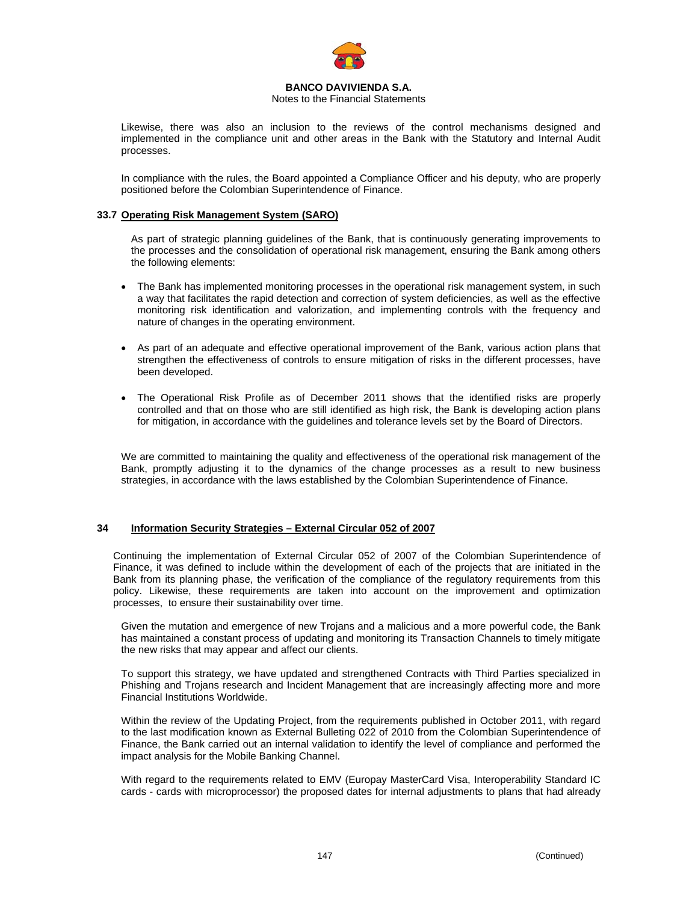

### Notes to the Financial Statements

Likewise, there was also an inclusion to the reviews of the control mechanisms designed and implemented in the compliance unit and other areas in the Bank with the Statutory and Internal Audit processes.

In compliance with the rules, the Board appointed a Compliance Officer and his deputy, who are properly positioned before the Colombian Superintendence of Finance.

## **33.7 Operating Risk Management System (SARO)**

As part of strategic planning guidelines of the Bank, that is continuously generating improvements to the processes and the consolidation of operational risk management, ensuring the Bank among others the following elements:

- The Bank has implemented monitoring processes in the operational risk management system, in such a way that facilitates the rapid detection and correction of system deficiencies, as well as the effective monitoring risk identification and valorization, and implementing controls with the frequency and nature of changes in the operating environment.
- As part of an adequate and effective operational improvement of the Bank, various action plans that strengthen the effectiveness of controls to ensure mitigation of risks in the different processes, have been developed.
- The Operational Risk Profile as of December 2011 shows that the identified risks are properly controlled and that on those who are still identified as high risk, the Bank is developing action plans for mitigation, in accordance with the guidelines and tolerance levels set by the Board of Directors.

We are committed to maintaining the quality and effectiveness of the operational risk management of the Bank, promptly adjusting it to the dynamics of the change processes as a result to new business strategies, in accordance with the laws established by the Colombian Superintendence of Finance.

# **34 Information Security Strategies – External Circular 052 of 2007**

Continuing the implementation of External Circular 052 of 2007 of the Colombian Superintendence of Finance, it was defined to include within the development of each of the projects that are initiated in the Bank from its planning phase, the verification of the compliance of the regulatory requirements from this policy. Likewise, these requirements are taken into account on the improvement and optimization processes, to ensure their sustainability over time.

Given the mutation and emergence of new Trojans and a malicious and a more powerful code, the Bank has maintained a constant process of updating and monitoring its Transaction Channels to timely mitigate the new risks that may appear and affect our clients.

To support this strategy, we have updated and strengthened Contracts with Third Parties specialized in Phishing and Trojans research and Incident Management that are increasingly affecting more and more Financial Institutions Worldwide.

Within the review of the Updating Project, from the requirements published in October 2011, with regard to the last modification known as External Bulleting 022 of 2010 from the Colombian Superintendence of Finance, the Bank carried out an internal validation to identify the level of compliance and performed the impact analysis for the Mobile Banking Channel.

With regard to the requirements related to EMV (Europay MasterCard Visa, Interoperability Standard IC cards - cards with microprocessor) the proposed dates for internal adjustments to plans that had already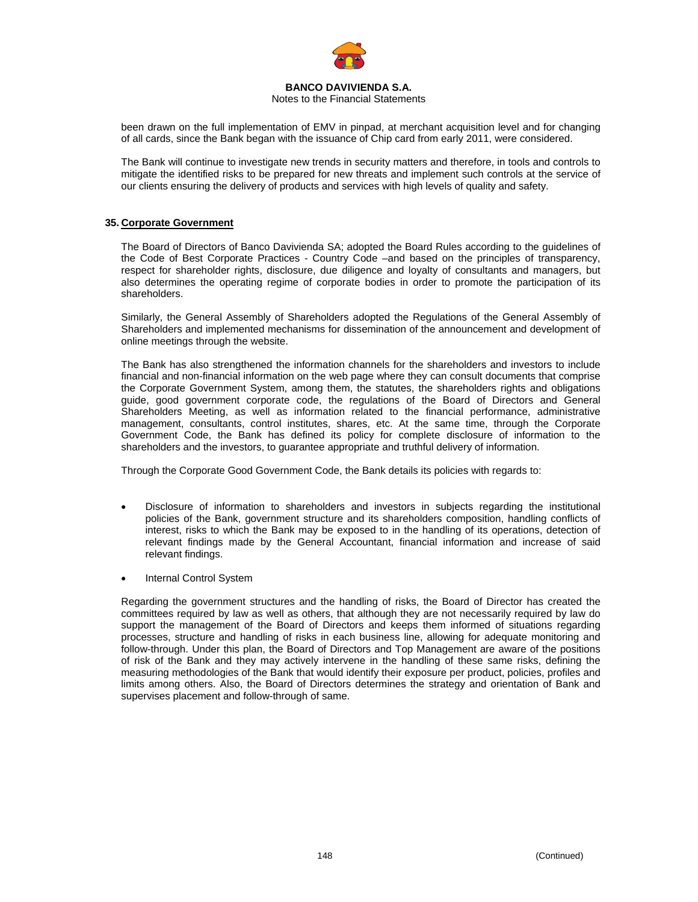

Notes to the Financial Statements

been drawn on the full implementation of EMV in pinpad, at merchant acquisition level and for changing of all cards, since the Bank began with the issuance of Chip card from early 2011, were considered.

The Bank will continue to investigate new trends in security matters and therefore, in tools and controls to mitigate the identified risks to be prepared for new threats and implement such controls at the service of our clients ensuring the delivery of products and services with high levels of quality and safety.

# **35. Corporate Government**

The Board of Directors of Banco Davivienda SA; adopted the Board Rules according to the guidelines of the Code of Best Corporate Practices - Country Code –and based on the principles of transparency, respect for shareholder rights, disclosure, due diligence and loyalty of consultants and managers, but also determines the operating regime of corporate bodies in order to promote the participation of its shareholders.

Similarly, the General Assembly of Shareholders adopted the Regulations of the General Assembly of Shareholders and implemented mechanisms for dissemination of the announcement and development of online meetings through the website.

The Bank has also strengthened the information channels for the shareholders and investors to include financial and non-financial information on the web page where they can consult documents that comprise the Corporate Government System, among them, the statutes, the shareholders rights and obligations guide, good government corporate code, the regulations of the Board of Directors and General Shareholders Meeting, as well as information related to the financial performance, administrative management, consultants, control institutes, shares, etc. At the same time, through the Corporate Government Code, the Bank has defined its policy for complete disclosure of information to the shareholders and the investors, to guarantee appropriate and truthful delivery of information.

Through the Corporate Good Government Code, the Bank details its policies with regards to:

- Disclosure of information to shareholders and investors in subjects regarding the institutional policies of the Bank, government structure and its shareholders composition, handling conflicts of interest, risks to which the Bank may be exposed to in the handling of its operations, detection of relevant findings made by the General Accountant, financial information and increase of said relevant findings.
- Internal Control System

Regarding the government structures and the handling of risks, the Board of Director has created the committees required by law as well as others, that although they are not necessarily required by law do support the management of the Board of Directors and keeps them informed of situations regarding processes, structure and handling of risks in each business line, allowing for adequate monitoring and follow-through. Under this plan, the Board of Directors and Top Management are aware of the positions of risk of the Bank and they may actively intervene in the handling of these same risks, defining the measuring methodologies of the Bank that would identify their exposure per product, policies, profiles and limits among others. Also, the Board of Directors determines the strategy and orientation of Bank and supervises placement and follow-through of same.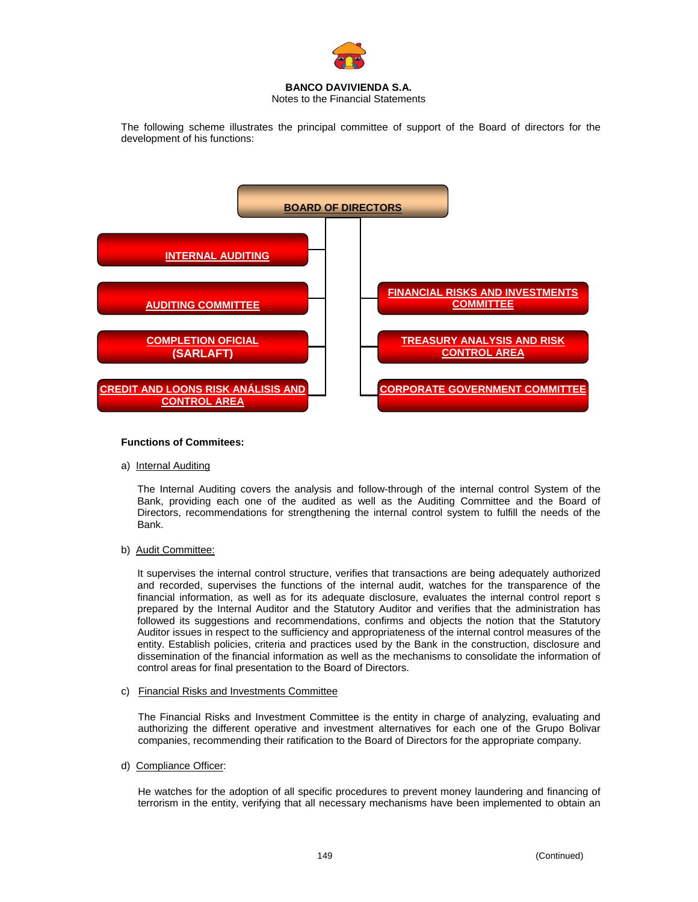

Notes to the Financial Statements

The following scheme illustrates the principal committee of support of the Board of directors for the development of his functions:



## **Functions of Commitees:**

a) Internal Auditing

The Internal Auditing covers the analysis and follow-through of the internal control System of the Bank, providing each one of the audited as well as the Auditing Committee and the Board of Directors, recommendations for strengthening the internal control system to fulfill the needs of the Bank.

b) Audit Committee:

It supervises the internal control structure, verifies that transactions are being adequately authorized and recorded, supervises the functions of the internal audit, watches for the transparence of the financial information, as well as for its adequate disclosure, evaluates the internal control report s prepared by the Internal Auditor and the Statutory Auditor and verifies that the administration has followed its suggestions and recommendations, confirms and objects the notion that the Statutory Auditor issues in respect to the sufficiency and appropriateness of the internal control measures of the entity. Establish policies, criteria and practices used by the Bank in the construction, disclosure and dissemination of the financial information as well as the mechanisms to consolidate the information of control areas for final presentation to the Board of Directors.

c) Financial Risks and Investments Committee

The Financial Risks and Investment Committee is the entity in charge of analyzing, evaluating and authorizing the different operative and investment alternatives for each one of the Grupo Bolivar companies, recommending their ratification to the Board of Directors for the appropriate company.

d) Compliance Officer:

He watches for the adoption of all specific procedures to prevent money laundering and financing of terrorism in the entity, verifying that all necessary mechanisms have been implemented to obtain an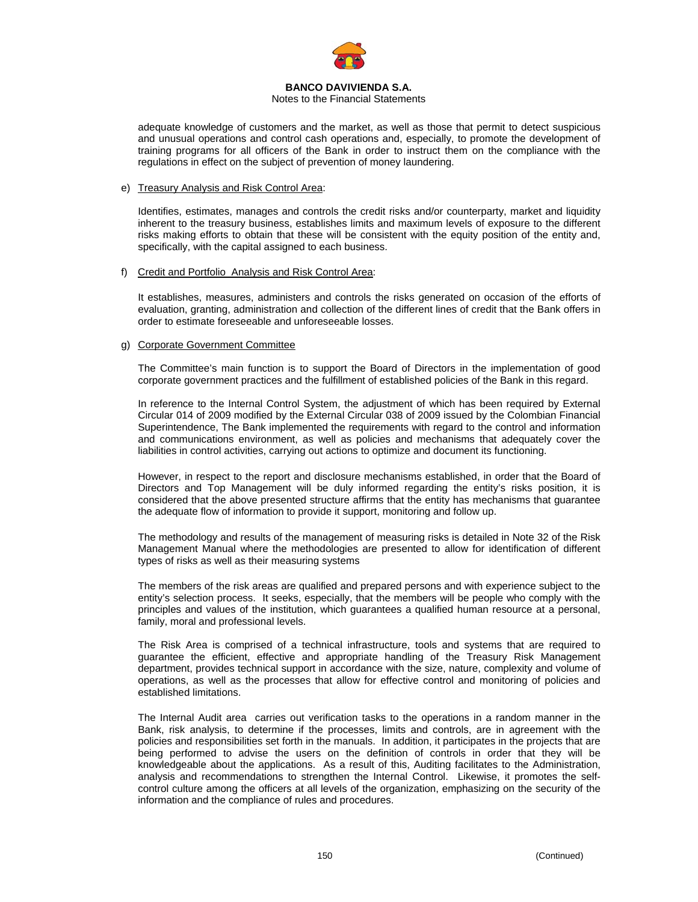

#### Notes to the Financial Statements

adequate knowledge of customers and the market, as well as those that permit to detect suspicious and unusual operations and control cash operations and, especially, to promote the development of training programs for all officers of the Bank in order to instruct them on the compliance with the regulations in effect on the subject of prevention of money laundering.

## e) Treasury Analysis and Risk Control Area:

Identifies, estimates, manages and controls the credit risks and/or counterparty, market and liquidity inherent to the treasury business, establishes limits and maximum levels of exposure to the different risks making efforts to obtain that these will be consistent with the equity position of the entity and, specifically, with the capital assigned to each business.

#### f) Credit and Portfolio Analysis and Risk Control Area:

It establishes, measures, administers and controls the risks generated on occasion of the efforts of evaluation, granting, administration and collection of the different lines of credit that the Bank offers in order to estimate foreseeable and unforeseeable losses.

#### g) Corporate Government Committee

The Committee's main function is to support the Board of Directors in the implementation of good corporate government practices and the fulfillment of established policies of the Bank in this regard.

In reference to the Internal Control System, the adjustment of which has been required by External Circular 014 of 2009 modified by the External Circular 038 of 2009 issued by the Colombian Financial Superintendence, The Bank implemented the requirements with regard to the control and information and communications environment, as well as policies and mechanisms that adequately cover the liabilities in control activities, carrying out actions to optimize and document its functioning.

However, in respect to the report and disclosure mechanisms established, in order that the Board of Directors and Top Management will be duly informed regarding the entity's risks position, it is considered that the above presented structure affirms that the entity has mechanisms that guarantee the adequate flow of information to provide it support, monitoring and follow up.

The methodology and results of the management of measuring risks is detailed in Note 32 of the Risk Management Manual where the methodologies are presented to allow for identification of different types of risks as well as their measuring systems

The members of the risk areas are qualified and prepared persons and with experience subject to the entity's selection process. It seeks, especially, that the members will be people who comply with the principles and values of the institution, which guarantees a qualified human resource at a personal, family, moral and professional levels.

The Risk Area is comprised of a technical infrastructure, tools and systems that are required to guarantee the efficient, effective and appropriate handling of the Treasury Risk Management department, provides technical support in accordance with the size, nature, complexity and volume of operations, as well as the processes that allow for effective control and monitoring of policies and established limitations.

The Internal Audit area carries out verification tasks to the operations in a random manner in the Bank, risk analysis, to determine if the processes, limits and controls, are in agreement with the policies and responsibilities set forth in the manuals. In addition, it participates in the projects that are being performed to advise the users on the definition of controls in order that they will be knowledgeable about the applications. As a result of this, Auditing facilitates to the Administration, analysis and recommendations to strengthen the Internal Control. Likewise, it promotes the selfcontrol culture among the officers at all levels of the organization, emphasizing on the security of the information and the compliance of rules and procedures.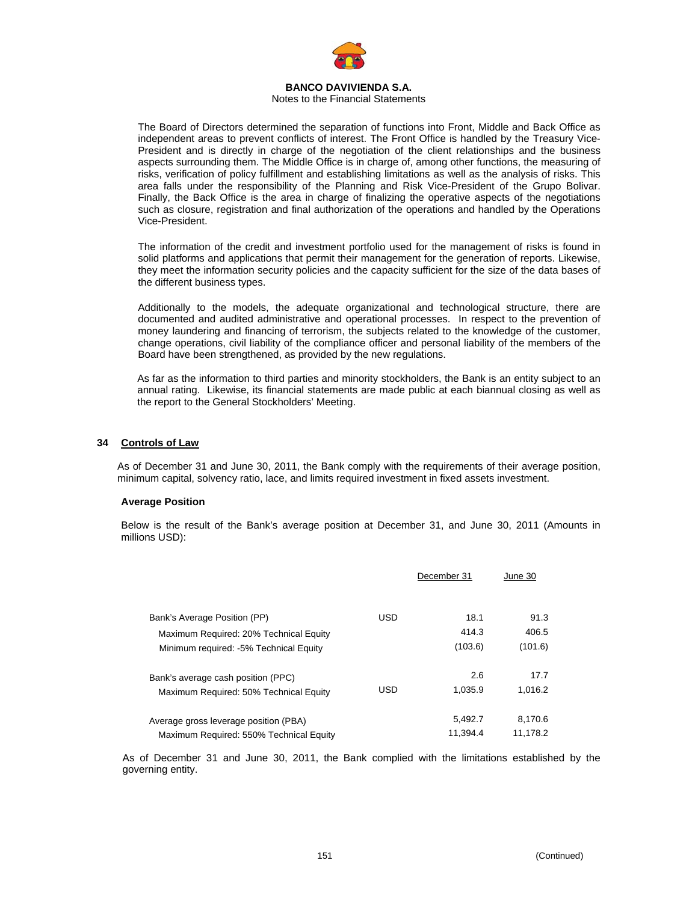

## Notes to the Financial Statements

The Board of Directors determined the separation of functions into Front, Middle and Back Office as independent areas to prevent conflicts of interest. The Front Office is handled by the Treasury Vice-President and is directly in charge of the negotiation of the client relationships and the business aspects surrounding them. The Middle Office is in charge of, among other functions, the measuring of risks, verification of policy fulfillment and establishing limitations as well as the analysis of risks. This area falls under the responsibility of the Planning and Risk Vice-President of the Grupo Bolivar. Finally, the Back Office is the area in charge of finalizing the operative aspects of the negotiations such as closure, registration and final authorization of the operations and handled by the Operations Vice-President.

The information of the credit and investment portfolio used for the management of risks is found in solid platforms and applications that permit their management for the generation of reports. Likewise, they meet the information security policies and the capacity sufficient for the size of the data bases of the different business types.

Additionally to the models, the adequate organizational and technological structure, there are documented and audited administrative and operational processes. In respect to the prevention of money laundering and financing of terrorism, the subjects related to the knowledge of the customer, change operations, civil liability of the compliance officer and personal liability of the members of the Board have been strengthened, as provided by the new regulations.

As far as the information to third parties and minority stockholders, the Bank is an entity subject to an annual rating. Likewise, its financial statements are made public at each biannual closing as well as the report to the General Stockholders' Meeting.

#### **34 Controls of Law**

As of December 31 and June 30, 2011, the Bank comply with the requirements of their average position, minimum capital, solvency ratio, lace, and limits required investment in fixed assets investment.

## **Average Position**

Below is the result of the Bank's average position at December 31, and June 30, 2011 (Amounts in millions USD):

|                                         |            | December 31 | June 30  |
|-----------------------------------------|------------|-------------|----------|
| Bank's Average Position (PP)            | <b>USD</b> | 18.1        | 91.3     |
| Maximum Required: 20% Technical Equity  |            | 414.3       | 406.5    |
| Minimum required: -5% Technical Equity  |            | (103.6)     | (101.6)  |
| Bank's average cash position (PPC)      |            | 2.6         | 17.7     |
| Maximum Required: 50% Technical Equity  | <b>USD</b> | 1.035.9     | 1,016.2  |
| Average gross leverage position (PBA)   |            | 5,492.7     | 8.170.6  |
| Maximum Required: 550% Technical Equity |            | 11.394.4    | 11.178.2 |

As of December 31 and June 30, 2011, the Bank complied with the limitations established by the governing entity.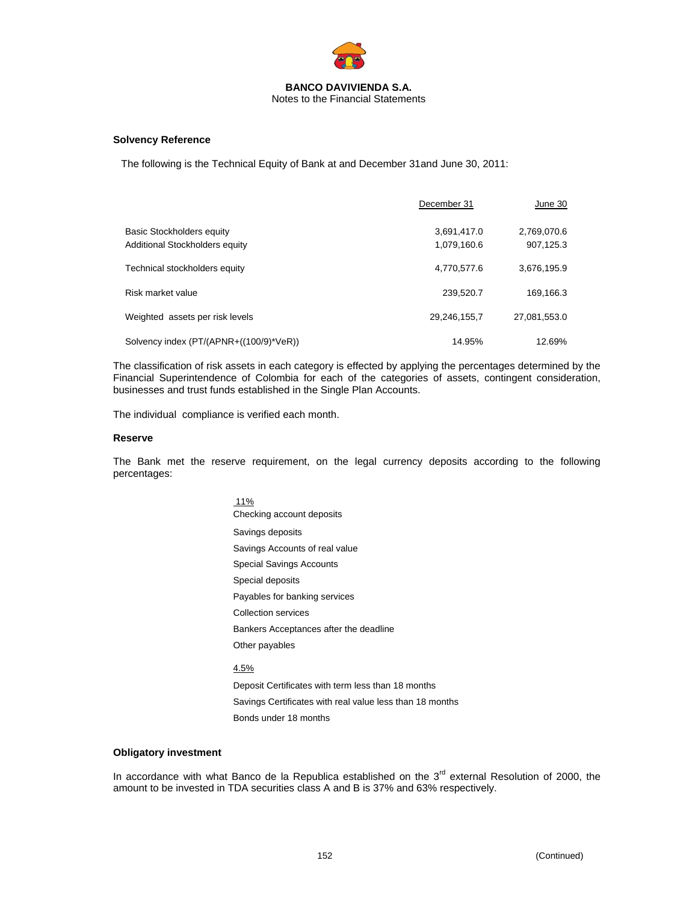

## **Solvency Reference**

The following is the Technical Equity of Bank at and December 31and June 30, 2011:

|                                         | December 31  | June 30      |
|-----------------------------------------|--------------|--------------|
| Basic Stockholders equity               | 3,691,417.0  | 2,769,070.6  |
| Additional Stockholders equity          | 1,079,160.6  | 907,125.3    |
| Technical stockholders equity           | 4,770,577.6  | 3,676,195.9  |
| Risk market value                       | 239,520.7    | 169,166.3    |
| Weighted assets per risk levels         | 29,246,155,7 | 27,081,553.0 |
| Solvency index (PT/(APNR+((100/9)*VeR)) | 14.95%       | 12.69%       |

The classification of risk assets in each category is effected by applying the percentages determined by the Financial Superintendence of Colombia for each of the categories of assets, contingent consideration, businesses and trust funds established in the Single Plan Accounts.

The individual compliance is verified each month.

#### **Reserve**

The Bank met the reserve requirement, on the legal currency deposits according to the following percentages:

> 11% Checking account deposits Savings deposits Savings Accounts of real value Special Savings Accounts Special deposits Payables for banking services Collection services Bankers Acceptances after the deadline Other payables 4.5% Deposit Certificates with term less than 18 months Savings Certificates with real value less than 18 months

Bonds under 18 months

## **Obligatory investment**

In accordance with what Banco de la Republica established on the 3<sup>rd</sup> external Resolution of 2000, the amount to be invested in TDA securities class A and B is 37% and 63% respectively.